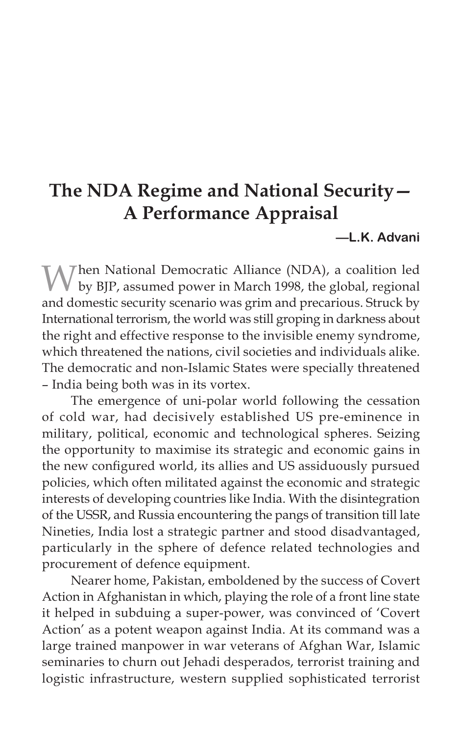# **The NDA Regime and National Security— A Performance Appraisal**

## **—L.K. Advani**

Mhen National Democratic Alliance (NDA), a coalition led by BJP, assumed power in March 1998, the global, regional and domestic security scenario was grim and precarious. Struck by International terrorism, the world was still groping in darkness about the right and effective response to the invisible enemy syndrome, which threatened the nations, civil societies and individuals alike. The democratic and non-Islamic States were specially threatened – India being both was in its vortex.

The emergence of uni-polar world following the cessation of cold war, had decisively established US pre-eminence in military, political, economic and technological spheres. Seizing the opportunity to maximise its strategic and economic gains in the new configured world, its allies and US assiduously pursued policies, which often militated against the economic and strategic interests of developing countries like India. With the disintegration of the USSR, and Russia encountering the pangs of transition till late Nineties, India lost a strategic partner and stood disadvantaged, particularly in the sphere of defence related technologies and procurement of defence equipment.

Nearer home, Pakistan, emboldened by the success of Covert Action in Afghanistan in which, playing the role of a front line state it helped in subduing a super-power, was convinced of 'Covert Action' as a potent weapon against India. At its command was a large trained manpower in war veterans of Afghan War, Islamic seminaries to churn out Jehadi desperados, terrorist training and logistic infrastructure, western supplied sophisticated terrorist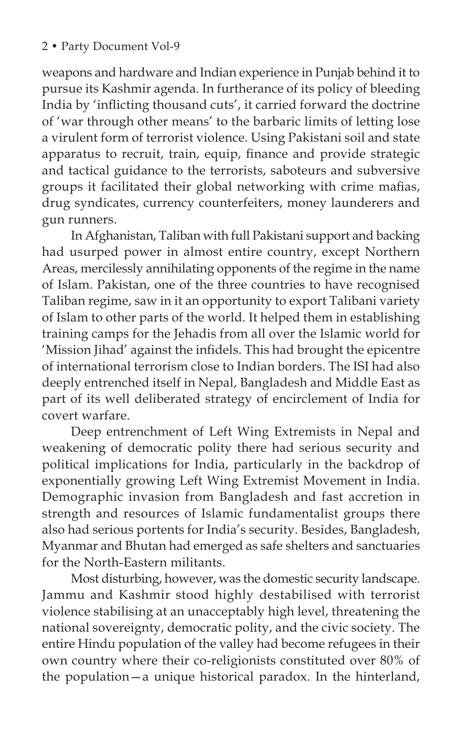weapons and hardware and Indian experience in Punjab behind it to pursue its Kashmir agenda. In furtherance of its policy of bleeding India by 'inflicting thousand cuts', it carried forward the doctrine of 'war through other means' to the barbaric limits of letting lose a virulent form of terrorist violence. Using Pakistani soil and state apparatus to recruit, train, equip, finance and provide strategic and tactical guidance to the terrorists, saboteurs and subversive groups it facilitated their global networking with crime mafias, drug syndicates, currency counterfeiters, money launderers and gun runners.

In Afghanistan, Taliban with full Pakistani support and backing had usurped power in almost entire country, except Northern Areas, mercilessly annihilating opponents of the regime in the name of Islam. Pakistan, one of the three countries to have recognised Taliban regime, saw in it an opportunity to export Talibani variety of Islam to other parts of the world. It helped them in establishing training camps for the Jehadis from all over the Islamic world for 'Mission Jihad' against the infidels. This had brought the epicentre of international terrorism close to Indian borders. The ISI had also deeply entrenched itself in Nepal, Bangladesh and Middle East as part of its well deliberated strategy of encirclement of India for covert warfare.

Deep entrenchment of Left Wing Extremists in Nepal and weakening of democratic polity there had serious security and political implications for India, particularly in the backdrop of exponentially growing Left Wing Extremist Movement in India. Demographic invasion from Bangladesh and fast accretion in strength and resources of Islamic fundamentalist groups there also had serious portents for India's security. Besides, Bangladesh, Myanmar and Bhutan had emerged as safe shelters and sanctuaries for the North-Eastern militants.

Most disturbing, however, was the domestic security landscape. Jammu and Kashmir stood highly destabilised with terrorist violence stabilising at an unacceptably high level, threatening the national sovereignty, democratic polity, and the civic society. The entire Hindu population of the valley had become refugees in their own country where their co-religionists constituted over 80% of the population—a unique historical paradox. In the hinterland,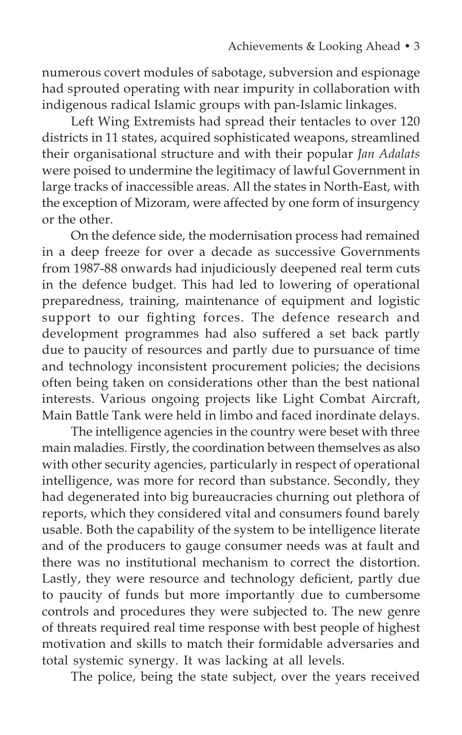numerous covert modules of sabotage, subversion and espionage had sprouted operating with near impurity in collaboration with indigenous radical Islamic groups with pan-Islamic linkages.

Left Wing Extremists had spread their tentacles to over 120 districts in 11 states, acquired sophisticated weapons, streamlined their organisational structure and with their popular *Jan Adalats* were poised to undermine the legitimacy of lawful Government in large tracks of inaccessible areas. All the states in North-East, with the exception of Mizoram, were affected by one form of insurgency or the other.

On the defence side, the modernisation process had remained in a deep freeze for over a decade as successive Governments from 1987-88 onwards had injudiciously deepened real term cuts in the defence budget. This had led to lowering of operational preparedness, training, maintenance of equipment and logistic support to our fighting forces. The defence research and development programmes had also suffered a set back partly due to paucity of resources and partly due to pursuance of time and technology inconsistent procurement policies; the decisions often being taken on considerations other than the best national interests. Various ongoing projects like Light Combat Aircraft, Main Battle Tank were held in limbo and faced inordinate delays.

The intelligence agencies in the country were beset with three main maladies. Firstly, the coordination between themselves as also with other security agencies, particularly in respect of operational intelligence, was more for record than substance. Secondly, they had degenerated into big bureaucracies churning out plethora of reports, which they considered vital and consumers found barely usable. Both the capability of the system to be intelligence literate and of the producers to gauge consumer needs was at fault and there was no institutional mechanism to correct the distortion. Lastly, they were resource and technology deficient, partly due to paucity of funds but more importantly due to cumbersome controls and procedures they were subjected to. The new genre of threats required real time response with best people of highest motivation and skills to match their formidable adversaries and total systemic synergy. It was lacking at all levels.

The police, being the state subject, over the years received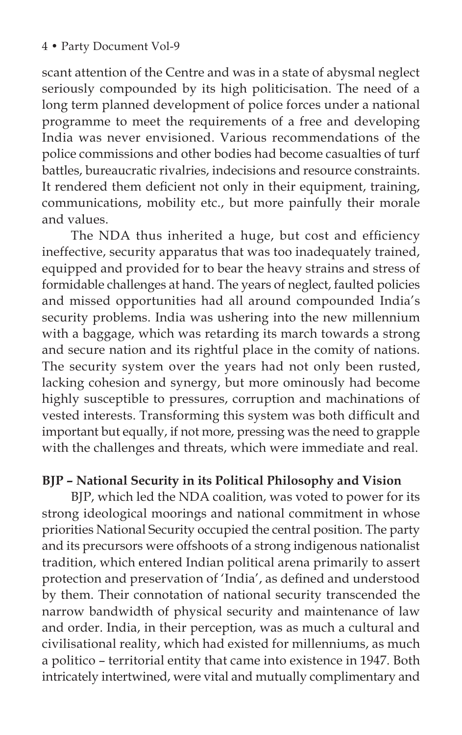scant attention of the Centre and was in a state of abysmal neglect seriously compounded by its high politicisation. The need of a long term planned development of police forces under a national programme to meet the requirements of a free and developing India was never envisioned. Various recommendations of the police commissions and other bodies had become casualties of turf battles, bureaucratic rivalries, indecisions and resource constraints. It rendered them deficient not only in their equipment, training, communications, mobility etc., but more painfully their morale and values.

The NDA thus inherited a huge, but cost and efficiency ineffective, security apparatus that was too inadequately trained, equipped and provided for to bear the heavy strains and stress of formidable challenges at hand. The years of neglect, faulted policies and missed opportunities had all around compounded India's security problems. India was ushering into the new millennium with a baggage, which was retarding its march towards a strong and secure nation and its rightful place in the comity of nations. The security system over the years had not only been rusted, lacking cohesion and synergy, but more ominously had become highly susceptible to pressures, corruption and machinations of vested interests. Transforming this system was both difficult and important but equally, if not more, pressing was the need to grapple with the challenges and threats, which were immediate and real.

# **BJP – National Security in its Political Philosophy and Vision**

BJP, which led the NDA coalition, was voted to power for its strong ideological moorings and national commitment in whose priorities National Security occupied the central position. The party and its precursors were offshoots of a strong indigenous nationalist tradition, which entered Indian political arena primarily to assert protection and preservation of 'India', as defined and understood by them. Their connotation of national security transcended the narrow bandwidth of physical security and maintenance of law and order. India, in their perception, was as much a cultural and civilisational reality, which had existed for millenniums, as much a politico – territorial entity that came into existence in 1947. Both intricately intertwined, were vital and mutually complimentary and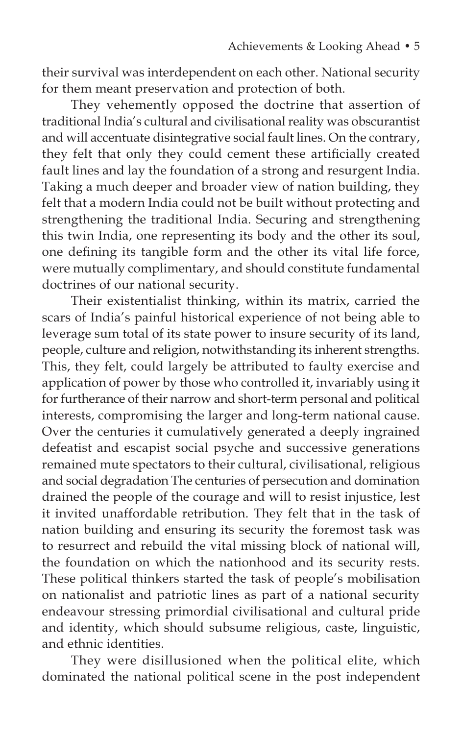their survival was interdependent on each other. National security for them meant preservation and protection of both.

They vehemently opposed the doctrine that assertion of traditional India's cultural and civilisational reality was obscurantist and will accentuate disintegrative social fault lines. On the contrary, they felt that only they could cement these artificially created fault lines and lay the foundation of a strong and resurgent India. Taking a much deeper and broader view of nation building, they felt that a modern India could not be built without protecting and strengthening the traditional India. Securing and strengthening this twin India, one representing its body and the other its soul, one defining its tangible form and the other its vital life force, were mutually complimentary, and should constitute fundamental doctrines of our national security.

Their existentialist thinking, within its matrix, carried the scars of India's painful historical experience of not being able to leverage sum total of its state power to insure security of its land, people, culture and religion, notwithstanding its inherent strengths. This, they felt, could largely be attributed to faulty exercise and application of power by those who controlled it, invariably using it for furtherance of their narrow and short-term personal and political interests, compromising the larger and long-term national cause. Over the centuries it cumulatively generated a deeply ingrained defeatist and escapist social psyche and successive generations remained mute spectators to their cultural, civilisational, religious and social degradation The centuries of persecution and domination drained the people of the courage and will to resist injustice, lest it invited unaffordable retribution. They felt that in the task of nation building and ensuring its security the foremost task was to resurrect and rebuild the vital missing block of national will, the foundation on which the nationhood and its security rests. These political thinkers started the task of people's mobilisation on nationalist and patriotic lines as part of a national security endeavour stressing primordial civilisational and cultural pride and identity, which should subsume religious, caste, linguistic, and ethnic identities.

They were disillusioned when the political elite, which dominated the national political scene in the post independent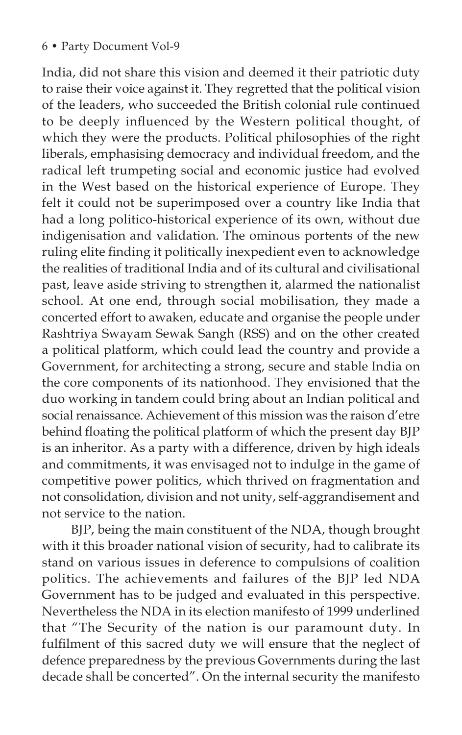India, did not share this vision and deemed it their patriotic duty to raise their voice against it. They regretted that the political vision of the leaders, who succeeded the British colonial rule continued to be deeply influenced by the Western political thought, of which they were the products. Political philosophies of the right liberals, emphasising democracy and individual freedom, and the radical left trumpeting social and economic justice had evolved in the West based on the historical experience of Europe. They felt it could not be superimposed over a country like India that had a long politico-historical experience of its own, without due indigenisation and validation. The ominous portents of the new ruling elite finding it politically inexpedient even to acknowledge the realities of traditional India and of its cultural and civilisational past, leave aside striving to strengthen it, alarmed the nationalist school. At one end, through social mobilisation, they made a concerted effort to awaken, educate and organise the people under Rashtriya Swayam Sewak Sangh (RSS) and on the other created a political platform, which could lead the country and provide a Government, for architecting a strong, secure and stable India on the core components of its nationhood. They envisioned that the duo working in tandem could bring about an Indian political and social renaissance. Achievement of this mission was the raison d'etre behind floating the political platform of which the present day BJP is an inheritor. As a party with a difference, driven by high ideals and commitments, it was envisaged not to indulge in the game of competitive power politics, which thrived on fragmentation and not consolidation, division and not unity, self-aggrandisement and not service to the nation.

BJP, being the main constituent of the NDA, though brought with it this broader national vision of security, had to calibrate its stand on various issues in deference to compulsions of coalition politics. The achievements and failures of the BJP led NDA Government has to be judged and evaluated in this perspective. Nevertheless the NDA in its election manifesto of 1999 underlined that "The Security of the nation is our paramount duty. In fulfilment of this sacred duty we will ensure that the neglect of defence preparedness by the previous Governments during the last decade shall be concerted". On the internal security the manifesto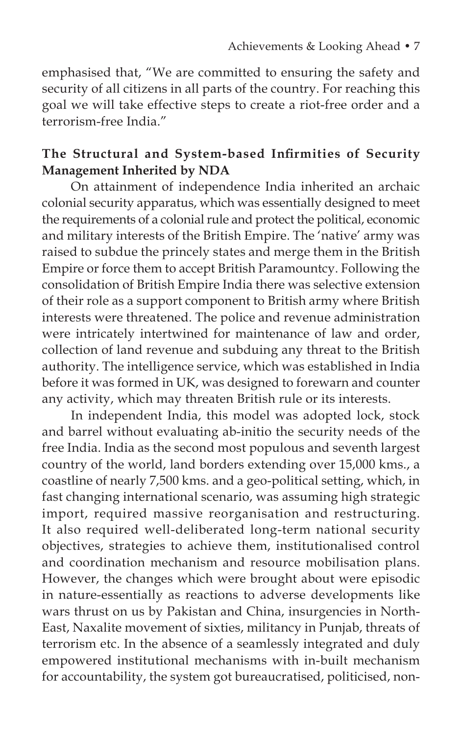emphasised that, "We are committed to ensuring the safety and security of all citizens in all parts of the country. For reaching this goal we will take effective steps to create a riot-free order and a terrorism-free India."

# **The Structural and System-based Infirmities of Security Management Inherited by NDA**

On attainment of independence India inherited an archaic colonial security apparatus, which was essentially designed to meet the requirements of a colonial rule and protect the political, economic and military interests of the British Empire. The 'native' army was raised to subdue the princely states and merge them in the British Empire or force them to accept British Paramountcy. Following the consolidation of British Empire India there was selective extension of their role as a support component to British army where British interests were threatened. The police and revenue administration were intricately intertwined for maintenance of law and order, collection of land revenue and subduing any threat to the British authority. The intelligence service, which was established in India before it was formed in UK, was designed to forewarn and counter any activity, which may threaten British rule or its interests.

In independent India, this model was adopted lock, stock and barrel without evaluating ab-initio the security needs of the free India. India as the second most populous and seventh largest country of the world, land borders extending over 15,000 kms., a coastline of nearly 7,500 kms. and a geo-political setting, which, in fast changing international scenario, was assuming high strategic import, required massive reorganisation and restructuring. It also required well-deliberated long-term national security objectives, strategies to achieve them, institutionalised control and coordination mechanism and resource mobilisation plans. However, the changes which were brought about were episodic in nature-essentially as reactions to adverse developments like wars thrust on us by Pakistan and China, insurgencies in North-East, Naxalite movement of sixties, militancy in Punjab, threats of terrorism etc. In the absence of a seamlessly integrated and duly empowered institutional mechanisms with in-built mechanism for accountability, the system got bureaucratised, politicised, non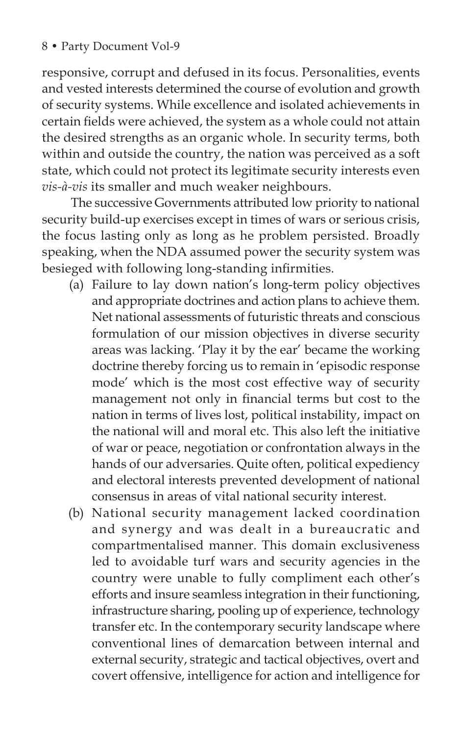responsive, corrupt and defused in its focus. Personalities, events and vested interests determined the course of evolution and growth of security systems. While excellence and isolated achievements in certain fields were achieved, the system as a whole could not attain the desired strengths as an organic whole. In security terms, both within and outside the country, the nation was perceived as a soft state, which could not protect its legitimate security interests even *vis-à-vis* its smaller and much weaker neighbours.

The successive Governments attributed low priority to national security build-up exercises except in times of wars or serious crisis, the focus lasting only as long as he problem persisted. Broadly speaking, when the NDA assumed power the security system was besieged with following long-standing infirmities.

- (a) Failure to lay down nation's long-term policy objectives and appropriate doctrines and action plans to achieve them. Net national assessments of futuristic threats and conscious formulation of our mission objectives in diverse security areas was lacking. 'Play it by the ear' became the working doctrine thereby forcing us to remain in 'episodic response mode' which is the most cost effective way of security management not only in financial terms but cost to the nation in terms of lives lost, political instability, impact on the national will and moral etc. This also left the initiative of war or peace, negotiation or confrontation always in the hands of our adversaries. Quite often, political expediency and electoral interests prevented development of national consensus in areas of vital national security interest.
- (b) National security management lacked coordination and synergy and was dealt in a bureaucratic and compartmentalised manner. This domain exclusiveness led to avoidable turf wars and security agencies in the country were unable to fully compliment each other's efforts and insure seamless integration in their functioning, infrastructure sharing, pooling up of experience, technology transfer etc. In the contemporary security landscape where conventional lines of demarcation between internal and external security, strategic and tactical objectives, overt and covert offensive, intelligence for action and intelligence for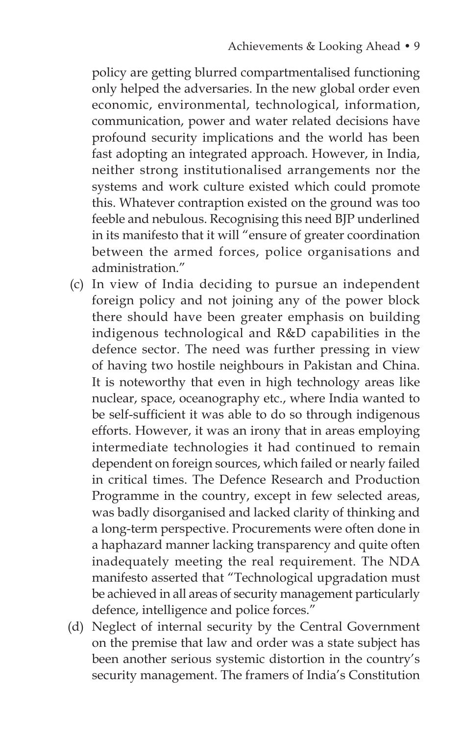policy are getting blurred compartmentalised functioning only helped the adversaries. In the new global order even economic, environmental, technological, information, communication, power and water related decisions have profound security implications and the world has been fast adopting an integrated approach. However, in India, neither strong institutionalised arrangements nor the systems and work culture existed which could promote this. Whatever contraption existed on the ground was too feeble and nebulous. Recognising this need BJP underlined in its manifesto that it will "ensure of greater coordination between the armed forces, police organisations and administration."

- (c) In view of India deciding to pursue an independent foreign policy and not joining any of the power block there should have been greater emphasis on building indigenous technological and R&D capabilities in the defence sector. The need was further pressing in view of having two hostile neighbours in Pakistan and China. It is noteworthy that even in high technology areas like nuclear, space, oceanography etc., where India wanted to be self-sufficient it was able to do so through indigenous efforts. However, it was an irony that in areas employing intermediate technologies it had continued to remain dependent on foreign sources, which failed or nearly failed in critical times. The Defence Research and Production Programme in the country, except in few selected areas, was badly disorganised and lacked clarity of thinking and a long-term perspective. Procurements were often done in a haphazard manner lacking transparency and quite often inadequately meeting the real requirement. The NDA manifesto asserted that "Technological upgradation must be achieved in all areas of security management particularly defence, intelligence and police forces."
- (d) Neglect of internal security by the Central Government on the premise that law and order was a state subject has been another serious systemic distortion in the country's security management. The framers of India's Constitution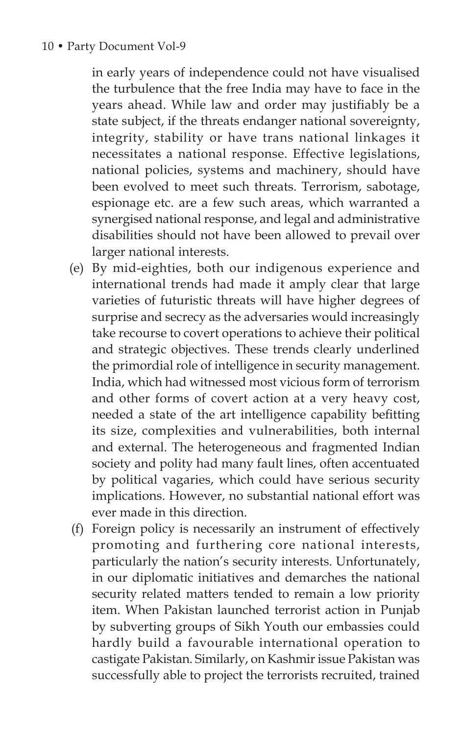in early years of independence could not have visualised the turbulence that the free India may have to face in the years ahead. While law and order may justifiably be a state subject, if the threats endanger national sovereignty, integrity, stability or have trans national linkages it necessitates a national response. Effective legislations, national policies, systems and machinery, should have been evolved to meet such threats. Terrorism, sabotage, espionage etc. are a few such areas, which warranted a synergised national response, and legal and administrative disabilities should not have been allowed to prevail over larger national interests.

- (e) By mid-eighties, both our indigenous experience and international trends had made it amply clear that large varieties of futuristic threats will have higher degrees of surprise and secrecy as the adversaries would increasingly take recourse to covert operations to achieve their political and strategic objectives. These trends clearly underlined the primordial role of intelligence in security management. India, which had witnessed most vicious form of terrorism and other forms of covert action at a very heavy cost, needed a state of the art intelligence capability befitting its size, complexities and vulnerabilities, both internal and external. The heterogeneous and fragmented Indian society and polity had many fault lines, often accentuated by political vagaries, which could have serious security implications. However, no substantial national effort was ever made in this direction.
- (f) Foreign policy is necessarily an instrument of effectively promoting and furthering core national interests, particularly the nation's security interests. Unfortunately, in our diplomatic initiatives and demarches the national security related matters tended to remain a low priority item. When Pakistan launched terrorist action in Punjab by subverting groups of Sikh Youth our embassies could hardly build a favourable international operation to castigate Pakistan. Similarly, on Kashmir issue Pakistan was successfully able to project the terrorists recruited, trained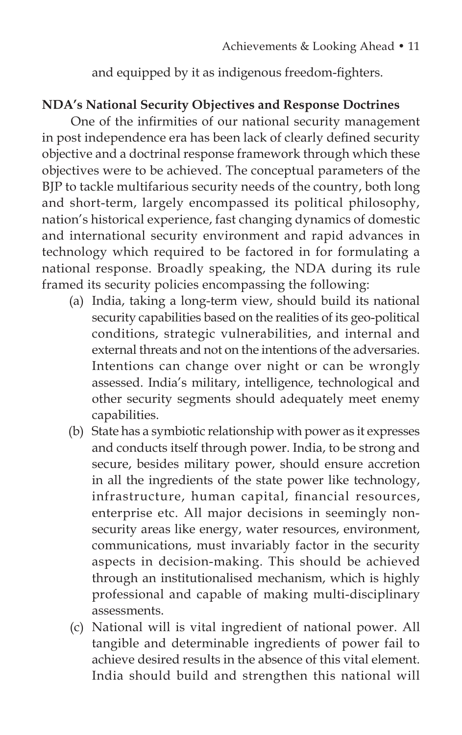and equipped by it as indigenous freedom-fighters.

# **NDA's National Security Objectives and Response Doctrines**

One of the infirmities of our national security management in post independence era has been lack of clearly defined security objective and a doctrinal response framework through which these objectives were to be achieved. The conceptual parameters of the BJP to tackle multifarious security needs of the country, both long and short-term, largely encompassed its political philosophy, nation's historical experience, fast changing dynamics of domestic and international security environment and rapid advances in technology which required to be factored in for formulating a national response. Broadly speaking, the NDA during its rule framed its security policies encompassing the following:

- (a) India, taking a long-term view, should build its national security capabilities based on the realities of its geo-political conditions, strategic vulnerabilities, and internal and external threats and not on the intentions of the adversaries. Intentions can change over night or can be wrongly assessed. India's military, intelligence, technological and other security segments should adequately meet enemy capabilities.
- (b) State has a symbiotic relationship with power as it expresses and conducts itself through power. India, to be strong and secure, besides military power, should ensure accretion in all the ingredients of the state power like technology, infrastructure, human capital, financial resources, enterprise etc. All major decisions in seemingly nonsecurity areas like energy, water resources, environment, communications, must invariably factor in the security aspects in decision-making. This should be achieved through an institutionalised mechanism, which is highly professional and capable of making multi-disciplinary assessments.
- (c) National will is vital ingredient of national power. All tangible and determinable ingredients of power fail to achieve desired results in the absence of this vital element. India should build and strengthen this national will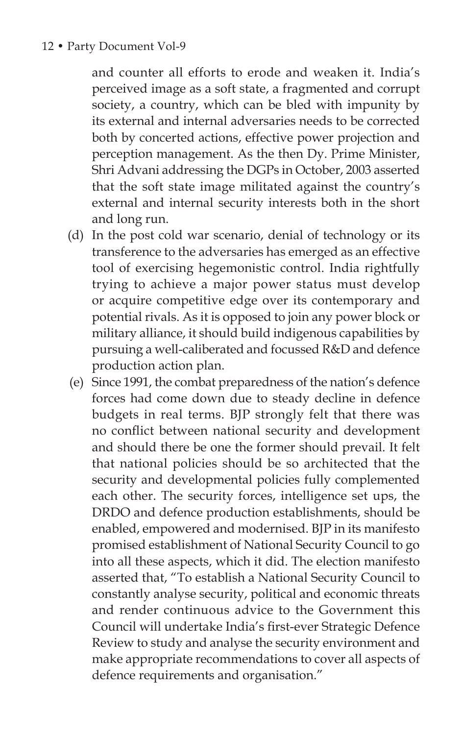#### 12 • Party Document Vol-9

and counter all efforts to erode and weaken it. India's perceived image as a soft state, a fragmented and corrupt society, a country, which can be bled with impunity by its external and internal adversaries needs to be corrected both by concerted actions, effective power projection and perception management. As the then Dy. Prime Minister, Shri Advani addressing the DGPs in October, 2003 asserted that the soft state image militated against the country's external and internal security interests both in the short and long run.

- (d) In the post cold war scenario, denial of technology or its transference to the adversaries has emerged as an effective tool of exercising hegemonistic control. India rightfully trying to achieve a major power status must develop or acquire competitive edge over its contemporary and potential rivals. As it is opposed to join any power block or military alliance, it should build indigenous capabilities by pursuing a well-caliberated and focussed R&D and defence production action plan.
- (e) Since 1991, the combat preparedness of the nation's defence forces had come down due to steady decline in defence budgets in real terms. BJP strongly felt that there was no conflict between national security and development and should there be one the former should prevail. It felt that national policies should be so architected that the security and developmental policies fully complemented each other. The security forces, intelligence set ups, the DRDO and defence production establishments, should be enabled, empowered and modernised. BJP in its manifesto promised establishment of National Security Council to go into all these aspects, which it did. The election manifesto asserted that, "To establish a National Security Council to constantly analyse security, political and economic threats and render continuous advice to the Government this Council will undertake India's first-ever Strategic Defence Review to study and analyse the security environment and make appropriate recommendations to cover all aspects of defence requirements and organisation."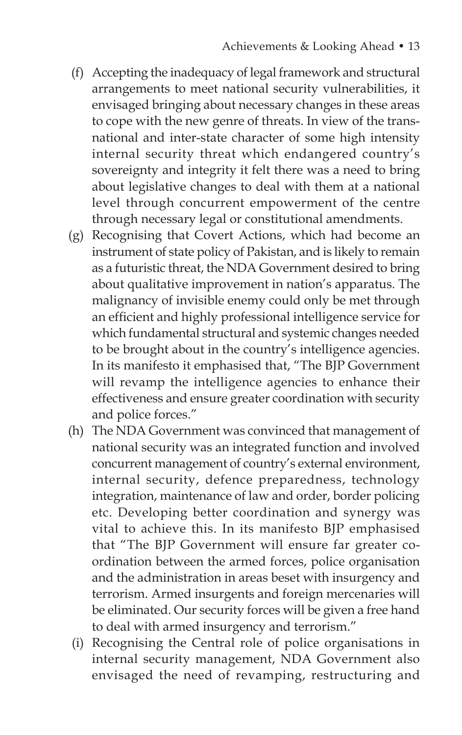- (f) Accepting the inadequacy of legal framework and structural arrangements to meet national security vulnerabilities, it envisaged bringing about necessary changes in these areas to cope with the new genre of threats. In view of the transnational and inter-state character of some high intensity internal security threat which endangered country's sovereignty and integrity it felt there was a need to bring about legislative changes to deal with them at a national level through concurrent empowerment of the centre through necessary legal or constitutional amendments.
- (g) Recognising that Covert Actions, which had become an instrument of state policy of Pakistan, and is likely to remain as a futuristic threat, the NDA Government desired to bring about qualitative improvement in nation's apparatus. The malignancy of invisible enemy could only be met through an efficient and highly professional intelligence service for which fundamental structural and systemic changes needed to be brought about in the country's intelligence agencies. In its manifesto it emphasised that, "The BJP Government will revamp the intelligence agencies to enhance their effectiveness and ensure greater coordination with security and police forces."
- (h) The NDA Government was convinced that management of national security was an integrated function and involved concurrent management of country's external environment, internal security, defence preparedness, technology integration, maintenance of law and order, border policing etc. Developing better coordination and synergy was vital to achieve this. In its manifesto BJP emphasised that "The BJP Government will ensure far greater coordination between the armed forces, police organisation and the administration in areas beset with insurgency and terrorism. Armed insurgents and foreign mercenaries will be eliminated. Our security forces will be given a free hand to deal with armed insurgency and terrorism."
- (i) Recognising the Central role of police organisations in internal security management, NDA Government also envisaged the need of revamping, restructuring and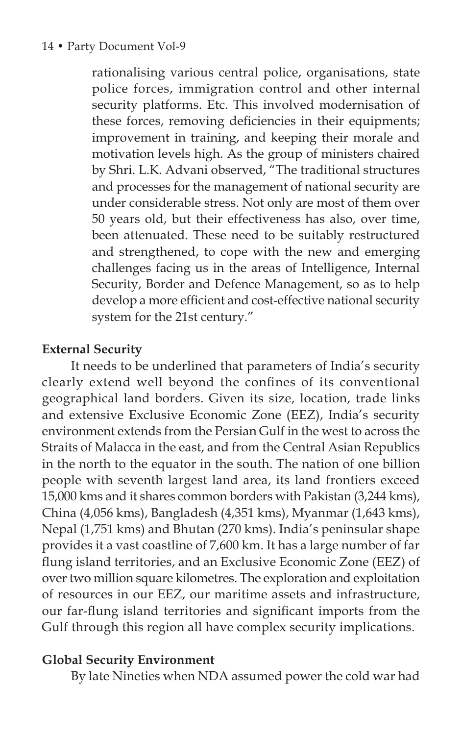rationalising various central police, organisations, state police forces, immigration control and other internal security platforms. Etc. This involved modernisation of these forces, removing deficiencies in their equipments; improvement in training, and keeping their morale and motivation levels high. As the group of ministers chaired by Shri. L.K. Advani observed, "The traditional structures and processes for the management of national security are under considerable stress. Not only are most of them over 50 years old, but their effectiveness has also, over time, been attenuated. These need to be suitably restructured and strengthened, to cope with the new and emerging challenges facing us in the areas of Intelligence, Internal Security, Border and Defence Management, so as to help develop a more efficient and cost-effective national security system for the 21st century."

# **External Security**

It needs to be underlined that parameters of India's security clearly extend well beyond the confines of its conventional geographical land borders. Given its size, location, trade links and extensive Exclusive Economic Zone (EEZ), India's security environment extends from the Persian Gulf in the west to across the Straits of Malacca in the east, and from the Central Asian Republics in the north to the equator in the south. The nation of one billion people with seventh largest land area, its land frontiers exceed 15,000 kms and it shares common borders with Pakistan (3,244 kms), China (4,056 kms), Bangladesh (4,351 kms), Myanmar (1,643 kms), Nepal (1,751 kms) and Bhutan (270 kms). India's peninsular shape provides it a vast coastline of 7,600 km. It has a large number of far flung island territories, and an Exclusive Economic Zone (EEZ) of over two million square kilometres. The exploration and exploitation of resources in our EEZ, our maritime assets and infrastructure, our far-flung island territories and significant imports from the Gulf through this region all have complex security implications.

# **Global Security Environment**

By late Nineties when NDA assumed power the cold war had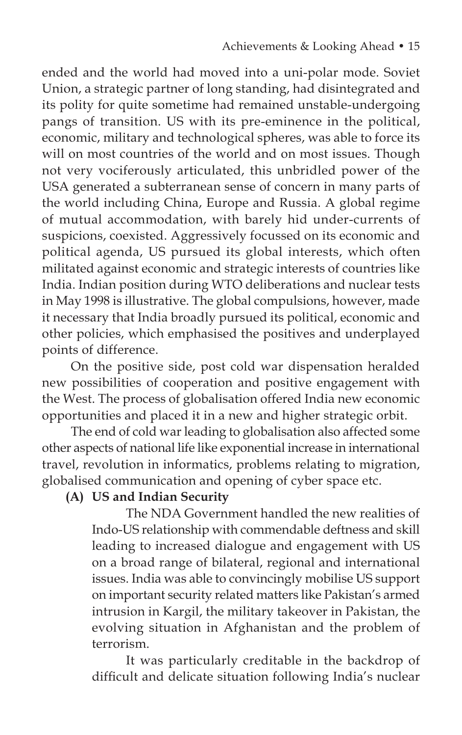ended and the world had moved into a uni-polar mode. Soviet Union, a strategic partner of long standing, had disintegrated and its polity for quite sometime had remained unstable-undergoing pangs of transition. US with its pre-eminence in the political, economic, military and technological spheres, was able to force its will on most countries of the world and on most issues. Though not very vociferously articulated, this unbridled power of the USA generated a subterranean sense of concern in many parts of the world including China, Europe and Russia. A global regime of mutual accommodation, with barely hid under-currents of suspicions, coexisted. Aggressively focussed on its economic and political agenda, US pursued its global interests, which often militated against economic and strategic interests of countries like India. Indian position during WTO deliberations and nuclear tests in May 1998 is illustrative. The global compulsions, however, made it necessary that India broadly pursued its political, economic and other policies, which emphasised the positives and underplayed points of difference.

On the positive side, post cold war dispensation heralded new possibilities of cooperation and positive engagement with the West. The process of globalisation offered India new economic opportunities and placed it in a new and higher strategic orbit.

The end of cold war leading to globalisation also affected some other aspects of national life like exponential increase in international travel, revolution in informatics, problems relating to migration, globalised communication and opening of cyber space etc.

# **(A) US and Indian Security**

 The NDA Government handled the new realities of Indo-US relationship with commendable deftness and skill leading to increased dialogue and engagement with US on a broad range of bilateral, regional and international issues. India was able to convincingly mobilise US support on important security related matters like Pakistan's armed intrusion in Kargil, the military takeover in Pakistan, the evolving situation in Afghanistan and the problem of terrorism.

 It was particularly creditable in the backdrop of difficult and delicate situation following India's nuclear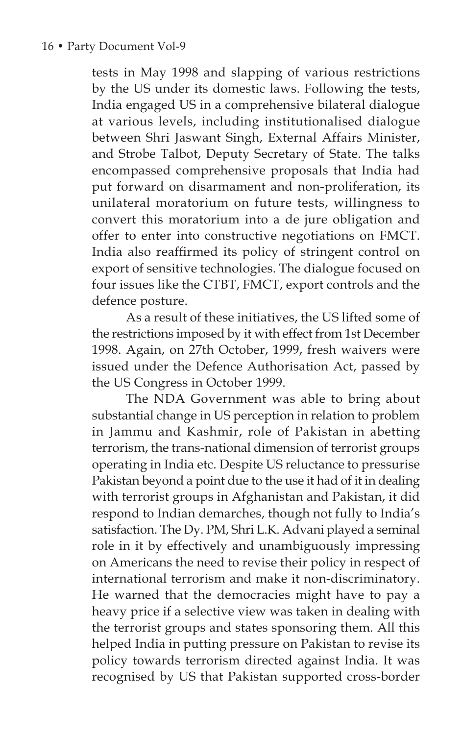tests in May 1998 and slapping of various restrictions by the US under its domestic laws. Following the tests, India engaged US in a comprehensive bilateral dialogue at various levels, including institutionalised dialogue between Shri Jaswant Singh, External Affairs Minister, and Strobe Talbot, Deputy Secretary of State. The talks encompassed comprehensive proposals that India had put forward on disarmament and non-proliferation, its unilateral moratorium on future tests, willingness to convert this moratorium into a de jure obligation and offer to enter into constructive negotiations on FMCT. India also reaffirmed its policy of stringent control on export of sensitive technologies. The dialogue focused on four issues like the CTBT, FMCT, export controls and the defence posture.

 As a result of these initiatives, the US lifted some of the restrictions imposed by it with effect from 1st December 1998. Again, on 27th October, 1999, fresh waivers were issued under the Defence Authorisation Act, passed by the US Congress in October 1999.

 The NDA Government was able to bring about substantial change in US perception in relation to problem in Jammu and Kashmir, role of Pakistan in abetting terrorism, the trans-national dimension of terrorist groups operating in India etc. Despite US reluctance to pressurise Pakistan beyond a point due to the use it had of it in dealing with terrorist groups in Afghanistan and Pakistan, it did respond to Indian demarches, though not fully to India's satisfaction. The Dy. PM, Shri L.K. Advani played a seminal role in it by effectively and unambiguously impressing on Americans the need to revise their policy in respect of international terrorism and make it non-discriminatory. He warned that the democracies might have to pay a heavy price if a selective view was taken in dealing with the terrorist groups and states sponsoring them. All this helped India in putting pressure on Pakistan to revise its policy towards terrorism directed against India. It was recognised by US that Pakistan supported cross-border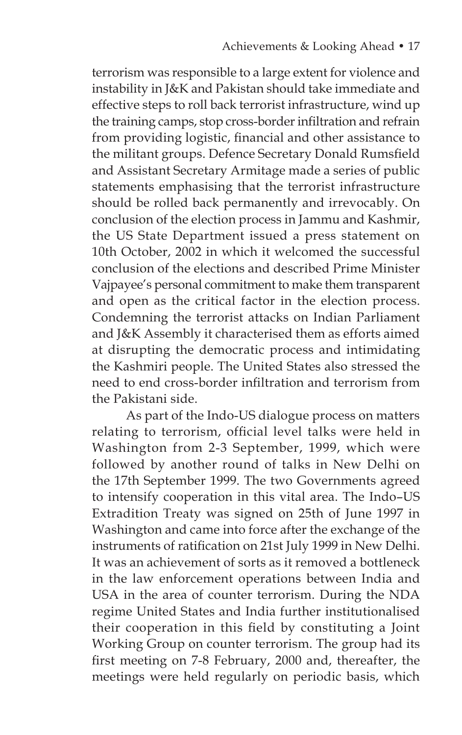terrorism was responsible to a large extent for violence and instability in J&K and Pakistan should take immediate and effective steps to roll back terrorist infrastructure, wind up the training camps, stop cross-border infiltration and refrain from providing logistic, financial and other assistance to the militant groups. Defence Secretary Donald Rumsfield and Assistant Secretary Armitage made a series of public statements emphasising that the terrorist infrastructure should be rolled back permanently and irrevocably. On conclusion of the election process in Jammu and Kashmir, the US State Department issued a press statement on 10th October, 2002 in which it welcomed the successful conclusion of the elections and described Prime Minister Vajpayee's personal commitment to make them transparent and open as the critical factor in the election process. Condemning the terrorist attacks on Indian Parliament and J&K Assembly it characterised them as efforts aimed at disrupting the democratic process and intimidating the Kashmiri people. The United States also stressed the need to end cross-border infiltration and terrorism from the Pakistani side.

 As part of the Indo-US dialogue process on matters relating to terrorism, official level talks were held in Washington from 2-3 September, 1999, which were followed by another round of talks in New Delhi on the 17th September 1999. The two Governments agreed to intensify cooperation in this vital area. The Indo–US Extradition Treaty was signed on 25th of June 1997 in Washington and came into force after the exchange of the instruments of ratification on 21st July 1999 in New Delhi. It was an achievement of sorts as it removed a bottleneck in the law enforcement operations between India and USA in the area of counter terrorism. During the NDA regime United States and India further institutionalised their cooperation in this field by constituting a Joint Working Group on counter terrorism. The group had its first meeting on 7-8 February, 2000 and, thereafter, the meetings were held regularly on periodic basis, which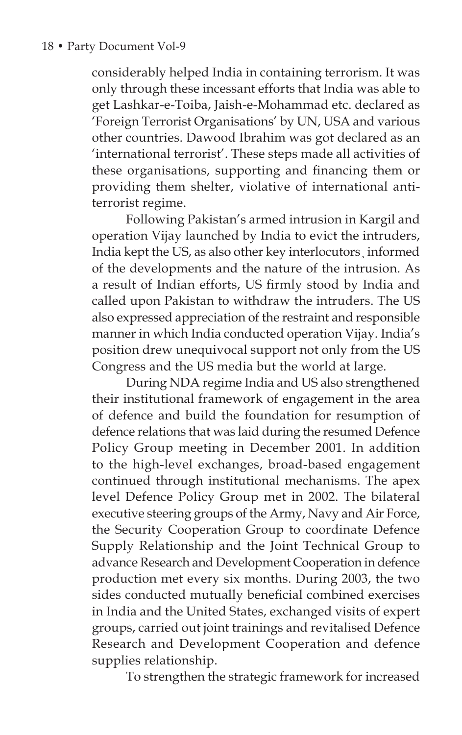considerably helped India in containing terrorism. It was only through these incessant efforts that India was able to get Lashkar-e-Toiba, Jaish-e-Mohammad etc. declared as 'Foreign Terrorist Organisations' by UN, USA and various other countries. Dawood Ibrahim was got declared as an 'international terrorist'. These steps made all activities of these organisations, supporting and financing them or providing them shelter, violative of international antiterrorist regime.

 Following Pakistan's armed intrusion in Kargil and operation Vijay launched by India to evict the intruders, India kept the US, as also other key interlocutors¸ informed of the developments and the nature of the intrusion. As a result of Indian efforts, US firmly stood by India and called upon Pakistan to withdraw the intruders. The US also expressed appreciation of the restraint and responsible manner in which India conducted operation Vijay. India's position drew unequivocal support not only from the US Congress and the US media but the world at large.

 During NDA regime India and US also strengthened their institutional framework of engagement in the area of defence and build the foundation for resumption of defence relations that was laid during the resumed Defence Policy Group meeting in December 2001. In addition to the high-level exchanges, broad-based engagement continued through institutional mechanisms. The apex level Defence Policy Group met in 2002. The bilateral executive steering groups of the Army, Navy and Air Force, the Security Cooperation Group to coordinate Defence Supply Relationship and the Joint Technical Group to advance Research and Development Cooperation in defence production met every six months. During 2003, the two sides conducted mutually beneficial combined exercises in India and the United States, exchanged visits of expert groups, carried out joint trainings and revitalised Defence Research and Development Cooperation and defence supplies relationship.

To strengthen the strategic framework for increased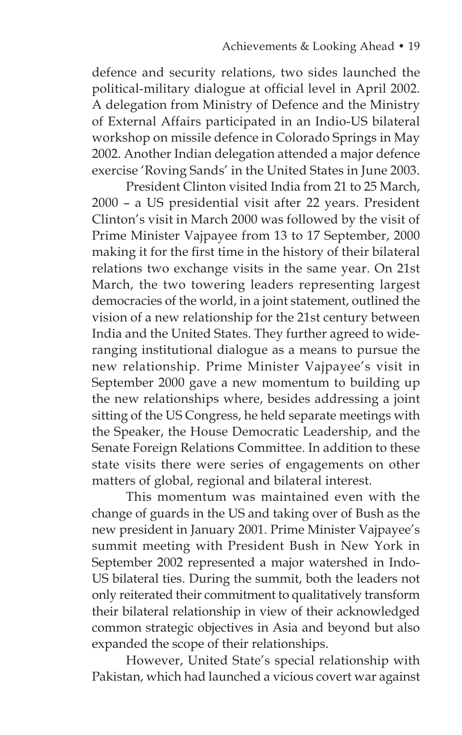defence and security relations, two sides launched the political-military dialogue at official level in April 2002. A delegation from Ministry of Defence and the Ministry of External Affairs participated in an Indio-US bilateral workshop on missile defence in Colorado Springs in May 2002. Another Indian delegation attended a major defence exercise 'Roving Sands' in the United States in June 2003.

 President Clinton visited India from 21 to 25 March, 2000 – a US presidential visit after 22 years. President Clinton's visit in March 2000 was followed by the visit of Prime Minister Vajpayee from 13 to 17 September, 2000 making it for the first time in the history of their bilateral relations two exchange visits in the same year. On 21st March, the two towering leaders representing largest democracies of the world, in a joint statement, outlined the vision of a new relationship for the 21st century between India and the United States. They further agreed to wideranging institutional dialogue as a means to pursue the new relationship. Prime Minister Vajpayee's visit in September 2000 gave a new momentum to building up the new relationships where, besides addressing a joint sitting of the US Congress, he held separate meetings with the Speaker, the House Democratic Leadership, and the Senate Foreign Relations Committee. In addition to these state visits there were series of engagements on other matters of global, regional and bilateral interest.

 This momentum was maintained even with the change of guards in the US and taking over of Bush as the new president in January 2001. Prime Minister Vajpayee's summit meeting with President Bush in New York in September 2002 represented a major watershed in Indo-US bilateral ties. During the summit, both the leaders not only reiterated their commitment to qualitatively transform their bilateral relationship in view of their acknowledged common strategic objectives in Asia and beyond but also expanded the scope of their relationships.

 However, United State's special relationship with Pakistan, which had launched a vicious covert war against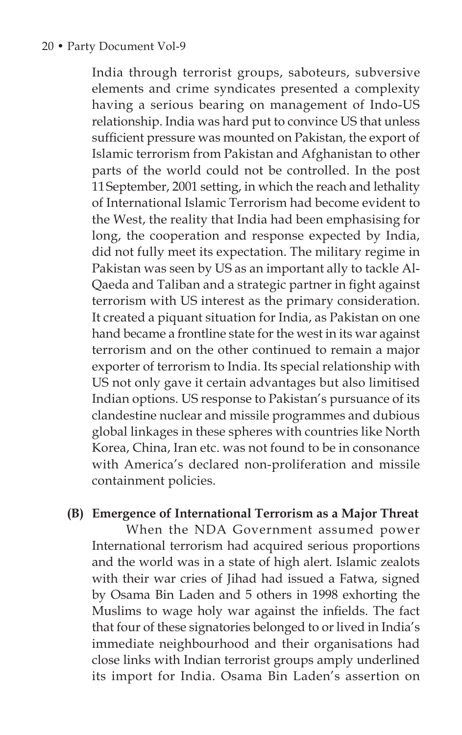#### 20 • Party Document Vol-9

India through terrorist groups, saboteurs, subversive elements and crime syndicates presented a complexity having a serious bearing on management of Indo-US relationship. India was hard put to convince US that unless sufficient pressure was mounted on Pakistan, the export of Islamic terrorism from Pakistan and Afghanistan to other parts of the world could not be controlled. In the post 11September, 2001 setting, in which the reach and lethality of International Islamic Terrorism had become evident to the West, the reality that India had been emphasising for long, the cooperation and response expected by India, did not fully meet its expectation. The military regime in Pakistan was seen by US as an important ally to tackle Al-Qaeda and Taliban and a strategic partner in fight against terrorism with US interest as the primary consideration. It created a piquant situation for India, as Pakistan on one hand became a frontline state for the west in its war against terrorism and on the other continued to remain a major exporter of terrorism to India. Its special relationship with US not only gave it certain advantages but also limitised Indian options. US response to Pakistan's pursuance of its clandestine nuclear and missile programmes and dubious global linkages in these spheres with countries like North Korea, China, Iran etc. was not found to be in consonance with America's declared non-proliferation and missile containment policies.

#### **(B) Emergence of International Terrorism as a Major Threat**

When the NDA Government assumed power International terrorism had acquired serious proportions and the world was in a state of high alert. Islamic zealots with their war cries of Jihad had issued a Fatwa, signed by Osama Bin Laden and 5 others in 1998 exhorting the Muslims to wage holy war against the infields. The fact that four of these signatories belonged to or lived in India's immediate neighbourhood and their organisations had close links with Indian terrorist groups amply underlined its import for India. Osama Bin Laden's assertion on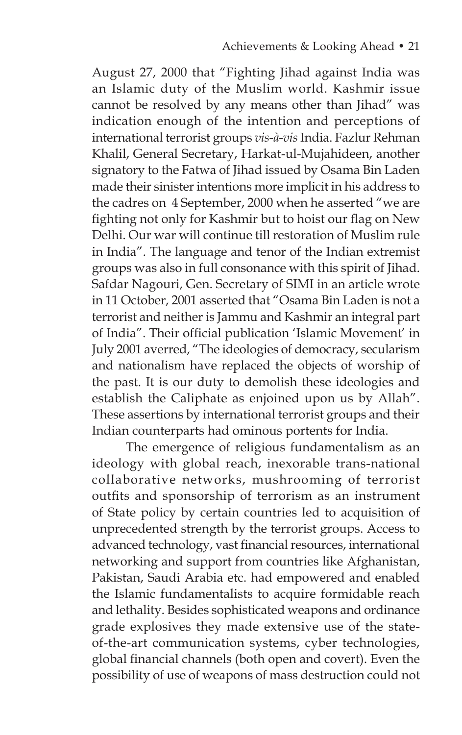August 27, 2000 that "Fighting Jihad against India was an Islamic duty of the Muslim world. Kashmir issue cannot be resolved by any means other than Jihad" was indication enough of the intention and perceptions of international terrorist groups *vis-à-vis* India. Fazlur Rehman Khalil, General Secretary, Harkat-ul-Mujahideen, another signatory to the Fatwa of Jihad issued by Osama Bin Laden made their sinister intentions more implicit in his address to the cadres on 4 September, 2000 when he asserted "we are fighting not only for Kashmir but to hoist our flag on New Delhi. Our war will continue till restoration of Muslim rule in India". The language and tenor of the Indian extremist groups was also in full consonance with this spirit of Jihad. Safdar Nagouri, Gen. Secretary of SIMI in an article wrote in 11 October, 2001 asserted that "Osama Bin Laden is not a terrorist and neither is Jammu and Kashmir an integral part of India". Their official publication 'Islamic Movement' in July 2001 averred, "The ideologies of democracy, secularism and nationalism have replaced the objects of worship of the past. It is our duty to demolish these ideologies and establish the Caliphate as enjoined upon us by Allah". These assertions by international terrorist groups and their Indian counterparts had ominous portents for India.

 The emergence of religious fundamentalism as an ideology with global reach, inexorable trans-national collaborative networks, mushrooming of terrorist outfits and sponsorship of terrorism as an instrument of State policy by certain countries led to acquisition of unprecedented strength by the terrorist groups. Access to advanced technology, vast financial resources, international networking and support from countries like Afghanistan, Pakistan, Saudi Arabia etc. had empowered and enabled the Islamic fundamentalists to acquire formidable reach and lethality. Besides sophisticated weapons and ordinance grade explosives they made extensive use of the stateof-the-art communication systems, cyber technologies, global financial channels (both open and covert). Even the possibility of use of weapons of mass destruction could not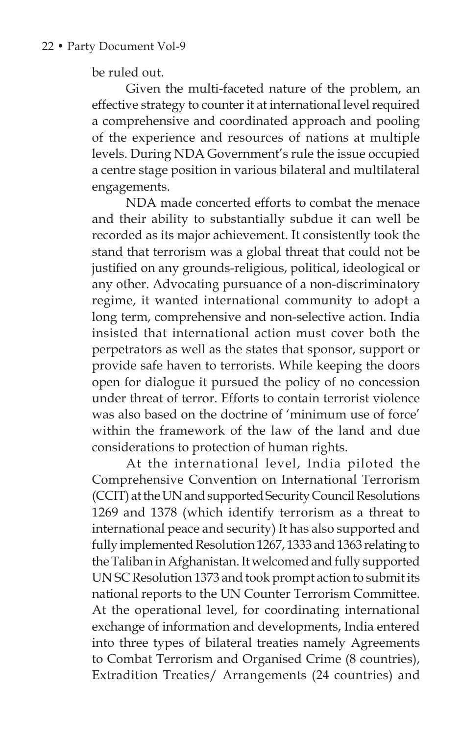be ruled out.

 Given the multi-faceted nature of the problem, an effective strategy to counter it at international level required a comprehensive and coordinated approach and pooling of the experience and resources of nations at multiple levels. During NDA Government's rule the issue occupied a centre stage position in various bilateral and multilateral engagements.

 NDA made concerted efforts to combat the menace and their ability to substantially subdue it can well be recorded as its major achievement. It consistently took the stand that terrorism was a global threat that could not be justified on any grounds-religious, political, ideological or any other. Advocating pursuance of a non-discriminatory regime, it wanted international community to adopt a long term, comprehensive and non-selective action. India insisted that international action must cover both the perpetrators as well as the states that sponsor, support or provide safe haven to terrorists. While keeping the doors open for dialogue it pursued the policy of no concession under threat of terror. Efforts to contain terrorist violence was also based on the doctrine of 'minimum use of force' within the framework of the law of the land and due considerations to protection of human rights.

 At the international level, India piloted the Comprehensive Convention on International Terrorism (CCIT) at the UN and supported Security Council Resolutions 1269 and 1378 (which identify terrorism as a threat to international peace and security) It has also supported and fully implemented Resolution 1267, 1333 and 1363 relating to the Taliban in Afghanistan. It welcomed and fully supported UN SC Resolution 1373 and took prompt action to submit its national reports to the UN Counter Terrorism Committee. At the operational level, for coordinating international exchange of information and developments, India entered into three types of bilateral treaties namely Agreements to Combat Terrorism and Organised Crime (8 countries), Extradition Treaties/ Arrangements (24 countries) and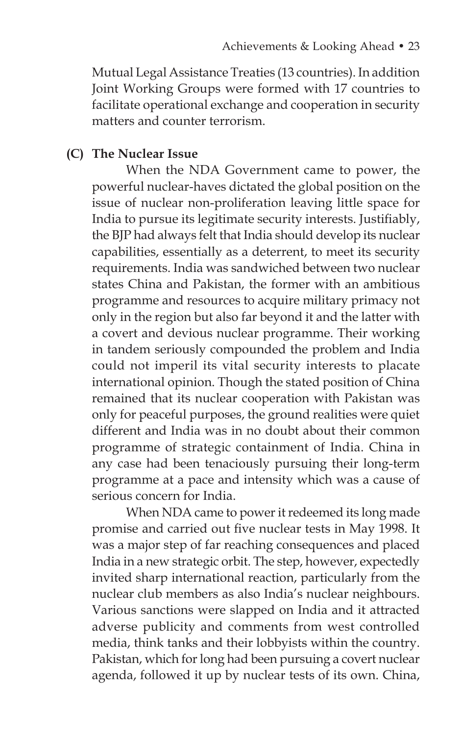Mutual Legal Assistance Treaties (13 countries). In addition Joint Working Groups were formed with 17 countries to facilitate operational exchange and cooperation in security matters and counter terrorism.

#### **(C) The Nuclear Issue**

 When the NDA Government came to power, the powerful nuclear-haves dictated the global position on the issue of nuclear non-proliferation leaving little space for India to pursue its legitimate security interests. Justifiably, the BJP had always felt that India should develop its nuclear capabilities, essentially as a deterrent, to meet its security requirements. India was sandwiched between two nuclear states China and Pakistan, the former with an ambitious programme and resources to acquire military primacy not only in the region but also far beyond it and the latter with a covert and devious nuclear programme. Their working in tandem seriously compounded the problem and India could not imperil its vital security interests to placate international opinion. Though the stated position of China remained that its nuclear cooperation with Pakistan was only for peaceful purposes, the ground realities were quiet different and India was in no doubt about their common programme of strategic containment of India. China in any case had been tenaciously pursuing their long-term programme at a pace and intensity which was a cause of serious concern for India.

 When NDA came to power it redeemed its long made promise and carried out five nuclear tests in May 1998. It was a major step of far reaching consequences and placed India in a new strategic orbit. The step, however, expectedly invited sharp international reaction, particularly from the nuclear club members as also India's nuclear neighbours. Various sanctions were slapped on India and it attracted adverse publicity and comments from west controlled media, think tanks and their lobbyists within the country. Pakistan, which for long had been pursuing a covert nuclear agenda, followed it up by nuclear tests of its own. China,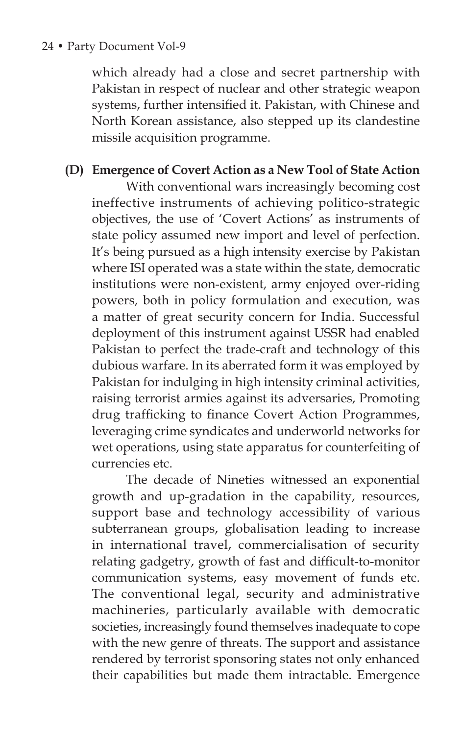#### 24 • Party Document Vol-9

which already had a close and secret partnership with Pakistan in respect of nuclear and other strategic weapon systems, further intensified it. Pakistan, with Chinese and North Korean assistance, also stepped up its clandestine missile acquisition programme.

## **(D) Emergence of Covert Action as a New Tool of State Action**

 With conventional wars increasingly becoming cost ineffective instruments of achieving politico-strategic objectives, the use of 'Covert Actions' as instruments of state policy assumed new import and level of perfection. It's being pursued as a high intensity exercise by Pakistan where ISI operated was a state within the state, democratic institutions were non-existent, army enjoyed over-riding powers, both in policy formulation and execution, was a matter of great security concern for India. Successful deployment of this instrument against USSR had enabled Pakistan to perfect the trade-craft and technology of this dubious warfare. In its aberrated form it was employed by Pakistan for indulging in high intensity criminal activities, raising terrorist armies against its adversaries, Promoting drug trafficking to finance Covert Action Programmes, leveraging crime syndicates and underworld networks for wet operations, using state apparatus for counterfeiting of currencies etc.

 The decade of Nineties witnessed an exponential growth and up-gradation in the capability, resources, support base and technology accessibility of various subterranean groups, globalisation leading to increase in international travel, commercialisation of security relating gadgetry, growth of fast and difficult-to-monitor communication systems, easy movement of funds etc. The conventional legal, security and administrative machineries, particularly available with democratic societies, increasingly found themselves inadequate to cope with the new genre of threats. The support and assistance rendered by terrorist sponsoring states not only enhanced their capabilities but made them intractable. Emergence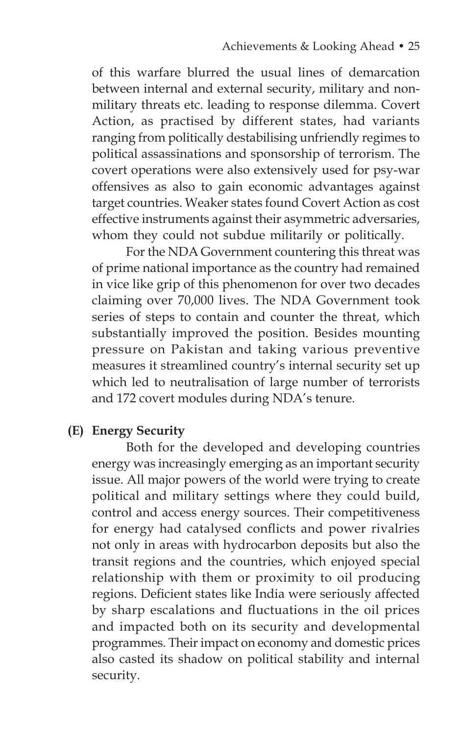of this warfare blurred the usual lines of demarcation between internal and external security, military and nonmilitary threats etc. leading to response dilemma. Covert Action, as practised by different states, had variants ranging from politically destabilising unfriendly regimes to political assassinations and sponsorship of terrorism. The covert operations were also extensively used for psy-war offensives as also to gain economic advantages against target countries. Weaker states found Covert Action as cost effective instruments against their asymmetric adversaries, whom they could not subdue militarily or politically.

 For the NDA Government countering this threat was of prime national importance as the country had remained in vice like grip of this phenomenon for over two decades claiming over 70,000 lives. The NDA Government took series of steps to contain and counter the threat, which substantially improved the position. Besides mounting pressure on Pakistan and taking various preventive measures it streamlined country's internal security set up which led to neutralisation of large number of terrorists and 172 covert modules during NDA's tenure.

## **(E) Energy Security**

 Both for the developed and developing countries energy was increasingly emerging as an important security issue. All major powers of the world were trying to create political and military settings where they could build, control and access energy sources. Their competitiveness for energy had catalysed conflicts and power rivalries not only in areas with hydrocarbon deposits but also the transit regions and the countries, which enjoyed special relationship with them or proximity to oil producing regions. Deficient states like India were seriously affected by sharp escalations and fluctuations in the oil prices and impacted both on its security and developmental programmes. Their impact on economy and domestic prices also casted its shadow on political stability and internal security.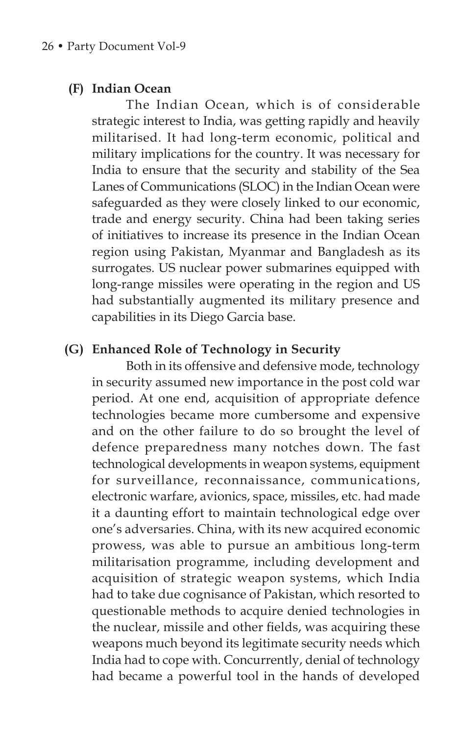#### **(F) Indian Ocean**

 The Indian Ocean, which is of considerable strategic interest to India, was getting rapidly and heavily militarised. It had long-term economic, political and military implications for the country. It was necessary for India to ensure that the security and stability of the Sea Lanes of Communications (SLOC) in the Indian Ocean were safeguarded as they were closely linked to our economic, trade and energy security. China had been taking series of initiatives to increase its presence in the Indian Ocean region using Pakistan, Myanmar and Bangladesh as its surrogates. US nuclear power submarines equipped with long-range missiles were operating in the region and US had substantially augmented its military presence and capabilities in its Diego Garcia base.

## **(G) Enhanced Role of Technology in Security**

 Both in its offensive and defensive mode, technology in security assumed new importance in the post cold war period. At one end, acquisition of appropriate defence technologies became more cumbersome and expensive and on the other failure to do so brought the level of defence preparedness many notches down. The fast technological developments in weapon systems, equipment for surveillance, reconnaissance, communications, electronic warfare, avionics, space, missiles, etc. had made it a daunting effort to maintain technological edge over one's adversaries. China, with its new acquired economic prowess, was able to pursue an ambitious long-term militarisation programme, including development and acquisition of strategic weapon systems, which India had to take due cognisance of Pakistan, which resorted to questionable methods to acquire denied technologies in the nuclear, missile and other fields, was acquiring these weapons much beyond its legitimate security needs which India had to cope with. Concurrently, denial of technology had became a powerful tool in the hands of developed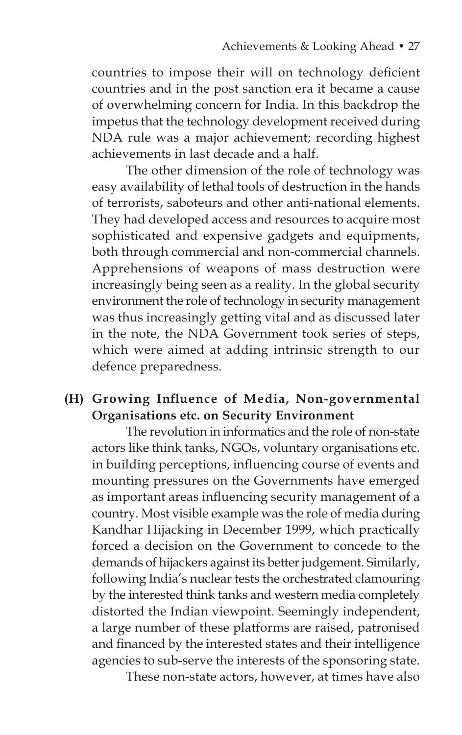countries to impose their will on technology deficient countries and in the post sanction era it became a cause of overwhelming concern for India. In this backdrop the impetus that the technology development received during NDA rule was a major achievement; recording highest achievements in last decade and a half.

The other dimension of the role of technology was easy availability of lethal tools of destruction in the hands of terrorists, saboteurs and other anti-national elements. They had developed access and resources to acquire most sophisticated and expensive gadgets and equipments, both through commercial and non-commercial channels. Apprehensions of weapons of mass destruction were increasingly being seen as a reality. In the global security environment the role of technology in security management was thus increasingly getting vital and as discussed later in the note, the NDA Government took series of steps, which were aimed at adding intrinsic strength to our defence preparedness.

# **(H) Growing Influence of Media, Non-governmental Organisations etc. on Security Environment**

 The revolution in informatics and the role of non-state actors like think tanks, NGOs, voluntary organisations etc. in building perceptions, influencing course of events and mounting pressures on the Governments have emerged as important areas influencing security management of a country. Most visible example was the role of media during Kandhar Hijacking in December 1999, which practically forced a decision on the Government to concede to the demands of hijackers against its better judgement. Similarly, following India's nuclear tests the orchestrated clamouring by the interested think tanks and western media completely distorted the Indian viewpoint. Seemingly independent, a large number of these platforms are raised, patronised and financed by the interested states and their intelligence agencies to sub-serve the interests of the sponsoring state.

These non-state actors, however, at times have also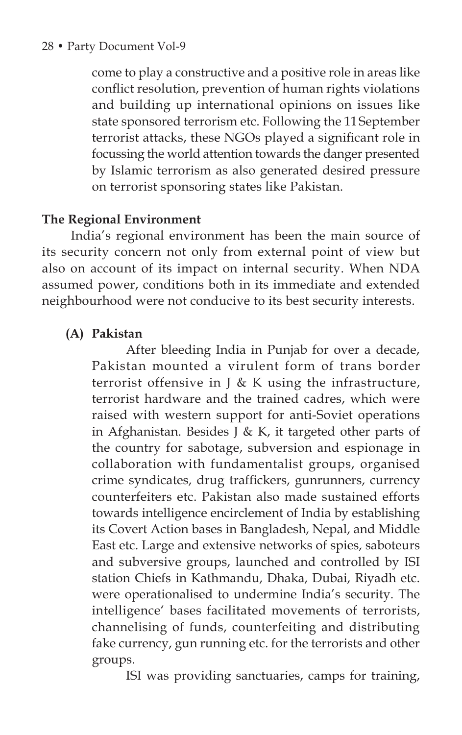come to play a constructive and a positive role in areas like conflict resolution, prevention of human rights violations and building up international opinions on issues like state sponsored terrorism etc. Following the 11September terrorist attacks, these NGOs played a significant role in focussing the world attention towards the danger presented by Islamic terrorism as also generated desired pressure on terrorist sponsoring states like Pakistan.

## **The Regional Environment**

India's regional environment has been the main source of its security concern not only from external point of view but also on account of its impact on internal security. When NDA assumed power, conditions both in its immediate and extended neighbourhood were not conducive to its best security interests.

## **(A) Pakistan**

 After bleeding India in Punjab for over a decade, Pakistan mounted a virulent form of trans border terrorist offensive in  $\delta$  K using the infrastructure, terrorist hardware and the trained cadres, which were raised with western support for anti-Soviet operations in Afghanistan. Besides J & K, it targeted other parts of the country for sabotage, subversion and espionage in collaboration with fundamentalist groups, organised crime syndicates, drug traffickers, gunrunners, currency counterfeiters etc. Pakistan also made sustained efforts towards intelligence encirclement of India by establishing its Covert Action bases in Bangladesh, Nepal, and Middle East etc. Large and extensive networks of spies, saboteurs and subversive groups, launched and controlled by ISI station Chiefs in Kathmandu, Dhaka, Dubai, Riyadh etc. were operationalised to undermine India's security. The intelligence' bases facilitated movements of terrorists, channelising of funds, counterfeiting and distributing fake currency, gun running etc. for the terrorists and other groups.

ISI was providing sanctuaries, camps for training,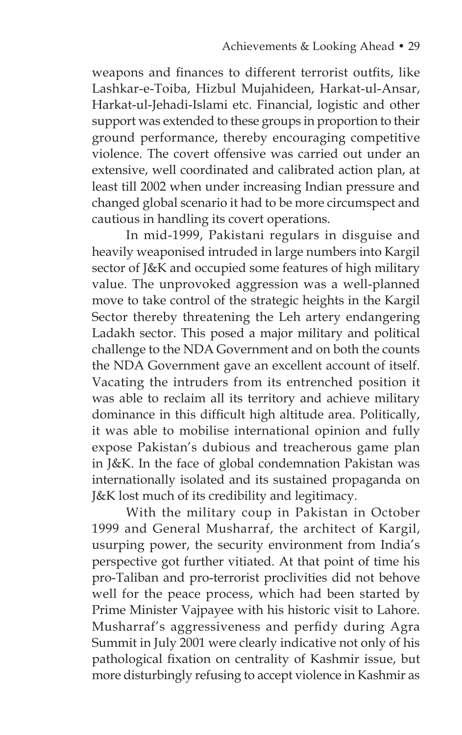weapons and finances to different terrorist outfits, like Lashkar-e-Toiba, Hizbul Mujahideen, Harkat-ul-Ansar, Harkat-ul-Jehadi-Islami etc. Financial, logistic and other support was extended to these groups in proportion to their ground performance, thereby encouraging competitive violence. The covert offensive was carried out under an extensive, well coordinated and calibrated action plan, at least till 2002 when under increasing Indian pressure and changed global scenario it had to be more circumspect and cautious in handling its covert operations.

 In mid-1999, Pakistani regulars in disguise and heavily weaponised intruded in large numbers into Kargil sector of J&K and occupied some features of high military value. The unprovoked aggression was a well-planned move to take control of the strategic heights in the Kargil Sector thereby threatening the Leh artery endangering Ladakh sector. This posed a major military and political challenge to the NDA Government and on both the counts the NDA Government gave an excellent account of itself. Vacating the intruders from its entrenched position it was able to reclaim all its territory and achieve military dominance in this difficult high altitude area. Politically, it was able to mobilise international opinion and fully expose Pakistan's dubious and treacherous game plan in J&K. In the face of global condemnation Pakistan was internationally isolated and its sustained propaganda on J&K lost much of its credibility and legitimacy.

 With the military coup in Pakistan in October 1999 and General Musharraf, the architect of Kargil, usurping power, the security environment from India's perspective got further vitiated. At that point of time his pro-Taliban and pro-terrorist proclivities did not behove well for the peace process, which had been started by Prime Minister Vajpayee with his historic visit to Lahore. Musharraf's aggressiveness and perfidy during Agra Summit in July 2001 were clearly indicative not only of his pathological fixation on centrality of Kashmir issue, but more disturbingly refusing to accept violence in Kashmir as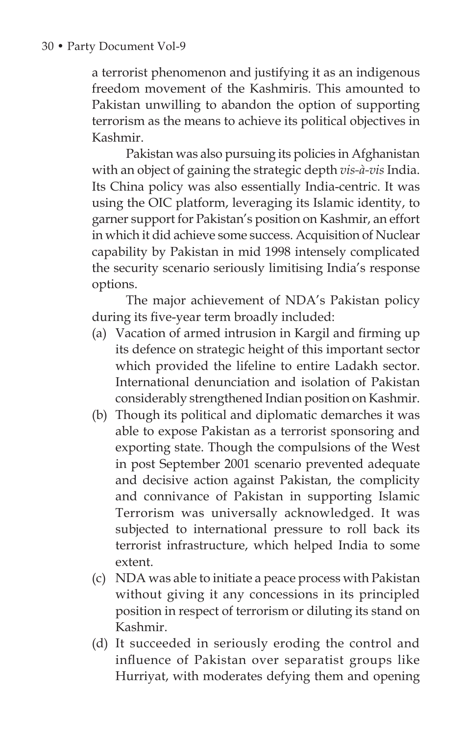#### 30 • Party Document Vol-9

a terrorist phenomenon and justifying it as an indigenous freedom movement of the Kashmiris. This amounted to Pakistan unwilling to abandon the option of supporting terrorism as the means to achieve its political objectives in Kashmir.

 Pakistan was also pursuing its policies in Afghanistan with an object of gaining the strategic depth *vis-à-vis* India. Its China policy was also essentially India-centric. It was using the OIC platform, leveraging its Islamic identity, to garner support for Pakistan's position on Kashmir, an effort in which it did achieve some success. Acquisition of Nuclear capability by Pakistan in mid 1998 intensely complicated the security scenario seriously limitising India's response options.

 The major achievement of NDA's Pakistan policy during its five-year term broadly included:

- (a) Vacation of armed intrusion in Kargil and firming up its defence on strategic height of this important sector which provided the lifeline to entire Ladakh sector. International denunciation and isolation of Pakistan considerably strengthened Indian position on Kashmir.
- (b) Though its political and diplomatic demarches it was able to expose Pakistan as a terrorist sponsoring and exporting state. Though the compulsions of the West in post September 2001 scenario prevented adequate and decisive action against Pakistan, the complicity and connivance of Pakistan in supporting Islamic Terrorism was universally acknowledged. It was subjected to international pressure to roll back its terrorist infrastructure, which helped India to some extent.
- (c) NDA was able to initiate a peace process with Pakistan without giving it any concessions in its principled position in respect of terrorism or diluting its stand on Kashmir.
- (d) It succeeded in seriously eroding the control and influence of Pakistan over separatist groups like Hurriyat, with moderates defying them and opening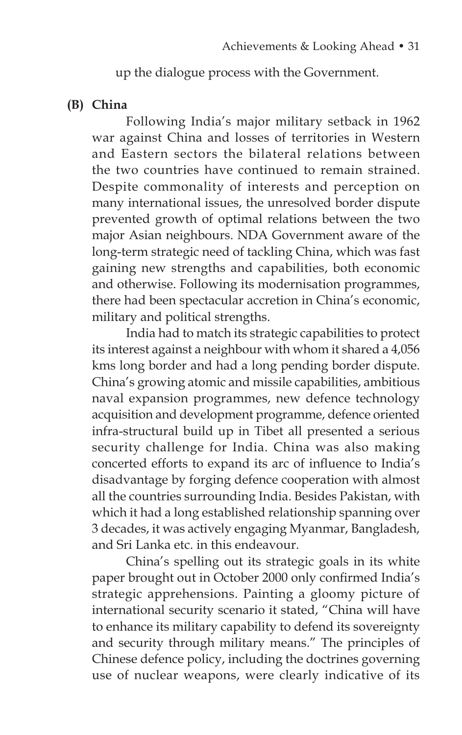up the dialogue process with the Government.

#### **(B) China**

 Following India's major military setback in 1962 war against China and losses of territories in Western and Eastern sectors the bilateral relations between the two countries have continued to remain strained. Despite commonality of interests and perception on many international issues, the unresolved border dispute prevented growth of optimal relations between the two major Asian neighbours. NDA Government aware of the long-term strategic need of tackling China, which was fast gaining new strengths and capabilities, both economic and otherwise. Following its modernisation programmes, there had been spectacular accretion in China's economic, military and political strengths.

 India had to match its strategic capabilities to protect its interest against a neighbour with whom it shared a 4,056 kms long border and had a long pending border dispute. China's growing atomic and missile capabilities, ambitious naval expansion programmes, new defence technology acquisition and development programme, defence oriented infra-structural build up in Tibet all presented a serious security challenge for India. China was also making concerted efforts to expand its arc of influence to India's disadvantage by forging defence cooperation with almost all the countries surrounding India. Besides Pakistan, with which it had a long established relationship spanning over 3 decades, it was actively engaging Myanmar, Bangladesh, and Sri Lanka etc. in this endeavour.

 China's spelling out its strategic goals in its white paper brought out in October 2000 only confirmed India's strategic apprehensions. Painting a gloomy picture of international security scenario it stated, "China will have to enhance its military capability to defend its sovereignty and security through military means." The principles of Chinese defence policy, including the doctrines governing use of nuclear weapons, were clearly indicative of its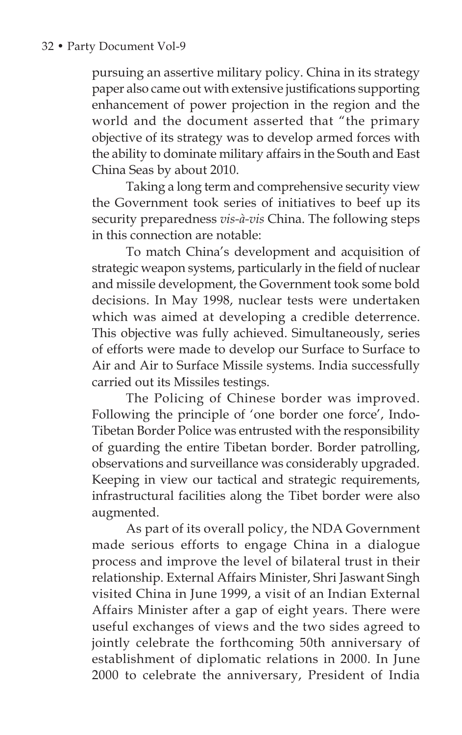pursuing an assertive military policy. China in its strategy paper also came out with extensive justifications supporting enhancement of power projection in the region and the world and the document asserted that "the primary objective of its strategy was to develop armed forces with the ability to dominate military affairs in the South and East China Seas by about 2010.

 Taking a long term and comprehensive security view the Government took series of initiatives to beef up its security preparedness *vis-à-vis* China. The following steps in this connection are notable:

 To match China's development and acquisition of strategic weapon systems, particularly in the field of nuclear and missile development, the Government took some bold decisions. In May 1998, nuclear tests were undertaken which was aimed at developing a credible deterrence. This objective was fully achieved. Simultaneously, series of efforts were made to develop our Surface to Surface to Air and Air to Surface Missile systems. India successfully carried out its Missiles testings.

 The Policing of Chinese border was improved. Following the principle of 'one border one force', Indo-Tibetan Border Police was entrusted with the responsibility of guarding the entire Tibetan border. Border patrolling, observations and surveillance was considerably upgraded. Keeping in view our tactical and strategic requirements, infrastructural facilities along the Tibet border were also augmented.

 As part of its overall policy, the NDA Government made serious efforts to engage China in a dialogue process and improve the level of bilateral trust in their relationship. External Affairs Minister, Shri Jaswant Singh visited China in June 1999, a visit of an Indian External Affairs Minister after a gap of eight years. There were useful exchanges of views and the two sides agreed to jointly celebrate the forthcoming 50th anniversary of establishment of diplomatic relations in 2000. In June 2000 to celebrate the anniversary, President of India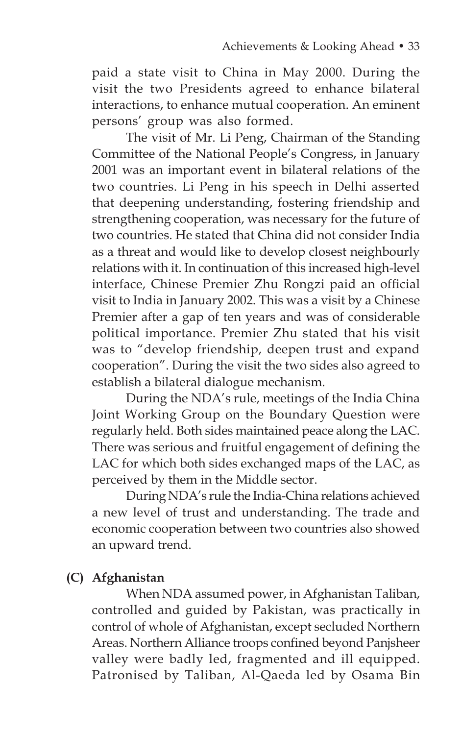paid a state visit to China in May 2000. During the visit the two Presidents agreed to enhance bilateral interactions, to enhance mutual cooperation. An eminent persons' group was also formed.

 The visit of Mr. Li Peng, Chairman of the Standing Committee of the National People's Congress, in January 2001 was an important event in bilateral relations of the two countries. Li Peng in his speech in Delhi asserted that deepening understanding, fostering friendship and strengthening cooperation, was necessary for the future of two countries. He stated that China did not consider India as a threat and would like to develop closest neighbourly relations with it. In continuation of this increased high-level interface, Chinese Premier Zhu Rongzi paid an official visit to India in January 2002. This was a visit by a Chinese Premier after a gap of ten years and was of considerable political importance. Premier Zhu stated that his visit was to "develop friendship, deepen trust and expand cooperation". During the visit the two sides also agreed to establish a bilateral dialogue mechanism.

During the NDA's rule, meetings of the India China Joint Working Group on the Boundary Question were regularly held. Both sides maintained peace along the LAC. There was serious and fruitful engagement of defining the LAC for which both sides exchanged maps of the LAC, as perceived by them in the Middle sector.

 During NDA's rule the India-China relations achieved a new level of trust and understanding. The trade and economic cooperation between two countries also showed an upward trend.

# **(C) Afghanistan**

 When NDA assumed power, in Afghanistan Taliban, controlled and guided by Pakistan, was practically in control of whole of Afghanistan, except secluded Northern Areas. Northern Alliance troops confined beyond Panjsheer valley were badly led, fragmented and ill equipped. Patronised by Taliban, Al-Qaeda led by Osama Bin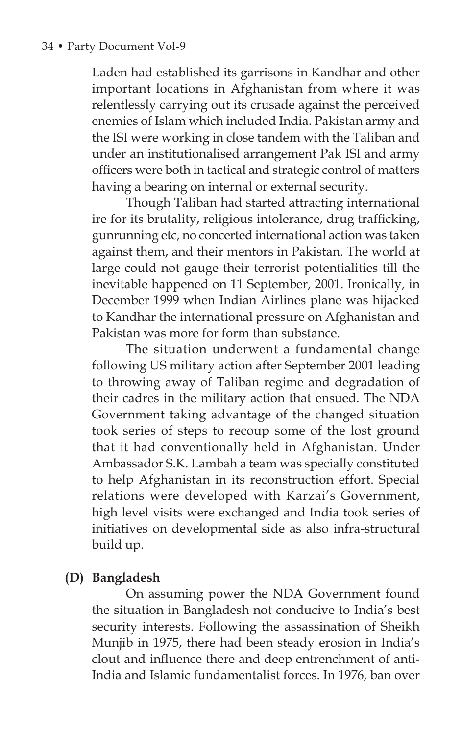Laden had established its garrisons in Kandhar and other important locations in Afghanistan from where it was relentlessly carrying out its crusade against the perceived enemies of Islam which included India. Pakistan army and the ISI were working in close tandem with the Taliban and under an institutionalised arrangement Pak ISI and army officers were both in tactical and strategic control of matters having a bearing on internal or external security.

 Though Taliban had started attracting international ire for its brutality, religious intolerance, drug trafficking, gunrunning etc, no concerted international action was taken against them, and their mentors in Pakistan. The world at large could not gauge their terrorist potentialities till the inevitable happened on 11 September, 2001. Ironically, in December 1999 when Indian Airlines plane was hijacked to Kandhar the international pressure on Afghanistan and Pakistan was more for form than substance.

 The situation underwent a fundamental change following US military action after September 2001 leading to throwing away of Taliban regime and degradation of their cadres in the military action that ensued. The NDA Government taking advantage of the changed situation took series of steps to recoup some of the lost ground that it had conventionally held in Afghanistan. Under Ambassador S.K. Lambah a team was specially constituted to help Afghanistan in its reconstruction effort. Special relations were developed with Karzai's Government, high level visits were exchanged and India took series of initiatives on developmental side as also infra-structural build up.

## **(D) Bangladesh**

 On assuming power the NDA Government found the situation in Bangladesh not conducive to India's best security interests. Following the assassination of Sheikh Munjib in 1975, there had been steady erosion in India's clout and influence there and deep entrenchment of anti-India and Islamic fundamentalist forces. In 1976, ban over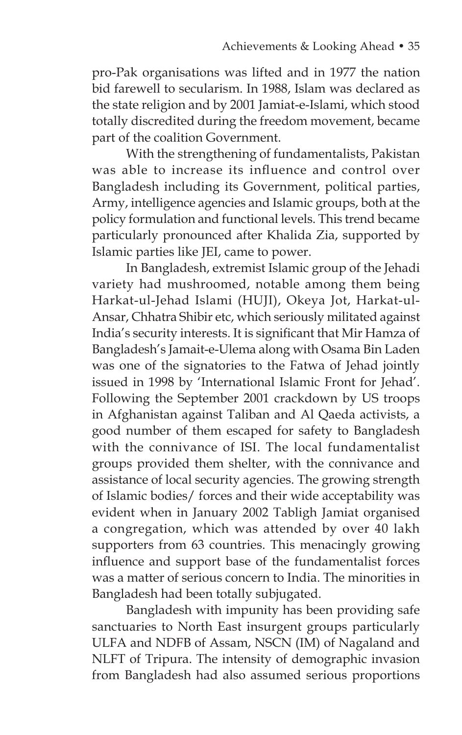pro-Pak organisations was lifted and in 1977 the nation bid farewell to secularism. In 1988, Islam was declared as the state religion and by 2001 Jamiat-e-Islami, which stood totally discredited during the freedom movement, became part of the coalition Government.

 With the strengthening of fundamentalists, Pakistan was able to increase its influence and control over Bangladesh including its Government, political parties, Army, intelligence agencies and Islamic groups, both at the policy formulation and functional levels. This trend became particularly pronounced after Khalida Zia, supported by Islamic parties like JEI, came to power.

 In Bangladesh, extremist Islamic group of the Jehadi variety had mushroomed, notable among them being Harkat-ul-Jehad Islami (HUJI), Okeya Jot, Harkat-ul-Ansar, Chhatra Shibir etc, which seriously militated against India's security interests. It is significant that Mir Hamza of Bangladesh's Jamait-e-Ulema along with Osama Bin Laden was one of the signatories to the Fatwa of Jehad jointly issued in 1998 by 'International Islamic Front for Jehad'. Following the September 2001 crackdown by US troops in Afghanistan against Taliban and Al Qaeda activists, a good number of them escaped for safety to Bangladesh with the connivance of ISI. The local fundamentalist groups provided them shelter, with the connivance and assistance of local security agencies. The growing strength of Islamic bodies/ forces and their wide acceptability was evident when in January 2002 Tabligh Jamiat organised a congregation, which was attended by over 40 lakh supporters from 63 countries. This menacingly growing influence and support base of the fundamentalist forces was a matter of serious concern to India. The minorities in Bangladesh had been totally subjugated.

 Bangladesh with impunity has been providing safe sanctuaries to North East insurgent groups particularly ULFA and NDFB of Assam, NSCN (IM) of Nagaland and NLFT of Tripura. The intensity of demographic invasion from Bangladesh had also assumed serious proportions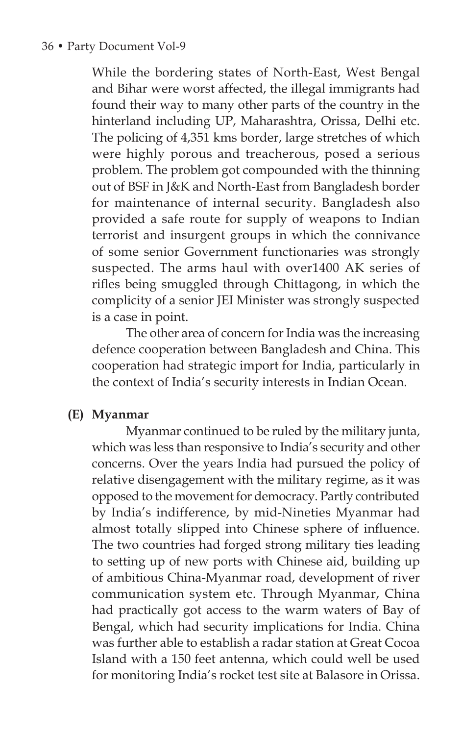While the bordering states of North-East, West Bengal and Bihar were worst affected, the illegal immigrants had found their way to many other parts of the country in the hinterland including UP, Maharashtra, Orissa, Delhi etc. The policing of 4,351 kms border, large stretches of which were highly porous and treacherous, posed a serious problem. The problem got compounded with the thinning out of BSF in J&K and North-East from Bangladesh border for maintenance of internal security. Bangladesh also provided a safe route for supply of weapons to Indian terrorist and insurgent groups in which the connivance of some senior Government functionaries was strongly suspected. The arms haul with over1400 AK series of rifles being smuggled through Chittagong, in which the complicity of a senior JEI Minister was strongly suspected is a case in point.

 The other area of concern for India was the increasing defence cooperation between Bangladesh and China. This cooperation had strategic import for India, particularly in the context of India's security interests in Indian Ocean.

#### **(E) Myanmar**

 Myanmar continued to be ruled by the military junta, which was less than responsive to India's security and other concerns. Over the years India had pursued the policy of relative disengagement with the military regime, as it was opposed to the movement for democracy. Partly contributed by India's indifference, by mid-Nineties Myanmar had almost totally slipped into Chinese sphere of influence. The two countries had forged strong military ties leading to setting up of new ports with Chinese aid, building up of ambitious China-Myanmar road, development of river communication system etc. Through Myanmar, China had practically got access to the warm waters of Bay of Bengal, which had security implications for India. China was further able to establish a radar station at Great Cocoa Island with a 150 feet antenna, which could well be used for monitoring India's rocket test site at Balasore in Orissa.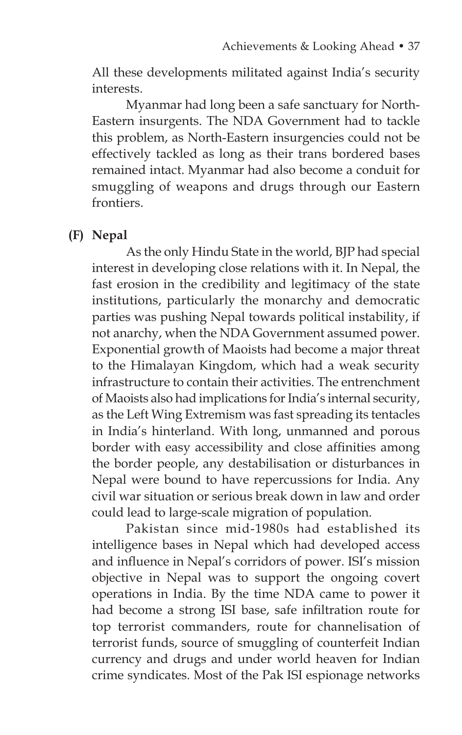All these developments militated against India's security interests.

 Myanmar had long been a safe sanctuary for North-Eastern insurgents. The NDA Government had to tackle this problem, as North-Eastern insurgencies could not be effectively tackled as long as their trans bordered bases remained intact. Myanmar had also become a conduit for smuggling of weapons and drugs through our Eastern frontiers.

#### **(F) Nepal**

 As the only Hindu State in the world, BJP had special interest in developing close relations with it. In Nepal, the fast erosion in the credibility and legitimacy of the state institutions, particularly the monarchy and democratic parties was pushing Nepal towards political instability, if not anarchy, when the NDA Government assumed power. Exponential growth of Maoists had become a major threat to the Himalayan Kingdom, which had a weak security infrastructure to contain their activities. The entrenchment of Maoists also had implications for India's internal security, as the Left Wing Extremism was fast spreading its tentacles in India's hinterland. With long, unmanned and porous border with easy accessibility and close affinities among the border people, any destabilisation or disturbances in Nepal were bound to have repercussions for India. Any civil war situation or serious break down in law and order could lead to large-scale migration of population.

 Pakistan since mid-1980s had established its intelligence bases in Nepal which had developed access and influence in Nepal's corridors of power. ISI's mission objective in Nepal was to support the ongoing covert operations in India. By the time NDA came to power it had become a strong ISI base, safe infiltration route for top terrorist commanders, route for channelisation of terrorist funds, source of smuggling of counterfeit Indian currency and drugs and under world heaven for Indian crime syndicates. Most of the Pak ISI espionage networks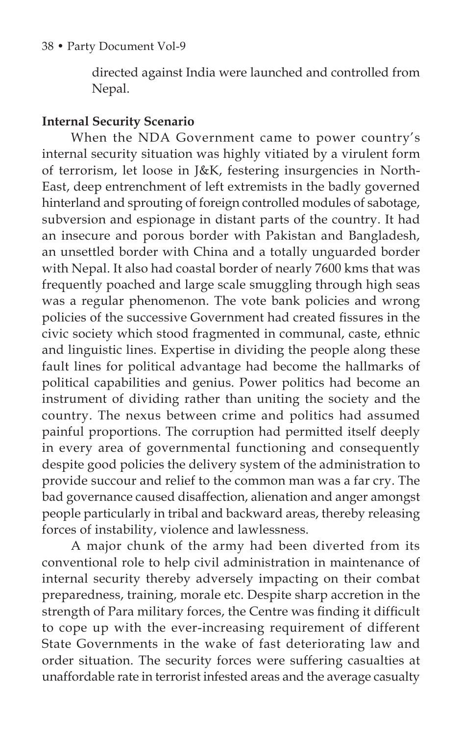directed against India were launched and controlled from Nepal.

### **Internal Security Scenario**

When the NDA Government came to power country's internal security situation was highly vitiated by a virulent form of terrorism, let loose in J&K, festering insurgencies in North-East, deep entrenchment of left extremists in the badly governed hinterland and sprouting of foreign controlled modules of sabotage, subversion and espionage in distant parts of the country. It had an insecure and porous border with Pakistan and Bangladesh, an unsettled border with China and a totally unguarded border with Nepal. It also had coastal border of nearly 7600 kms that was frequently poached and large scale smuggling through high seas was a regular phenomenon. The vote bank policies and wrong policies of the successive Government had created fissures in the civic society which stood fragmented in communal, caste, ethnic and linguistic lines. Expertise in dividing the people along these fault lines for political advantage had become the hallmarks of political capabilities and genius. Power politics had become an instrument of dividing rather than uniting the society and the country. The nexus between crime and politics had assumed painful proportions. The corruption had permitted itself deeply in every area of governmental functioning and consequently despite good policies the delivery system of the administration to provide succour and relief to the common man was a far cry. The bad governance caused disaffection, alienation and anger amongst people particularly in tribal and backward areas, thereby releasing forces of instability, violence and lawlessness.

A major chunk of the army had been diverted from its conventional role to help civil administration in maintenance of internal security thereby adversely impacting on their combat preparedness, training, morale etc. Despite sharp accretion in the strength of Para military forces, the Centre was finding it difficult to cope up with the ever-increasing requirement of different State Governments in the wake of fast deteriorating law and order situation. The security forces were suffering casualties at unaffordable rate in terrorist infested areas and the average casualty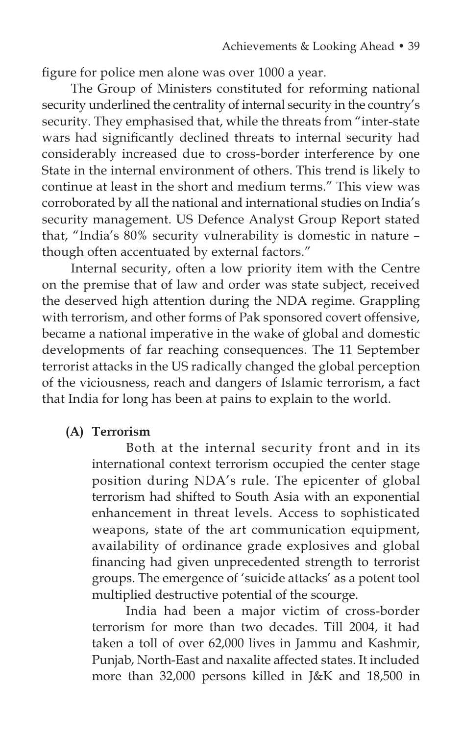figure for police men alone was over 1000 a year.

The Group of Ministers constituted for reforming national security underlined the centrality of internal security in the country's security. They emphasised that, while the threats from "inter-state wars had significantly declined threats to internal security had considerably increased due to cross-border interference by one State in the internal environment of others. This trend is likely to continue at least in the short and medium terms." This view was corroborated by all the national and international studies on India's security management. US Defence Analyst Group Report stated that, "India's 80% security vulnerability is domestic in nature – though often accentuated by external factors."

Internal security, often a low priority item with the Centre on the premise that of law and order was state subject, received the deserved high attention during the NDA regime. Grappling with terrorism, and other forms of Pak sponsored covert offensive, became a national imperative in the wake of global and domestic developments of far reaching consequences. The 11 September terrorist attacks in the US radically changed the global perception of the viciousness, reach and dangers of Islamic terrorism, a fact that India for long has been at pains to explain to the world.

### **(A) Terrorism**

 Both at the internal security front and in its international context terrorism occupied the center stage position during NDA's rule. The epicenter of global terrorism had shifted to South Asia with an exponential enhancement in threat levels. Access to sophisticated weapons, state of the art communication equipment, availability of ordinance grade explosives and global financing had given unprecedented strength to terrorist groups. The emergence of 'suicide attacks' as a potent tool multiplied destructive potential of the scourge.

 India had been a major victim of cross-border terrorism for more than two decades. Till 2004, it had taken a toll of over 62,000 lives in Jammu and Kashmir, Punjab, North-East and naxalite affected states. It included more than 32,000 persons killed in J&K and 18,500 in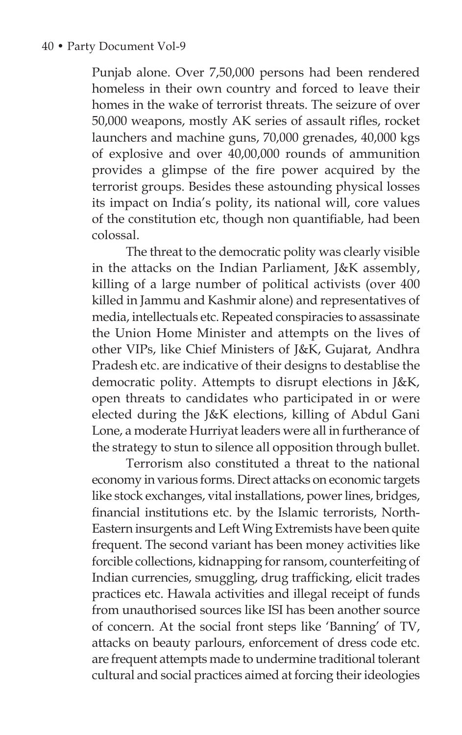Punjab alone. Over 7,50,000 persons had been rendered homeless in their own country and forced to leave their homes in the wake of terrorist threats. The seizure of over 50,000 weapons, mostly AK series of assault rifles, rocket launchers and machine guns, 70,000 grenades, 40,000 kgs of explosive and over 40,00,000 rounds of ammunition provides a glimpse of the fire power acquired by the terrorist groups. Besides these astounding physical losses its impact on India's polity, its national will, core values of the constitution etc, though non quantifiable, had been colossal.

 The threat to the democratic polity was clearly visible in the attacks on the Indian Parliament, J&K assembly, killing of a large number of political activists (over 400 killed in Jammu and Kashmir alone) and representatives of media, intellectuals etc. Repeated conspiracies to assassinate the Union Home Minister and attempts on the lives of other VIPs, like Chief Ministers of J&K, Gujarat, Andhra Pradesh etc. are indicative of their designs to destablise the democratic polity. Attempts to disrupt elections in J&K, open threats to candidates who participated in or were elected during the J&K elections, killing of Abdul Gani Lone, a moderate Hurriyat leaders were all in furtherance of the strategy to stun to silence all opposition through bullet.

 Terrorism also constituted a threat to the national economy in various forms. Direct attacks on economic targets like stock exchanges, vital installations, power lines, bridges, financial institutions etc. by the Islamic terrorists, North-Eastern insurgents and Left Wing Extremists have been quite frequent. The second variant has been money activities like forcible collections, kidnapping for ransom, counterfeiting of Indian currencies, smuggling, drug trafficking, elicit trades practices etc. Hawala activities and illegal receipt of funds from unauthorised sources like ISI has been another source of concern. At the social front steps like 'Banning' of TV, attacks on beauty parlours, enforcement of dress code etc. are frequent attempts made to undermine traditional tolerant cultural and social practices aimed at forcing their ideologies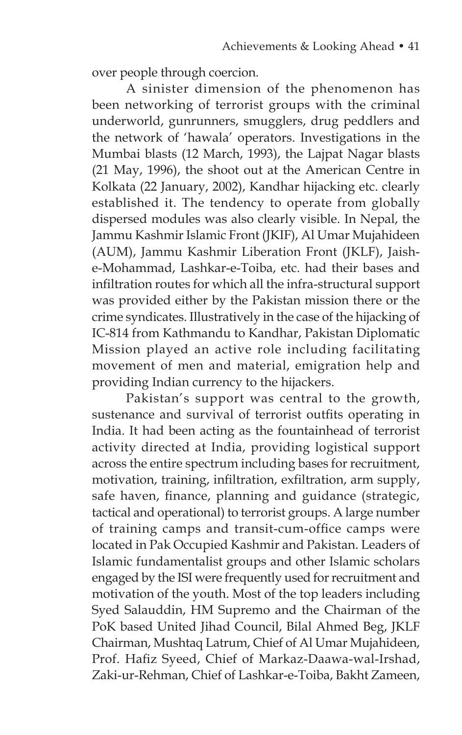over people through coercion.

 A sinister dimension of the phenomenon has been networking of terrorist groups with the criminal underworld, gunrunners, smugglers, drug peddlers and the network of 'hawala' operators. Investigations in the Mumbai blasts (12 March, 1993), the Lajpat Nagar blasts (21 May, 1996), the shoot out at the American Centre in Kolkata (22 January, 2002), Kandhar hijacking etc. clearly established it. The tendency to operate from globally dispersed modules was also clearly visible. In Nepal, the Jammu Kashmir Islamic Front (JKIF), Al Umar Mujahideen (AUM), Jammu Kashmir Liberation Front (JKLF), Jaishe-Mohammad, Lashkar-e-Toiba, etc. had their bases and infiltration routes for which all the infra-structural support was provided either by the Pakistan mission there or the crime syndicates. Illustratively in the case of the hijacking of IC-814 from Kathmandu to Kandhar, Pakistan Diplomatic Mission played an active role including facilitating movement of men and material, emigration help and providing Indian currency to the hijackers.

 Pakistan's support was central to the growth, sustenance and survival of terrorist outfits operating in India. It had been acting as the fountainhead of terrorist activity directed at India, providing logistical support across the entire spectrum including bases for recruitment, motivation, training, infiltration, exfiltration, arm supply, safe haven, finance, planning and guidance (strategic, tactical and operational) to terrorist groups. A large number of training camps and transit-cum-office camps were located in Pak Occupied Kashmir and Pakistan. Leaders of Islamic fundamentalist groups and other Islamic scholars engaged by the ISI were frequently used for recruitment and motivation of the youth. Most of the top leaders including Syed Salauddin, HM Supremo and the Chairman of the PoK based United Jihad Council, Bilal Ahmed Beg, JKLF Chairman, Mushtaq Latrum, Chief of Al Umar Mujahideen, Prof. Hafiz Syeed, Chief of Markaz-Daawa-wal-Irshad, Zaki-ur-Rehman, Chief of Lashkar-e-Toiba, Bakht Zameen,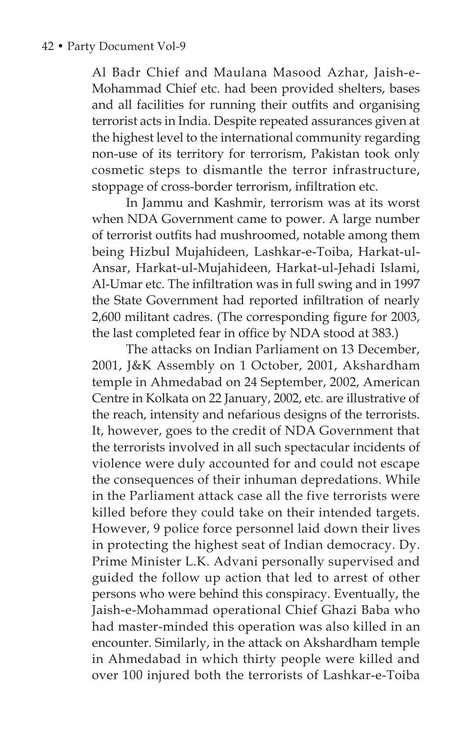Al Badr Chief and Maulana Masood Azhar, Jaish-e-Mohammad Chief etc. had been provided shelters, bases and all facilities for running their outfits and organising terrorist acts in India. Despite repeated assurances given at the highest level to the international community regarding non-use of its territory for terrorism, Pakistan took only cosmetic steps to dismantle the terror infrastructure, stoppage of cross-border terrorism, infiltration etc.

 In Jammu and Kashmir, terrorism was at its worst when NDA Government came to power. A large number of terrorist outfits had mushroomed, notable among them being Hizbul Mujahideen, Lashkar-e-Toiba, Harkat-ul-Ansar, Harkat-ul-Mujahideen, Harkat-ul-Jehadi Islami, Al-Umar etc. The infiltration was in full swing and in 1997 the State Government had reported infiltration of nearly 2,600 militant cadres. (The corresponding figure for 2003, the last completed fear in office by NDA stood at 383.)

 The attacks on Indian Parliament on 13 December, 2001, J&K Assembly on 1 October, 2001, Akshardham temple in Ahmedabad on 24 September, 2002, American Centre in Kolkata on 22 January, 2002, etc. are illustrative of the reach, intensity and nefarious designs of the terrorists. It, however, goes to the credit of NDA Government that the terrorists involved in all such spectacular incidents of violence were duly accounted for and could not escape the consequences of their inhuman depredations. While in the Parliament attack case all the five terrorists were killed before they could take on their intended targets. However, 9 police force personnel laid down their lives in protecting the highest seat of Indian democracy. Dy. Prime Minister L.K. Advani personally supervised and guided the follow up action that led to arrest of other persons who were behind this conspiracy. Eventually, the Jaish-e-Mohammad operational Chief Ghazi Baba who had master-minded this operation was also killed in an encounter. Similarly, in the attack on Akshardham temple in Ahmedabad in which thirty people were killed and over 100 injured both the terrorists of Lashkar-e-Toiba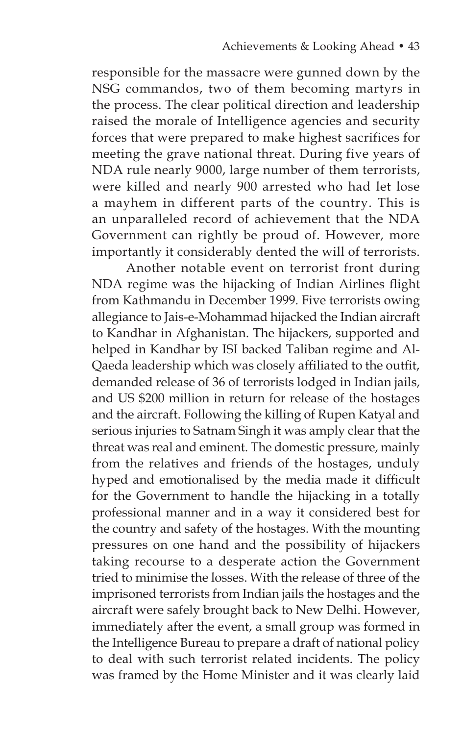responsible for the massacre were gunned down by the NSG commandos, two of them becoming martyrs in the process. The clear political direction and leadership raised the morale of Intelligence agencies and security forces that were prepared to make highest sacrifices for meeting the grave national threat. During five years of NDA rule nearly 9000, large number of them terrorists, were killed and nearly 900 arrested who had let lose a mayhem in different parts of the country. This is an unparalleled record of achievement that the NDA Government can rightly be proud of. However, more importantly it considerably dented the will of terrorists.

 Another notable event on terrorist front during NDA regime was the hijacking of Indian Airlines flight from Kathmandu in December 1999. Five terrorists owing allegiance to Jais-e-Mohammad hijacked the Indian aircraft to Kandhar in Afghanistan. The hijackers, supported and helped in Kandhar by ISI backed Taliban regime and Al-Qaeda leadership which was closely affiliated to the outfit, demanded release of 36 of terrorists lodged in Indian jails, and US \$200 million in return for release of the hostages and the aircraft. Following the killing of Rupen Katyal and serious injuries to Satnam Singh it was amply clear that the threat was real and eminent. The domestic pressure, mainly from the relatives and friends of the hostages, unduly hyped and emotionalised by the media made it difficult for the Government to handle the hijacking in a totally professional manner and in a way it considered best for the country and safety of the hostages. With the mounting pressures on one hand and the possibility of hijackers taking recourse to a desperate action the Government tried to minimise the losses. With the release of three of the imprisoned terrorists from Indian jails the hostages and the aircraft were safely brought back to New Delhi. However, immediately after the event, a small group was formed in the Intelligence Bureau to prepare a draft of national policy to deal with such terrorist related incidents. The policy was framed by the Home Minister and it was clearly laid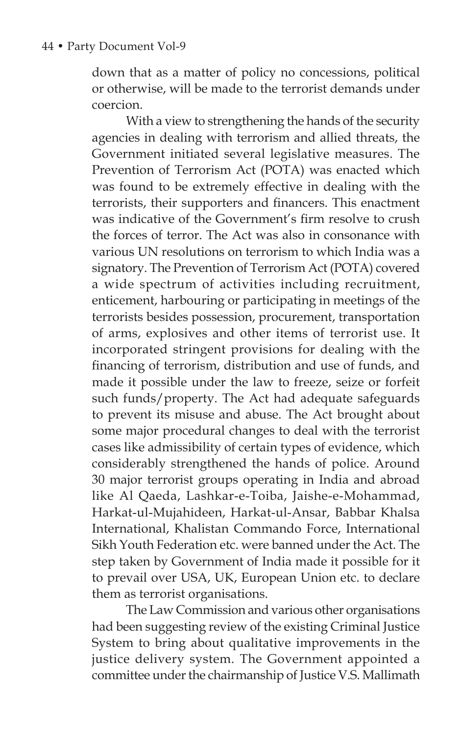#### 44 • Party Document Vol-9

down that as a matter of policy no concessions, political or otherwise, will be made to the terrorist demands under coercion.

 With a view to strengthening the hands of the security agencies in dealing with terrorism and allied threats, the Government initiated several legislative measures. The Prevention of Terrorism Act (POTA) was enacted which was found to be extremely effective in dealing with the terrorists, their supporters and financers. This enactment was indicative of the Government's firm resolve to crush the forces of terror. The Act was also in consonance with various UN resolutions on terrorism to which India was a signatory. The Prevention of Terrorism Act (POTA) covered a wide spectrum of activities including recruitment, enticement, harbouring or participating in meetings of the terrorists besides possession, procurement, transportation of arms, explosives and other items of terrorist use. It incorporated stringent provisions for dealing with the financing of terrorism, distribution and use of funds, and made it possible under the law to freeze, seize or forfeit such funds/property. The Act had adequate safeguards to prevent its misuse and abuse. The Act brought about some major procedural changes to deal with the terrorist cases like admissibility of certain types of evidence, which considerably strengthened the hands of police. Around 30 major terrorist groups operating in India and abroad like Al Qaeda, Lashkar-e-Toiba, Jaishe-e-Mohammad, Harkat-ul-Mujahideen, Harkat-ul-Ansar, Babbar Khalsa International, Khalistan Commando Force, International Sikh Youth Federation etc. were banned under the Act. The step taken by Government of India made it possible for it to prevail over USA, UK, European Union etc. to declare them as terrorist organisations.

 The Law Commission and various other organisations had been suggesting review of the existing Criminal Justice System to bring about qualitative improvements in the justice delivery system. The Government appointed a committee under the chairmanship of Justice V.S. Mallimath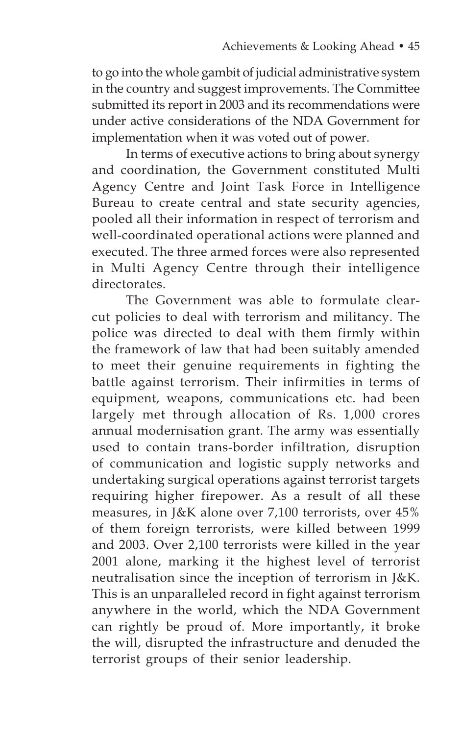to go into the whole gambit of judicial administrative system in the country and suggest improvements. The Committee submitted its report in 2003 and its recommendations were under active considerations of the NDA Government for implementation when it was voted out of power.

 In terms of executive actions to bring about synergy and coordination, the Government constituted Multi Agency Centre and Joint Task Force in Intelligence Bureau to create central and state security agencies, pooled all their information in respect of terrorism and well-coordinated operational actions were planned and executed. The three armed forces were also represented in Multi Agency Centre through their intelligence directorates.

 The Government was able to formulate clearcut policies to deal with terrorism and militancy. The police was directed to deal with them firmly within the framework of law that had been suitably amended to meet their genuine requirements in fighting the battle against terrorism. Their infirmities in terms of equipment, weapons, communications etc. had been largely met through allocation of Rs. 1,000 crores annual modernisation grant. The army was essentially used to contain trans-border infiltration, disruption of communication and logistic supply networks and undertaking surgical operations against terrorist targets requiring higher firepower. As a result of all these measures, in J&K alone over 7,100 terrorists, over 45% of them foreign terrorists, were killed between 1999 and 2003. Over 2,100 terrorists were killed in the year 2001 alone, marking it the highest level of terrorist neutralisation since the inception of terrorism in J&K. This is an unparalleled record in fight against terrorism anywhere in the world, which the NDA Government can rightly be proud of. More importantly, it broke the will, disrupted the infrastructure and denuded the terrorist groups of their senior leadership.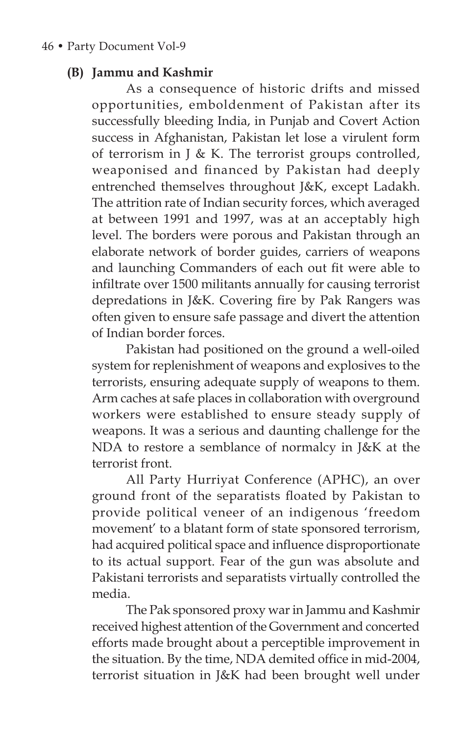### **(B) Jammu and Kashmir**

As a consequence of historic drifts and missed opportunities, emboldenment of Pakistan after its successfully bleeding India, in Punjab and Covert Action success in Afghanistan, Pakistan let lose a virulent form of terrorism in J & K. The terrorist groups controlled, weaponised and financed by Pakistan had deeply entrenched themselves throughout J&K, except Ladakh. The attrition rate of Indian security forces, which averaged at between 1991 and 1997, was at an acceptably high level. The borders were porous and Pakistan through an elaborate network of border guides, carriers of weapons and launching Commanders of each out fit were able to infiltrate over 1500 militants annually for causing terrorist depredations in J&K. Covering fire by Pak Rangers was often given to ensure safe passage and divert the attention of Indian border forces.

 Pakistan had positioned on the ground a well-oiled system for replenishment of weapons and explosives to the terrorists, ensuring adequate supply of weapons to them. Arm caches at safe places in collaboration with overground workers were established to ensure steady supply of weapons. It was a serious and daunting challenge for the NDA to restore a semblance of normalcy in J&K at the terrorist front.

 All Party Hurriyat Conference (APHC), an over ground front of the separatists floated by Pakistan to provide political veneer of an indigenous 'freedom movement' to a blatant form of state sponsored terrorism, had acquired political space and influence disproportionate to its actual support. Fear of the gun was absolute and Pakistani terrorists and separatists virtually controlled the media.

 The Pak sponsored proxy war in Jammu and Kashmir received highest attention of the Government and concerted efforts made brought about a perceptible improvement in the situation. By the time, NDA demited office in mid-2004, terrorist situation in J&K had been brought well under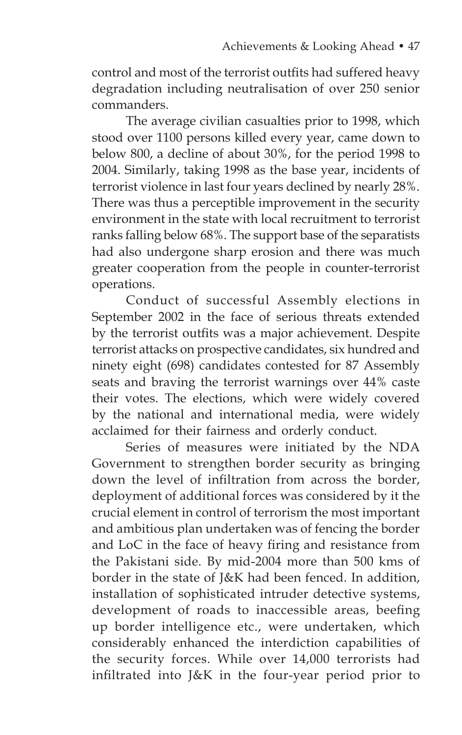control and most of the terrorist outfits had suffered heavy degradation including neutralisation of over 250 senior commanders.

 The average civilian casualties prior to 1998, which stood over 1100 persons killed every year, came down to below 800, a decline of about 30%, for the period 1998 to 2004. Similarly, taking 1998 as the base year, incidents of terrorist violence in last four years declined by nearly 28%. There was thus a perceptible improvement in the security environment in the state with local recruitment to terrorist ranks falling below 68%. The support base of the separatists had also undergone sharp erosion and there was much greater cooperation from the people in counter-terrorist operations.

 Conduct of successful Assembly elections in September 2002 in the face of serious threats extended by the terrorist outfits was a major achievement. Despite terrorist attacks on prospective candidates, six hundred and ninety eight (698) candidates contested for 87 Assembly seats and braving the terrorist warnings over 44% caste their votes. The elections, which were widely covered by the national and international media, were widely acclaimed for their fairness and orderly conduct.

 Series of measures were initiated by the NDA Government to strengthen border security as bringing down the level of infiltration from across the border, deployment of additional forces was considered by it the crucial element in control of terrorism the most important and ambitious plan undertaken was of fencing the border and LoC in the face of heavy firing and resistance from the Pakistani side. By mid-2004 more than 500 kms of border in the state of J&K had been fenced. In addition, installation of sophisticated intruder detective systems, development of roads to inaccessible areas, beefing up border intelligence etc., were undertaken, which considerably enhanced the interdiction capabilities of the security forces. While over 14,000 terrorists had infiltrated into J&K in the four-year period prior to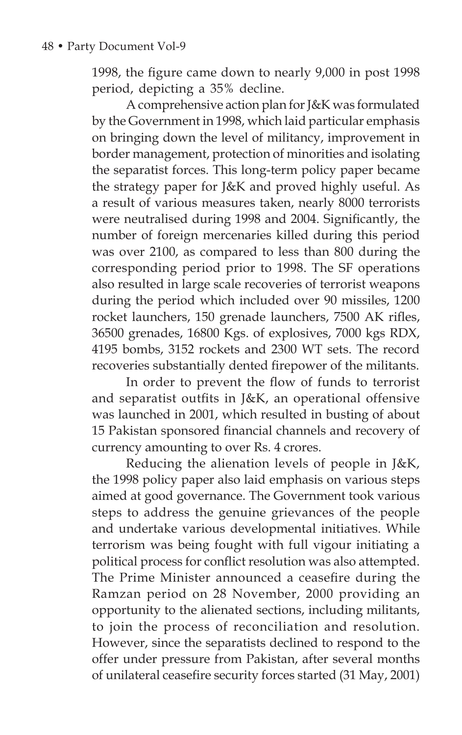1998, the figure came down to nearly 9,000 in post 1998 period, depicting a 35% decline.

 A comprehensive action plan for J&K was formulated by the Government in 1998, which laid particular emphasis on bringing down the level of militancy, improvement in border management, protection of minorities and isolating the separatist forces. This long-term policy paper became the strategy paper for J&K and proved highly useful. As a result of various measures taken, nearly 8000 terrorists were neutralised during 1998 and 2004. Significantly, the number of foreign mercenaries killed during this period was over 2100, as compared to less than 800 during the corresponding period prior to 1998. The SF operations also resulted in large scale recoveries of terrorist weapons during the period which included over 90 missiles, 1200 rocket launchers, 150 grenade launchers, 7500 AK rifles, 36500 grenades, 16800 Kgs. of explosives, 7000 kgs RDX, 4195 bombs, 3152 rockets and 2300 WT sets. The record recoveries substantially dented firepower of the militants.

In order to prevent the flow of funds to terrorist and separatist outfits in J&K, an operational offensive was launched in 2001, which resulted in busting of about 15 Pakistan sponsored financial channels and recovery of currency amounting to over Rs. 4 crores.

 Reducing the alienation levels of people in J&K, the 1998 policy paper also laid emphasis on various steps aimed at good governance. The Government took various steps to address the genuine grievances of the people and undertake various developmental initiatives. While terrorism was being fought with full vigour initiating a political process for conflict resolution was also attempted. The Prime Minister announced a ceasefire during the Ramzan period on 28 November, 2000 providing an opportunity to the alienated sections, including militants, to join the process of reconciliation and resolution. However, since the separatists declined to respond to the offer under pressure from Pakistan, after several months of unilateral ceasefire security forces started (31 May, 2001)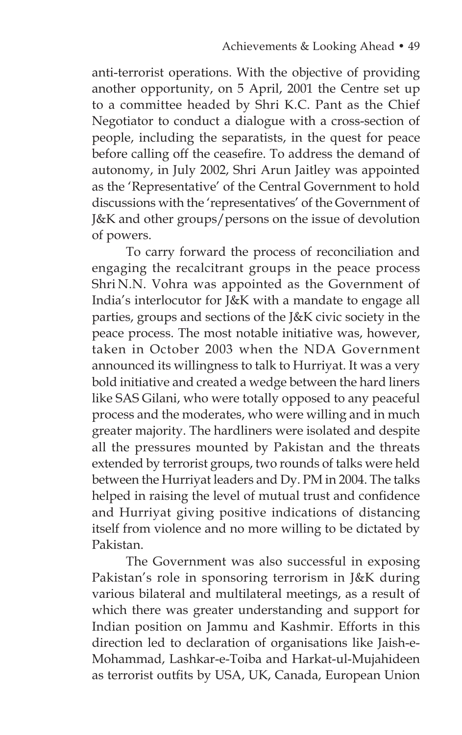anti-terrorist operations. With the objective of providing another opportunity, on 5 April, 2001 the Centre set up to a committee headed by Shri K.C. Pant as the Chief Negotiator to conduct a dialogue with a cross-section of people, including the separatists, in the quest for peace before calling off the ceasefire. To address the demand of autonomy, in July 2002, Shri Arun Jaitley was appointed as the 'Representative' of the Central Government to hold discussions with the 'representatives' of the Government of J&K and other groups/persons on the issue of devolution of powers.

 To carry forward the process of reconciliation and engaging the recalcitrant groups in the peace process Shri N.N. Vohra was appointed as the Government of India's interlocutor for J&K with a mandate to engage all parties, groups and sections of the J&K civic society in the peace process. The most notable initiative was, however, taken in October 2003 when the NDA Government announced its willingness to talk to Hurriyat. It was a very bold initiative and created a wedge between the hard liners like SAS Gilani, who were totally opposed to any peaceful process and the moderates, who were willing and in much greater majority. The hardliners were isolated and despite all the pressures mounted by Pakistan and the threats extended by terrorist groups, two rounds of talks were held between the Hurriyat leaders and Dy. PM in 2004. The talks helped in raising the level of mutual trust and confidence and Hurriyat giving positive indications of distancing itself from violence and no more willing to be dictated by Pakistan.

 The Government was also successful in exposing Pakistan's role in sponsoring terrorism in J&K during various bilateral and multilateral meetings, as a result of which there was greater understanding and support for Indian position on Jammu and Kashmir. Efforts in this direction led to declaration of organisations like Jaish-e-Mohammad, Lashkar-e-Toiba and Harkat-ul-Mujahideen as terrorist outfits by USA, UK, Canada, European Union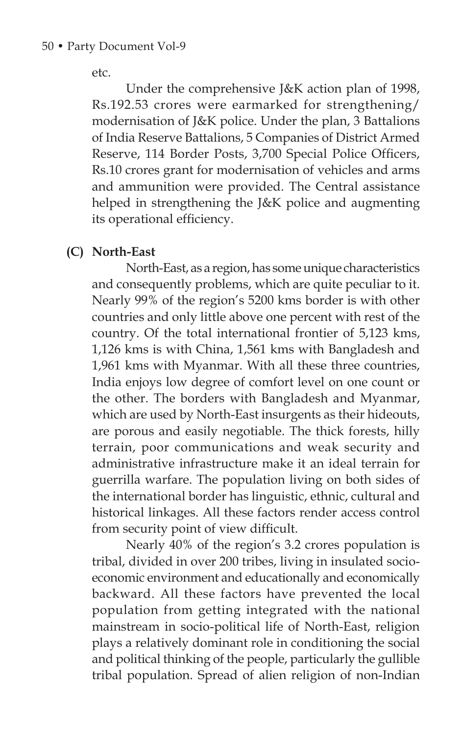etc.

 Under the comprehensive J&K action plan of 1998, Rs.192.53 crores were earmarked for strengthening/ modernisation of J&K police. Under the plan, 3 Battalions of India Reserve Battalions, 5 Companies of District Armed Reserve, 114 Border Posts, 3,700 Special Police Officers, Rs.10 crores grant for modernisation of vehicles and arms and ammunition were provided. The Central assistance helped in strengthening the J&K police and augmenting its operational efficiency.

**(C) North-East**

North-East, as a region, has some unique characteristics and consequently problems, which are quite peculiar to it. Nearly 99% of the region's 5200 kms border is with other countries and only little above one percent with rest of the country. Of the total international frontier of 5,123 kms, 1,126 kms is with China, 1,561 kms with Bangladesh and 1,961 kms with Myanmar. With all these three countries, India enjoys low degree of comfort level on one count or the other. The borders with Bangladesh and Myanmar, which are used by North-East insurgents as their hideouts, are porous and easily negotiable. The thick forests, hilly terrain, poor communications and weak security and administrative infrastructure make it an ideal terrain for guerrilla warfare. The population living on both sides of the international border has linguistic, ethnic, cultural and historical linkages. All these factors render access control from security point of view difficult.

 Nearly 40% of the region's 3.2 crores population is tribal, divided in over 200 tribes, living in insulated socioeconomic environment and educationally and economically backward. All these factors have prevented the local population from getting integrated with the national mainstream in socio-political life of North-East, religion plays a relatively dominant role in conditioning the social and political thinking of the people, particularly the gullible tribal population. Spread of alien religion of non-Indian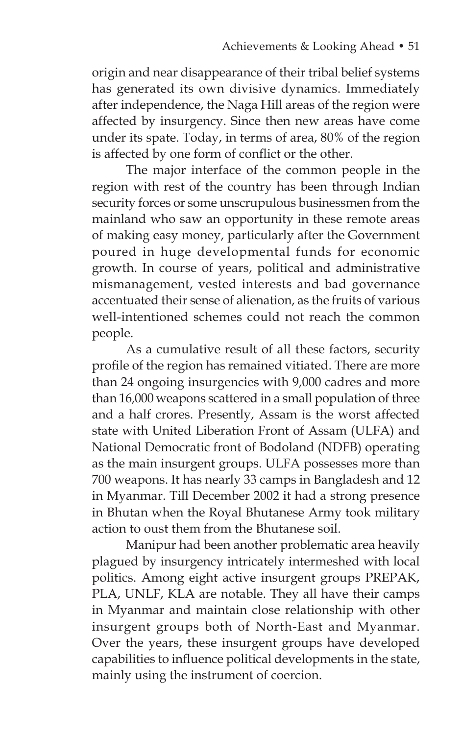origin and near disappearance of their tribal belief systems has generated its own divisive dynamics. Immediately after independence, the Naga Hill areas of the region were affected by insurgency. Since then new areas have come under its spate. Today, in terms of area, 80% of the region is affected by one form of conflict or the other.

 The major interface of the common people in the region with rest of the country has been through Indian security forces or some unscrupulous businessmen from the mainland who saw an opportunity in these remote areas of making easy money, particularly after the Government poured in huge developmental funds for economic growth. In course of years, political and administrative mismanagement, vested interests and bad governance accentuated their sense of alienation, as the fruits of various well-intentioned schemes could not reach the common people.

 As a cumulative result of all these factors, security profile of the region has remained vitiated. There are more than 24 ongoing insurgencies with 9,000 cadres and more than 16,000 weapons scattered in a small population of three and a half crores. Presently, Assam is the worst affected state with United Liberation Front of Assam (ULFA) and National Democratic front of Bodoland (NDFB) operating as the main insurgent groups. ULFA possesses more than 700 weapons. It has nearly 33 camps in Bangladesh and 12 in Myanmar. Till December 2002 it had a strong presence in Bhutan when the Royal Bhutanese Army took military action to oust them from the Bhutanese soil.

 Manipur had been another problematic area heavily plagued by insurgency intricately intermeshed with local politics. Among eight active insurgent groups PREPAK, PLA, UNLF, KLA are notable. They all have their camps in Myanmar and maintain close relationship with other insurgent groups both of North-East and Myanmar. Over the years, these insurgent groups have developed capabilities to influence political developments in the state, mainly using the instrument of coercion.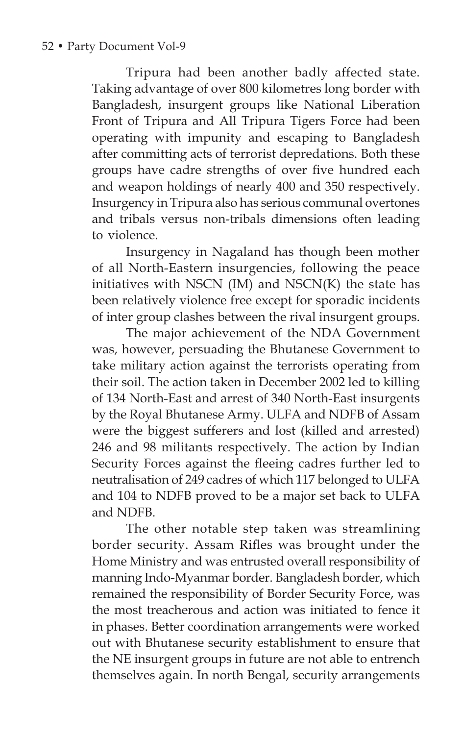Tripura had been another badly affected state. Taking advantage of over 800 kilometres long border with Bangladesh, insurgent groups like National Liberation Front of Tripura and All Tripura Tigers Force had been operating with impunity and escaping to Bangladesh after committing acts of terrorist depredations. Both these groups have cadre strengths of over five hundred each and weapon holdings of nearly 400 and 350 respectively. Insurgency in Tripura also has serious communal overtones and tribals versus non-tribals dimensions often leading to violence.

 Insurgency in Nagaland has though been mother of all North-Eastern insurgencies, following the peace initiatives with NSCN (IM) and NSCN(K) the state has been relatively violence free except for sporadic incidents of inter group clashes between the rival insurgent groups.

 The major achievement of the NDA Government was, however, persuading the Bhutanese Government to take military action against the terrorists operating from their soil. The action taken in December 2002 led to killing of 134 North-East and arrest of 340 North-East insurgents by the Royal Bhutanese Army. ULFA and NDFB of Assam were the biggest sufferers and lost (killed and arrested) 246 and 98 militants respectively. The action by Indian Security Forces against the fleeing cadres further led to neutralisation of 249 cadres of which 117 belonged to ULFA and 104 to NDFB proved to be a major set back to ULFA and NDFB.

 The other notable step taken was streamlining border security. Assam Rifles was brought under the Home Ministry and was entrusted overall responsibility of manning Indo-Myanmar border. Bangladesh border, which remained the responsibility of Border Security Force, was the most treacherous and action was initiated to fence it in phases. Better coordination arrangements were worked out with Bhutanese security establishment to ensure that the NE insurgent groups in future are not able to entrench themselves again. In north Bengal, security arrangements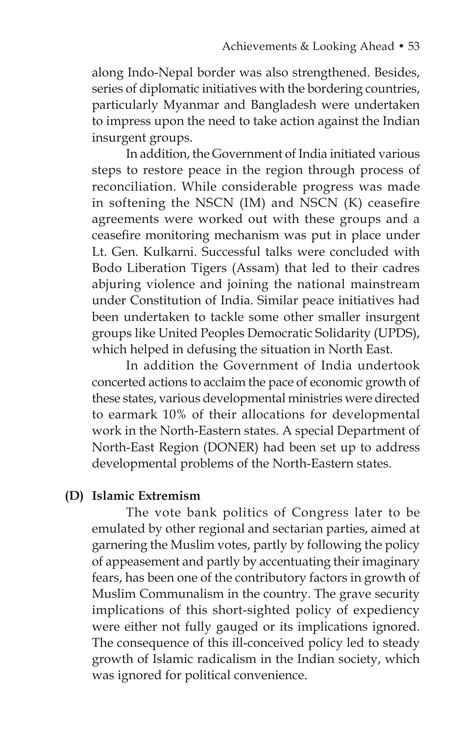along Indo-Nepal border was also strengthened. Besides, series of diplomatic initiatives with the bordering countries, particularly Myanmar and Bangladesh were undertaken to impress upon the need to take action against the Indian insurgent groups.

 In addition, the Government of India initiated various steps to restore peace in the region through process of reconciliation. While considerable progress was made in softening the NSCN (IM) and NSCN (K) ceasefire agreements were worked out with these groups and a ceasefire monitoring mechanism was put in place under Lt. Gen. Kulkarni. Successful talks were concluded with Bodo Liberation Tigers (Assam) that led to their cadres abjuring violence and joining the national mainstream under Constitution of India. Similar peace initiatives had been undertaken to tackle some other smaller insurgent groups like United Peoples Democratic Solidarity (UPDS), which helped in defusing the situation in North East.

 In addition the Government of India undertook concerted actions to acclaim the pace of economic growth of these states, various developmental ministries were directed to earmark 10% of their allocations for developmental work in the North-Eastern states. A special Department of North-East Region (DONER) had been set up to address developmental problems of the North-Eastern states.

### **(D) Islamic Extremism**

 The vote bank politics of Congress later to be emulated by other regional and sectarian parties, aimed at garnering the Muslim votes, partly by following the policy of appeasement and partly by accentuating their imaginary fears, has been one of the contributory factors in growth of Muslim Communalism in the country. The grave security implications of this short-sighted policy of expediency were either not fully gauged or its implications ignored. The consequence of this ill-conceived policy led to steady growth of Islamic radicalism in the Indian society, which was ignored for political convenience.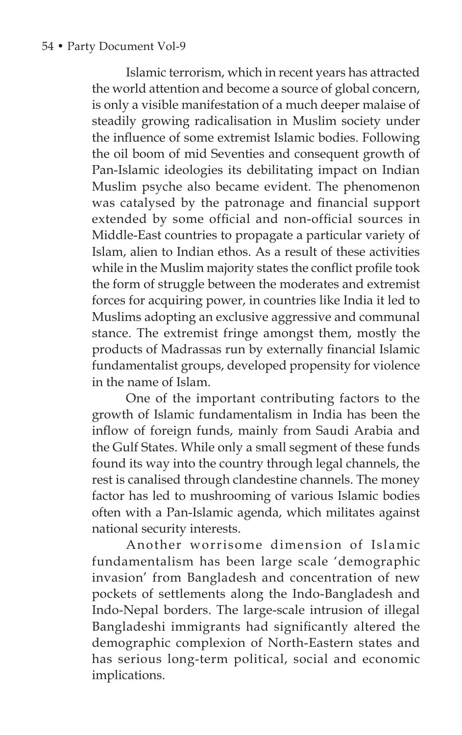Islamic terrorism, which in recent years has attracted the world attention and become a source of global concern, is only a visible manifestation of a much deeper malaise of steadily growing radicalisation in Muslim society under the influence of some extremist Islamic bodies. Following the oil boom of mid Seventies and consequent growth of Pan-Islamic ideologies its debilitating impact on Indian Muslim psyche also became evident. The phenomenon was catalysed by the patronage and financial support extended by some official and non-official sources in Middle-East countries to propagate a particular variety of Islam, alien to Indian ethos. As a result of these activities while in the Muslim majority states the conflict profile took the form of struggle between the moderates and extremist forces for acquiring power, in countries like India it led to Muslims adopting an exclusive aggressive and communal stance. The extremist fringe amongst them, mostly the products of Madrassas run by externally financial Islamic fundamentalist groups, developed propensity for violence in the name of Islam.

 One of the important contributing factors to the growth of Islamic fundamentalism in India has been the inflow of foreign funds, mainly from Saudi Arabia and the Gulf States. While only a small segment of these funds found its way into the country through legal channels, the rest is canalised through clandestine channels. The money factor has led to mushrooming of various Islamic bodies often with a Pan-Islamic agenda, which militates against national security interests.

 Another worrisome dimension of Islamic fundamentalism has been large scale 'demographic invasion' from Bangladesh and concentration of new pockets of settlements along the Indo-Bangladesh and Indo-Nepal borders. The large-scale intrusion of illegal Bangladeshi immigrants had significantly altered the demographic complexion of North-Eastern states and has serious long-term political, social and economic implications.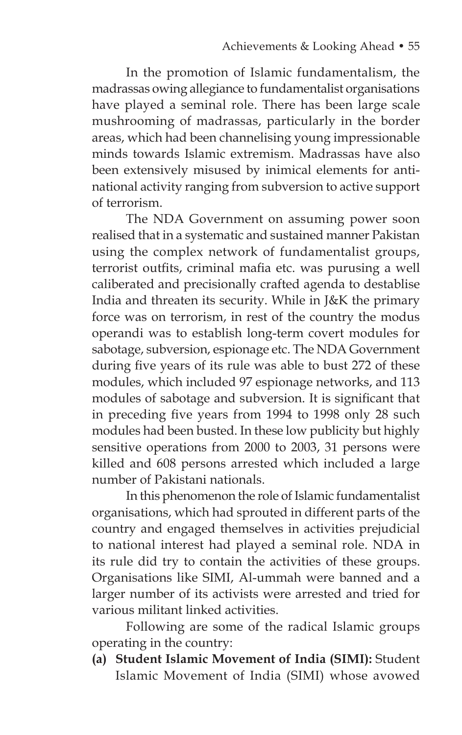In the promotion of Islamic fundamentalism, the madrassas owing allegiance to fundamentalist organisations have played a seminal role. There has been large scale mushrooming of madrassas, particularly in the border areas, which had been channelising young impressionable minds towards Islamic extremism. Madrassas have also been extensively misused by inimical elements for antinational activity ranging from subversion to active support of terrorism.

 The NDA Government on assuming power soon realised that in a systematic and sustained manner Pakistan using the complex network of fundamentalist groups, terrorist outfits, criminal mafia etc. was purusing a well caliberated and precisionally crafted agenda to destablise India and threaten its security. While in J&K the primary force was on terrorism, in rest of the country the modus operandi was to establish long-term covert modules for sabotage, subversion, espionage etc. The NDA Government during five years of its rule was able to bust 272 of these modules, which included 97 espionage networks, and 113 modules of sabotage and subversion. It is significant that in preceding five years from 1994 to 1998 only 28 such modules had been busted. In these low publicity but highly sensitive operations from 2000 to 2003, 31 persons were killed and 608 persons arrested which included a large number of Pakistani nationals.

 In this phenomenon the role of Islamic fundamentalist organisations, which had sprouted in different parts of the country and engaged themselves in activities prejudicial to national interest had played a seminal role. NDA in its rule did try to contain the activities of these groups. Organisations like SIMI, Al-ummah were banned and a larger number of its activists were arrested and tried for various militant linked activities.

 Following are some of the radical Islamic groups operating in the country:

 **(a) Student Islamic Movement of India (SIMI):** Student Islamic Movement of India (SIMI) whose avowed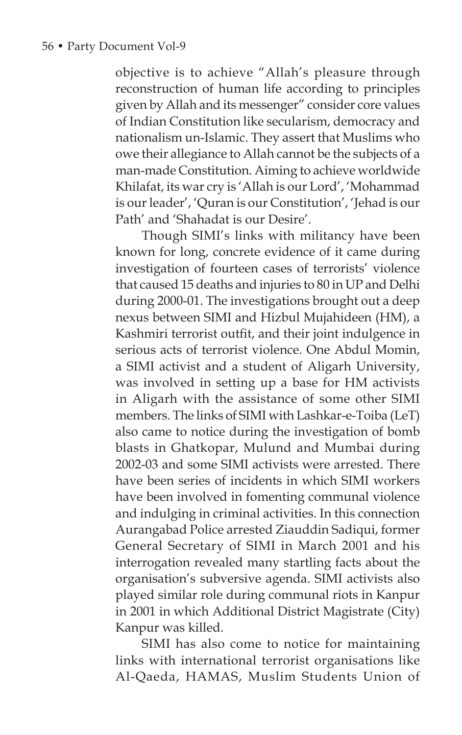objective is to achieve "Allah's pleasure through reconstruction of human life according to principles given by Allah and its messenger" consider core values of Indian Constitution like secularism, democracy and nationalism un-Islamic. They assert that Muslims who owe their allegiance to Allah cannot be the subjects of a man-made Constitution. Aiming to achieve worldwide Khilafat, its war cry is 'Allah is our Lord', 'Mohammad is our leader', 'Quran is our Constitution', 'Jehad is our Path' and 'Shahadat is our Desire'.

Though SIMI's links with militancy have been known for long, concrete evidence of it came during investigation of fourteen cases of terrorists' violence that caused 15 deaths and injuries to 80 in UP and Delhi during 2000-01. The investigations brought out a deep nexus between SIMI and Hizbul Mujahideen (HM), a Kashmiri terrorist outfit, and their joint indulgence in serious acts of terrorist violence. One Abdul Momin, a SIMI activist and a student of Aligarh University, was involved in setting up a base for HM activists in Aligarh with the assistance of some other SIMI members. The links of SIMI with Lashkar-e-Toiba (LeT) also came to notice during the investigation of bomb blasts in Ghatkopar, Mulund and Mumbai during 2002-03 and some SIMI activists were arrested. There have been series of incidents in which SIMI workers have been involved in fomenting communal violence and indulging in criminal activities. In this connection Aurangabad Police arrested Ziauddin Sadiqui, former General Secretary of SIMI in March 2001 and his interrogation revealed many startling facts about the organisation's subversive agenda. SIMI activists also played similar role during communal riots in Kanpur in 2001 in which Additional District Magistrate (City) Kanpur was killed.

 SIMI has also come to notice for maintaining links with international terrorist organisations like Al-Qaeda, HAMAS, Muslim Students Union of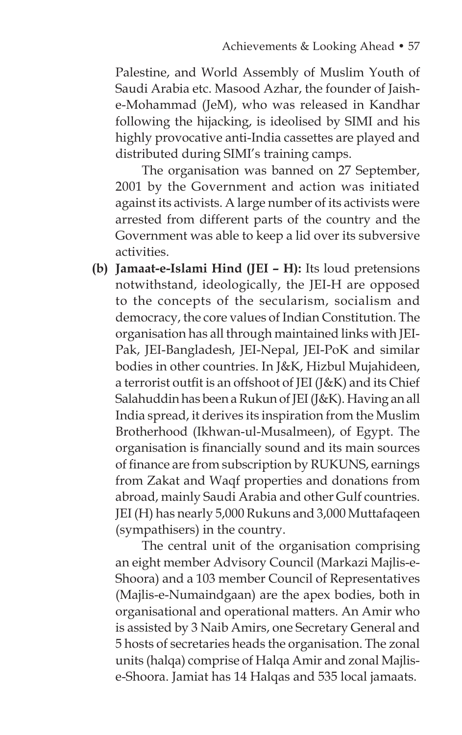Palestine, and World Assembly of Muslim Youth of Saudi Arabia etc. Masood Azhar, the founder of Jaishe-Mohammad (JeM), who was released in Kandhar following the hijacking, is ideolised by SIMI and his highly provocative anti-India cassettes are played and distributed during SIMI's training camps.

 The organisation was banned on 27 September, 2001 by the Government and action was initiated against its activists. A large number of its activists were arrested from different parts of the country and the Government was able to keep a lid over its subversive activities.

 **(b) Jamaat-e-Islami Hind (JEI – H):** Its loud pretensions notwithstand, ideologically, the JEI-H are opposed to the concepts of the secularism, socialism and democracy, the core values of Indian Constitution. The organisation has all through maintained links with JEI-Pak, JEI-Bangladesh, JEI-Nepal, JEI-PoK and similar bodies in other countries. In J&K, Hizbul Mujahideen, a terrorist outfit is an offshoot of JEI (J&K) and its Chief Salahuddin has been a Rukun of JEI (J&K). Having an all India spread, it derives its inspiration from the Muslim Brotherhood (Ikhwan-ul-Musalmeen), of Egypt. The organisation is financially sound and its main sources of finance are from subscription by RUKUNS, earnings from Zakat and Waqf properties and donations from abroad, mainly Saudi Arabia and other Gulf countries. JEI (H) has nearly 5,000 Rukuns and 3,000 Muttafaqeen (sympathisers) in the country.

The central unit of the organisation comprising an eight member Advisory Council (Markazi Majlis-e-Shoora) and a 103 member Council of Representatives (Majlis-e-Numaindgaan) are the apex bodies, both in organisational and operational matters. An Amir who is assisted by 3 Naib Amirs, one Secretary General and 5 hosts of secretaries heads the organisation. The zonal units (halqa) comprise of Halqa Amir and zonal Majlise-Shoora. Jamiat has 14 Halqas and 535 local jamaats.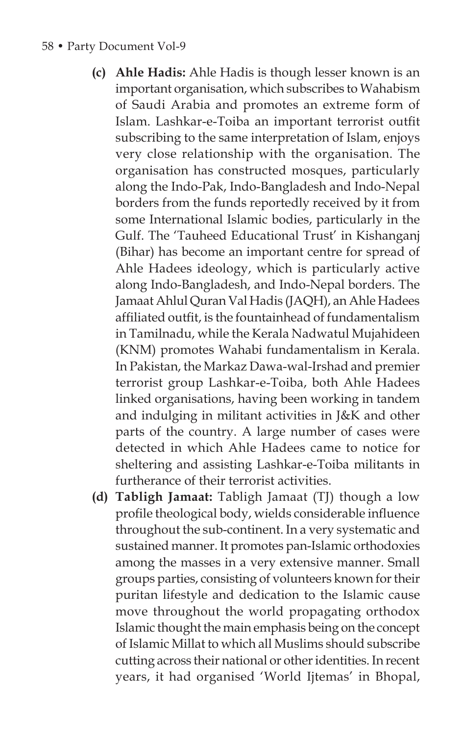#### 58 • Party Document Vol-9

- **(c) Ahle Hadis:** Ahle Hadis is though lesser known is an important organisation, which subscribes to Wahabism of Saudi Arabia and promotes an extreme form of Islam. Lashkar-e-Toiba an important terrorist outfit subscribing to the same interpretation of Islam, enjoys very close relationship with the organisation. The organisation has constructed mosques, particularly along the Indo-Pak, Indo-Bangladesh and Indo-Nepal borders from the funds reportedly received by it from some International Islamic bodies, particularly in the Gulf. The 'Tauheed Educational Trust' in Kishanganj (Bihar) has become an important centre for spread of Ahle Hadees ideology, which is particularly active along Indo-Bangladesh, and Indo-Nepal borders. The Jamaat Ahlul Quran Val Hadis (JAQH), an Ahle Hadees affiliated outfit, is the fountainhead of fundamentalism in Tamilnadu, while the Kerala Nadwatul Mujahideen (KNM) promotes Wahabi fundamentalism in Kerala. In Pakistan, the Markaz Dawa-wal-Irshad and premier terrorist group Lashkar-e-Toiba, both Ahle Hadees linked organisations, having been working in tandem and indulging in militant activities in J&K and other parts of the country. A large number of cases were detected in which Ahle Hadees came to notice for sheltering and assisting Lashkar-e-Toiba militants in furtherance of their terrorist activities.
- **(d) Tabligh Jamaat:** Tabligh Jamaat (TJ) though a low profile theological body, wields considerable influence throughout the sub-continent. In a very systematic and sustained manner. It promotes pan-Islamic orthodoxies among the masses in a very extensive manner. Small groups parties, consisting of volunteers known for their puritan lifestyle and dedication to the Islamic cause move throughout the world propagating orthodox Islamic thought the main emphasis being on the concept of Islamic Millat to which all Muslims should subscribe cutting across their national or other identities. In recent years, it had organised 'World Ijtemas' in Bhopal,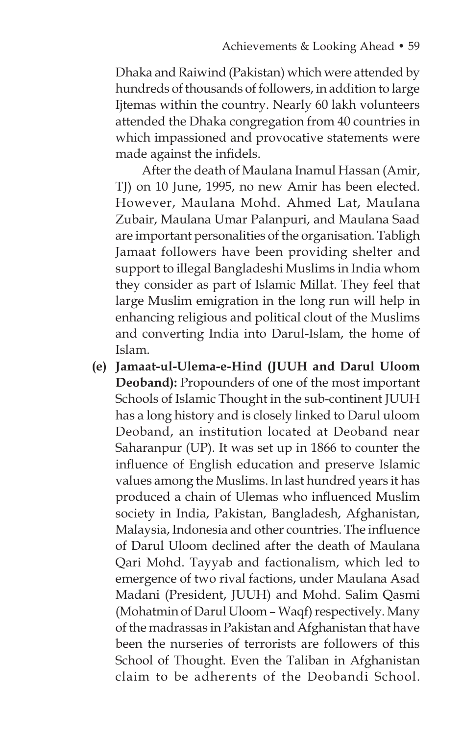Dhaka and Raiwind (Pakistan) which were attended by hundreds of thousands of followers, in addition to large Ijtemas within the country. Nearly 60 lakh volunteers attended the Dhaka congregation from 40 countries in which impassioned and provocative statements were made against the infidels.

After the death of Maulana Inamul Hassan (Amir, TJ) on 10 June, 1995, no new Amir has been elected. However, Maulana Mohd. Ahmed Lat, Maulana Zubair, Maulana Umar Palanpuri, and Maulana Saad are important personalities of the organisation. Tabligh Jamaat followers have been providing shelter and support to illegal Bangladeshi Muslims in India whom they consider as part of Islamic Millat. They feel that large Muslim emigration in the long run will help in enhancing religious and political clout of the Muslims and converting India into Darul-Islam, the home of Islam.

 **(e) Jamaat-ul-Ulema-e-Hind (JUUH and Darul Uloom Deoband):** Propounders of one of the most important Schools of Islamic Thought in the sub-continent JUUH has a long history and is closely linked to Darul uloom Deoband, an institution located at Deoband near Saharanpur (UP). It was set up in 1866 to counter the influence of English education and preserve Islamic values among the Muslims. In last hundred years it has produced a chain of Ulemas who influenced Muslim society in India, Pakistan, Bangladesh, Afghanistan, Malaysia, Indonesia and other countries. The influence of Darul Uloom declined after the death of Maulana Qari Mohd. Tayyab and factionalism, which led to emergence of two rival factions, under Maulana Asad Madani (President, JUUH) and Mohd. Salim Qasmi (Mohatmin of Darul Uloom – Waqf) respectively. Many of the madrassas in Pakistan and Afghanistan that have been the nurseries of terrorists are followers of this School of Thought. Even the Taliban in Afghanistan claim to be adherents of the Deobandi School.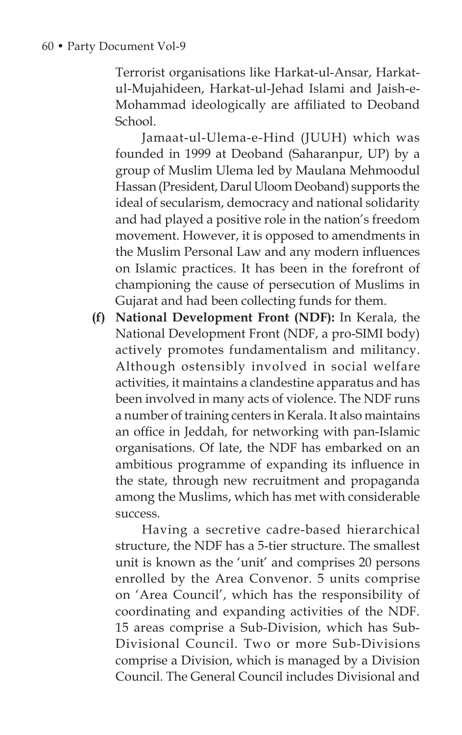Terrorist organisations like Harkat-ul-Ansar, Harkatul-Mujahideen, Harkat-ul-Jehad Islami and Jaish-e-Mohammad ideologically are affiliated to Deoband School.

Jamaat-ul-Ulema-e-Hind (JUUH) which was founded in 1999 at Deoband (Saharanpur, UP) by a group of Muslim Ulema led by Maulana Mehmoodul Hassan (President, Darul Uloom Deoband) supports the ideal of secularism, democracy and national solidarity and had played a positive role in the nation's freedom movement. However, it is opposed to amendments in the Muslim Personal Law and any modern influences on Islamic practices. It has been in the forefront of championing the cause of persecution of Muslims in Gujarat and had been collecting funds for them.

 **(f) National Development Front (NDF):** In Kerala, the National Development Front (NDF, a pro-SIMI body) actively promotes fundamentalism and militancy. Although ostensibly involved in social welfare activities, it maintains a clandestine apparatus and has been involved in many acts of violence. The NDF runs a number of training centers in Kerala. It also maintains an office in Jeddah, for networking with pan-Islamic organisations. Of late, the NDF has embarked on an ambitious programme of expanding its influence in the state, through new recruitment and propaganda among the Muslims, which has met with considerable success.

Having a secretive cadre-based hierarchical structure, the NDF has a 5-tier structure. The smallest unit is known as the 'unit' and comprises 20 persons enrolled by the Area Convenor. 5 units comprise on 'Area Council', which has the responsibility of coordinating and expanding activities of the NDF. 15 areas comprise a Sub-Division, which has Sub-Divisional Council. Two or more Sub-Divisions comprise a Division, which is managed by a Division Council. The General Council includes Divisional and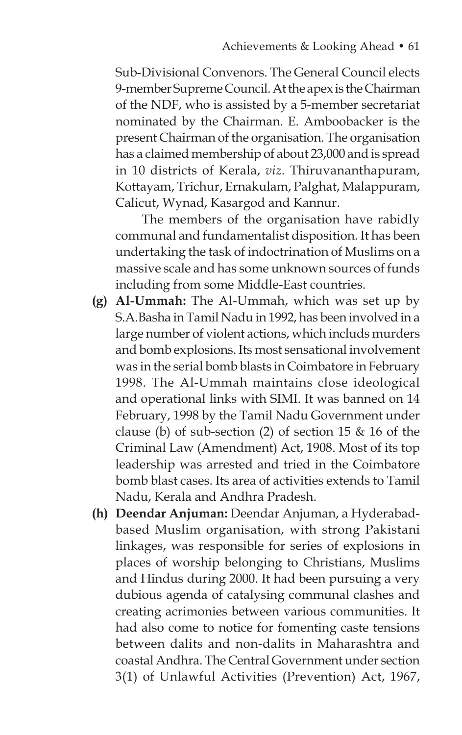Sub-Divisional Convenors. The General Council elects 9-member Supreme Council. At the apex is the Chairman of the NDF, who is assisted by a 5-member secretariat nominated by the Chairman. E. Amboobacker is the present Chairman of the organisation. The organisation has a claimed membership of about 23,000 and is spread in 10 districts of Kerala, *viz.* Thiruvananthapuram, Kottayam, Trichur, Ernakulam, Palghat, Malappuram, Calicut, Wynad, Kasargod and Kannur.

 The members of the organisation have rabidly communal and fundamentalist disposition. It has been undertaking the task of indoctrination of Muslims on a massive scale and has some unknown sources of funds including from some Middle-East countries.

- **(g) Al-Ummah:** The Al-Ummah, which was set up by S.A.Basha in Tamil Nadu in 1992, has been involved in a large number of violent actions, which includs murders and bomb explosions. Its most sensational involvement was in the serial bomb blasts in Coimbatore in February 1998. The Al-Ummah maintains close ideological and operational links with SIMI. It was banned on 14 February, 1998 by the Tamil Nadu Government under clause (b) of sub-section (2) of section 15  $& 16$  of the Criminal Law (Amendment) Act, 1908. Most of its top leadership was arrested and tried in the Coimbatore bomb blast cases. Its area of activities extends to Tamil Nadu, Kerala and Andhra Pradesh.
- **(h) Deendar Anjuman:** Deendar Anjuman, a Hyderabadbased Muslim organisation, with strong Pakistani linkages, was responsible for series of explosions in places of worship belonging to Christians, Muslims and Hindus during 2000. It had been pursuing a very dubious agenda of catalysing communal clashes and creating acrimonies between various communities. It had also come to notice for fomenting caste tensions between dalits and non-dalits in Maharashtra and coastal Andhra. The Central Government under section 3(1) of Unlawful Activities (Prevention) Act, 1967,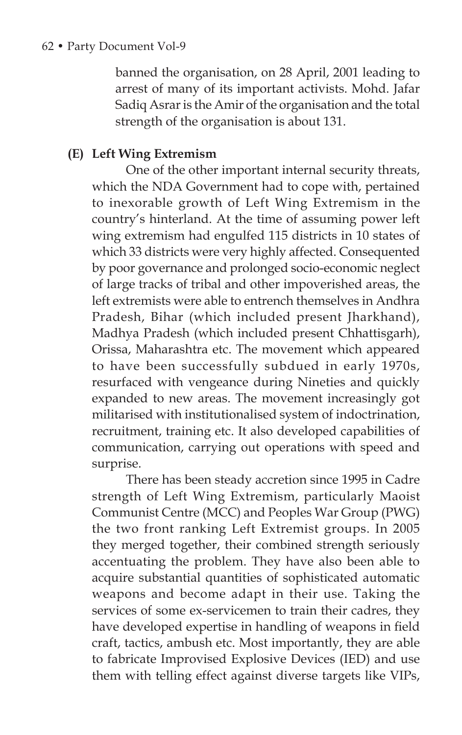banned the organisation, on 28 April, 2001 leading to arrest of many of its important activists. Mohd. Jafar Sadiq Asrar is the Amir of the organisation and the total strength of the organisation is about 131.

## **(E) Left Wing Extremism**

 One of the other important internal security threats, which the NDA Government had to cope with, pertained to inexorable growth of Left Wing Extremism in the country's hinterland. At the time of assuming power left wing extremism had engulfed 115 districts in 10 states of which 33 districts were very highly affected. Consequented by poor governance and prolonged socio-economic neglect of large tracks of tribal and other impoverished areas, the left extremists were able to entrench themselves in Andhra Pradesh, Bihar (which included present Jharkhand), Madhya Pradesh (which included present Chhattisgarh), Orissa, Maharashtra etc. The movement which appeared to have been successfully subdued in early 1970s, resurfaced with vengeance during Nineties and quickly expanded to new areas. The movement increasingly got militarised with institutionalised system of indoctrination, recruitment, training etc. It also developed capabilities of communication, carrying out operations with speed and surprise.

 There has been steady accretion since 1995 in Cadre strength of Left Wing Extremism, particularly Maoist Communist Centre (MCC) and Peoples War Group (PWG) the two front ranking Left Extremist groups. In 2005 they merged together, their combined strength seriously accentuating the problem. They have also been able to acquire substantial quantities of sophisticated automatic weapons and become adapt in their use. Taking the services of some ex-servicemen to train their cadres, they have developed expertise in handling of weapons in field craft, tactics, ambush etc. Most importantly, they are able to fabricate Improvised Explosive Devices (IED) and use them with telling effect against diverse targets like VIPs,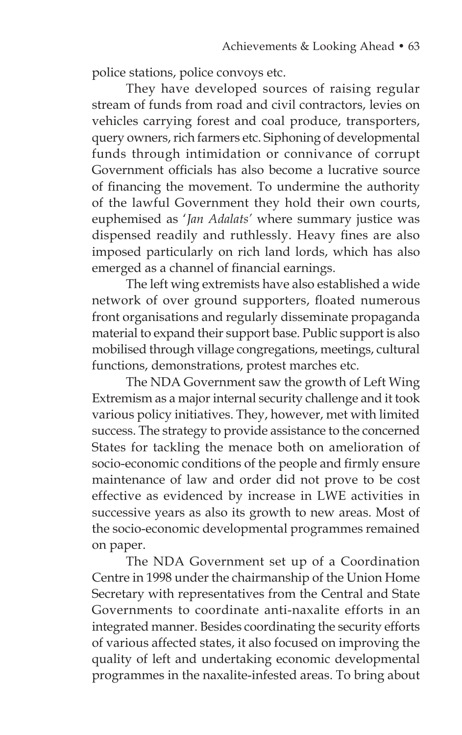police stations, police convoys etc.

 They have developed sources of raising regular stream of funds from road and civil contractors, levies on vehicles carrying forest and coal produce, transporters, query owners, rich farmers etc. Siphoning of developmental funds through intimidation or connivance of corrupt Government officials has also become a lucrative source of financing the movement. To undermine the authority of the lawful Government they hold their own courts, euphemised as '*Jan Adalats'* where summary justice was dispensed readily and ruthlessly. Heavy fines are also imposed particularly on rich land lords, which has also emerged as a channel of financial earnings.

 The left wing extremists have also established a wide network of over ground supporters, floated numerous front organisations and regularly disseminate propaganda material to expand their support base. Public support is also mobilised through village congregations, meetings, cultural functions, demonstrations, protest marches etc.

 The NDA Government saw the growth of Left Wing Extremism as a major internal security challenge and it took various policy initiatives. They, however, met with limited success. The strategy to provide assistance to the concerned States for tackling the menace both on amelioration of socio-economic conditions of the people and firmly ensure maintenance of law and order did not prove to be cost effective as evidenced by increase in LWE activities in successive years as also its growth to new areas. Most of the socio-economic developmental programmes remained on paper.

 The NDA Government set up of a Coordination Centre in 1998 under the chairmanship of the Union Home Secretary with representatives from the Central and State Governments to coordinate anti-naxalite efforts in an integrated manner. Besides coordinating the security efforts of various affected states, it also focused on improving the quality of left and undertaking economic developmental programmes in the naxalite-infested areas. To bring about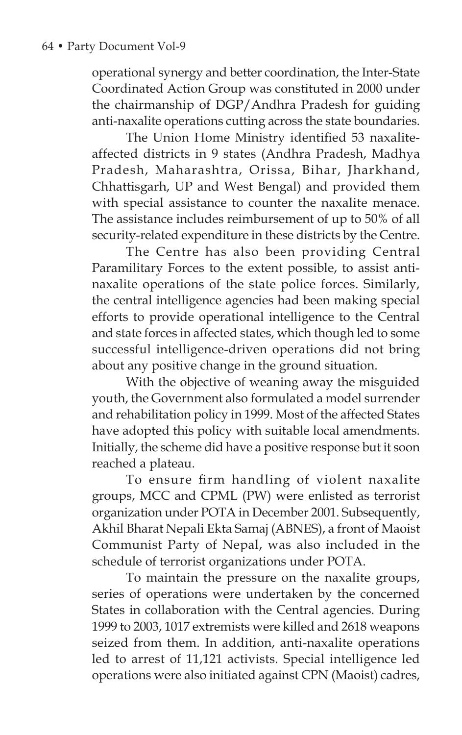operational synergy and better coordination, the Inter-State Coordinated Action Group was constituted in 2000 under the chairmanship of DGP/Andhra Pradesh for guiding anti-naxalite operations cutting across the state boundaries.

The Union Home Ministry identified 53 naxaliteaffected districts in 9 states (Andhra Pradesh, Madhya Pradesh, Maharashtra, Orissa, Bihar, Jharkhand, Chhattisgarh, UP and West Bengal) and provided them with special assistance to counter the naxalite menace. The assistance includes reimbursement of up to 50% of all security-related expenditure in these districts by the Centre.

 The Centre has also been providing Central Paramilitary Forces to the extent possible, to assist antinaxalite operations of the state police forces. Similarly, the central intelligence agencies had been making special efforts to provide operational intelligence to the Central and state forces in affected states, which though led to some successful intelligence-driven operations did not bring about any positive change in the ground situation.

 With the objective of weaning away the misguided youth, the Government also formulated a model surrender and rehabilitation policy in 1999. Most of the affected States have adopted this policy with suitable local amendments. Initially, the scheme did have a positive response but it soon reached a plateau.

To ensure firm handling of violent naxalite groups, MCC and CPML (PW) were enlisted as terrorist organization under POTA in December 2001. Subsequently, Akhil Bharat Nepali Ekta Samaj (ABNES), a front of Maoist Communist Party of Nepal, was also included in the schedule of terrorist organizations under POTA.

 To maintain the pressure on the naxalite groups, series of operations were undertaken by the concerned States in collaboration with the Central agencies. During 1999 to 2003, 1017 extremists were killed and 2618 weapons seized from them. In addition, anti-naxalite operations led to arrest of 11,121 activists. Special intelligence led operations were also initiated against CPN (Maoist) cadres,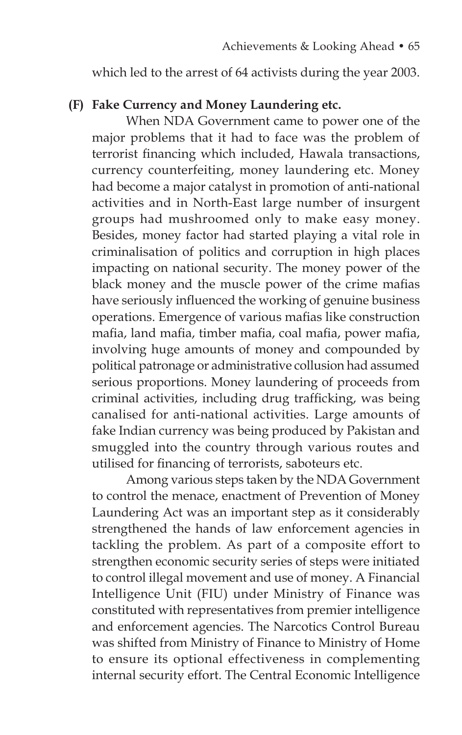which led to the arrest of 64 activists during the year 2003.

#### **(F) Fake Currency and Money Laundering etc.**

 When NDA Government came to power one of the major problems that it had to face was the problem of terrorist financing which included, Hawala transactions, currency counterfeiting, money laundering etc. Money had become a major catalyst in promotion of anti-national activities and in North-East large number of insurgent groups had mushroomed only to make easy money. Besides, money factor had started playing a vital role in criminalisation of politics and corruption in high places impacting on national security. The money power of the black money and the muscle power of the crime mafias have seriously influenced the working of genuine business operations. Emergence of various mafias like construction mafia, land mafia, timber mafia, coal mafia, power mafia, involving huge amounts of money and compounded by political patronage or administrative collusion had assumed serious proportions. Money laundering of proceeds from criminal activities, including drug trafficking, was being canalised for anti-national activities. Large amounts of fake Indian currency was being produced by Pakistan and smuggled into the country through various routes and utilised for financing of terrorists, saboteurs etc.

 Among various steps taken by the NDA Government to control the menace, enactment of Prevention of Money Laundering Act was an important step as it considerably strengthened the hands of law enforcement agencies in tackling the problem. As part of a composite effort to strengthen economic security series of steps were initiated to control illegal movement and use of money. A Financial Intelligence Unit (FIU) under Ministry of Finance was constituted with representatives from premier intelligence and enforcement agencies. The Narcotics Control Bureau was shifted from Ministry of Finance to Ministry of Home to ensure its optional effectiveness in complementing internal security effort. The Central Economic Intelligence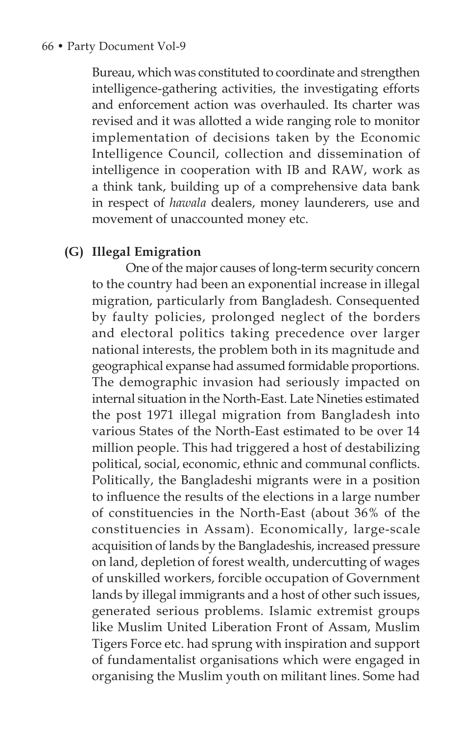Bureau, which was constituted to coordinate and strengthen intelligence-gathering activities, the investigating efforts and enforcement action was overhauled. Its charter was revised and it was allotted a wide ranging role to monitor implementation of decisions taken by the Economic Intelligence Council, collection and dissemination of intelligence in cooperation with IB and RAW, work as a think tank, building up of a comprehensive data bank in respect of *hawala* dealers, money launderers, use and movement of unaccounted money etc.

### **(G) Illegal Emigration**

One of the major causes of long-term security concern to the country had been an exponential increase in illegal migration, particularly from Bangladesh. Consequented by faulty policies, prolonged neglect of the borders and electoral politics taking precedence over larger national interests, the problem both in its magnitude and geographical expanse had assumed formidable proportions. The demographic invasion had seriously impacted on internal situation in the North-East. Late Nineties estimated the post 1971 illegal migration from Bangladesh into various States of the North-East estimated to be over 14 million people. This had triggered a host of destabilizing political, social, economic, ethnic and communal conflicts. Politically, the Bangladeshi migrants were in a position to influence the results of the elections in a large number of constituencies in the North-East (about 36% of the constituencies in Assam). Economically, large-scale acquisition of lands by the Bangladeshis, increased pressure on land, depletion of forest wealth, undercutting of wages of unskilled workers, forcible occupation of Government lands by illegal immigrants and a host of other such issues, generated serious problems. Islamic extremist groups like Muslim United Liberation Front of Assam, Muslim Tigers Force etc. had sprung with inspiration and support of fundamentalist organisations which were engaged in organising the Muslim youth on militant lines. Some had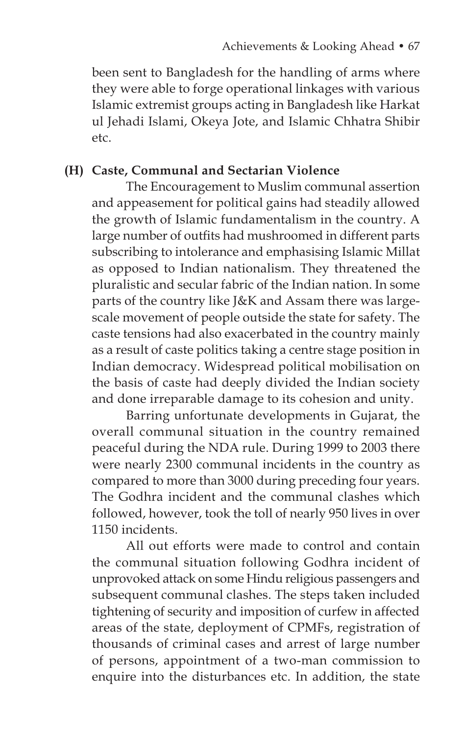been sent to Bangladesh for the handling of arms where they were able to forge operational linkages with various Islamic extremist groups acting in Bangladesh like Harkat ul Jehadi Islami, Okeya Jote, and Islamic Chhatra Shibir etc.

## **(H) Caste, Communal and Sectarian Violence**

 The Encouragement to Muslim communal assertion and appeasement for political gains had steadily allowed the growth of Islamic fundamentalism in the country. A large number of outfits had mushroomed in different parts subscribing to intolerance and emphasising Islamic Millat as opposed to Indian nationalism. They threatened the pluralistic and secular fabric of the Indian nation. In some parts of the country like J&K and Assam there was largescale movement of people outside the state for safety. The caste tensions had also exacerbated in the country mainly as a result of caste politics taking a centre stage position in Indian democracy. Widespread political mobilisation on the basis of caste had deeply divided the Indian society and done irreparable damage to its cohesion and unity.

 Barring unfortunate developments in Gujarat, the overall communal situation in the country remained peaceful during the NDA rule. During 1999 to 2003 there were nearly 2300 communal incidents in the country as compared to more than 3000 during preceding four years. The Godhra incident and the communal clashes which followed, however, took the toll of nearly 950 lives in over 1150 incidents.

 All out efforts were made to control and contain the communal situation following Godhra incident of unprovoked attack on some Hindu religious passengers and subsequent communal clashes. The steps taken included tightening of security and imposition of curfew in affected areas of the state, deployment of CPMFs, registration of thousands of criminal cases and arrest of large number of persons, appointment of a two-man commission to enquire into the disturbances etc. In addition, the state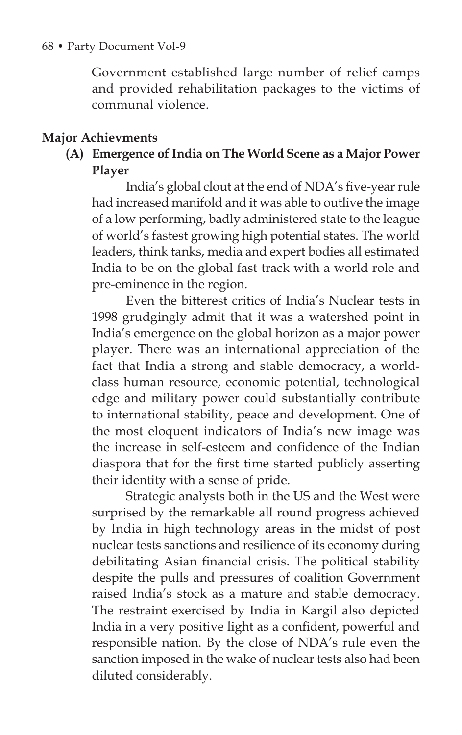Government established large number of relief camps and provided rehabilitation packages to the victims of communal violence.

### **Major Achievments**

# **(A) Emergence of India on The World Scene as a Major Power Player**

India's global clout at the end of NDA's five-year rule had increased manifold and it was able to outlive the image of a low performing, badly administered state to the league of world's fastest growing high potential states. The world leaders, think tanks, media and expert bodies all estimated India to be on the global fast track with a world role and pre-eminence in the region.

 Even the bitterest critics of India's Nuclear tests in 1998 grudgingly admit that it was a watershed point in India's emergence on the global horizon as a major power player. There was an international appreciation of the fact that India a strong and stable democracy, a worldclass human resource, economic potential, technological edge and military power could substantially contribute to international stability, peace and development. One of the most eloquent indicators of India's new image was the increase in self-esteem and confidence of the Indian diaspora that for the first time started publicly asserting their identity with a sense of pride.

 Strategic analysts both in the US and the West were surprised by the remarkable all round progress achieved by India in high technology areas in the midst of post nuclear tests sanctions and resilience of its economy during debilitating Asian financial crisis. The political stability despite the pulls and pressures of coalition Government raised India's stock as a mature and stable democracy. The restraint exercised by India in Kargil also depicted India in a very positive light as a confident, powerful and responsible nation. By the close of NDA's rule even the sanction imposed in the wake of nuclear tests also had been diluted considerably.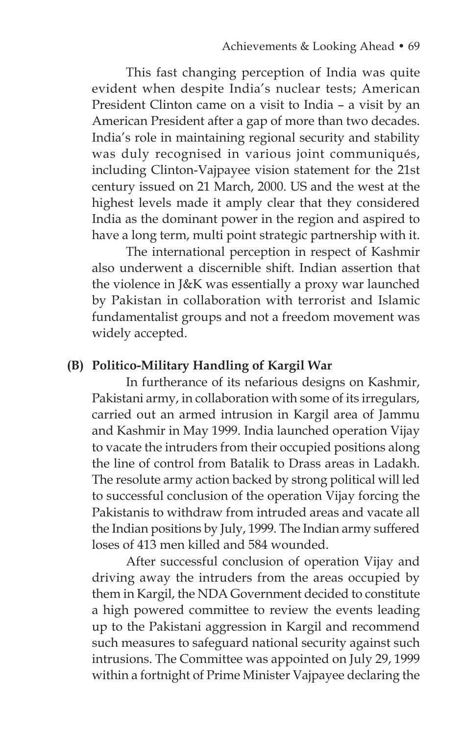This fast changing perception of India was quite evident when despite India's nuclear tests; American President Clinton came on a visit to India – a visit by an American President after a gap of more than two decades. India's role in maintaining regional security and stability was duly recognised in various joint communiqués, including Clinton-Vajpayee vision statement for the 21st century issued on 21 March, 2000. US and the west at the highest levels made it amply clear that they considered India as the dominant power in the region and aspired to have a long term, multi point strategic partnership with it.

 The international perception in respect of Kashmir also underwent a discernible shift. Indian assertion that the violence in J&K was essentially a proxy war launched by Pakistan in collaboration with terrorist and Islamic fundamentalist groups and not a freedom movement was widely accepted.

#### **(B) Politico-Military Handling of Kargil War**

 In furtherance of its nefarious designs on Kashmir, Pakistani army, in collaboration with some of its irregulars, carried out an armed intrusion in Kargil area of Jammu and Kashmir in May 1999. India launched operation Vijay to vacate the intruders from their occupied positions along the line of control from Batalik to Drass areas in Ladakh. The resolute army action backed by strong political will led to successful conclusion of the operation Vijay forcing the Pakistanis to withdraw from intruded areas and vacate all the Indian positions by July, 1999. The Indian army suffered loses of 413 men killed and 584 wounded.

After successful conclusion of operation Vijay and driving away the intruders from the areas occupied by them in Kargil, the NDA Government decided to constitute a high powered committee to review the events leading up to the Pakistani aggression in Kargil and recommend such measures to safeguard national security against such intrusions. The Committee was appointed on July 29, 1999 within a fortnight of Prime Minister Vajpayee declaring the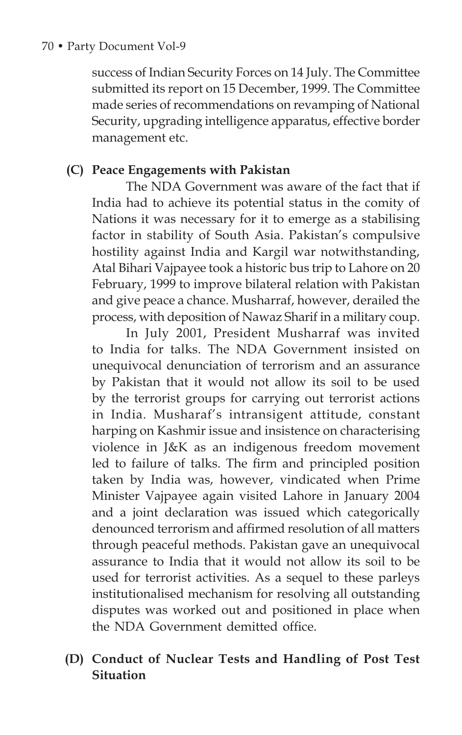success of Indian Security Forces on 14 July. The Committee submitted its report on 15 December, 1999. The Committee made series of recommendations on revamping of National Security, upgrading intelligence apparatus, effective border management etc.

### **(C) Peace Engagements with Pakistan**

The NDA Government was aware of the fact that if India had to achieve its potential status in the comity of Nations it was necessary for it to emerge as a stabilising factor in stability of South Asia. Pakistan's compulsive hostility against India and Kargil war notwithstanding, Atal Bihari Vajpayee took a historic bus trip to Lahore on 20 February, 1999 to improve bilateral relation with Pakistan and give peace a chance. Musharraf, however, derailed the process, with deposition of Nawaz Sharif in a military coup.

 In July 2001, President Musharraf was invited to India for talks. The NDA Government insisted on unequivocal denunciation of terrorism and an assurance by Pakistan that it would not allow its soil to be used by the terrorist groups for carrying out terrorist actions in India. Musharaf's intransigent attitude, constant harping on Kashmir issue and insistence on characterising violence in J&K as an indigenous freedom movement led to failure of talks. The firm and principled position taken by India was, however, vindicated when Prime Minister Vajpayee again visited Lahore in January 2004 and a joint declaration was issued which categorically denounced terrorism and affirmed resolution of all matters through peaceful methods. Pakistan gave an unequivocal assurance to India that it would not allow its soil to be used for terrorist activities. As a sequel to these parleys institutionalised mechanism for resolving all outstanding disputes was worked out and positioned in place when the NDA Government demitted office.

**(D) Conduct of Nuclear Tests and Handling of Post Test Situation**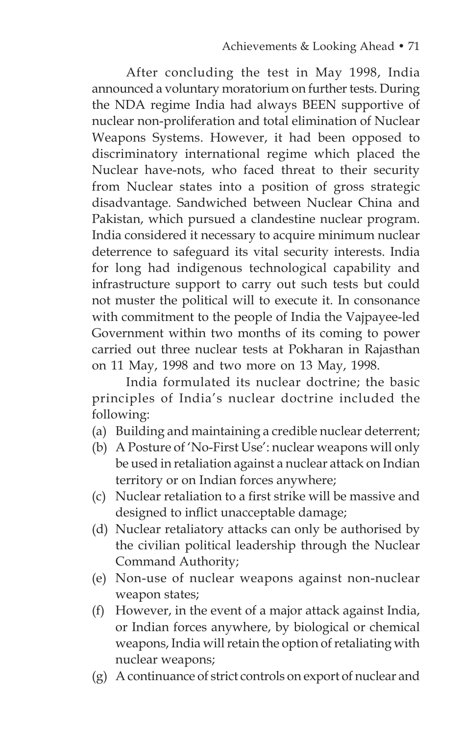After concluding the test in May 1998, India announced a voluntary moratorium on further tests. During the NDA regime India had always BEEN supportive of nuclear non-proliferation and total elimination of Nuclear Weapons Systems. However, it had been opposed to discriminatory international regime which placed the Nuclear have-nots, who faced threat to their security from Nuclear states into a position of gross strategic disadvantage. Sandwiched between Nuclear China and Pakistan, which pursued a clandestine nuclear program. India considered it necessary to acquire minimum nuclear deterrence to safeguard its vital security interests. India for long had indigenous technological capability and infrastructure support to carry out such tests but could not muster the political will to execute it. In consonance with commitment to the people of India the Vajpayee-led Government within two months of its coming to power carried out three nuclear tests at Pokharan in Rajasthan on 11 May, 1998 and two more on 13 May, 1998.

 India formulated its nuclear doctrine; the basic principles of India's nuclear doctrine included the following:

- (a) Building and maintaining a credible nuclear deterrent;
- (b) A Posture of 'No-First Use': nuclear weapons will only be used in retaliation against a nuclear attack on Indian territory or on Indian forces anywhere;
- (c) Nuclear retaliation to a first strike will be massive and designed to inflict unacceptable damage;
- (d) Nuclear retaliatory attacks can only be authorised by the civilian political leadership through the Nuclear Command Authority;
- (e) Non-use of nuclear weapons against non-nuclear weapon states;
- (f) However, in the event of a major attack against India, or Indian forces anywhere, by biological or chemical weapons, India will retain the option of retaliating with nuclear weapons;
- (g) A continuance of strict controls on export of nuclear and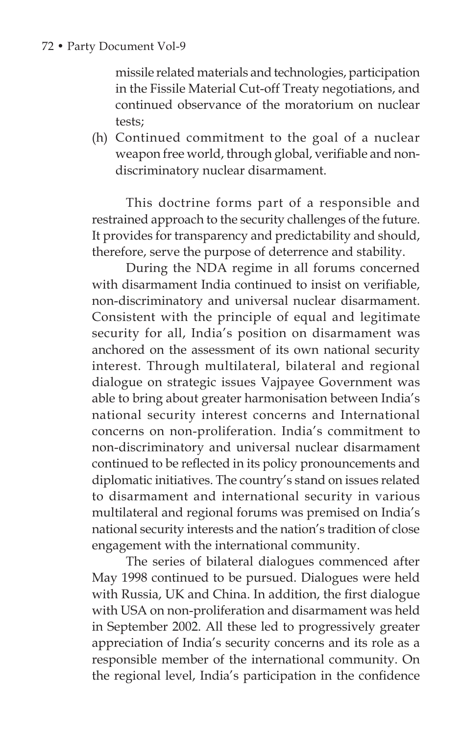missile related materials and technologies, participation in the Fissile Material Cut-off Treaty negotiations, and continued observance of the moratorium on nuclear tests;

 (h) Continued commitment to the goal of a nuclear weapon free world, through global, verifiable and nondiscriminatory nuclear disarmament.

 This doctrine forms part of a responsible and restrained approach to the security challenges of the future. It provides for transparency and predictability and should, therefore, serve the purpose of deterrence and stability.

 During the NDA regime in all forums concerned with disarmament India continued to insist on verifiable, non-discriminatory and universal nuclear disarmament. Consistent with the principle of equal and legitimate security for all, India's position on disarmament was anchored on the assessment of its own national security interest. Through multilateral, bilateral and regional dialogue on strategic issues Vajpayee Government was able to bring about greater harmonisation between India's national security interest concerns and International concerns on non-proliferation. India's commitment to non-discriminatory and universal nuclear disarmament continued to be reflected in its policy pronouncements and diplomatic initiatives. The country's stand on issues related to disarmament and international security in various multilateral and regional forums was premised on India's national security interests and the nation's tradition of close engagement with the international community.

 The series of bilateral dialogues commenced after May 1998 continued to be pursued. Dialogues were held with Russia, UK and China. In addition, the first dialogue with USA on non-proliferation and disarmament was held in September 2002. All these led to progressively greater appreciation of India's security concerns and its role as a responsible member of the international community. On the regional level, India's participation in the confidence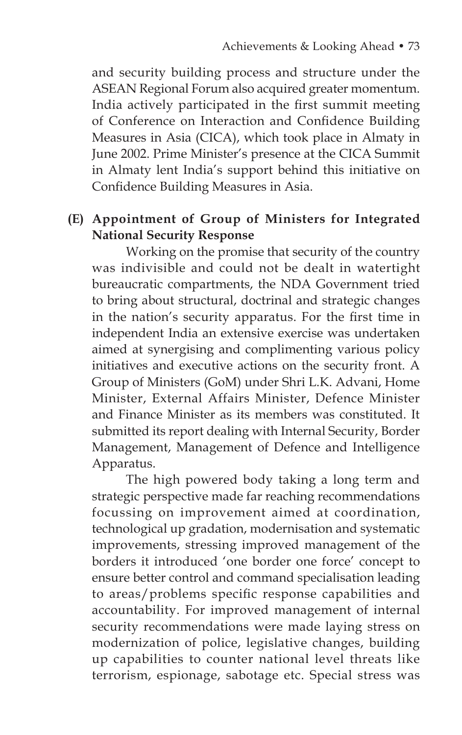and security building process and structure under the ASEAN Regional Forum also acquired greater momentum. India actively participated in the first summit meeting of Conference on Interaction and Confidence Building Measures in Asia (CICA), which took place in Almaty in June 2002. Prime Minister's presence at the CICA Summit in Almaty lent India's support behind this initiative on Confidence Building Measures in Asia.

# **(E) Appointment of Group of Ministers for Integrated National Security Response**

 Working on the promise that security of the country was indivisible and could not be dealt in watertight bureaucratic compartments, the NDA Government tried to bring about structural, doctrinal and strategic changes in the nation's security apparatus. For the first time in independent India an extensive exercise was undertaken aimed at synergising and complimenting various policy initiatives and executive actions on the security front. A Group of Ministers (GoM) under Shri L.K. Advani, Home Minister, External Affairs Minister, Defence Minister and Finance Minister as its members was constituted. It submitted its report dealing with Internal Security, Border Management, Management of Defence and Intelligence Apparatus.

 The high powered body taking a long term and strategic perspective made far reaching recommendations focussing on improvement aimed at coordination, technological up gradation, modernisation and systematic improvements, stressing improved management of the borders it introduced 'one border one force' concept to ensure better control and command specialisation leading to areas/problems specific response capabilities and accountability. For improved management of internal security recommendations were made laying stress on modernization of police, legislative changes, building up capabilities to counter national level threats like terrorism, espionage, sabotage etc. Special stress was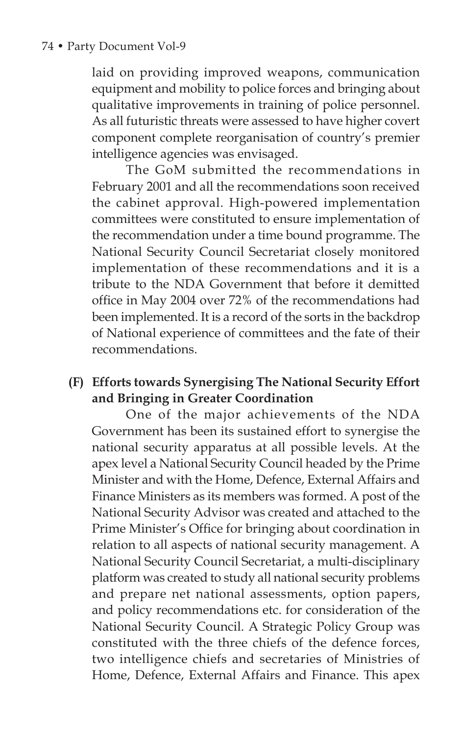### 74 • Party Document Vol-9

laid on providing improved weapons, communication equipment and mobility to police forces and bringing about qualitative improvements in training of police personnel. As all futuristic threats were assessed to have higher covert component complete reorganisation of country's premier intelligence agencies was envisaged.

The GoM submitted the recommendations in February 2001 and all the recommendations soon received the cabinet approval. High-powered implementation committees were constituted to ensure implementation of the recommendation under a time bound programme. The National Security Council Secretariat closely monitored implementation of these recommendations and it is a tribute to the NDA Government that before it demitted office in May 2004 over 72% of the recommendations had been implemented. It is a record of the sorts in the backdrop of National experience of committees and the fate of their recommendations.

### **(F) Efforts towards Synergising The National Security Effort and Bringing in Greater Coordination**

One of the major achievements of the NDA Government has been its sustained effort to synergise the national security apparatus at all possible levels. At the apex level a National Security Council headed by the Prime Minister and with the Home, Defence, External Affairs and Finance Ministers as its members was formed. A post of the National Security Advisor was created and attached to the Prime Minister's Office for bringing about coordination in relation to all aspects of national security management. A National Security Council Secretariat, a multi-disciplinary platform was created to study all national security problems and prepare net national assessments, option papers, and policy recommendations etc. for consideration of the National Security Council. A Strategic Policy Group was constituted with the three chiefs of the defence forces, two intelligence chiefs and secretaries of Ministries of Home, Defence, External Affairs and Finance. This apex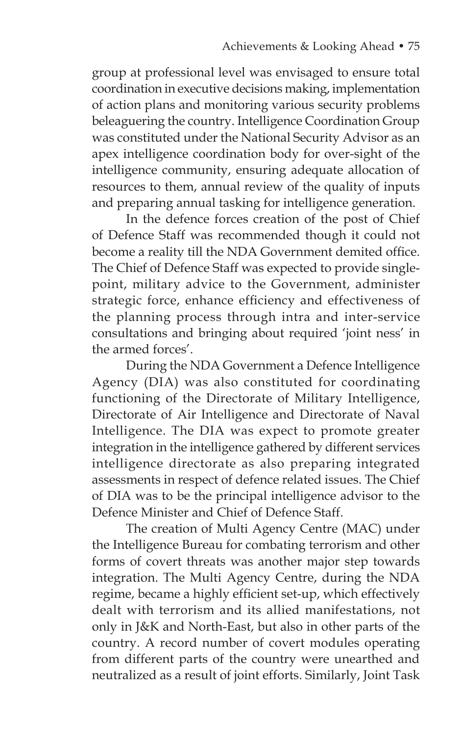group at professional level was envisaged to ensure total coordination in executive decisions making, implementation of action plans and monitoring various security problems beleaguering the country. Intelligence Coordination Group was constituted under the National Security Advisor as an apex intelligence coordination body for over-sight of the intelligence community, ensuring adequate allocation of resources to them, annual review of the quality of inputs and preparing annual tasking for intelligence generation.

 In the defence forces creation of the post of Chief of Defence Staff was recommended though it could not become a reality till the NDA Government demited office. The Chief of Defence Staff was expected to provide singlepoint, military advice to the Government, administer strategic force, enhance efficiency and effectiveness of the planning process through intra and inter-service consultations and bringing about required 'joint ness' in the armed forces'.

 During the NDA Government a Defence Intelligence Agency (DIA) was also constituted for coordinating functioning of the Directorate of Military Intelligence, Directorate of Air Intelligence and Directorate of Naval Intelligence. The DIA was expect to promote greater integration in the intelligence gathered by different services intelligence directorate as also preparing integrated assessments in respect of defence related issues. The Chief of DIA was to be the principal intelligence advisor to the Defence Minister and Chief of Defence Staff.

 The creation of Multi Agency Centre (MAC) under the Intelligence Bureau for combating terrorism and other forms of covert threats was another major step towards integration. The Multi Agency Centre, during the NDA regime, became a highly efficient set-up, which effectively dealt with terrorism and its allied manifestations, not only in J&K and North-East, but also in other parts of the country. A record number of covert modules operating from different parts of the country were unearthed and neutralized as a result of joint efforts. Similarly, Joint Task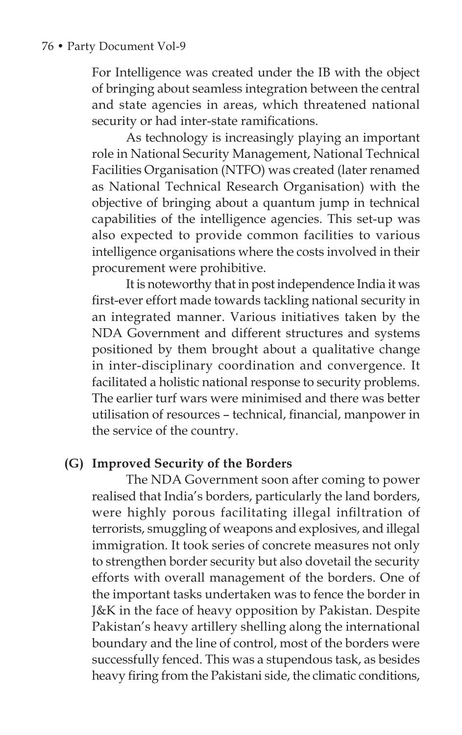For Intelligence was created under the IB with the object of bringing about seamless integration between the central and state agencies in areas, which threatened national security or had inter-state ramifications.

 As technology is increasingly playing an important role in National Security Management, National Technical Facilities Organisation (NTFO) was created (later renamed as National Technical Research Organisation) with the objective of bringing about a quantum jump in technical capabilities of the intelligence agencies. This set-up was also expected to provide common facilities to various intelligence organisations where the costs involved in their procurement were prohibitive.

 It is noteworthy that in post independence India it was first-ever effort made towards tackling national security in an integrated manner. Various initiatives taken by the NDA Government and different structures and systems positioned by them brought about a qualitative change in inter-disciplinary coordination and convergence. It facilitated a holistic national response to security problems. The earlier turf wars were minimised and there was better utilisation of resources – technical, financial, manpower in the service of the country.

# **(G) Improved Security of the Borders**

 The NDA Government soon after coming to power realised that India's borders, particularly the land borders, were highly porous facilitating illegal infiltration of terrorists, smuggling of weapons and explosives, and illegal immigration. It took series of concrete measures not only to strengthen border security but also dovetail the security efforts with overall management of the borders. One of the important tasks undertaken was to fence the border in J&K in the face of heavy opposition by Pakistan. Despite Pakistan's heavy artillery shelling along the international boundary and the line of control, most of the borders were successfully fenced. This was a stupendous task, as besides heavy firing from the Pakistani side, the climatic conditions,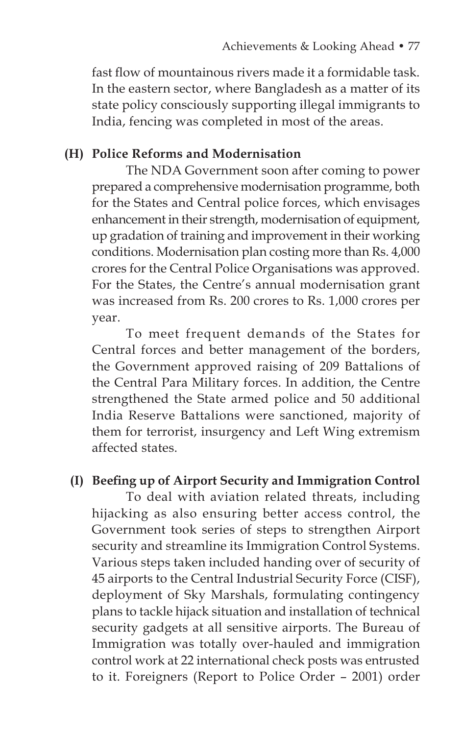fast flow of mountainous rivers made it a formidable task. In the eastern sector, where Bangladesh as a matter of its state policy consciously supporting illegal immigrants to India, fencing was completed in most of the areas.

### **(H) Police Reforms and Modernisation**

The NDA Government soon after coming to power prepared a comprehensive modernisation programme, both for the States and Central police forces, which envisages enhancement in their strength, modernisation of equipment, up gradation of training and improvement in their working conditions. Modernisation plan costing more than Rs. 4,000 crores for the Central Police Organisations was approved. For the States, the Centre's annual modernisation grant was increased from Rs. 200 crores to Rs. 1,000 crores per year.

 To meet frequent demands of the States for Central forces and better management of the borders, the Government approved raising of 209 Battalions of the Central Para Military forces. In addition, the Centre strengthened the State armed police and 50 additional India Reserve Battalions were sanctioned, majority of them for terrorist, insurgency and Left Wing extremism affected states.

### **(I) Beefing up of Airport Security and Immigration Control**

 To deal with aviation related threats, including hijacking as also ensuring better access control, the Government took series of steps to strengthen Airport security and streamline its Immigration Control Systems. Various steps taken included handing over of security of 45 airports to the Central Industrial Security Force (CISF), deployment of Sky Marshals, formulating contingency plans to tackle hijack situation and installation of technical security gadgets at all sensitive airports. The Bureau of Immigration was totally over-hauled and immigration control work at 22 international check posts was entrusted to it. Foreigners (Report to Police Order – 2001) order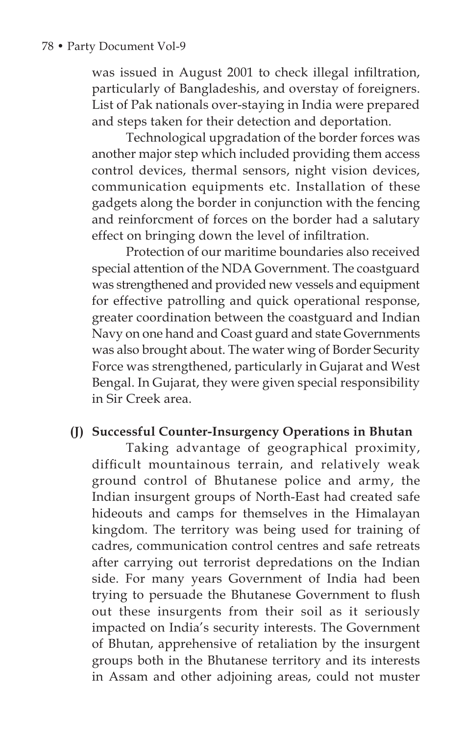was issued in August 2001 to check illegal infiltration, particularly of Bangladeshis, and overstay of foreigners. List of Pak nationals over-staying in India were prepared and steps taken for their detection and deportation.

 Technological upgradation of the border forces was another major step which included providing them access control devices, thermal sensors, night vision devices, communication equipments etc. Installation of these gadgets along the border in conjunction with the fencing and reinforcment of forces on the border had a salutary effect on bringing down the level of infiltration.

 Protection of our maritime boundaries also received special attention of the NDA Government. The coastguard was strengthened and provided new vessels and equipment for effective patrolling and quick operational response, greater coordination between the coastguard and Indian Navy on one hand and Coast guard and state Governments was also brought about. The water wing of Border Security Force was strengthened, particularly in Gujarat and West Bengal. In Gujarat, they were given special responsibility in Sir Creek area.

### **(J) Successful Counter-Insurgency Operations in Bhutan**

 Taking advantage of geographical proximity, difficult mountainous terrain, and relatively weak ground control of Bhutanese police and army, the Indian insurgent groups of North-East had created safe hideouts and camps for themselves in the Himalayan kingdom. The territory was being used for training of cadres, communication control centres and safe retreats after carrying out terrorist depredations on the Indian side. For many years Government of India had been trying to persuade the Bhutanese Government to flush out these insurgents from their soil as it seriously impacted on India's security interests. The Government of Bhutan, apprehensive of retaliation by the insurgent groups both in the Bhutanese territory and its interests in Assam and other adjoining areas, could not muster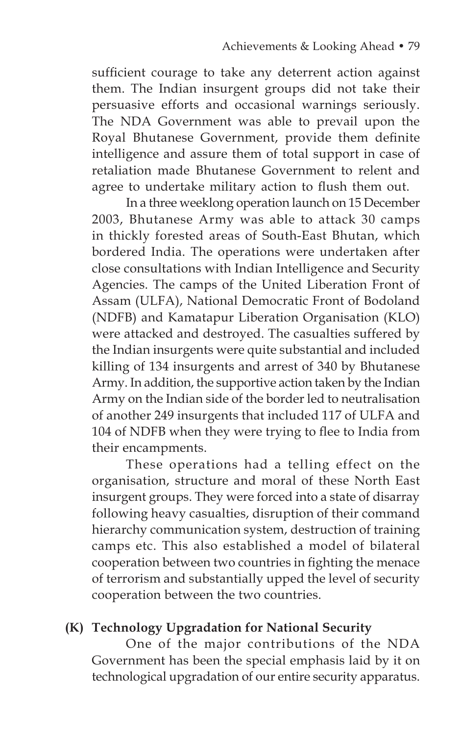sufficient courage to take any deterrent action against them. The Indian insurgent groups did not take their persuasive efforts and occasional warnings seriously. The NDA Government was able to prevail upon the Royal Bhutanese Government, provide them definite intelligence and assure them of total support in case of retaliation made Bhutanese Government to relent and agree to undertake military action to flush them out.

 In a three weeklong operation launch on 15 December 2003, Bhutanese Army was able to attack 30 camps in thickly forested areas of South-East Bhutan, which bordered India. The operations were undertaken after close consultations with Indian Intelligence and Security Agencies. The camps of the United Liberation Front of Assam (ULFA), National Democratic Front of Bodoland (NDFB) and Kamatapur Liberation Organisation (KLO) were attacked and destroyed. The casualties suffered by the Indian insurgents were quite substantial and included killing of 134 insurgents and arrest of 340 by Bhutanese Army. In addition, the supportive action taken by the Indian Army on the Indian side of the border led to neutralisation of another 249 insurgents that included 117 of ULFA and 104 of NDFB when they were trying to flee to India from their encampments.

 These operations had a telling effect on the organisation, structure and moral of these North East insurgent groups. They were forced into a state of disarray following heavy casualties, disruption of their command hierarchy communication system, destruction of training camps etc. This also established a model of bilateral cooperation between two countries in fighting the menace of terrorism and substantially upped the level of security cooperation between the two countries.

### **(K) Technology Upgradation for National Security**

 One of the major contributions of the NDA Government has been the special emphasis laid by it on technological upgradation of our entire security apparatus.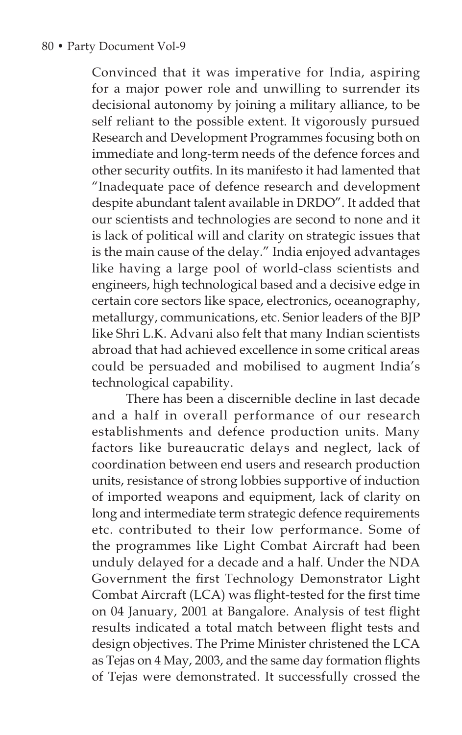Convinced that it was imperative for India, aspiring for a major power role and unwilling to surrender its decisional autonomy by joining a military alliance, to be self reliant to the possible extent. It vigorously pursued Research and Development Programmes focusing both on immediate and long-term needs of the defence forces and other security outfits. In its manifesto it had lamented that "Inadequate pace of defence research and development despite abundant talent available in DRDO". It added that our scientists and technologies are second to none and it is lack of political will and clarity on strategic issues that is the main cause of the delay." India enjoyed advantages like having a large pool of world-class scientists and engineers, high technological based and a decisive edge in certain core sectors like space, electronics, oceanography, metallurgy, communications, etc. Senior leaders of the BJP like Shri L.K. Advani also felt that many Indian scientists abroad that had achieved excellence in some critical areas could be persuaded and mobilised to augment India's technological capability.

 There has been a discernible decline in last decade and a half in overall performance of our research establishments and defence production units. Many factors like bureaucratic delays and neglect, lack of coordination between end users and research production units, resistance of strong lobbies supportive of induction of imported weapons and equipment, lack of clarity on long and intermediate term strategic defence requirements etc. contributed to their low performance. Some of the programmes like Light Combat Aircraft had been unduly delayed for a decade and a half. Under the NDA Government the first Technology Demonstrator Light Combat Aircraft (LCA) was flight-tested for the first time on 04 January, 2001 at Bangalore. Analysis of test flight results indicated a total match between flight tests and design objectives. The Prime Minister christened the LCA as Tejas on 4 May, 2003, and the same day formation flights of Tejas were demonstrated. It successfully crossed the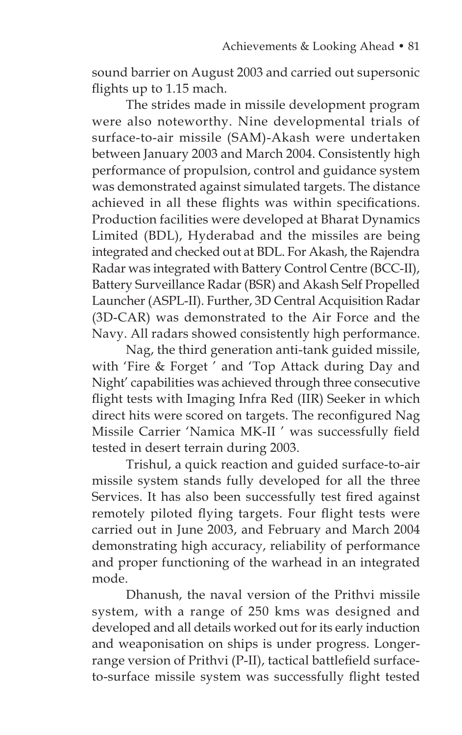sound barrier on August 2003 and carried out supersonic flights up to 1.15 mach.

 The strides made in missile development program were also noteworthy. Nine developmental trials of surface-to-air missile (SAM)-Akash were undertaken between January 2003 and March 2004. Consistently high performance of propulsion, control and guidance system was demonstrated against simulated targets. The distance achieved in all these flights was within specifications. Production facilities were developed at Bharat Dynamics Limited (BDL), Hyderabad and the missiles are being integrated and checked out at BDL. For Akash, the Rajendra Radar was integrated with Battery Control Centre (BCC-II), Battery Surveillance Radar (BSR) and Akash Self Propelled Launcher (ASPL-II). Further, 3D Central Acquisition Radar (3D-CAR) was demonstrated to the Air Force and the Navy. All radars showed consistently high performance.

 Nag, the third generation anti-tank guided missile, with 'Fire & Forget ' and 'Top Attack during Day and Night' capabilities was achieved through three consecutive flight tests with Imaging Infra Red (IIR) Seeker in which direct hits were scored on targets. The reconfigured Nag Missile Carrier 'Namica MK-II ' was successfully field tested in desert terrain during 2003.

 Trishul, a quick reaction and guided surface-to-air missile system stands fully developed for all the three Services. It has also been successfully test fired against remotely piloted flying targets. Four flight tests were carried out in June 2003, and February and March 2004 demonstrating high accuracy, reliability of performance and proper functioning of the warhead in an integrated mode.

 Dhanush, the naval version of the Prithvi missile system, with a range of 250 kms was designed and developed and all details worked out for its early induction and weaponisation on ships is under progress. Longerrange version of Prithvi (P-II), tactical battlefield surfaceto-surface missile system was successfully flight tested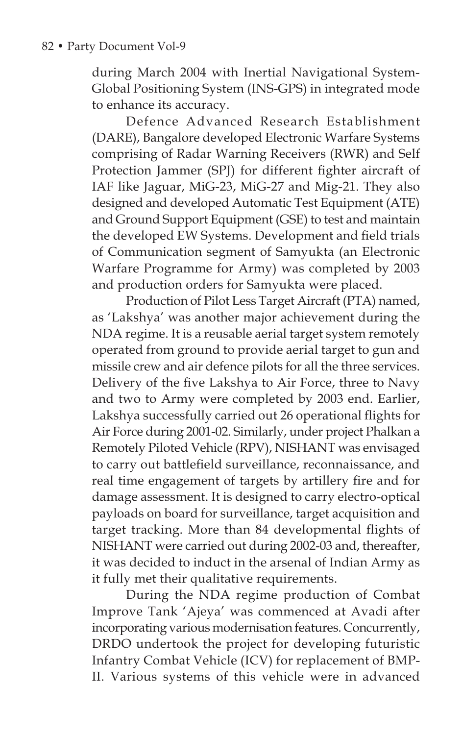during March 2004 with Inertial Navigational System-Global Positioning System (INS-GPS) in integrated mode to enhance its accuracy.

 Defence Advanced Research Establishment (DARE), Bangalore developed Electronic Warfare Systems comprising of Radar Warning Receivers (RWR) and Self Protection Jammer (SPJ) for different fighter aircraft of IAF like Jaguar, MiG-23, MiG-27 and Mig-21. They also designed and developed Automatic Test Equipment (ATE) and Ground Support Equipment (GSE) to test and maintain the developed EW Systems. Development and field trials of Communication segment of Samyukta (an Electronic Warfare Programme for Army) was completed by 2003 and production orders for Samyukta were placed.

 Production of Pilot Less Target Aircraft (PTA) named, as 'Lakshya' was another major achievement during the NDA regime. It is a reusable aerial target system remotely operated from ground to provide aerial target to gun and missile crew and air defence pilots for all the three services. Delivery of the five Lakshya to Air Force, three to Navy and two to Army were completed by 2003 end. Earlier, Lakshya successfully carried out 26 operational flights for Air Force during 2001-02. Similarly, under project Phalkan a Remotely Piloted Vehicle (RPV), NISHANT was envisaged to carry out battlefield surveillance, reconnaissance, and real time engagement of targets by artillery fire and for damage assessment. It is designed to carry electro-optical payloads on board for surveillance, target acquisition and target tracking. More than 84 developmental flights of NISHANT were carried out during 2002-03 and, thereafter, it was decided to induct in the arsenal of Indian Army as it fully met their qualitative requirements.

 During the NDA regime production of Combat Improve Tank 'Ajeya' was commenced at Avadi after incorporating various modernisation features. Concurrently, DRDO undertook the project for developing futuristic Infantry Combat Vehicle (ICV) for replacement of BMP-II. Various systems of this vehicle were in advanced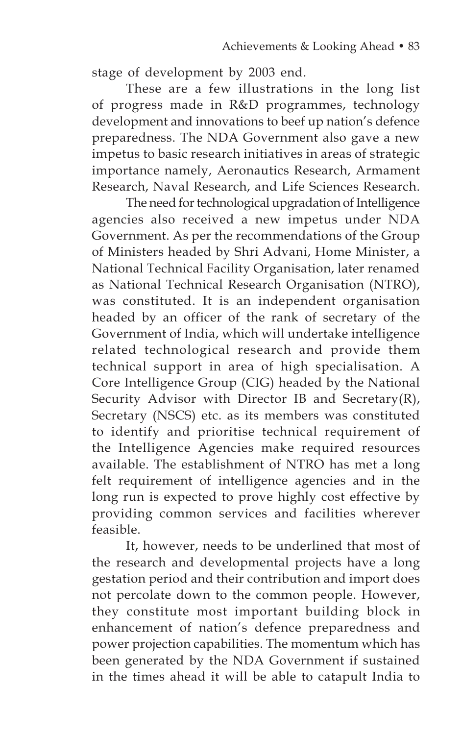stage of development by 2003 end.

 These are a few illustrations in the long list of progress made in R&D programmes, technology development and innovations to beef up nation's defence preparedness. The NDA Government also gave a new impetus to basic research initiatives in areas of strategic importance namely, Aeronautics Research, Armament Research, Naval Research, and Life Sciences Research.

 The need for technological upgradation of Intelligence agencies also received a new impetus under NDA Government. As per the recommendations of the Group of Ministers headed by Shri Advani, Home Minister, a National Technical Facility Organisation, later renamed as National Technical Research Organisation (NTRO), was constituted. It is an independent organisation headed by an officer of the rank of secretary of the Government of India, which will undertake intelligence related technological research and provide them technical support in area of high specialisation. A Core Intelligence Group (CIG) headed by the National Security Advisor with Director IB and Secretary(R), Secretary (NSCS) etc. as its members was constituted to identify and prioritise technical requirement of the Intelligence Agencies make required resources available. The establishment of NTRO has met a long felt requirement of intelligence agencies and in the long run is expected to prove highly cost effective by providing common services and facilities wherever feasible.

 It, however, needs to be underlined that most of the research and developmental projects have a long gestation period and their contribution and import does not percolate down to the common people. However, they constitute most important building block in enhancement of nation's defence preparedness and power projection capabilities. The momentum which has been generated by the NDA Government if sustained in the times ahead it will be able to catapult India to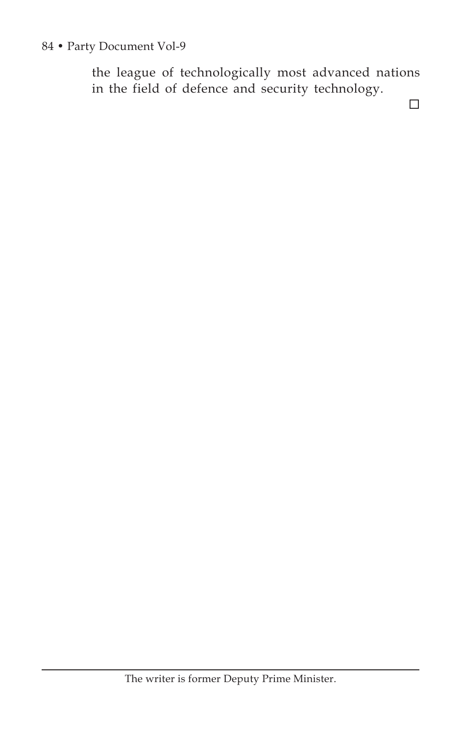### 84 • Party Document Vol-9

the league of technologically most advanced nations in the field of defence and security technology.

 $\Box$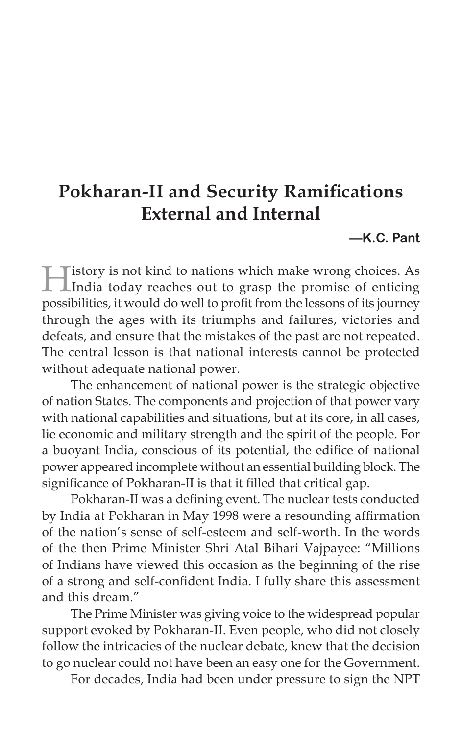# **Pokharan-II and Security Ramifications External and Internal**

**—K.C. Pant**

History is not kind to nations which make wrong choices. As India today reaches out to grasp the promise of enticing possibilities, it would do well to profit from the lessons of its journey through the ages with its triumphs and failures, victories and defeats, and ensure that the mistakes of the past are not repeated. The central lesson is that national interests cannot be protected without adequate national power.

The enhancement of national power is the strategic objective of nation States. The components and projection of that power vary with national capabilities and situations, but at its core, in all cases, lie economic and military strength and the spirit of the people. For a buoyant India, conscious of its potential, the edifice of national power appeared incomplete without an essential building block. The significance of Pokharan-II is that it filled that critical gap.

Pokharan-II was a defining event. The nuclear tests conducted by India at Pokharan in May 1998 were a resounding affirmation of the nation's sense of self-esteem and self-worth. In the words of the then Prime Minister Shri Atal Bihari Vajpayee: "Millions of Indians have viewed this occasion as the beginning of the rise of a strong and self-confident India. I fully share this assessment and this dream."

The Prime Minister was giving voice to the widespread popular support evoked by Pokharan-II. Even people, who did not closely follow the intricacies of the nuclear debate, knew that the decision to go nuclear could not have been an easy one for the Government.

For decades, India had been under pressure to sign the NPT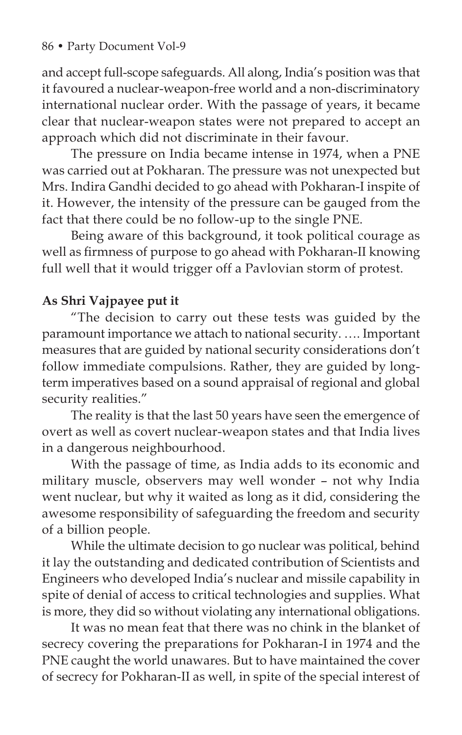and accept full-scope safeguards. All along, India's position was that it favoured a nuclear-weapon-free world and a non-discriminatory international nuclear order. With the passage of years, it became clear that nuclear-weapon states were not prepared to accept an approach which did not discriminate in their favour.

The pressure on India became intense in 1974, when a PNE was carried out at Pokharan. The pressure was not unexpected but Mrs. Indira Gandhi decided to go ahead with Pokharan-I inspite of it. However, the intensity of the pressure can be gauged from the fact that there could be no follow-up to the single PNE.

Being aware of this background, it took political courage as well as firmness of purpose to go ahead with Pokharan-II knowing full well that it would trigger off a Pavlovian storm of protest.

# **As Shri Vajpayee put it**

"The decision to carry out these tests was guided by the paramount importance we attach to national security. …. Important measures that are guided by national security considerations don't follow immediate compulsions. Rather, they are guided by longterm imperatives based on a sound appraisal of regional and global security realities."

The reality is that the last 50 years have seen the emergence of overt as well as covert nuclear-weapon states and that India lives in a dangerous neighbourhood.

With the passage of time, as India adds to its economic and military muscle, observers may well wonder – not why India went nuclear, but why it waited as long as it did, considering the awesome responsibility of safeguarding the freedom and security of a billion people.

While the ultimate decision to go nuclear was political, behind it lay the outstanding and dedicated contribution of Scientists and Engineers who developed India's nuclear and missile capability in spite of denial of access to critical technologies and supplies. What is more, they did so without violating any international obligations.

It was no mean feat that there was no chink in the blanket of secrecy covering the preparations for Pokharan-I in 1974 and the PNE caught the world unawares. But to have maintained the cover of secrecy for Pokharan-II as well, in spite of the special interest of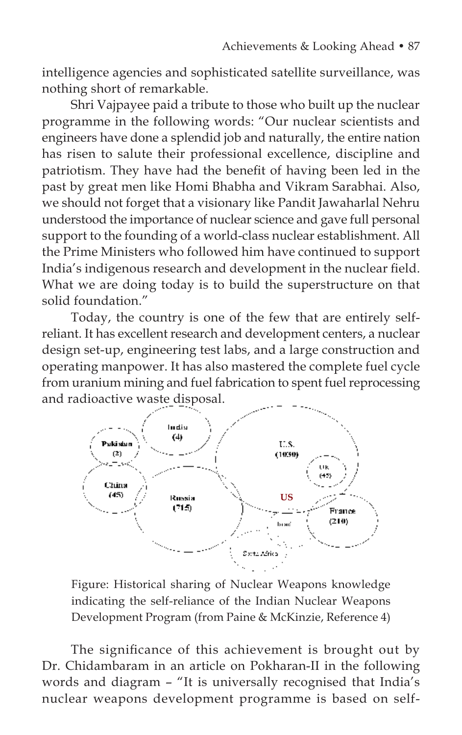intelligence agencies and sophisticated satellite surveillance, was nothing short of remarkable.

Shri Vajpayee paid a tribute to those who built up the nuclear programme in the following words: "Our nuclear scientists and engineers have done a splendid job and naturally, the entire nation has risen to salute their professional excellence, discipline and patriotism. They have had the benefit of having been led in the past by great men like Homi Bhabha and Vikram Sarabhai. Also, we should not forget that a visionary like Pandit Jawaharlal Nehru understood the importance of nuclear science and gave full personal support to the founding of a world-class nuclear establishment. All the Prime Ministers who followed him have continued to support India's indigenous research and development in the nuclear field. What we are doing today is to build the superstructure on that solid foundation."

Today, the country is one of the few that are entirely selfreliant. It has excellent research and development centers, a nuclear design set-up, engineering test labs, and a large construction and operating manpower. It has also mastered the complete fuel cycle from uranium mining and fuel fabrication to spent fuel reprocessing and radioactive waste disposal.



Figure: Historical sharing of Nuclear Weapons knowledge indicating the self-reliance of the Indian Nuclear Weapons Development Program (from Paine & McKinzie, Reference 4)

The significance of this achievement is brought out by Dr. Chidambaram in an article on Pokharan-II in the following words and diagram – "It is universally recognised that India's nuclear weapons development programme is based on self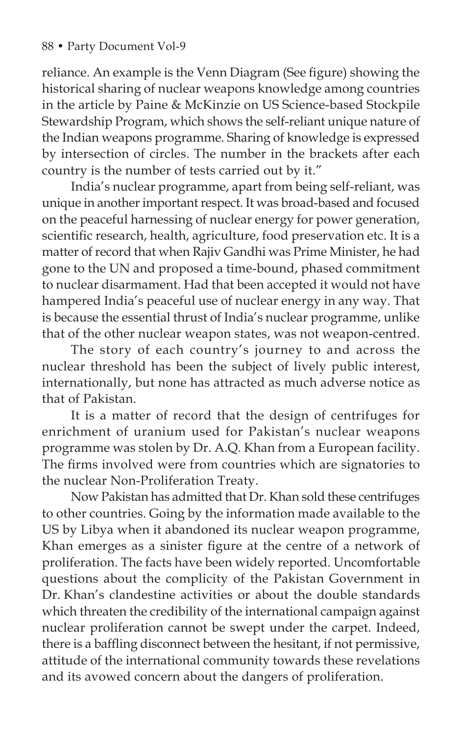reliance. An example is the Venn Diagram (See figure) showing the historical sharing of nuclear weapons knowledge among countries in the article by Paine & McKinzie on US Science-based Stockpile Stewardship Program, which shows the self-reliant unique nature of the Indian weapons programme. Sharing of knowledge is expressed by intersection of circles. The number in the brackets after each country is the number of tests carried out by it."

India's nuclear programme, apart from being self-reliant, was unique in another important respect. It was broad-based and focused on the peaceful harnessing of nuclear energy for power generation, scientific research, health, agriculture, food preservation etc. It is a matter of record that when Rajiv Gandhi was Prime Minister, he had gone to the UN and proposed a time-bound, phased commitment to nuclear disarmament. Had that been accepted it would not have hampered India's peaceful use of nuclear energy in any way. That is because the essential thrust of India's nuclear programme, unlike that of the other nuclear weapon states, was not weapon-centred.

The story of each country's journey to and across the nuclear threshold has been the subject of lively public interest, internationally, but none has attracted as much adverse notice as that of Pakistan.

It is a matter of record that the design of centrifuges for enrichment of uranium used for Pakistan's nuclear weapons programme was stolen by Dr. A.Q. Khan from a European facility. The firms involved were from countries which are signatories to the nuclear Non-Proliferation Treaty.

Now Pakistan has admitted that Dr. Khan sold these centrifuges to other countries. Going by the information made available to the US by Libya when it abandoned its nuclear weapon programme, Khan emerges as a sinister figure at the centre of a network of proliferation. The facts have been widely reported. Uncomfortable questions about the complicity of the Pakistan Government in Dr. Khan's clandestine activities or about the double standards which threaten the credibility of the international campaign against nuclear proliferation cannot be swept under the carpet. Indeed, there is a baffling disconnect between the hesitant, if not permissive, attitude of the international community towards these revelations and its avowed concern about the dangers of proliferation.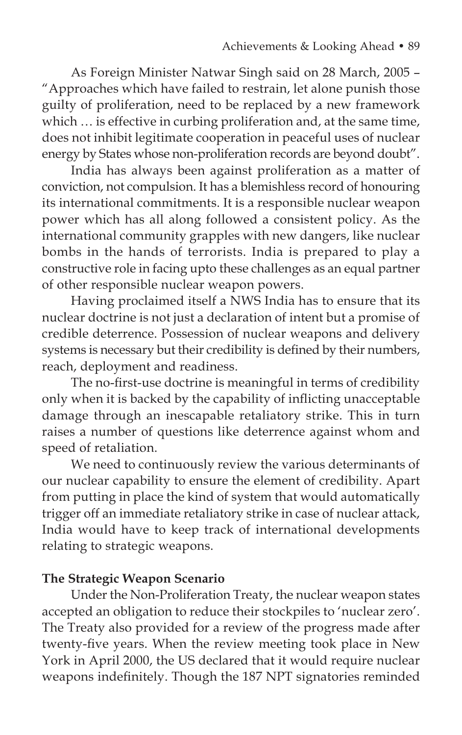As Foreign Minister Natwar Singh said on 28 March, 2005 – "Approaches which have failed to restrain, let alone punish those guilty of proliferation, need to be replaced by a new framework which ... is effective in curbing proliferation and, at the same time, does not inhibit legitimate cooperation in peaceful uses of nuclear energy by States whose non-proliferation records are beyond doubt".

India has always been against proliferation as a matter of conviction, not compulsion. It has a blemishless record of honouring its international commitments. It is a responsible nuclear weapon power which has all along followed a consistent policy. As the international community grapples with new dangers, like nuclear bombs in the hands of terrorists. India is prepared to play a constructive role in facing upto these challenges as an equal partner of other responsible nuclear weapon powers.

Having proclaimed itself a NWS India has to ensure that its nuclear doctrine is not just a declaration of intent but a promise of credible deterrence. Possession of nuclear weapons and delivery systems is necessary but their credibility is defined by their numbers, reach, deployment and readiness.

The no-first-use doctrine is meaningful in terms of credibility only when it is backed by the capability of inflicting unacceptable damage through an inescapable retaliatory strike. This in turn raises a number of questions like deterrence against whom and speed of retaliation.

We need to continuously review the various determinants of our nuclear capability to ensure the element of credibility. Apart from putting in place the kind of system that would automatically trigger off an immediate retaliatory strike in case of nuclear attack, India would have to keep track of international developments relating to strategic weapons.

### **The Strategic Weapon Scenario**

Under the Non-Proliferation Treaty, the nuclear weapon states accepted an obligation to reduce their stockpiles to 'nuclear zero'. The Treaty also provided for a review of the progress made after twenty-five years. When the review meeting took place in New York in April 2000, the US declared that it would require nuclear weapons indefinitely. Though the 187 NPT signatories reminded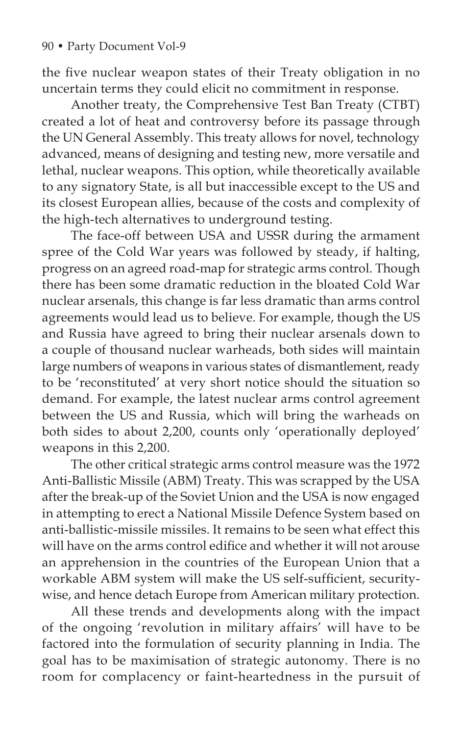the five nuclear weapon states of their Treaty obligation in no uncertain terms they could elicit no commitment in response.

Another treaty, the Comprehensive Test Ban Treaty (CTBT) created a lot of heat and controversy before its passage through the UN General Assembly. This treaty allows for novel, technology advanced, means of designing and testing new, more versatile and lethal, nuclear weapons. This option, while theoretically available to any signatory State, is all but inaccessible except to the US and its closest European allies, because of the costs and complexity of the high-tech alternatives to underground testing.

The face-off between USA and USSR during the armament spree of the Cold War years was followed by steady, if halting, progress on an agreed road-map for strategic arms control. Though there has been some dramatic reduction in the bloated Cold War nuclear arsenals, this change is far less dramatic than arms control agreements would lead us to believe. For example, though the US and Russia have agreed to bring their nuclear arsenals down to a couple of thousand nuclear warheads, both sides will maintain large numbers of weapons in various states of dismantlement, ready to be 'reconstituted' at very short notice should the situation so demand. For example, the latest nuclear arms control agreement between the US and Russia, which will bring the warheads on both sides to about 2,200, counts only 'operationally deployed' weapons in this 2,200.

The other critical strategic arms control measure was the 1972 Anti-Ballistic Missile (ABM) Treaty. This was scrapped by the USA after the break-up of the Soviet Union and the USA is now engaged in attempting to erect a National Missile Defence System based on anti-ballistic-missile missiles. It remains to be seen what effect this will have on the arms control edifice and whether it will not arouse an apprehension in the countries of the European Union that a workable ABM system will make the US self-sufficient, securitywise, and hence detach Europe from American military protection.

All these trends and developments along with the impact of the ongoing 'revolution in military affairs' will have to be factored into the formulation of security planning in India. The goal has to be maximisation of strategic autonomy. There is no room for complacency or faint-heartedness in the pursuit of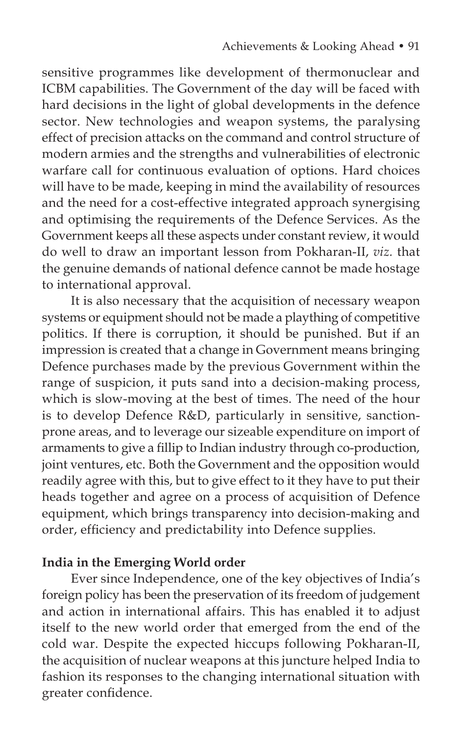sensitive programmes like development of thermonuclear and ICBM capabilities. The Government of the day will be faced with hard decisions in the light of global developments in the defence sector. New technologies and weapon systems, the paralysing effect of precision attacks on the command and control structure of modern armies and the strengths and vulnerabilities of electronic warfare call for continuous evaluation of options. Hard choices will have to be made, keeping in mind the availability of resources and the need for a cost-effective integrated approach synergising and optimising the requirements of the Defence Services. As the Government keeps all these aspects under constant review, it would do well to draw an important lesson from Pokharan-II, *viz.* that the genuine demands of national defence cannot be made hostage to international approval.

It is also necessary that the acquisition of necessary weapon systems or equipment should not be made a plaything of competitive politics. If there is corruption, it should be punished. But if an impression is created that a change in Government means bringing Defence purchases made by the previous Government within the range of suspicion, it puts sand into a decision-making process, which is slow-moving at the best of times. The need of the hour is to develop Defence R&D, particularly in sensitive, sanctionprone areas, and to leverage our sizeable expenditure on import of armaments to give a fillip to Indian industry through co-production, joint ventures, etc. Both the Government and the opposition would readily agree with this, but to give effect to it they have to put their heads together and agree on a process of acquisition of Defence equipment, which brings transparency into decision-making and order, efficiency and predictability into Defence supplies.

### **India in the Emerging World order**

Ever since Independence, one of the key objectives of India's foreign policy has been the preservation of its freedom of judgement and action in international affairs. This has enabled it to adjust itself to the new world order that emerged from the end of the cold war. Despite the expected hiccups following Pokharan-II, the acquisition of nuclear weapons at this juncture helped India to fashion its responses to the changing international situation with greater confidence.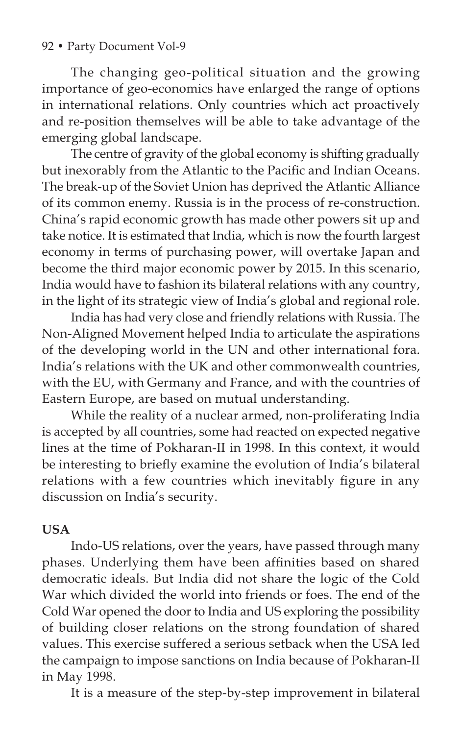### 92 • Party Document Vol-9

The changing geo-political situation and the growing importance of geo-economics have enlarged the range of options in international relations. Only countries which act proactively and re-position themselves will be able to take advantage of the emerging global landscape.

The centre of gravity of the global economy is shifting gradually but inexorably from the Atlantic to the Pacific and Indian Oceans. The break-up of the Soviet Union has deprived the Atlantic Alliance of its common enemy. Russia is in the process of re-construction. China's rapid economic growth has made other powers sit up and take notice. It is estimated that India, which is now the fourth largest economy in terms of purchasing power, will overtake Japan and become the third major economic power by 2015. In this scenario, India would have to fashion its bilateral relations with any country, in the light of its strategic view of India's global and regional role.

India has had very close and friendly relations with Russia. The Non-Aligned Movement helped India to articulate the aspirations of the developing world in the UN and other international fora. India's relations with the UK and other commonwealth countries, with the EU, with Germany and France, and with the countries of Eastern Europe, are based on mutual understanding.

While the reality of a nuclear armed, non-proliferating India is accepted by all countries, some had reacted on expected negative lines at the time of Pokharan-II in 1998. In this context, it would be interesting to briefly examine the evolution of India's bilateral relations with a few countries which inevitably figure in any discussion on India's security.

### **USA**

Indo-US relations, over the years, have passed through many phases. Underlying them have been affinities based on shared democratic ideals. But India did not share the logic of the Cold War which divided the world into friends or foes. The end of the Cold War opened the door to India and US exploring the possibility of building closer relations on the strong foundation of shared values. This exercise suffered a serious setback when the USA led the campaign to impose sanctions on India because of Pokharan-II in May 1998.

It is a measure of the step-by-step improvement in bilateral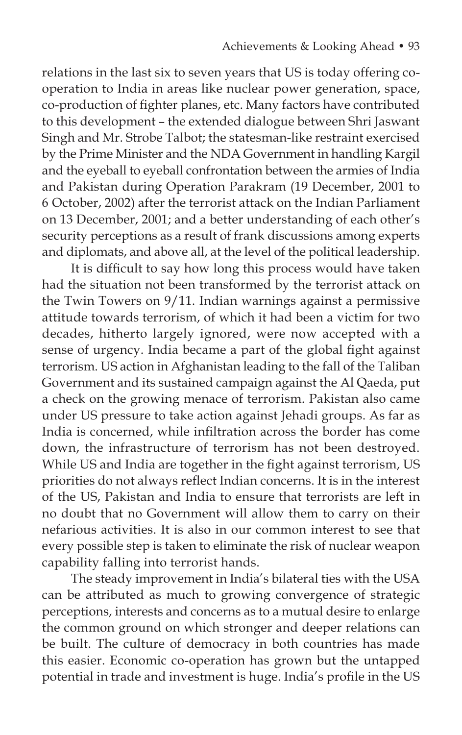relations in the last six to seven years that US is today offering cooperation to India in areas like nuclear power generation, space, co-production of fighter planes, etc. Many factors have contributed to this development – the extended dialogue between Shri Jaswant Singh and Mr. Strobe Talbot; the statesman-like restraint exercised by the Prime Minister and the NDA Government in handling Kargil and the eyeball to eyeball confrontation between the armies of India and Pakistan during Operation Parakram (19 December, 2001 to 6 October, 2002) after the terrorist attack on the Indian Parliament on 13 December, 2001; and a better understanding of each other's security perceptions as a result of frank discussions among experts and diplomats, and above all, at the level of the political leadership.

It is difficult to say how long this process would have taken had the situation not been transformed by the terrorist attack on the Twin Towers on 9/11. Indian warnings against a permissive attitude towards terrorism, of which it had been a victim for two decades, hitherto largely ignored, were now accepted with a sense of urgency. India became a part of the global fight against terrorism. US action in Afghanistan leading to the fall of the Taliban Government and its sustained campaign against the Al Qaeda, put a check on the growing menace of terrorism. Pakistan also came under US pressure to take action against Jehadi groups. As far as India is concerned, while infiltration across the border has come down, the infrastructure of terrorism has not been destroyed. While US and India are together in the fight against terrorism, US priorities do not always reflect Indian concerns. It is in the interest of the US, Pakistan and India to ensure that terrorists are left in no doubt that no Government will allow them to carry on their nefarious activities. It is also in our common interest to see that every possible step is taken to eliminate the risk of nuclear weapon capability falling into terrorist hands.

The steady improvement in India's bilateral ties with the USA can be attributed as much to growing convergence of strategic perceptions, interests and concerns as to a mutual desire to enlarge the common ground on which stronger and deeper relations can be built. The culture of democracy in both countries has made this easier. Economic co-operation has grown but the untapped potential in trade and investment is huge. India's profile in the US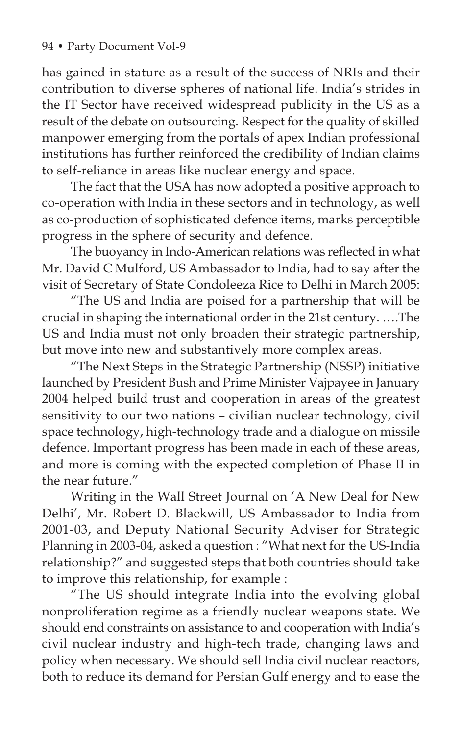has gained in stature as a result of the success of NRIs and their contribution to diverse spheres of national life. India's strides in the IT Sector have received widespread publicity in the US as a result of the debate on outsourcing. Respect for the quality of skilled manpower emerging from the portals of apex Indian professional institutions has further reinforced the credibility of Indian claims to self-reliance in areas like nuclear energy and space.

The fact that the USA has now adopted a positive approach to co-operation with India in these sectors and in technology, as well as co-production of sophisticated defence items, marks perceptible progress in the sphere of security and defence.

The buoyancy in Indo-American relations was reflected in what Mr. David C Mulford, US Ambassador to India, had to say after the visit of Secretary of State Condoleeza Rice to Delhi in March 2005:

"The US and India are poised for a partnership that will be crucial in shaping the international order in the 21st century. ….The US and India must not only broaden their strategic partnership, but move into new and substantively more complex areas.

"The Next Steps in the Strategic Partnership (NSSP) initiative launched by President Bush and Prime Minister Vajpayee in January 2004 helped build trust and cooperation in areas of the greatest sensitivity to our two nations – civilian nuclear technology, civil space technology, high-technology trade and a dialogue on missile defence. Important progress has been made in each of these areas, and more is coming with the expected completion of Phase II in the near future."

Writing in the Wall Street Journal on 'A New Deal for New Delhi', Mr. Robert D. Blackwill, US Ambassador to India from 2001-03, and Deputy National Security Adviser for Strategic Planning in 2003-04, asked a question : "What next for the US-India relationship?" and suggested steps that both countries should take to improve this relationship, for example :

"The US should integrate India into the evolving global nonproliferation regime as a friendly nuclear weapons state. We should end constraints on assistance to and cooperation with India's civil nuclear industry and high-tech trade, changing laws and policy when necessary. We should sell India civil nuclear reactors, both to reduce its demand for Persian Gulf energy and to ease the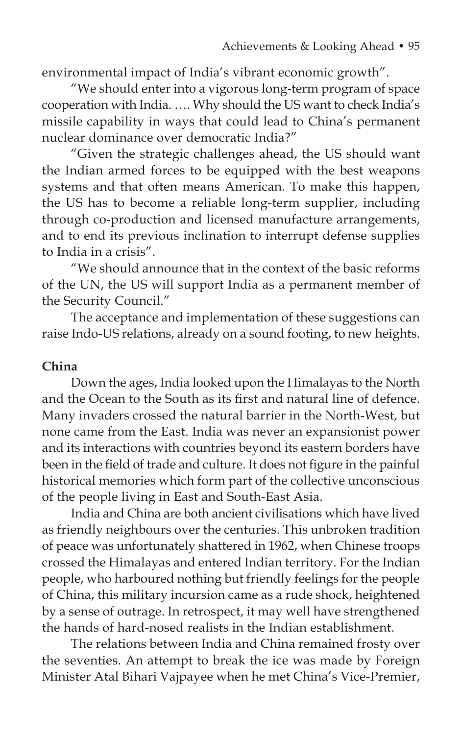environmental impact of India's vibrant economic growth".

"We should enter into a vigorous long-term program of space cooperation with India. …. Why should the US want to check India's missile capability in ways that could lead to China's permanent nuclear dominance over democratic India?"

"Given the strategic challenges ahead, the US should want the Indian armed forces to be equipped with the best weapons systems and that often means American. To make this happen, the US has to become a reliable long-term supplier, including through co-production and licensed manufacture arrangements, and to end its previous inclination to interrupt defense supplies to India in a crisis".

"We should announce that in the context of the basic reforms of the UN, the US will support India as a permanent member of the Security Council."

The acceptance and implementation of these suggestions can raise Indo-US relations, already on a sound footing, to new heights.

### **China**

Down the ages, India looked upon the Himalayas to the North and the Ocean to the South as its first and natural line of defence. Many invaders crossed the natural barrier in the North-West, but none came from the East. India was never an expansionist power and its interactions with countries beyond its eastern borders have been in the field of trade and culture. It does not figure in the painful historical memories which form part of the collective unconscious of the people living in East and South-East Asia.

India and China are both ancient civilisations which have lived as friendly neighbours over the centuries. This unbroken tradition of peace was unfortunately shattered in 1962, when Chinese troops crossed the Himalayas and entered Indian territory. For the Indian people, who harboured nothing but friendly feelings for the people of China, this military incursion came as a rude shock, heightened by a sense of outrage. In retrospect, it may well have strengthened the hands of hard-nosed realists in the Indian establishment.

The relations between India and China remained frosty over the seventies. An attempt to break the ice was made by Foreign Minister Atal Bihari Vajpayee when he met China's Vice-Premier,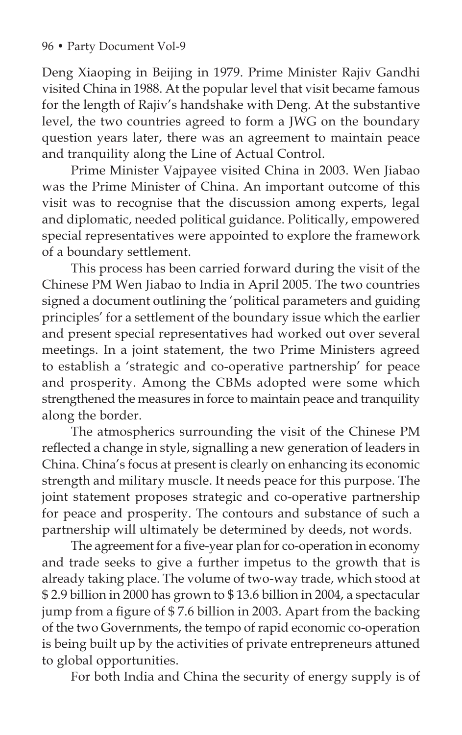Deng Xiaoping in Beijing in 1979. Prime Minister Rajiv Gandhi visited China in 1988. At the popular level that visit became famous for the length of Rajiv's handshake with Deng. At the substantive level, the two countries agreed to form a JWG on the boundary question years later, there was an agreement to maintain peace and tranquility along the Line of Actual Control.

Prime Minister Vajpayee visited China in 2003. Wen Jiabao was the Prime Minister of China. An important outcome of this visit was to recognise that the discussion among experts, legal and diplomatic, needed political guidance. Politically, empowered special representatives were appointed to explore the framework of a boundary settlement.

This process has been carried forward during the visit of the Chinese PM Wen Jiabao to India in April 2005. The two countries signed a document outlining the 'political parameters and guiding principles' for a settlement of the boundary issue which the earlier and present special representatives had worked out over several meetings. In a joint statement, the two Prime Ministers agreed to establish a 'strategic and co-operative partnership' for peace and prosperity. Among the CBMs adopted were some which strengthened the measures in force to maintain peace and tranquility along the border.

The atmospherics surrounding the visit of the Chinese PM reflected a change in style, signalling a new generation of leaders in China. China's focus at present is clearly on enhancing its economic strength and military muscle. It needs peace for this purpose. The joint statement proposes strategic and co-operative partnership for peace and prosperity. The contours and substance of such a partnership will ultimately be determined by deeds, not words.

The agreement for a five-year plan for co-operation in economy and trade seeks to give a further impetus to the growth that is already taking place. The volume of two-way trade, which stood at \$ 2.9 billion in 2000 has grown to \$ 13.6 billion in 2004, a spectacular jump from a figure of \$ 7.6 billion in 2003. Apart from the backing of the two Governments, the tempo of rapid economic co-operation is being built up by the activities of private entrepreneurs attuned to global opportunities.

For both India and China the security of energy supply is of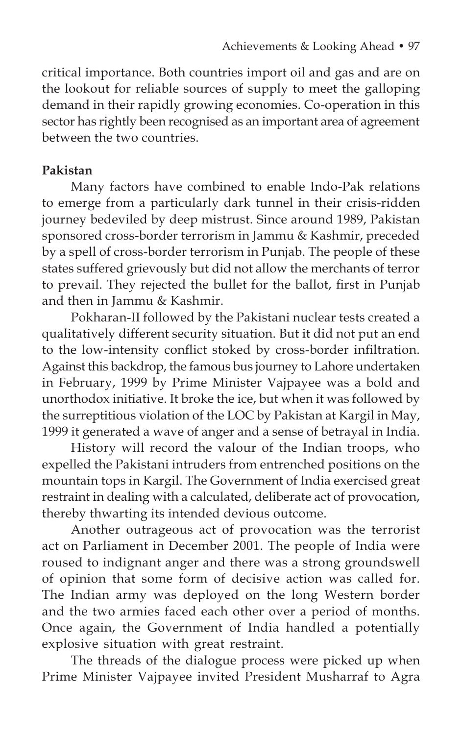critical importance. Both countries import oil and gas and are on the lookout for reliable sources of supply to meet the galloping demand in their rapidly growing economies. Co-operation in this sector has rightly been recognised as an important area of agreement between the two countries.

# **Pakistan**

Many factors have combined to enable Indo-Pak relations to emerge from a particularly dark tunnel in their crisis-ridden journey bedeviled by deep mistrust. Since around 1989, Pakistan sponsored cross-border terrorism in Jammu & Kashmir, preceded by a spell of cross-border terrorism in Punjab. The people of these states suffered grievously but did not allow the merchants of terror to prevail. They rejected the bullet for the ballot, first in Punjab and then in Jammu & Kashmir.

Pokharan-II followed by the Pakistani nuclear tests created a qualitatively different security situation. But it did not put an end to the low-intensity conflict stoked by cross-border infiltration. Against this backdrop, the famous bus journey to Lahore undertaken in February, 1999 by Prime Minister Vajpayee was a bold and unorthodox initiative. It broke the ice, but when it was followed by the surreptitious violation of the LOC by Pakistan at Kargil in May, 1999 it generated a wave of anger and a sense of betrayal in India.

History will record the valour of the Indian troops, who expelled the Pakistani intruders from entrenched positions on the mountain tops in Kargil. The Government of India exercised great restraint in dealing with a calculated, deliberate act of provocation, thereby thwarting its intended devious outcome.

Another outrageous act of provocation was the terrorist act on Parliament in December 2001. The people of India were roused to indignant anger and there was a strong groundswell of opinion that some form of decisive action was called for. The Indian army was deployed on the long Western border and the two armies faced each other over a period of months. Once again, the Government of India handled a potentially explosive situation with great restraint.

The threads of the dialogue process were picked up when Prime Minister Vajpayee invited President Musharraf to Agra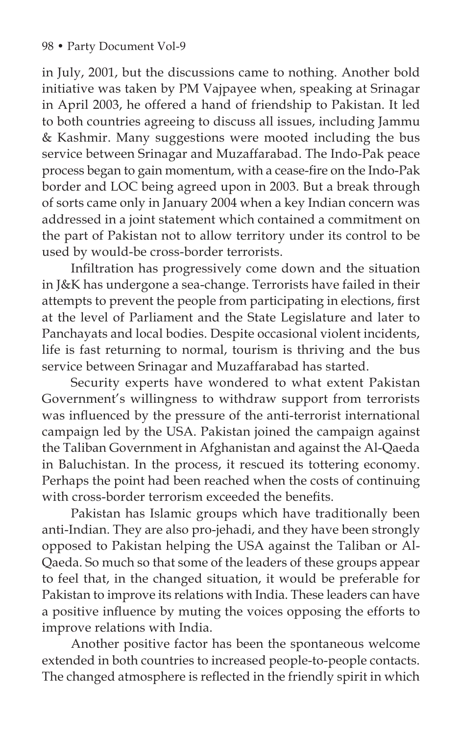in July, 2001, but the discussions came to nothing. Another bold initiative was taken by PM Vajpayee when, speaking at Srinagar in April 2003, he offered a hand of friendship to Pakistan. It led to both countries agreeing to discuss all issues, including Jammu & Kashmir. Many suggestions were mooted including the bus service between Srinagar and Muzaffarabad. The Indo-Pak peace process began to gain momentum, with a cease-fire on the Indo-Pak border and LOC being agreed upon in 2003. But a break through of sorts came only in January 2004 when a key Indian concern was addressed in a joint statement which contained a commitment on the part of Pakistan not to allow territory under its control to be used by would-be cross-border terrorists.

Infiltration has progressively come down and the situation in J&K has undergone a sea-change. Terrorists have failed in their attempts to prevent the people from participating in elections, first at the level of Parliament and the State Legislature and later to Panchayats and local bodies. Despite occasional violent incidents, life is fast returning to normal, tourism is thriving and the bus service between Srinagar and Muzaffarabad has started.

Security experts have wondered to what extent Pakistan Government's willingness to withdraw support from terrorists was influenced by the pressure of the anti-terrorist international campaign led by the USA. Pakistan joined the campaign against the Taliban Government in Afghanistan and against the Al-Qaeda in Baluchistan. In the process, it rescued its tottering economy. Perhaps the point had been reached when the costs of continuing with cross-border terrorism exceeded the benefits.

Pakistan has Islamic groups which have traditionally been anti-Indian. They are also pro-jehadi, and they have been strongly opposed to Pakistan helping the USA against the Taliban or Al-Qaeda. So much so that some of the leaders of these groups appear to feel that, in the changed situation, it would be preferable for Pakistan to improve its relations with India. These leaders can have a positive influence by muting the voices opposing the efforts to improve relations with India.

Another positive factor has been the spontaneous welcome extended in both countries to increased people-to-people contacts. The changed atmosphere is reflected in the friendly spirit in which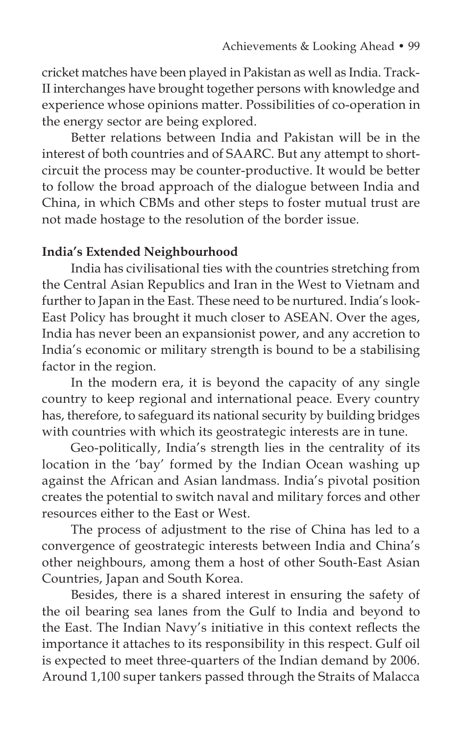cricket matches have been played in Pakistan as well as India. Track-II interchanges have brought together persons with knowledge and experience whose opinions matter. Possibilities of co-operation in the energy sector are being explored.

Better relations between India and Pakistan will be in the interest of both countries and of SAARC. But any attempt to shortcircuit the process may be counter-productive. It would be better to follow the broad approach of the dialogue between India and China, in which CBMs and other steps to foster mutual trust are not made hostage to the resolution of the border issue.

### **India's Extended Neighbourhood**

India has civilisational ties with the countries stretching from the Central Asian Republics and Iran in the West to Vietnam and further to Japan in the East. These need to be nurtured. India's look-East Policy has brought it much closer to ASEAN. Over the ages, India has never been an expansionist power, and any accretion to India's economic or military strength is bound to be a stabilising factor in the region.

In the modern era, it is beyond the capacity of any single country to keep regional and international peace. Every country has, therefore, to safeguard its national security by building bridges with countries with which its geostrategic interests are in tune.

Geo-politically, India's strength lies in the centrality of its location in the 'bay' formed by the Indian Ocean washing up against the African and Asian landmass. India's pivotal position creates the potential to switch naval and military forces and other resources either to the East or West.

The process of adjustment to the rise of China has led to a convergence of geostrategic interests between India and China's other neighbours, among them a host of other South-East Asian Countries, Japan and South Korea.

Besides, there is a shared interest in ensuring the safety of the oil bearing sea lanes from the Gulf to India and beyond to the East. The Indian Navy's initiative in this context reflects the importance it attaches to its responsibility in this respect. Gulf oil is expected to meet three-quarters of the Indian demand by 2006. Around 1,100 super tankers passed through the Straits of Malacca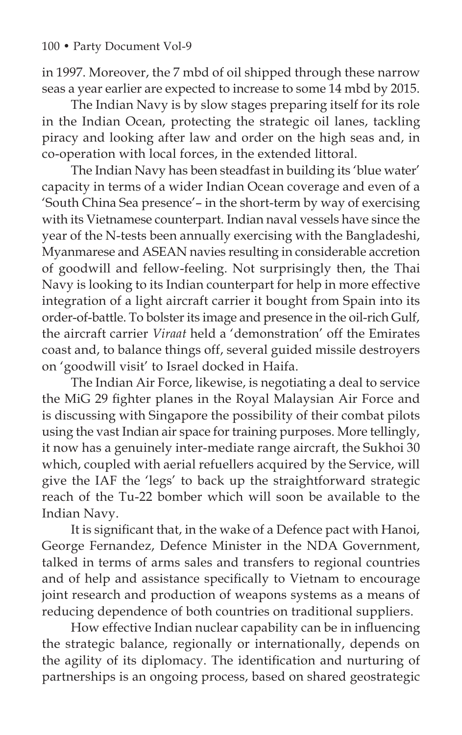in 1997. Moreover, the 7 mbd of oil shipped through these narrow seas a year earlier are expected to increase to some 14 mbd by 2015.

The Indian Navy is by slow stages preparing itself for its role in the Indian Ocean, protecting the strategic oil lanes, tackling piracy and looking after law and order on the high seas and, in co-operation with local forces, in the extended littoral.

The Indian Navy has been steadfast in building its 'blue water' capacity in terms of a wider Indian Ocean coverage and even of a 'South China Sea presence'– in the short-term by way of exercising with its Vietnamese counterpart. Indian naval vessels have since the year of the N-tests been annually exercising with the Bangladeshi, Myanmarese and ASEAN navies resulting in considerable accretion of goodwill and fellow-feeling. Not surprisingly then, the Thai Navy is looking to its Indian counterpart for help in more effective integration of a light aircraft carrier it bought from Spain into its order-of-battle. To bolster its image and presence in the oil-rich Gulf, the aircraft carrier *Viraat* held a 'demonstration' off the Emirates coast and, to balance things off, several guided missile destroyers on 'goodwill visit' to Israel docked in Haifa.

The Indian Air Force, likewise, is negotiating a deal to service the MiG 29 fighter planes in the Royal Malaysian Air Force and is discussing with Singapore the possibility of their combat pilots using the vast Indian air space for training purposes. More tellingly, it now has a genuinely inter-mediate range aircraft, the Sukhoi 30 which, coupled with aerial refuellers acquired by the Service, will give the IAF the 'legs' to back up the straightforward strategic reach of the Tu-22 bomber which will soon be available to the Indian Navy.

It is significant that, in the wake of a Defence pact with Hanoi, George Fernandez, Defence Minister in the NDA Government, talked in terms of arms sales and transfers to regional countries and of help and assistance specifically to Vietnam to encourage joint research and production of weapons systems as a means of reducing dependence of both countries on traditional suppliers.

How effective Indian nuclear capability can be in influencing the strategic balance, regionally or internationally, depends on the agility of its diplomacy. The identification and nurturing of partnerships is an ongoing process, based on shared geostrategic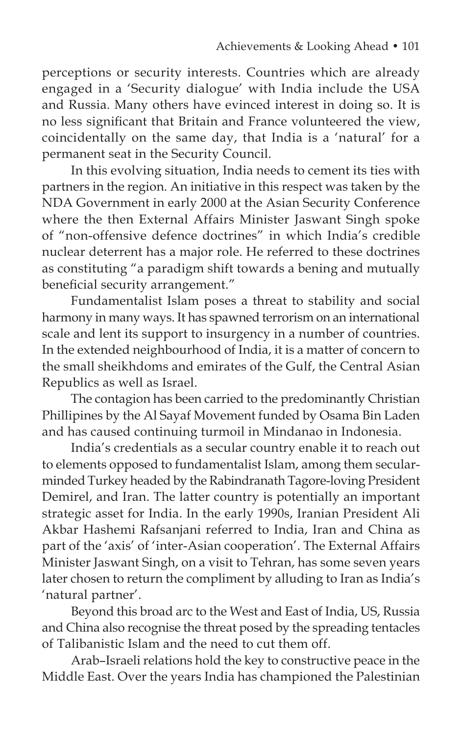perceptions or security interests. Countries which are already engaged in a 'Security dialogue' with India include the USA and Russia. Many others have evinced interest in doing so. It is no less significant that Britain and France volunteered the view, coincidentally on the same day, that India is a 'natural' for a permanent seat in the Security Council.

In this evolving situation, India needs to cement its ties with partners in the region. An initiative in this respect was taken by the NDA Government in early 2000 at the Asian Security Conference where the then External Affairs Minister Jaswant Singh spoke of "non-offensive defence doctrines" in which India's credible nuclear deterrent has a major role. He referred to these doctrines as constituting "a paradigm shift towards a bening and mutually beneficial security arrangement."

Fundamentalist Islam poses a threat to stability and social harmony in many ways. It has spawned terrorism on an international scale and lent its support to insurgency in a number of countries. In the extended neighbourhood of India, it is a matter of concern to the small sheikhdoms and emirates of the Gulf, the Central Asian Republics as well as Israel.

The contagion has been carried to the predominantly Christian Phillipines by the Al Sayaf Movement funded by Osama Bin Laden and has caused continuing turmoil in Mindanao in Indonesia.

India's credentials as a secular country enable it to reach out to elements opposed to fundamentalist Islam, among them secularminded Turkey headed by the Rabindranath Tagore-loving President Demirel, and Iran. The latter country is potentially an important strategic asset for India. In the early 1990s, Iranian President Ali Akbar Hashemi Rafsanjani referred to India, Iran and China as part of the 'axis' of 'inter-Asian cooperation'. The External Affairs Minister Jaswant Singh, on a visit to Tehran, has some seven years later chosen to return the compliment by alluding to Iran as India's 'natural partner'.

Beyond this broad arc to the West and East of India, US, Russia and China also recognise the threat posed by the spreading tentacles of Talibanistic Islam and the need to cut them off.

Arab–Israeli relations hold the key to constructive peace in the Middle East. Over the years India has championed the Palestinian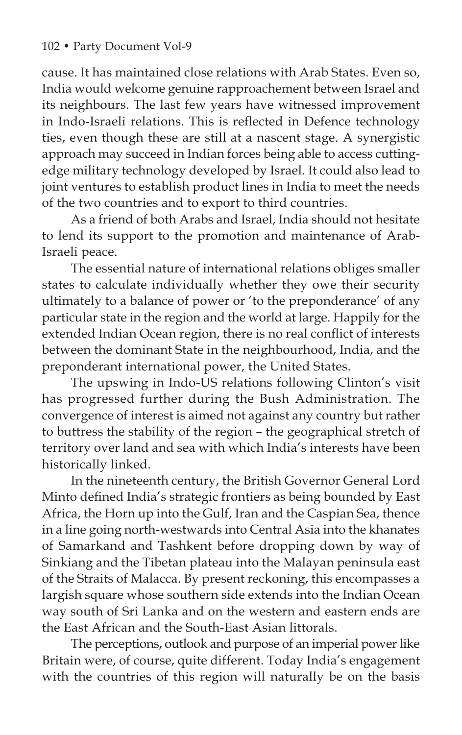cause. It has maintained close relations with Arab States. Even so, India would welcome genuine rapproachement between Israel and its neighbours. The last few years have witnessed improvement in Indo-Israeli relations. This is reflected in Defence technology ties, even though these are still at a nascent stage. A synergistic approach may succeed in Indian forces being able to access cuttingedge military technology developed by Israel. It could also lead to joint ventures to establish product lines in India to meet the needs of the two countries and to export to third countries.

As a friend of both Arabs and Israel, India should not hesitate to lend its support to the promotion and maintenance of Arab-Israeli peace.

The essential nature of international relations obliges smaller states to calculate individually whether they owe their security ultimately to a balance of power or 'to the preponderance' of any particular state in the region and the world at large. Happily for the extended Indian Ocean region, there is no real conflict of interests between the dominant State in the neighbourhood, India, and the preponderant international power, the United States.

The upswing in Indo-US relations following Clinton's visit has progressed further during the Bush Administration. The convergence of interest is aimed not against any country but rather to buttress the stability of the region – the geographical stretch of territory over land and sea with which India's interests have been historically linked.

In the nineteenth century, the British Governor General Lord Minto defined India's strategic frontiers as being bounded by East Africa, the Horn up into the Gulf, Iran and the Caspian Sea, thence in a line going north-westwards into Central Asia into the khanates of Samarkand and Tashkent before dropping down by way of Sinkiang and the Tibetan plateau into the Malayan peninsula east of the Straits of Malacca. By present reckoning, this encompasses a largish square whose southern side extends into the Indian Ocean way south of Sri Lanka and on the western and eastern ends are the East African and the South-East Asian littorals.

The perceptions, outlook and purpose of an imperial power like Britain were, of course, quite different. Today India's engagement with the countries of this region will naturally be on the basis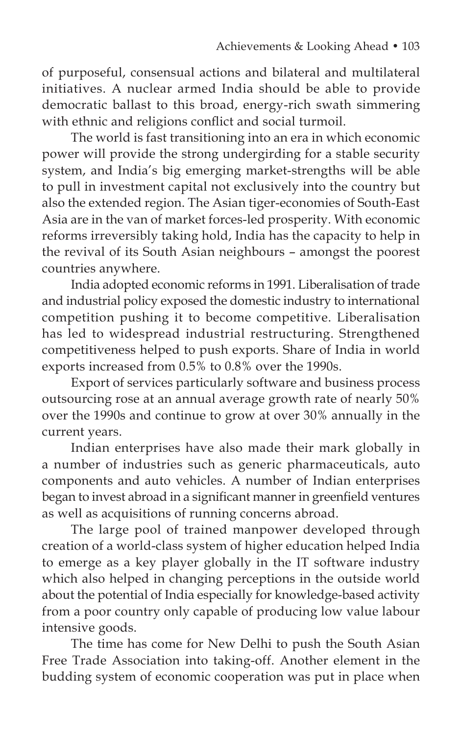of purposeful, consensual actions and bilateral and multilateral initiatives. A nuclear armed India should be able to provide democratic ballast to this broad, energy-rich swath simmering with ethnic and religions conflict and social turmoil.

The world is fast transitioning into an era in which economic power will provide the strong undergirding for a stable security system, and India's big emerging market-strengths will be able to pull in investment capital not exclusively into the country but also the extended region. The Asian tiger-economies of South-East Asia are in the van of market forces-led prosperity. With economic reforms irreversibly taking hold, India has the capacity to help in the revival of its South Asian neighbours – amongst the poorest countries anywhere.

India adopted economic reforms in 1991. Liberalisation of trade and industrial policy exposed the domestic industry to international competition pushing it to become competitive. Liberalisation has led to widespread industrial restructuring. Strengthened competitiveness helped to push exports. Share of India in world exports increased from 0.5% to 0.8% over the 1990s.

Export of services particularly software and business process outsourcing rose at an annual average growth rate of nearly 50% over the 1990s and continue to grow at over 30% annually in the current years.

Indian enterprises have also made their mark globally in a number of industries such as generic pharmaceuticals, auto components and auto vehicles. A number of Indian enterprises began to invest abroad in a significant manner in greenfield ventures as well as acquisitions of running concerns abroad.

The large pool of trained manpower developed through creation of a world-class system of higher education helped India to emerge as a key player globally in the IT software industry which also helped in changing perceptions in the outside world about the potential of India especially for knowledge-based activity from a poor country only capable of producing low value labour intensive goods.

The time has come for New Delhi to push the South Asian Free Trade Association into taking-off. Another element in the budding system of economic cooperation was put in place when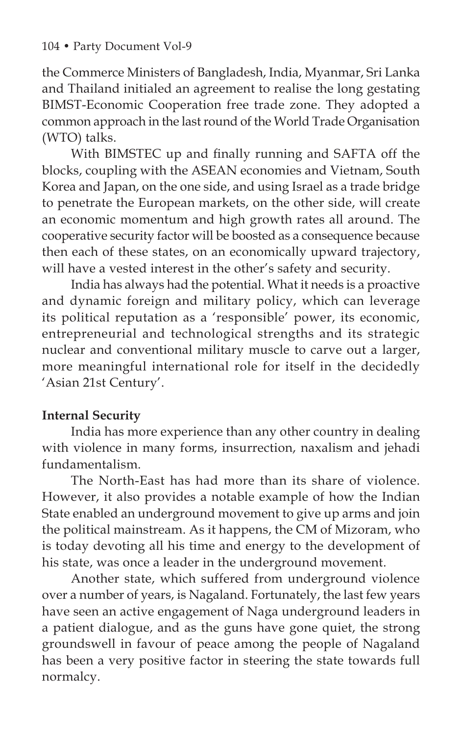the Commerce Ministers of Bangladesh, India, Myanmar, Sri Lanka and Thailand initialed an agreement to realise the long gestating BIMST-Economic Cooperation free trade zone. They adopted a common approach in the last round of the World Trade Organisation (WTO) talks.

With BIMSTEC up and finally running and SAFTA off the blocks, coupling with the ASEAN economies and Vietnam, South Korea and Japan, on the one side, and using Israel as a trade bridge to penetrate the European markets, on the other side, will create an economic momentum and high growth rates all around. The cooperative security factor will be boosted as a consequence because then each of these states, on an economically upward trajectory, will have a vested interest in the other's safety and security.

India has always had the potential. What it needs is a proactive and dynamic foreign and military policy, which can leverage its political reputation as a 'responsible' power, its economic, entrepreneurial and technological strengths and its strategic nuclear and conventional military muscle to carve out a larger, more meaningful international role for itself in the decidedly 'Asian 21st Century'.

# **Internal Security**

India has more experience than any other country in dealing with violence in many forms, insurrection, naxalism and jehadi fundamentalism.

The North-East has had more than its share of violence. However, it also provides a notable example of how the Indian State enabled an underground movement to give up arms and join the political mainstream. As it happens, the CM of Mizoram, who is today devoting all his time and energy to the development of his state, was once a leader in the underground movement.

Another state, which suffered from underground violence over a number of years, is Nagaland. Fortunately, the last few years have seen an active engagement of Naga underground leaders in a patient dialogue, and as the guns have gone quiet, the strong groundswell in favour of peace among the people of Nagaland has been a very positive factor in steering the state towards full normalcy.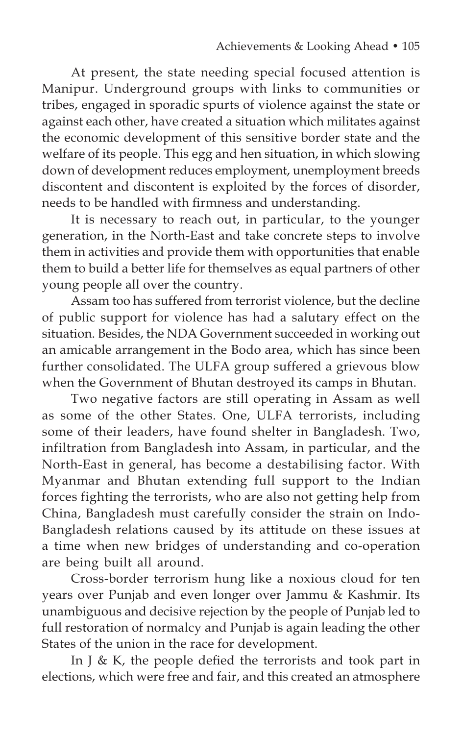At present, the state needing special focused attention is Manipur. Underground groups with links to communities or tribes, engaged in sporadic spurts of violence against the state or against each other, have created a situation which militates against the economic development of this sensitive border state and the welfare of its people. This egg and hen situation, in which slowing down of development reduces employment, unemployment breeds discontent and discontent is exploited by the forces of disorder, needs to be handled with firmness and understanding.

It is necessary to reach out, in particular, to the younger generation, in the North-East and take concrete steps to involve them in activities and provide them with opportunities that enable them to build a better life for themselves as equal partners of other young people all over the country.

Assam too has suffered from terrorist violence, but the decline of public support for violence has had a salutary effect on the situation. Besides, the NDA Government succeeded in working out an amicable arrangement in the Bodo area, which has since been further consolidated. The ULFA group suffered a grievous blow when the Government of Bhutan destroyed its camps in Bhutan.

Two negative factors are still operating in Assam as well as some of the other States. One, ULFA terrorists, including some of their leaders, have found shelter in Bangladesh. Two, infiltration from Bangladesh into Assam, in particular, and the North-East in general, has become a destabilising factor. With Myanmar and Bhutan extending full support to the Indian forces fighting the terrorists, who are also not getting help from China, Bangladesh must carefully consider the strain on Indo-Bangladesh relations caused by its attitude on these issues at a time when new bridges of understanding and co-operation are being built all around.

Cross-border terrorism hung like a noxious cloud for ten years over Punjab and even longer over Jammu & Kashmir. Its unambiguous and decisive rejection by the people of Punjab led to full restoration of normalcy and Punjab is again leading the other States of the union in the race for development.

In J & K, the people defied the terrorists and took part in elections, which were free and fair, and this created an atmosphere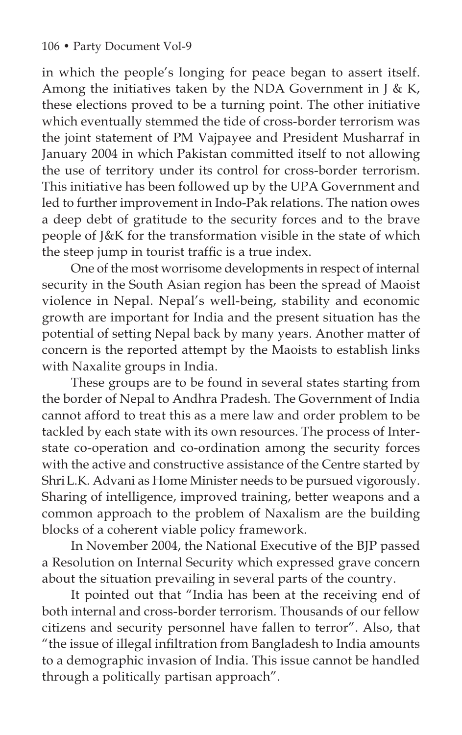in which the people's longing for peace began to assert itself. Among the initiatives taken by the NDA Government in  $J$  & K, these elections proved to be a turning point. The other initiative which eventually stemmed the tide of cross-border terrorism was the joint statement of PM Vajpayee and President Musharraf in January 2004 in which Pakistan committed itself to not allowing the use of territory under its control for cross-border terrorism. This initiative has been followed up by the UPA Government and led to further improvement in Indo-Pak relations. The nation owes a deep debt of gratitude to the security forces and to the brave people of J&K for the transformation visible in the state of which the steep jump in tourist traffic is a true index.

One of the most worrisome developments in respect of internal security in the South Asian region has been the spread of Maoist violence in Nepal. Nepal's well-being, stability and economic growth are important for India and the present situation has the potential of setting Nepal back by many years. Another matter of concern is the reported attempt by the Maoists to establish links with Naxalite groups in India.

These groups are to be found in several states starting from the border of Nepal to Andhra Pradesh. The Government of India cannot afford to treat this as a mere law and order problem to be tackled by each state with its own resources. The process of Interstate co-operation and co-ordination among the security forces with the active and constructive assistance of the Centre started by ShriL.K. Advani as Home Minister needs to be pursued vigorously. Sharing of intelligence, improved training, better weapons and a common approach to the problem of Naxalism are the building blocks of a coherent viable policy framework.

In November 2004, the National Executive of the BJP passed a Resolution on Internal Security which expressed grave concern about the situation prevailing in several parts of the country.

It pointed out that "India has been at the receiving end of both internal and cross-border terrorism. Thousands of our fellow citizens and security personnel have fallen to terror". Also, that "the issue of illegal infiltration from Bangladesh to India amounts to a demographic invasion of India. This issue cannot be handled through a politically partisan approach".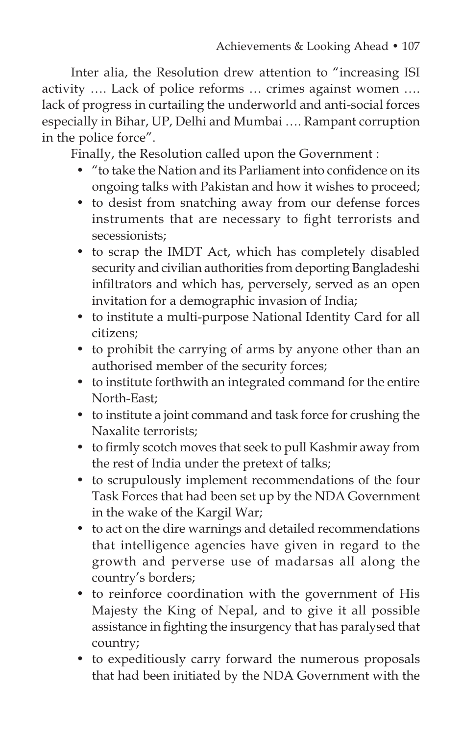Inter alia, the Resolution drew attention to "increasing ISI activity …. Lack of police reforms … crimes against women …. lack of progress in curtailing the underworld and anti-social forces especially in Bihar, UP, Delhi and Mumbai …. Rampant corruption in the police force".

Finally, the Resolution called upon the Government :

- "to take the Nation and its Parliament into confidence on its ongoing talks with Pakistan and how it wishes to proceed;
- to desist from snatching away from our defense forces instruments that are necessary to fight terrorists and secessionists;
- to scrap the IMDT Act, which has completely disabled security and civilian authorities from deporting Bangladeshi infiltrators and which has, perversely, served as an open invitation for a demographic invasion of India;
- to institute a multi-purpose National Identity Card for all citizens;
- to prohibit the carrying of arms by anyone other than an authorised member of the security forces;
- to institute forthwith an integrated command for the entire North-East;
- to institute a joint command and task force for crushing the Naxalite terrorists;
- to firmly scotch moves that seek to pull Kashmir away from the rest of India under the pretext of talks;
- to scrupulously implement recommendations of the four Task Forces that had been set up by the NDA Government in the wake of the Kargil War;
- to act on the dire warnings and detailed recommendations that intelligence agencies have given in regard to the growth and perverse use of madarsas all along the country's borders;
- to reinforce coordination with the government of His Majesty the King of Nepal, and to give it all possible assistance in fighting the insurgency that has paralysed that country;
- to expeditiously carry forward the numerous proposals that had been initiated by the NDA Government with the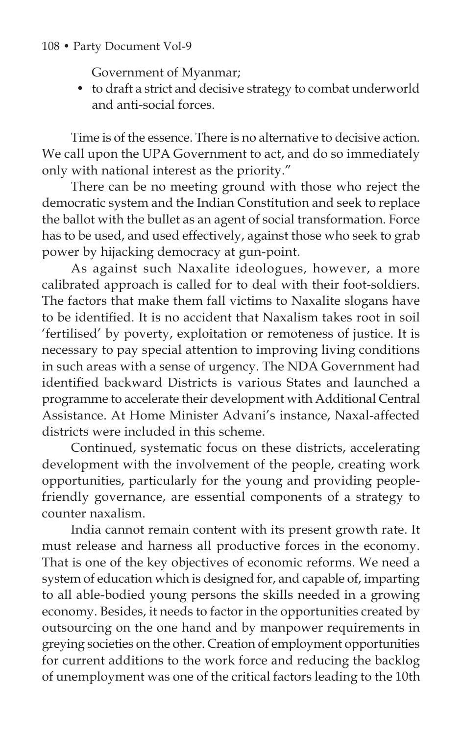### 108 • Party Document Vol-9

Government of Myanmar;

• to draft a strict and decisive strategy to combat underworld and anti-social forces.

Time is of the essence. There is no alternative to decisive action. We call upon the UPA Government to act, and do so immediately only with national interest as the priority."

There can be no meeting ground with those who reject the democratic system and the Indian Constitution and seek to replace the ballot with the bullet as an agent of social transformation. Force has to be used, and used effectively, against those who seek to grab power by hijacking democracy at gun-point.

As against such Naxalite ideologues, however, a more calibrated approach is called for to deal with their foot-soldiers. The factors that make them fall victims to Naxalite slogans have to be identified. It is no accident that Naxalism takes root in soil 'fertilised' by poverty, exploitation or remoteness of justice. It is necessary to pay special attention to improving living conditions in such areas with a sense of urgency. The NDA Government had identified backward Districts is various States and launched a programme to accelerate their development with Additional Central Assistance. At Home Minister Advani's instance, Naxal-affected districts were included in this scheme.

Continued, systematic focus on these districts, accelerating development with the involvement of the people, creating work opportunities, particularly for the young and providing peoplefriendly governance, are essential components of a strategy to counter naxalism.

India cannot remain content with its present growth rate. It must release and harness all productive forces in the economy. That is one of the key objectives of economic reforms. We need a system of education which is designed for, and capable of, imparting to all able-bodied young persons the skills needed in a growing economy. Besides, it needs to factor in the opportunities created by outsourcing on the one hand and by manpower requirements in greying societies on the other. Creation of employment opportunities for current additions to the work force and reducing the backlog of unemployment was one of the critical factors leading to the 10th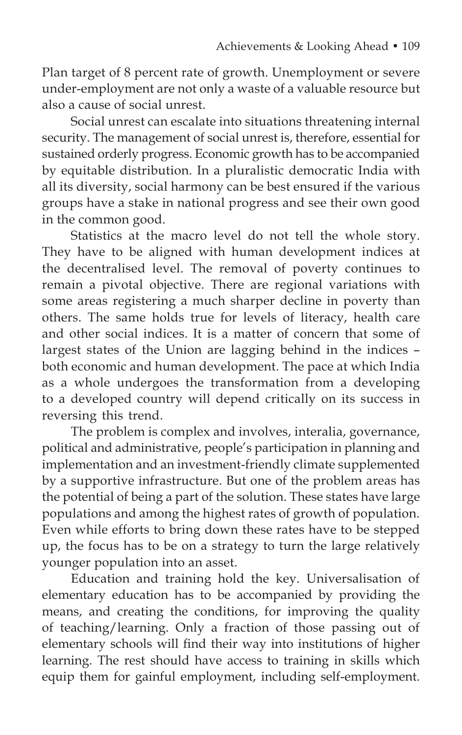Plan target of 8 percent rate of growth. Unemployment or severe under-employment are not only a waste of a valuable resource but also a cause of social unrest.

Social unrest can escalate into situations threatening internal security. The management of social unrest is, therefore, essential for sustained orderly progress. Economic growth has to be accompanied by equitable distribution. In a pluralistic democratic India with all its diversity, social harmony can be best ensured if the various groups have a stake in national progress and see their own good in the common good.

Statistics at the macro level do not tell the whole story. They have to be aligned with human development indices at the decentralised level. The removal of poverty continues to remain a pivotal objective. There are regional variations with some areas registering a much sharper decline in poverty than others. The same holds true for levels of literacy, health care and other social indices. It is a matter of concern that some of largest states of the Union are lagging behind in the indices – both economic and human development. The pace at which India as a whole undergoes the transformation from a developing to a developed country will depend critically on its success in reversing this trend.

The problem is complex and involves, interalia, governance, political and administrative, people's participation in planning and implementation and an investment-friendly climate supplemented by a supportive infrastructure. But one of the problem areas has the potential of being a part of the solution. These states have large populations and among the highest rates of growth of population. Even while efforts to bring down these rates have to be stepped up, the focus has to be on a strategy to turn the large relatively younger population into an asset.

Education and training hold the key. Universalisation of elementary education has to be accompanied by providing the means, and creating the conditions, for improving the quality of teaching/learning. Only a fraction of those passing out of elementary schools will find their way into institutions of higher learning. The rest should have access to training in skills which equip them for gainful employment, including self-employment.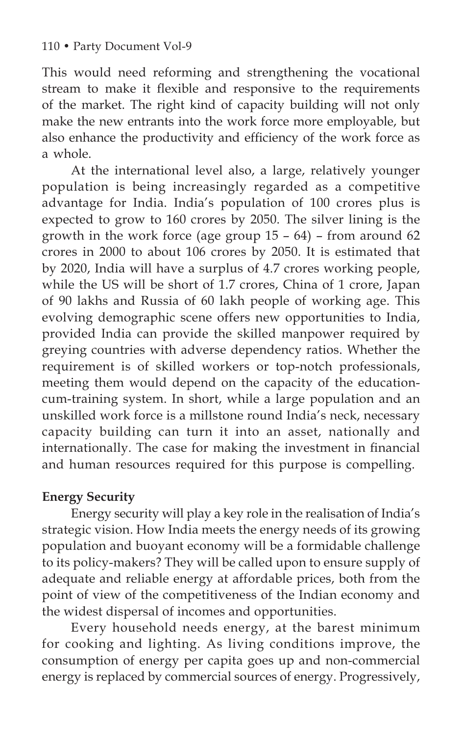This would need reforming and strengthening the vocational stream to make it flexible and responsive to the requirements of the market. The right kind of capacity building will not only make the new entrants into the work force more employable, but also enhance the productivity and efficiency of the work force as a whole.

At the international level also, a large, relatively younger population is being increasingly regarded as a competitive advantage for India. India's population of 100 crores plus is expected to grow to 160 crores by 2050. The silver lining is the growth in the work force (age group  $15 - 64$ ) – from around  $62$ crores in 2000 to about 106 crores by 2050. It is estimated that by 2020, India will have a surplus of 4.7 crores working people, while the US will be short of 1.7 crores, China of 1 crore, Japan of 90 lakhs and Russia of 60 lakh people of working age. This evolving demographic scene offers new opportunities to India, provided India can provide the skilled manpower required by greying countries with adverse dependency ratios. Whether the requirement is of skilled workers or top-notch professionals, meeting them would depend on the capacity of the educationcum-training system. In short, while a large population and an unskilled work force is a millstone round India's neck, necessary capacity building can turn it into an asset, nationally and internationally. The case for making the investment in financial and human resources required for this purpose is compelling.

# **Energy Security**

Energy security will play a key role in the realisation of India's strategic vision. How India meets the energy needs of its growing population and buoyant economy will be a formidable challenge to its policy-makers? They will be called upon to ensure supply of adequate and reliable energy at affordable prices, both from the point of view of the competitiveness of the Indian economy and the widest dispersal of incomes and opportunities.

Every household needs energy, at the barest minimum for cooking and lighting. As living conditions improve, the consumption of energy per capita goes up and non-commercial energy is replaced by commercial sources of energy. Progressively,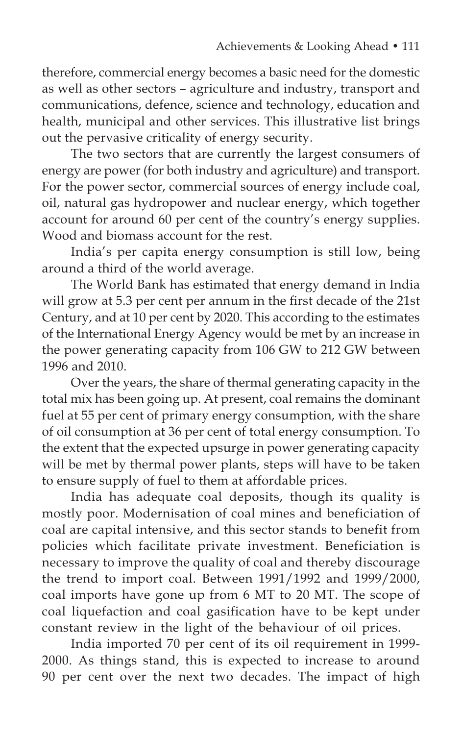therefore, commercial energy becomes a basic need for the domestic as well as other sectors – agriculture and industry, transport and communications, defence, science and technology, education and health, municipal and other services. This illustrative list brings out the pervasive criticality of energy security.

The two sectors that are currently the largest consumers of energy are power (for both industry and agriculture) and transport. For the power sector, commercial sources of energy include coal, oil, natural gas hydropower and nuclear energy, which together account for around 60 per cent of the country's energy supplies. Wood and biomass account for the rest.

India's per capita energy consumption is still low, being around a third of the world average.

The World Bank has estimated that energy demand in India will grow at 5.3 per cent per annum in the first decade of the 21st Century, and at 10 per cent by 2020. This according to the estimates of the International Energy Agency would be met by an increase in the power generating capacity from 106 GW to 212 GW between 1996 and 2010.

Over the years, the share of thermal generating capacity in the total mix has been going up. At present, coal remains the dominant fuel at 55 per cent of primary energy consumption, with the share of oil consumption at 36 per cent of total energy consumption. To the extent that the expected upsurge in power generating capacity will be met by thermal power plants, steps will have to be taken to ensure supply of fuel to them at affordable prices.

India has adequate coal deposits, though its quality is mostly poor. Modernisation of coal mines and beneficiation of coal are capital intensive, and this sector stands to benefit from policies which facilitate private investment. Beneficiation is necessary to improve the quality of coal and thereby discourage the trend to import coal. Between 1991/1992 and 1999/2000, coal imports have gone up from 6 MT to 20 MT. The scope of coal liquefaction and coal gasification have to be kept under constant review in the light of the behaviour of oil prices.

India imported 70 per cent of its oil requirement in 1999- 2000. As things stand, this is expected to increase to around 90 per cent over the next two decades. The impact of high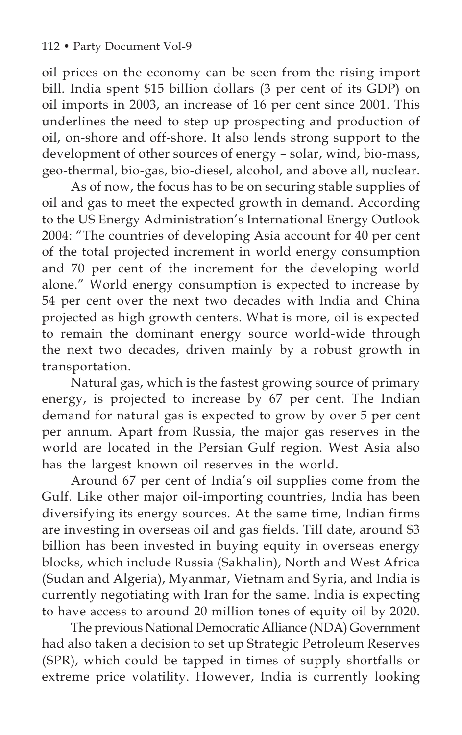oil prices on the economy can be seen from the rising import bill. India spent \$15 billion dollars (3 per cent of its GDP) on oil imports in 2003, an increase of 16 per cent since 2001. This underlines the need to step up prospecting and production of oil, on-shore and off-shore. It also lends strong support to the development of other sources of energy – solar, wind, bio-mass, geo-thermal, bio-gas, bio-diesel, alcohol, and above all, nuclear.

As of now, the focus has to be on securing stable supplies of oil and gas to meet the expected growth in demand. According to the US Energy Administration's International Energy Outlook 2004: "The countries of developing Asia account for 40 per cent of the total projected increment in world energy consumption and 70 per cent of the increment for the developing world alone." World energy consumption is expected to increase by 54 per cent over the next two decades with India and China projected as high growth centers. What is more, oil is expected to remain the dominant energy source world-wide through the next two decades, driven mainly by a robust growth in transportation.

Natural gas, which is the fastest growing source of primary energy, is projected to increase by 67 per cent. The Indian demand for natural gas is expected to grow by over 5 per cent per annum. Apart from Russia, the major gas reserves in the world are located in the Persian Gulf region. West Asia also has the largest known oil reserves in the world.

Around 67 per cent of India's oil supplies come from the Gulf. Like other major oil-importing countries, India has been diversifying its energy sources. At the same time, Indian firms are investing in overseas oil and gas fields. Till date, around \$3 billion has been invested in buying equity in overseas energy blocks, which include Russia (Sakhalin), North and West Africa (Sudan and Algeria), Myanmar, Vietnam and Syria, and India is currently negotiating with Iran for the same. India is expecting to have access to around 20 million tones of equity oil by 2020.

The previous National Democratic Alliance (NDA) Government had also taken a decision to set up Strategic Petroleum Reserves (SPR), which could be tapped in times of supply shortfalls or extreme price volatility. However, India is currently looking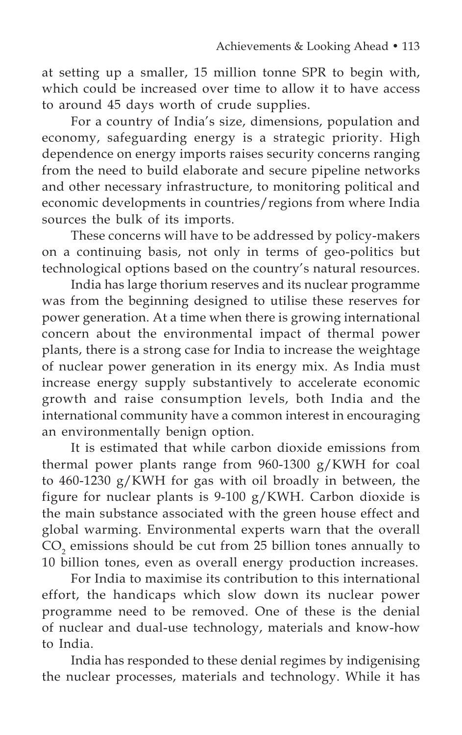at setting up a smaller, 15 million tonne SPR to begin with, which could be increased over time to allow it to have access to around 45 days worth of crude supplies.

For a country of India's size, dimensions, population and economy, safeguarding energy is a strategic priority. High dependence on energy imports raises security concerns ranging from the need to build elaborate and secure pipeline networks and other necessary infrastructure, to monitoring political and economic developments in countries/regions from where India sources the bulk of its imports.

These concerns will have to be addressed by policy-makers on a continuing basis, not only in terms of geo-politics but technological options based on the country's natural resources.

India has large thorium reserves and its nuclear programme was from the beginning designed to utilise these reserves for power generation. At a time when there is growing international concern about the environmental impact of thermal power plants, there is a strong case for India to increase the weightage of nuclear power generation in its energy mix. As India must increase energy supply substantively to accelerate economic growth and raise consumption levels, both India and the international community have a common interest in encouraging an environmentally benign option.

It is estimated that while carbon dioxide emissions from thermal power plants range from 960-1300 g/KWH for coal to 460-1230 g/KWH for gas with oil broadly in between, the figure for nuclear plants is 9-100 g/KWH. Carbon dioxide is the main substance associated with the green house effect and global warming. Environmental experts warn that the overall  $CO<sub>2</sub>$  emissions should be cut from 25 billion tones annually to 10 billion tones, even as overall energy production increases.

For India to maximise its contribution to this international effort, the handicaps which slow down its nuclear power programme need to be removed. One of these is the denial of nuclear and dual-use technology, materials and know-how to India.

India has responded to these denial regimes by indigenising the nuclear processes, materials and technology. While it has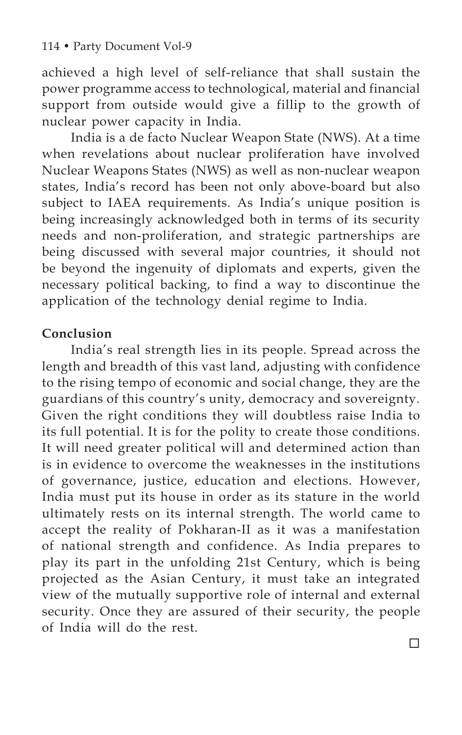achieved a high level of self-reliance that shall sustain the power programme access to technological, material and financial support from outside would give a fillip to the growth of nuclear power capacity in India.

India is a de facto Nuclear Weapon State (NWS). At a time when revelations about nuclear proliferation have involved Nuclear Weapons States (NWS) as well as non-nuclear weapon states, India's record has been not only above-board but also subject to IAEA requirements. As India's unique position is being increasingly acknowledged both in terms of its security needs and non-proliferation, and strategic partnerships are being discussed with several major countries, it should not be beyond the ingenuity of diplomats and experts, given the necessary political backing, to find a way to discontinue the application of the technology denial regime to India.

## **Conclusion**

India's real strength lies in its people. Spread across the length and breadth of this vast land, adjusting with confidence to the rising tempo of economic and social change, they are the guardians of this country's unity, democracy and sovereignty. Given the right conditions they will doubtless raise India to its full potential. It is for the polity to create those conditions. It will need greater political will and determined action than is in evidence to overcome the weaknesses in the institutions of governance, justice, education and elections. However, India must put its house in order as its stature in the world ultimately rests on its internal strength. The world came to accept the reality of Pokharan-II as it was a manifestation of national strength and confidence. As India prepares to play its part in the unfolding 21st Century, which is being projected as the Asian Century, it must take an integrated view of the mutually supportive role of internal and external security. Once they are assured of their security, the people of India will do the rest.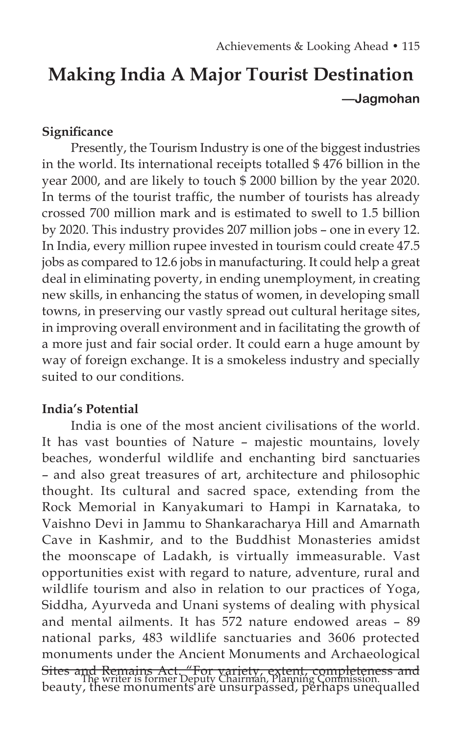# **Making India A Major Tourist Destination —Jagmohan**

## **Significance**

Presently, the Tourism Industry is one of the biggest industries in the world. Its international receipts totalled \$ 476 billion in the year 2000, and are likely to touch \$ 2000 billion by the year 2020. In terms of the tourist traffic, the number of tourists has already crossed 700 million mark and is estimated to swell to 1.5 billion by 2020. This industry provides 207 million jobs – one in every 12. In India, every million rupee invested in tourism could create 47.5 jobs as compared to 12.6 jobs in manufacturing. It could help a great deal in eliminating poverty, in ending unemployment, in creating new skills, in enhancing the status of women, in developing small towns, in preserving our vastly spread out cultural heritage sites, in improving overall environment and in facilitating the growth of a more just and fair social order. It could earn a huge amount by way of foreign exchange. It is a smokeless industry and specially suited to our conditions.

# **India's Potential**

India is one of the most ancient civilisations of the world. It has vast bounties of Nature – majestic mountains, lovely beaches, wonderful wildlife and enchanting bird sanctuaries – and also great treasures of art, architecture and philosophic thought. Its cultural and sacred space, extending from the Rock Memorial in Kanyakumari to Hampi in Karnataka, to Vaishno Devi in Jammu to Shankaracharya Hill and Amarnath Cave in Kashmir, and to the Buddhist Monasteries amidst the moonscape of Ladakh, is virtually immeasurable. Vast opportunities exist with regard to nature, adventure, rural and wildlife tourism and also in relation to our practices of Yoga, Siddha, Ayurveda and Unani systems of dealing with physical and mental ailments. It has 572 nature endowed areas – 89 national parks, 483 wildlife sanctuaries and 3606 protected monuments under the Ancient Monuments and Archaeological Sites and Remains Act. "For variety, extent, completeness and The writer is former Deputy Chairman, Planning Commission.<br>Deauty, these monuments are unsurpassed, perhaps unequalled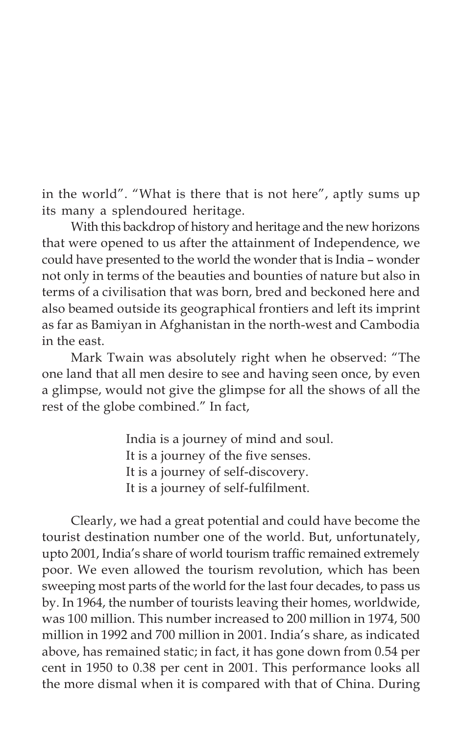in the world". "What is there that is not here", aptly sums up its many a splendoured heritage.

With this backdrop of history and heritage and the new horizons that were opened to us after the attainment of Independence, we could have presented to the world the wonder that is India – wonder not only in terms of the beauties and bounties of nature but also in terms of a civilisation that was born, bred and beckoned here and also beamed outside its geographical frontiers and left its imprint as far as Bamiyan in Afghanistan in the north-west and Cambodia in the east.

Mark Twain was absolutely right when he observed: "The one land that all men desire to see and having seen once, by even a glimpse, would not give the glimpse for all the shows of all the rest of the globe combined." In fact,

> India is a journey of mind and soul. It is a journey of the five senses. It is a journey of self-discovery. It is a journey of self-fulfilment.

Clearly, we had a great potential and could have become the tourist destination number one of the world. But, unfortunately, upto 2001, India's share of world tourism traffic remained extremely poor. We even allowed the tourism revolution, which has been sweeping most parts of the world for the last four decades, to pass us by. In 1964, the number of tourists leaving their homes, worldwide, was 100 million. This number increased to 200 million in 1974, 500 million in 1992 and 700 million in 2001. India's share, as indicated above, has remained static; in fact, it has gone down from 0.54 per cent in 1950 to 0.38 per cent in 2001. This performance looks all the more dismal when it is compared with that of China. During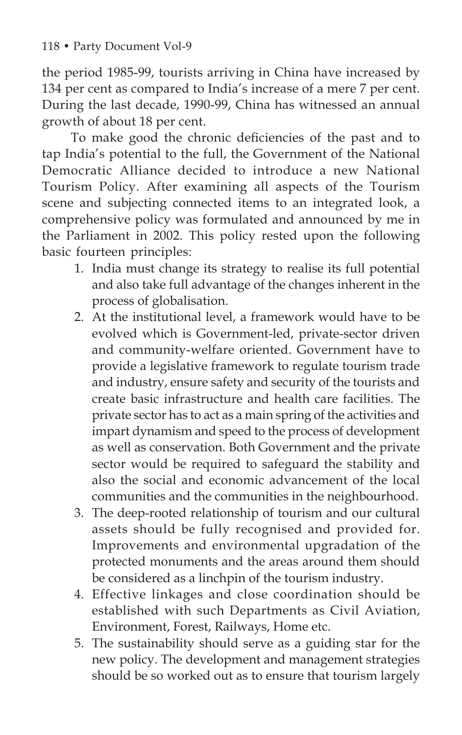the period 1985-99, tourists arriving in China have increased by 134 per cent as compared to India's increase of a mere 7 per cent. During the last decade, 1990-99, China has witnessed an annual growth of about 18 per cent.

To make good the chronic deficiencies of the past and to tap India's potential to the full, the Government of the National Democratic Alliance decided to introduce a new National Tourism Policy. After examining all aspects of the Tourism scene and subjecting connected items to an integrated look, a comprehensive policy was formulated and announced by me in the Parliament in 2002. This policy rested upon the following basic fourteen principles:

- 1. India must change its strategy to realise its full potential and also take full advantage of the changes inherent in the process of globalisation.
- 2. At the institutional level, a framework would have to be evolved which is Government-led, private-sector driven and community-welfare oriented. Government have to provide a legislative framework to regulate tourism trade and industry, ensure safety and security of the tourists and create basic infrastructure and health care facilities. The private sector has to act as a main spring of the activities and impart dynamism and speed to the process of development as well as conservation. Both Government and the private sector would be required to safeguard the stability and also the social and economic advancement of the local communities and the communities in the neighbourhood.
- 3. The deep-rooted relationship of tourism and our cultural assets should be fully recognised and provided for. Improvements and environmental upgradation of the protected monuments and the areas around them should be considered as a linchpin of the tourism industry.
- 4. Effective linkages and close coordination should be established with such Departments as Civil Aviation, Environment, Forest, Railways, Home etc.
- 5. The sustainability should serve as a guiding star for the new policy. The development and management strategies should be so worked out as to ensure that tourism largely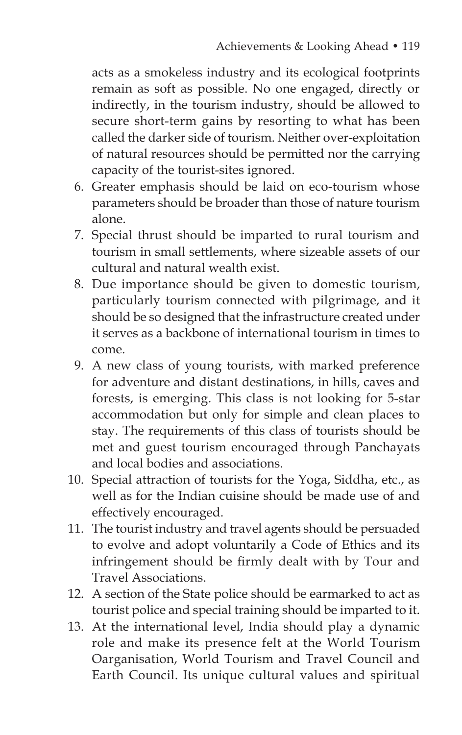acts as a smokeless industry and its ecological footprints remain as soft as possible. No one engaged, directly or indirectly, in the tourism industry, should be allowed to secure short-term gains by resorting to what has been called the darker side of tourism. Neither over-exploitation of natural resources should be permitted nor the carrying capacity of the tourist-sites ignored.

- 6. Greater emphasis should be laid on eco-tourism whose parameters should be broader than those of nature tourism alone.
- 7. Special thrust should be imparted to rural tourism and tourism in small settlements, where sizeable assets of our cultural and natural wealth exist.
- 8. Due importance should be given to domestic tourism, particularly tourism connected with pilgrimage, and it should be so designed that the infrastructure created under it serves as a backbone of international tourism in times to come.
- 9. A new class of young tourists, with marked preference for adventure and distant destinations, in hills, caves and forests, is emerging. This class is not looking for 5-star accommodation but only for simple and clean places to stay. The requirements of this class of tourists should be met and guest tourism encouraged through Panchayats and local bodies and associations.
- 10. Special attraction of tourists for the Yoga, Siddha, etc., as well as for the Indian cuisine should be made use of and effectively encouraged.
- 11. The tourist industry and travel agents should be persuaded to evolve and adopt voluntarily a Code of Ethics and its infringement should be firmly dealt with by Tour and Travel Associations.
- 12. A section of the State police should be earmarked to act as tourist police and special training should be imparted to it.
- 13. At the international level, India should play a dynamic role and make its presence felt at the World Tourism Oarganisation, World Tourism and Travel Council and Earth Council. Its unique cultural values and spiritual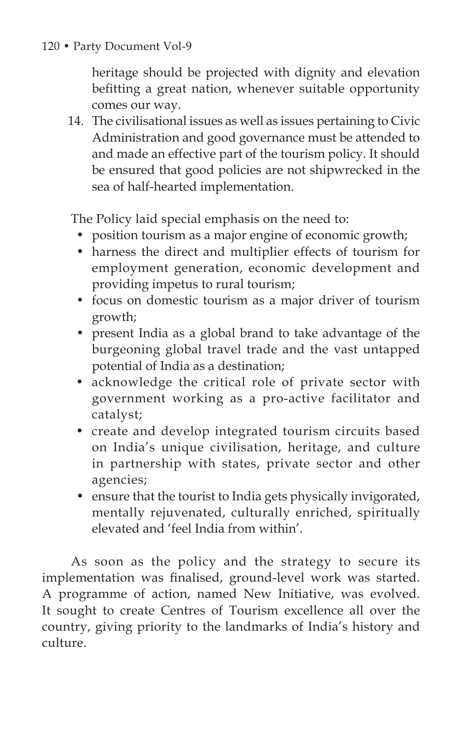heritage should be projected with dignity and elevation befitting a great nation, whenever suitable opportunity comes our way.

14. The civilisational issues as well as issues pertaining to Civic Administration and good governance must be attended to and made an effective part of the tourism policy. It should be ensured that good policies are not shipwrecked in the sea of half-hearted implementation.

The Policy laid special emphasis on the need to:

- position tourism as a major engine of economic growth;
- harness the direct and multiplier effects of tourism for employment generation, economic development and providing impetus to rural tourism;
- focus on domestic tourism as a major driver of tourism growth;
- present India as a global brand to take advantage of the burgeoning global travel trade and the vast untapped potential of India as a destination;
- acknowledge the critical role of private sector with government working as a pro-active facilitator and catalyst;
- create and develop integrated tourism circuits based on India's unique civilisation, heritage, and culture in partnership with states, private sector and other agencies;
- ensure that the tourist to India gets physically invigorated, mentally rejuvenated, culturally enriched, spiritually elevated and 'feel India from within'.

As soon as the policy and the strategy to secure its implementation was finalised, ground-level work was started. A programme of action, named New Initiative, was evolved. It sought to create Centres of Tourism excellence all over the country, giving priority to the landmarks of India's history and culture.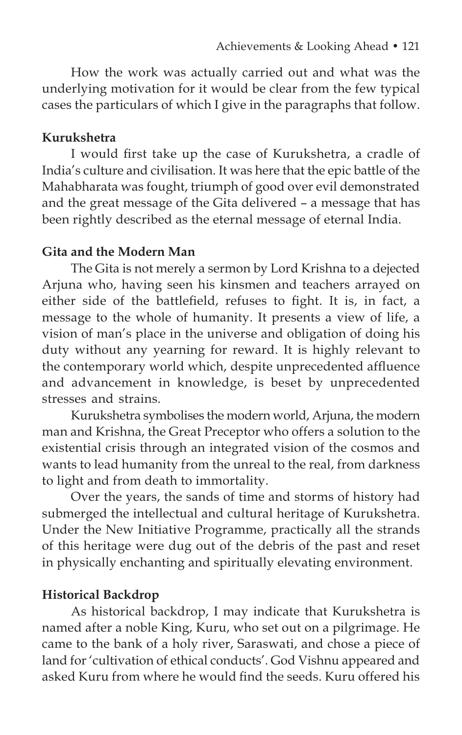How the work was actually carried out and what was the underlying motivation for it would be clear from the few typical cases the particulars of which I give in the paragraphs that follow.

#### **Kurukshetra**

I would first take up the case of Kurukshetra, a cradle of India's culture and civilisation. It was here that the epic battle of the Mahabharata was fought, triumph of good over evil demonstrated and the great message of the Gita delivered – a message that has been rightly described as the eternal message of eternal India.

#### **Gita and the Modern Man**

The Gita is not merely a sermon by Lord Krishna to a dejected Arjuna who, having seen his kinsmen and teachers arrayed on either side of the battlefield, refuses to fight. It is, in fact, a message to the whole of humanity. It presents a view of life, a vision of man's place in the universe and obligation of doing his duty without any yearning for reward. It is highly relevant to the contemporary world which, despite unprecedented affluence and advancement in knowledge, is beset by unprecedented stresses and strains.

Kurukshetra symbolises the modern world, Arjuna, the modern man and Krishna, the Great Preceptor who offers a solution to the existential crisis through an integrated vision of the cosmos and wants to lead humanity from the unreal to the real, from darkness to light and from death to immortality.

Over the years, the sands of time and storms of history had submerged the intellectual and cultural heritage of Kurukshetra. Under the New Initiative Programme, practically all the strands of this heritage were dug out of the debris of the past and reset in physically enchanting and spiritually elevating environment.

#### **Historical Backdrop**

As historical backdrop, I may indicate that Kurukshetra is named after a noble King, Kuru, who set out on a pilgrimage. He came to the bank of a holy river, Saraswati, and chose a piece of land for 'cultivation of ethical conducts'. God Vishnu appeared and asked Kuru from where he would find the seeds. Kuru offered his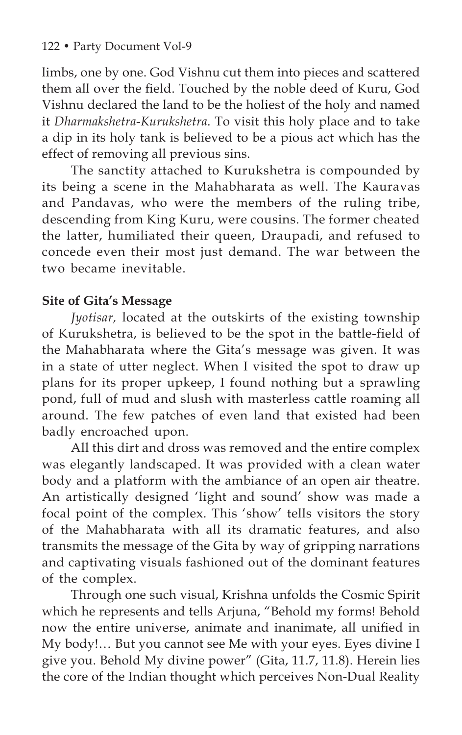limbs, one by one. God Vishnu cut them into pieces and scattered them all over the field. Touched by the noble deed of Kuru, God Vishnu declared the land to be the holiest of the holy and named it *Dharmakshetra*-*Kurukshetra*. To visit this holy place and to take a dip in its holy tank is believed to be a pious act which has the effect of removing all previous sins.

The sanctity attached to Kurukshetra is compounded by its being a scene in the Mahabharata as well. The Kauravas and Pandavas, who were the members of the ruling tribe, descending from King Kuru, were cousins. The former cheated the latter, humiliated their queen, Draupadi, and refused to concede even their most just demand. The war between the two became inevitable.

# **Site of Gita's Message**

*Jyotisar,* located at the outskirts of the existing township of Kurukshetra, is believed to be the spot in the battle-field of the Mahabharata where the Gita's message was given. It was in a state of utter neglect. When I visited the spot to draw up plans for its proper upkeep, I found nothing but a sprawling pond, full of mud and slush with masterless cattle roaming all around. The few patches of even land that existed had been badly encroached upon.

All this dirt and dross was removed and the entire complex was elegantly landscaped. It was provided with a clean water body and a platform with the ambiance of an open air theatre. An artistically designed 'light and sound' show was made a focal point of the complex. This 'show' tells visitors the story of the Mahabharata with all its dramatic features, and also transmits the message of the Gita by way of gripping narrations and captivating visuals fashioned out of the dominant features of the complex.

Through one such visual, Krishna unfolds the Cosmic Spirit which he represents and tells Arjuna, "Behold my forms! Behold now the entire universe, animate and inanimate, all unified in My body!… But you cannot see Me with your eyes. Eyes divine I give you. Behold My divine power" (Gita, 11.7, 11.8). Herein lies the core of the Indian thought which perceives Non-Dual Reality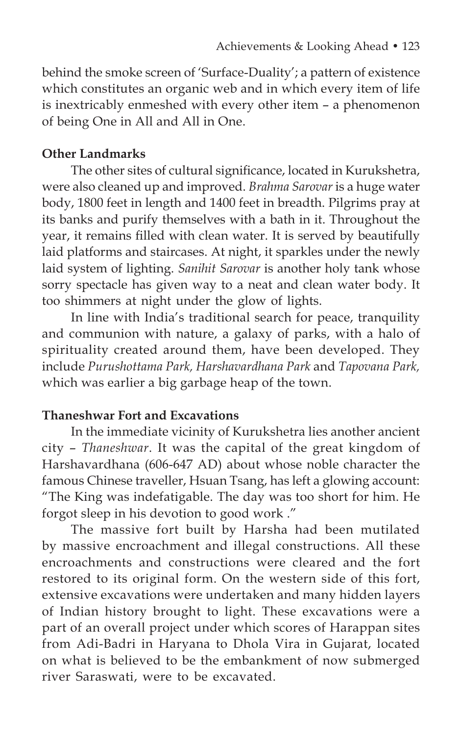behind the smoke screen of 'Surface-Duality'; a pattern of existence which constitutes an organic web and in which every item of life is inextricably enmeshed with every other item – a phenomenon of being One in All and All in One.

#### **Other Landmarks**

The other sites of cultural significance, located in Kurukshetra, were also cleaned up and improved. *Brahma Sarovar* is a huge water body, 1800 feet in length and 1400 feet in breadth. Pilgrims pray at its banks and purify themselves with a bath in it. Throughout the year, it remains filled with clean water. It is served by beautifully laid platforms and staircases. At night, it sparkles under the newly laid system of lighting. *Sanihit Sarovar* is another holy tank whose sorry spectacle has given way to a neat and clean water body. It too shimmers at night under the glow of lights.

In line with India's traditional search for peace, tranquility and communion with nature, a galaxy of parks, with a halo of spirituality created around them, have been developed. They include *Purushottama Park, Harshavardhana Park* and *Tapovana Park,* which was earlier a big garbage heap of the town.

#### **Thaneshwar Fort and Excavations**

In the immediate vicinity of Kurukshetra lies another ancient city – *Thaneshwar*. It was the capital of the great kingdom of Harshavardhana (606-647 AD) about whose noble character the famous Chinese traveller, Hsuan Tsang, has left a glowing account: "The King was indefatigable. The day was too short for him. He forgot sleep in his devotion to good work ."

The massive fort built by Harsha had been mutilated by massive encroachment and illegal constructions. All these encroachments and constructions were cleared and the fort restored to its original form. On the western side of this fort, extensive excavations were undertaken and many hidden layers of Indian history brought to light. These excavations were a part of an overall project under which scores of Harappan sites from Adi-Badri in Haryana to Dhola Vira in Gujarat, located on what is believed to be the embankment of now submerged river Saraswati, were to be excavated.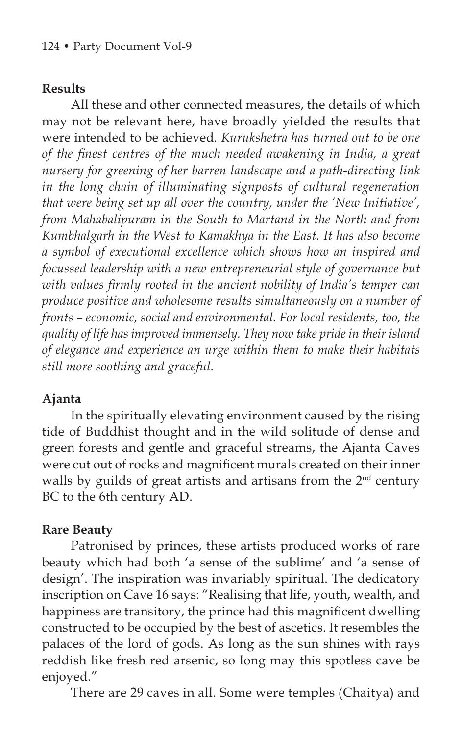## **Results**

All these and other connected measures, the details of which may not be relevant here, have broadly yielded the results that were intended to be achieved*. Kurukshetra has turned out to be one of the finest centres of the much needed awakening in India, a great nursery for greening of her barren landscape and a path-directing link in the long chain of illuminating signposts of cultural regeneration that were being set up all over the country, under the 'New Initiative', from Mahabalipuram in the South to Martand in the North and from Kumbhalgarh in the West to Kamakhya in the East. It has also become a symbol of executional excellence which shows how an inspired and focussed leadership with a new entrepreneurial style of governance but with values firmly rooted in the ancient nobility of India's temper can produce positive and wholesome results simultaneously on a number of fronts – economic, social and environmental. For local residents, too, the quality of life has improved immensely. They now take pride in their island of elegance and experience an urge within them to make their habitats still more soothing and graceful.* 

## **Ajanta**

In the spiritually elevating environment caused by the rising tide of Buddhist thought and in the wild solitude of dense and green forests and gentle and graceful streams, the Ajanta Caves were cut out of rocks and magnificent murals created on their inner walls by guilds of great artists and artisans from the 2<sup>nd</sup> century BC to the 6th century AD.

## **Rare Beauty**

Patronised by princes, these artists produced works of rare beauty which had both 'a sense of the sublime' and 'a sense of design'. The inspiration was invariably spiritual. The dedicatory inscription on Cave 16 says: "Realising that life, youth, wealth, and happiness are transitory, the prince had this magnificent dwelling constructed to be occupied by the best of ascetics. It resembles the palaces of the lord of gods. As long as the sun shines with rays reddish like fresh red arsenic, so long may this spotless cave be enjoyed."

There are 29 caves in all. Some were temples (Chaitya) and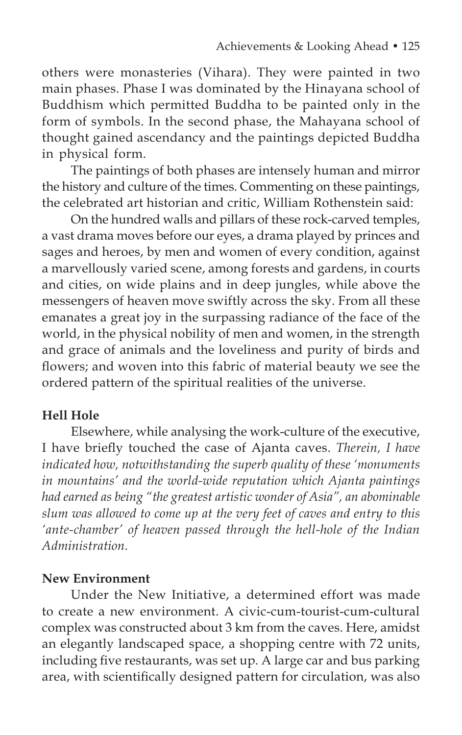others were monasteries (Vihara). They were painted in two main phases. Phase I was dominated by the Hinayana school of Buddhism which permitted Buddha to be painted only in the form of symbols. In the second phase, the Mahayana school of thought gained ascendancy and the paintings depicted Buddha in physical form.

The paintings of both phases are intensely human and mirror the history and culture of the times. Commenting on these paintings, the celebrated art historian and critic, William Rothenstein said:

On the hundred walls and pillars of these rock-carved temples, a vast drama moves before our eyes, a drama played by princes and sages and heroes, by men and women of every condition, against a marvellously varied scene, among forests and gardens, in courts and cities, on wide plains and in deep jungles, while above the messengers of heaven move swiftly across the sky. From all these emanates a great joy in the surpassing radiance of the face of the world, in the physical nobility of men and women, in the strength and grace of animals and the loveliness and purity of birds and flowers; and woven into this fabric of material beauty we see the ordered pattern of the spiritual realities of the universe.

## **Hell Hole**

Elsewhere, while analysing the work-culture of the executive, I have briefly touched the case of Ajanta caves. *Therein, I have indicated how, notwithstanding the superb quality of these 'monuments in mountains' and the world-wide reputation which Ajanta paintings had earned as being "the greatest artistic wonder of Asia", an abominable slum was allowed to come up at the very feet of caves and entry to this 'ante-chamber' of heaven passed through the hell-hole of the Indian Administration.* 

## **New Environment**

Under the New Initiative, a determined effort was made to create a new environment. A civic-cum-tourist-cum-cultural complex was constructed about 3 km from the caves. Here, amidst an elegantly landscaped space, a shopping centre with 72 units, including five restaurants, was set up. A large car and bus parking area, with scientifically designed pattern for circulation, was also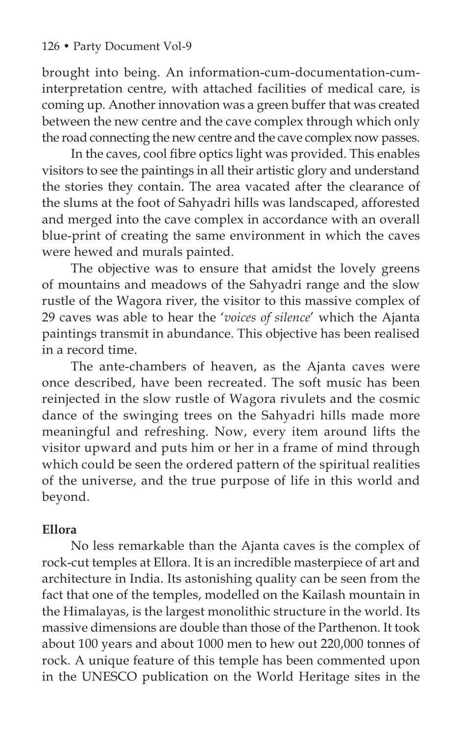brought into being. An information-cum-documentation-cuminterpretation centre, with attached facilities of medical care, is coming up. Another innovation was a green buffer that was created between the new centre and the cave complex through which only the road connecting the new centre and the cave complex now passes.

In the caves, cool fibre optics light was provided. This enables visitors to see the paintings in all their artistic glory and understand the stories they contain. The area vacated after the clearance of the slums at the foot of Sahyadri hills was landscaped, afforested and merged into the cave complex in accordance with an overall blue-print of creating the same environment in which the caves were hewed and murals painted.

The objective was to ensure that amidst the lovely greens of mountains and meadows of the Sahyadri range and the slow rustle of the Wagora river, the visitor to this massive complex of 29 caves was able to hear the '*voices of silence*' which the Ajanta paintings transmit in abundance. This objective has been realised in a record time.

The ante-chambers of heaven, as the Ajanta caves were once described, have been recreated. The soft music has been reinjected in the slow rustle of Wagora rivulets and the cosmic dance of the swinging trees on the Sahyadri hills made more meaningful and refreshing. Now, every item around lifts the visitor upward and puts him or her in a frame of mind through which could be seen the ordered pattern of the spiritual realities of the universe, and the true purpose of life in this world and beyond.

## **Ellora**

No less remarkable than the Ajanta caves is the complex of rock-cut temples at Ellora. It is an incredible masterpiece of art and architecture in India. Its astonishing quality can be seen from the fact that one of the temples, modelled on the Kailash mountain in the Himalayas, is the largest monolithic structure in the world. Its massive dimensions are double than those of the Parthenon. It took about 100 years and about 1000 men to hew out 220,000 tonnes of rock. A unique feature of this temple has been commented upon in the UNESCO publication on the World Heritage sites in the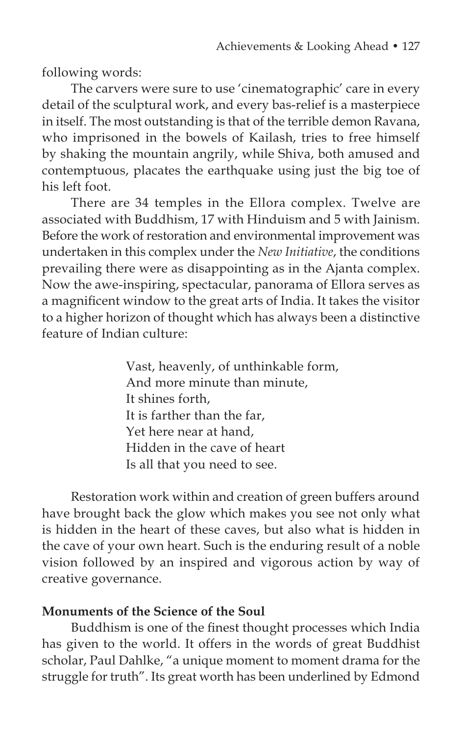following words:

The carvers were sure to use 'cinematographic' care in every detail of the sculptural work, and every bas-relief is a masterpiece in itself. The most outstanding is that of the terrible demon Ravana, who imprisoned in the bowels of Kailash, tries to free himself by shaking the mountain angrily, while Shiva, both amused and contemptuous, placates the earthquake using just the big toe of his left foot.

There are 34 temples in the Ellora complex. Twelve are associated with Buddhism, 17 with Hinduism and 5 with Jainism. Before the work of restoration and environmental improvement was undertaken in this complex under the *New Initiative*, the conditions prevailing there were as disappointing as in the Ajanta complex. Now the awe-inspiring, spectacular, panorama of Ellora serves as a magnificent window to the great arts of India. It takes the visitor to a higher horizon of thought which has always been a distinctive feature of Indian culture:

> Vast, heavenly, of unthinkable form, And more minute than minute, It shines forth, It is farther than the far, Yet here near at hand, Hidden in the cave of heart Is all that you need to see.

Restoration work within and creation of green buffers around have brought back the glow which makes you see not only what is hidden in the heart of these caves, but also what is hidden in the cave of your own heart. Such is the enduring result of a noble vision followed by an inspired and vigorous action by way of creative governance.

#### **Monuments of the Science of the Soul**

Buddhism is one of the finest thought processes which India has given to the world. It offers in the words of great Buddhist scholar, Paul Dahlke, "a unique moment to moment drama for the struggle for truth". Its great worth has been underlined by Edmond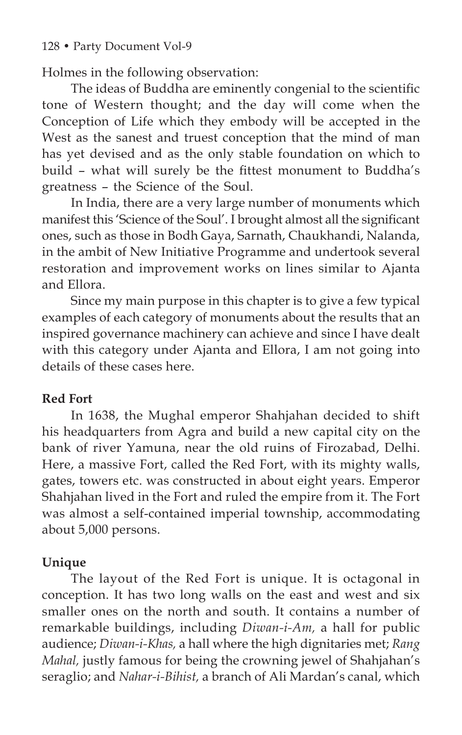Holmes in the following observation:

The ideas of Buddha are eminently congenial to the scientific tone of Western thought; and the day will come when the Conception of Life which they embody will be accepted in the West as the sanest and truest conception that the mind of man has yet devised and as the only stable foundation on which to build – what will surely be the fittest monument to Buddha's greatness – the Science of the Soul.

In India, there are a very large number of monuments which manifest this 'Science of the Soul'. I brought almost all the significant ones, such as those in Bodh Gaya, Sarnath, Chaukhandi, Nalanda, in the ambit of New Initiative Programme and undertook several restoration and improvement works on lines similar to Ajanta and Ellora.

Since my main purpose in this chapter is to give a few typical examples of each category of monuments about the results that an inspired governance machinery can achieve and since I have dealt with this category under Ajanta and Ellora, I am not going into details of these cases here.

#### **Red Fort**

In 1638, the Mughal emperor Shahjahan decided to shift his headquarters from Agra and build a new capital city on the bank of river Yamuna, near the old ruins of Firozabad, Delhi. Here, a massive Fort, called the Red Fort, with its mighty walls, gates, towers etc. was constructed in about eight years. Emperor Shahjahan lived in the Fort and ruled the empire from it. The Fort was almost a self-contained imperial township, accommodating about 5,000 persons.

## **Unique**

The layout of the Red Fort is unique. It is octagonal in conception. It has two long walls on the east and west and six smaller ones on the north and south. It contains a number of remarkable buildings, including *Diwan-i-Am,* a hall for public audience; *Diwan-i-Khas,* a hall where the high dignitaries met; *Rang Mahal,* justly famous for being the crowning jewel of Shahjahan's seraglio; and *Nahar-i-Bihist,* a branch of Ali Mardan's canal, which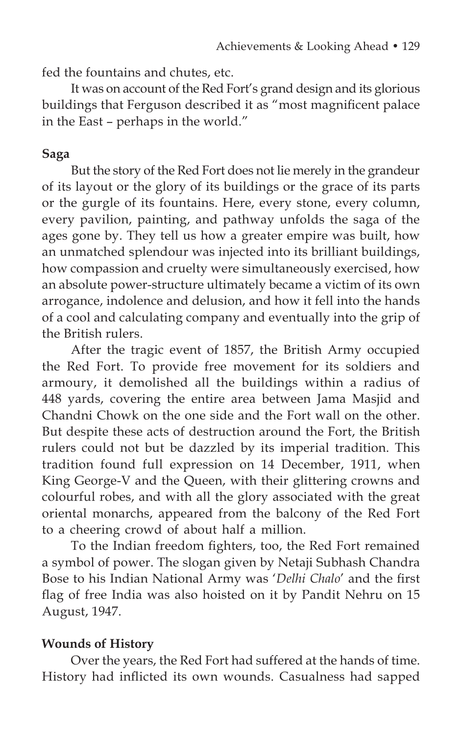fed the fountains and chutes, etc.

It was on account of the Red Fort's grand design and its glorious buildings that Ferguson described it as "most magnificent palace in the East – perhaps in the world."

## **Saga**

But the story of the Red Fort does not lie merely in the grandeur of its layout or the glory of its buildings or the grace of its parts or the gurgle of its fountains. Here, every stone, every column, every pavilion, painting, and pathway unfolds the saga of the ages gone by. They tell us how a greater empire was built, how an unmatched splendour was injected into its brilliant buildings, how compassion and cruelty were simultaneously exercised, how an absolute power-structure ultimately became a victim of its own arrogance, indolence and delusion, and how it fell into the hands of a cool and calculating company and eventually into the grip of the British rulers.

After the tragic event of 1857, the British Army occupied the Red Fort. To provide free movement for its soldiers and armoury, it demolished all the buildings within a radius of 448 yards, covering the entire area between Jama Masjid and Chandni Chowk on the one side and the Fort wall on the other. But despite these acts of destruction around the Fort, the British rulers could not but be dazzled by its imperial tradition. This tradition found full expression on 14 December, 1911, when King George-V and the Queen, with their glittering crowns and colourful robes, and with all the glory associated with the great oriental monarchs, appeared from the balcony of the Red Fort to a cheering crowd of about half a million.

To the Indian freedom fighters, too, the Red Fort remained a symbol of power. The slogan given by Netaji Subhash Chandra Bose to his Indian National Army was '*Delhi Chalo*' and the first flag of free India was also hoisted on it by Pandit Nehru on 15 August, 1947.

## **Wounds of History**

Over the years, the Red Fort had suffered at the hands of time. History had inflicted its own wounds. Casualness had sapped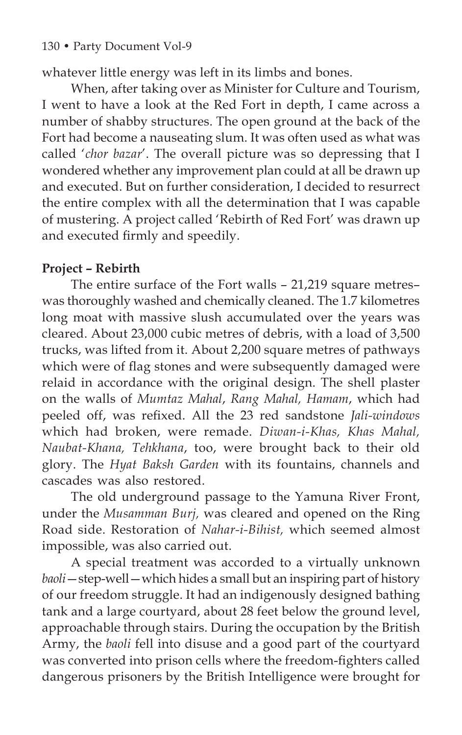whatever little energy was left in its limbs and bones.

When, after taking over as Minister for Culture and Tourism, I went to have a look at the Red Fort in depth, I came across a number of shabby structures. The open ground at the back of the Fort had become a nauseating slum. It was often used as what was called '*chor bazar*'. The overall picture was so depressing that I wondered whether any improvement plan could at all be drawn up and executed. But on further consideration, I decided to resurrect the entire complex with all the determination that I was capable of mustering. A project called 'Rebirth of Red Fort' was drawn up and executed firmly and speedily.

# **Project – Rebirth**

The entire surface of the Fort walls – 21,219 square metres– was thoroughly washed and chemically cleaned. The 1.7 kilometres long moat with massive slush accumulated over the years was cleared. About 23,000 cubic metres of debris, with a load of 3,500 trucks, was lifted from it. About 2,200 square metres of pathways which were of flag stones and were subsequently damaged were relaid in accordance with the original design. The shell plaster on the walls of *Mumtaz Mahal*, *Rang Mahal, Hamam*, which had peeled off, was refixed. All the 23 red sandstone *Jali-windows* which had broken, were remade. *Diwan-i-Khas, Khas Mahal, Naubat-Khana, Tehkhana*, too, were brought back to their old glory. The *Hyat Baksh Garden* with its fountains, channels and cascades was also restored.

The old underground passage to the Yamuna River Front, under the *Musamman Burj,* was cleared and opened on the Ring Road side. Restoration of *Nahar-i-Bihist,* which seemed almost impossible, was also carried out.

A special treatment was accorded to a virtually unknown *baoli*—step-well—which hides a small but an inspiring part of history of our freedom struggle. It had an indigenously designed bathing tank and a large courtyard, about 28 feet below the ground level, approachable through stairs. During the occupation by the British Army, the *baoli* fell into disuse and a good part of the courtyard was converted into prison cells where the freedom-fighters called dangerous prisoners by the British Intelligence were brought for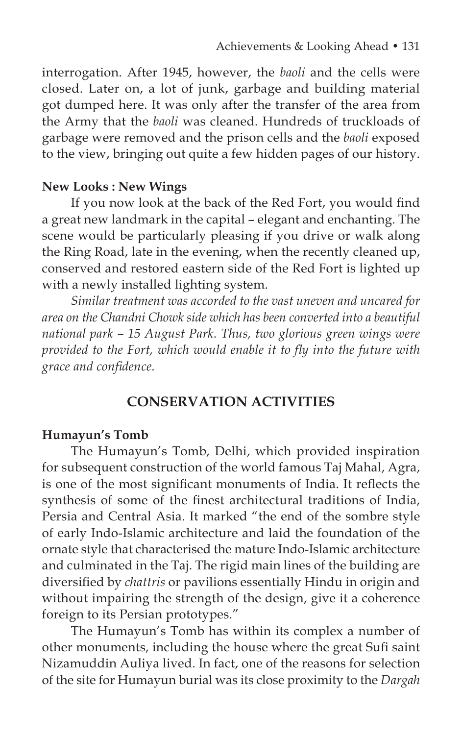interrogation. After 1945, however, the *baoli* and the cells were closed. Later on, a lot of junk, garbage and building material got dumped here. It was only after the transfer of the area from the Army that the *baoli* was cleaned. Hundreds of truckloads of garbage were removed and the prison cells and the *baoli* exposed to the view, bringing out quite a few hidden pages of our history.

#### **New Looks : New Wings**

If you now look at the back of the Red Fort, you would find a great new landmark in the capital – elegant and enchanting. The scene would be particularly pleasing if you drive or walk along the Ring Road, late in the evening, when the recently cleaned up, conserved and restored eastern side of the Red Fort is lighted up with a newly installed lighting system.

*Similar treatment was accorded to the vast uneven and uncared for area on the Chandni Chowk side which has been converted into a beautiful national park – 15 August Park. Thus, two glorious green wings were provided to the Fort, which would enable it to fly into the future with grace and confidence.*

## **CONSERVATION ACTIVITIES**

#### **Humayun's Tomb**

The Humayun's Tomb, Delhi, which provided inspiration for subsequent construction of the world famous Taj Mahal, Agra, is one of the most significant monuments of India. It reflects the synthesis of some of the finest architectural traditions of India, Persia and Central Asia. It marked "the end of the sombre style of early Indo-Islamic architecture and laid the foundation of the ornate style that characterised the mature Indo-Islamic architecture and culminated in the Taj. The rigid main lines of the building are diversified by *chattris* or pavilions essentially Hindu in origin and without impairing the strength of the design, give it a coherence foreign to its Persian prototypes."

The Humayun's Tomb has within its complex a number of other monuments, including the house where the great Sufi saint Nizamuddin Auliya lived. In fact, one of the reasons for selection of the site for Humayun burial was its close proximity to the *Dargah*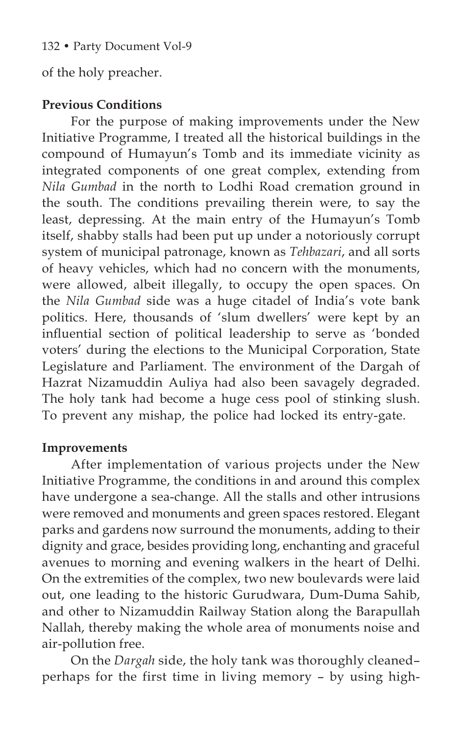of the holy preacher.

## **Previous Conditions**

For the purpose of making improvements under the New Initiative Programme, I treated all the historical buildings in the compound of Humayun's Tomb and its immediate vicinity as integrated components of one great complex, extending from *Nila Gumbad* in the north to Lodhi Road cremation ground in the south. The conditions prevailing therein were, to say the least, depressing. At the main entry of the Humayun's Tomb itself, shabby stalls had been put up under a notoriously corrupt system of municipal patronage, known as *Tehbazari*, and all sorts of heavy vehicles, which had no concern with the monuments, were allowed, albeit illegally, to occupy the open spaces. On the *Nila Gumbad* side was a huge citadel of India's vote bank politics. Here, thousands of 'slum dwellers' were kept by an influential section of political leadership to serve as 'bonded voters' during the elections to the Municipal Corporation, State Legislature and Parliament. The environment of the Dargah of Hazrat Nizamuddin Auliya had also been savagely degraded. The holy tank had become a huge cess pool of stinking slush. To prevent any mishap, the police had locked its entry-gate.

## **Improvements**

After implementation of various projects under the New Initiative Programme, the conditions in and around this complex have undergone a sea-change. All the stalls and other intrusions were removed and monuments and green spaces restored. Elegant parks and gardens now surround the monuments, adding to their dignity and grace, besides providing long, enchanting and graceful avenues to morning and evening walkers in the heart of Delhi. On the extremities of the complex, two new boulevards were laid out, one leading to the historic Gurudwara, Dum-Duma Sahib, and other to Nizamuddin Railway Station along the Barapullah Nallah, thereby making the whole area of monuments noise and air-pollution free.

On the *Dargah* side, the holy tank was thoroughly cleaned– perhaps for the first time in living memory – by using high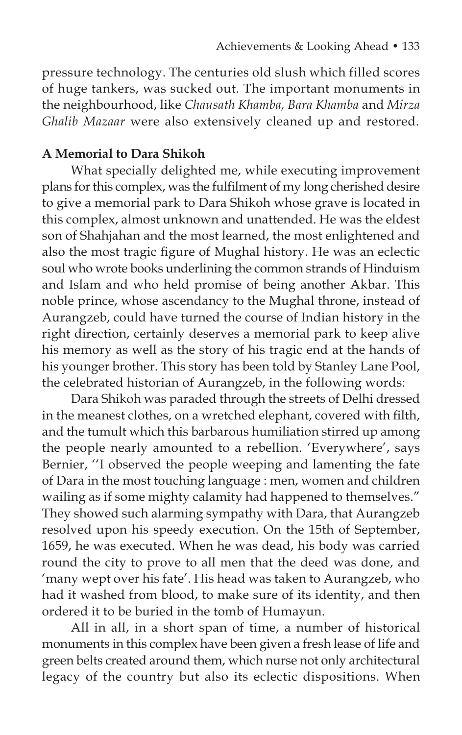pressure technology. The centuries old slush which filled scores of huge tankers, was sucked out. The important monuments in the neighbourhood, like *Chausath Khamba, Bara Khamba* and *Mirza Ghalib Mazaar* were also extensively cleaned up and restored.

#### **A Memorial to Dara Shikoh**

What specially delighted me, while executing improvement plans for this complex, was the fulfilment of my long cherished desire to give a memorial park to Dara Shikoh whose grave is located in this complex, almost unknown and unattended. He was the eldest son of Shahjahan and the most learned, the most enlightened and also the most tragic figure of Mughal history. He was an eclectic soul who wrote books underlining the common strands of Hinduism and Islam and who held promise of being another Akbar. This noble prince, whose ascendancy to the Mughal throne, instead of Aurangzeb, could have turned the course of Indian history in the right direction, certainly deserves a memorial park to keep alive his memory as well as the story of his tragic end at the hands of his younger brother. This story has been told by Stanley Lane Pool, the celebrated historian of Aurangzeb, in the following words:

Dara Shikoh was paraded through the streets of Delhi dressed in the meanest clothes, on a wretched elephant, covered with filth, and the tumult which this barbarous humiliation stirred up among the people nearly amounted to a rebellion. 'Everywhere', says Bernier, ''I observed the people weeping and lamenting the fate of Dara in the most touching language : men, women and children wailing as if some mighty calamity had happened to themselves." They showed such alarming sympathy with Dara, that Aurangzeb resolved upon his speedy execution. On the 15th of September, 1659, he was executed. When he was dead, his body was carried round the city to prove to all men that the deed was done, and 'many wept over his fate'. His head was taken to Aurangzeb, who had it washed from blood, to make sure of its identity, and then ordered it to be buried in the tomb of Humayun.

All in all, in a short span of time, a number of historical monuments in this complex have been given a fresh lease of life and green belts created around them, which nurse not only architectural legacy of the country but also its eclectic dispositions. When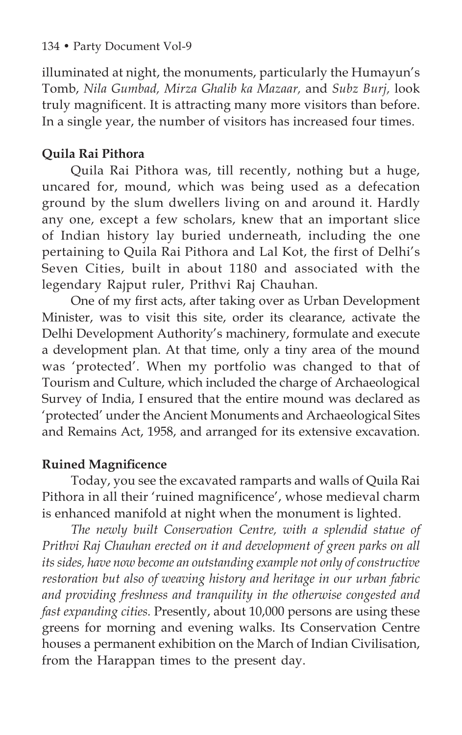illuminated at night, the monuments, particularly the Humayun's Tomb, *Nila Gumbad, Mirza Ghalib ka Mazaar,* and *Subz Burj,* look truly magnificent. It is attracting many more visitors than before. In a single year, the number of visitors has increased four times.

# **Quila Rai Pithora**

Quila Rai Pithora was, till recently, nothing but a huge, uncared for, mound, which was being used as a defecation ground by the slum dwellers living on and around it. Hardly any one, except a few scholars, knew that an important slice of Indian history lay buried underneath, including the one pertaining to Quila Rai Pithora and Lal Kot, the first of Delhi's Seven Cities, built in about 1180 and associated with the legendary Rajput ruler, Prithvi Raj Chauhan.

One of my first acts, after taking over as Urban Development Minister, was to visit this site, order its clearance, activate the Delhi Development Authority's machinery, formulate and execute a development plan. At that time, only a tiny area of the mound was 'protected'. When my portfolio was changed to that of Tourism and Culture, which included the charge of Archaeological Survey of India, I ensured that the entire mound was declared as 'protected' under the Ancient Monuments and Archaeological Sites and Remains Act, 1958, and arranged for its extensive excavation.

# **Ruined Magnificence**

Today, you see the excavated ramparts and walls of Quila Rai Pithora in all their 'ruined magnificence', whose medieval charm is enhanced manifold at night when the monument is lighted.

*The newly built Conservation Centre, with a splendid statue of Prithvi Raj Chauhan erected on it and development of green parks on all its sides, have now become an outstanding example not only of constructive restoration but also of weaving history and heritage in our urban fabric and providing freshness and tranquility in the otherwise congested and fast expanding cities.* Presently, about 10,000 persons are using these greens for morning and evening walks. Its Conservation Centre houses a permanent exhibition on the March of Indian Civilisation, from the Harappan times to the present day.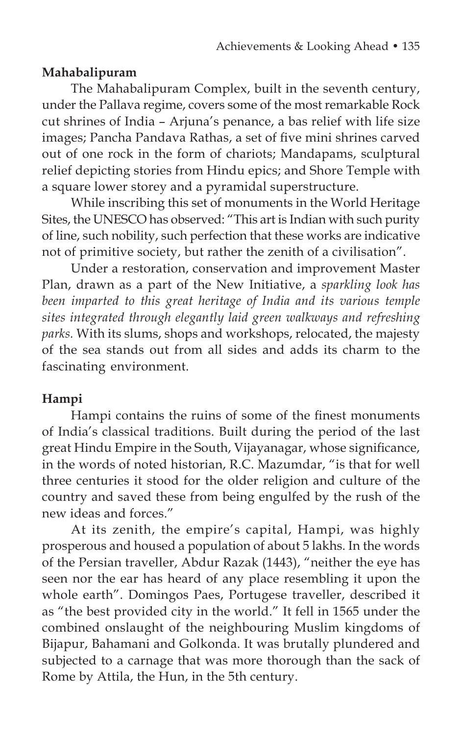## **Mahabalipuram**

The Mahabalipuram Complex, built in the seventh century, under the Pallava regime, covers some of the most remarkable Rock cut shrines of India – Arjuna's penance, a bas relief with life size images; Pancha Pandava Rathas, a set of five mini shrines carved out of one rock in the form of chariots; Mandapams, sculptural relief depicting stories from Hindu epics; and Shore Temple with a square lower storey and a pyramidal superstructure.

While inscribing this set of monuments in the World Heritage Sites, the UNESCO has observed: "This art is Indian with such purity of line, such nobility, such perfection that these works are indicative not of primitive society, but rather the zenith of a civilisation".

Under a restoration, conservation and improvement Master Plan, drawn as a part of the New Initiative, a *sparkling look has been imparted to this great heritage of India and its various temple sites integrated through elegantly laid green walkways and refreshing parks.* With its slums, shops and workshops, relocated, the majesty of the sea stands out from all sides and adds its charm to the fascinating environment.

# **Hampi**

Hampi contains the ruins of some of the finest monuments of India's classical traditions. Built during the period of the last great Hindu Empire in the South, Vijayanagar, whose significance, in the words of noted historian, R.C. Mazumdar, "is that for well three centuries it stood for the older religion and culture of the country and saved these from being engulfed by the rush of the new ideas and forces."

At its zenith, the empire's capital, Hampi, was highly prosperous and housed a population of about 5 lakhs. In the words of the Persian traveller, Abdur Razak (1443), "neither the eye has seen nor the ear has heard of any place resembling it upon the whole earth". Domingos Paes, Portugese traveller, described it as "the best provided city in the world." It fell in 1565 under the combined onslaught of the neighbouring Muslim kingdoms of Bijapur, Bahamani and Golkonda. It was brutally plundered and subjected to a carnage that was more thorough than the sack of Rome by Attila, the Hun, in the 5th century.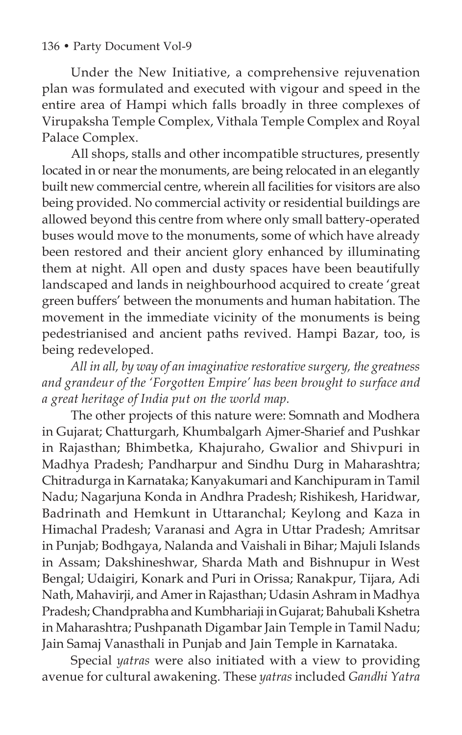Under the New Initiative, a comprehensive rejuvenation plan was formulated and executed with vigour and speed in the entire area of Hampi which falls broadly in three complexes of Virupaksha Temple Complex, Vithala Temple Complex and Royal Palace Complex.

All shops, stalls and other incompatible structures, presently located in or near the monuments, are being relocated in an elegantly built new commercial centre, wherein all facilities for visitors are also being provided. No commercial activity or residential buildings are allowed beyond this centre from where only small battery-operated buses would move to the monuments, some of which have already been restored and their ancient glory enhanced by illuminating them at night. All open and dusty spaces have been beautifully landscaped and lands in neighbourhood acquired to create 'great green buffers' between the monuments and human habitation. The movement in the immediate vicinity of the monuments is being pedestrianised and ancient paths revived. Hampi Bazar, too, is being redeveloped.

*All in all, by way of an imaginative restorative surgery, the greatness and grandeur of the 'Forgotten Empire' has been brought to surface and a great heritage of India put on the world map.*

The other projects of this nature were: Somnath and Modhera in Gujarat; Chatturgarh, Khumbalgarh Ajmer-Sharief and Pushkar in Rajasthan; Bhimbetka, Khajuraho, Gwalior and Shivpuri in Madhya Pradesh; Pandharpur and Sindhu Durg in Maharashtra; Chitradurga in Karnataka; Kanyakumari and Kanchipuram in Tamil Nadu; Nagarjuna Konda in Andhra Pradesh; Rishikesh, Haridwar, Badrinath and Hemkunt in Uttaranchal; Keylong and Kaza in Himachal Pradesh; Varanasi and Agra in Uttar Pradesh; Amritsar in Punjab; Bodhgaya, Nalanda and Vaishali in Bihar; Majuli Islands in Assam; Dakshineshwar, Sharda Math and Bishnupur in West Bengal; Udaigiri, Konark and Puri in Orissa; Ranakpur, Tijara, Adi Nath, Mahavirji, and Amer in Rajasthan; Udasin Ashram in Madhya Pradesh; Chandprabha and Kumbhariaji in Gujarat; Bahubali Kshetra in Maharashtra; Pushpanath Digambar Jain Temple in Tamil Nadu; Jain Samaj Vanasthali in Punjab and Jain Temple in Karnataka.

Special *yatras* were also initiated with a view to providing avenue for cultural awakening. These *yatras* included *Gandhi Yatra*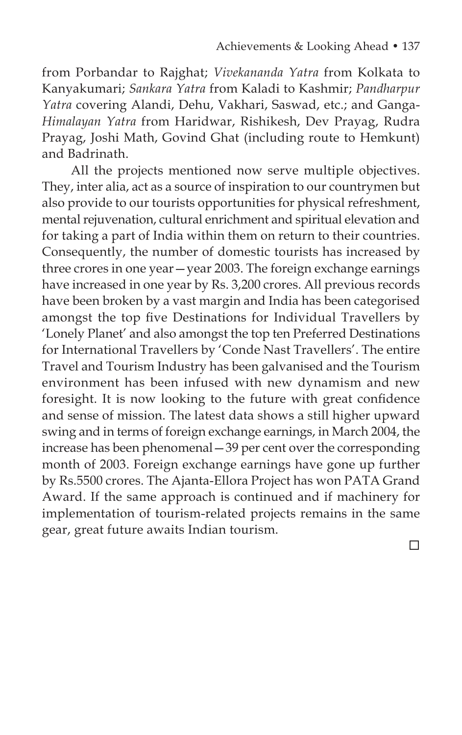from Porbandar to Rajghat; *Vivekananda Yatra* from Kolkata to Kanyakumari; *Sankara Yatra* from Kaladi to Kashmir; *Pandharpur Yatra* covering Alandi, Dehu, Vakhari, Saswad, etc.; and Ganga-*Himalayan Yatra* from Haridwar, Rishikesh, Dev Prayag, Rudra Prayag, Joshi Math, Govind Ghat (including route to Hemkunt) and Badrinath.

All the projects mentioned now serve multiple objectives. They, inter alia, act as a source of inspiration to our countrymen but also provide to our tourists opportunities for physical refreshment, mental rejuvenation, cultural enrichment and spiritual elevation and for taking a part of India within them on return to their countries. Consequently, the number of domestic tourists has increased by three crores in one year—year 2003. The foreign exchange earnings have increased in one year by Rs. 3,200 crores. All previous records have been broken by a vast margin and India has been categorised amongst the top five Destinations for Individual Travellers by 'Lonely Planet' and also amongst the top ten Preferred Destinations for International Travellers by 'Conde Nast Travellers'. The entire Travel and Tourism Industry has been galvanised and the Tourism environment has been infused with new dynamism and new foresight. It is now looking to the future with great confidence and sense of mission. The latest data shows a still higher upward swing and in terms of foreign exchange earnings, in March 2004, the increase has been phenomenal—39 per cent over the corresponding month of 2003. Foreign exchange earnings have gone up further by Rs.5500 crores. The Ajanta-Ellora Project has won PATA Grand Award. If the same approach is continued and if machinery for implementation of tourism-related projects remains in the same gear, great future awaits Indian tourism.

the contract of the contract of the contract of the contract of the contract of the contract of the contract of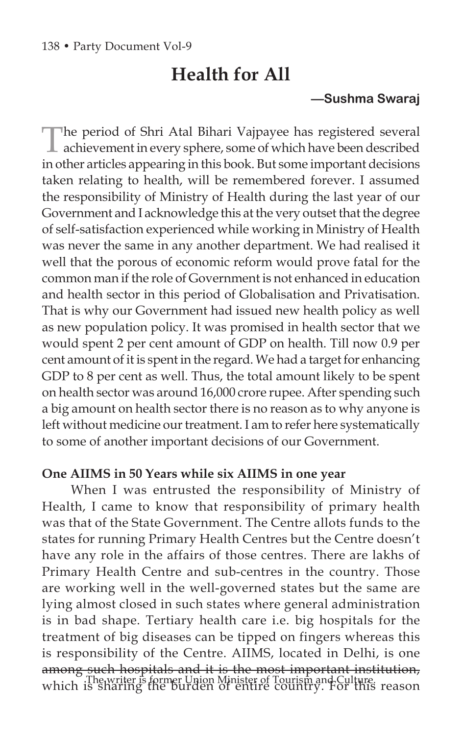# **Health for All**

## **—Sushma Swaraj**

The period of Shri Atal Bihari Vajpayee has registered several achievement in every sphere, some of which have been described in other articles appearing in this book. But some important decisions taken relating to health, will be remembered forever. I assumed the responsibility of Ministry of Health during the last year of our Government and I acknowledge this at the very outset that the degree of self-satisfaction experienced while working in Ministry of Health was never the same in any another department. We had realised it well that the porous of economic reform would prove fatal for the common man if the role of Government is not enhanced in education and health sector in this period of Globalisation and Privatisation. That is why our Government had issued new health policy as well as new population policy. It was promised in health sector that we would spent 2 per cent amount of GDP on health. Till now 0.9 per cent amount of it is spent in the regard. We had a target for enhancing GDP to 8 per cent as well. Thus, the total amount likely to be spent on health sector was around 16,000 crore rupee. After spending such a big amount on health sector there is no reason as to why anyone is left without medicine our treatment. I am to refer here systematically to some of another important decisions of our Government.

#### **One AIIMS in 50 Years while six AIIMS in one year**

When I was entrusted the responsibility of Ministry of Health, I came to know that responsibility of primary health was that of the State Government. The Centre allots funds to the states for running Primary Health Centres but the Centre doesn't have any role in the affairs of those centres. There are lakhs of Primary Health Centre and sub-centres in the country. Those are working well in the well-governed states but the same are lying almost closed in such states where general administration is in bad shape. Tertiary health care i.e. big hospitals for the treatment of big diseases can be tipped on fingers whereas this is responsibility of the Centre. AIIMS, located in Delhi, is one among such hospitals and it is the most important institution, which is shariter is former Union Minister of Tourism and Culture.<br>Which is sharing the burden of entire country. For this reason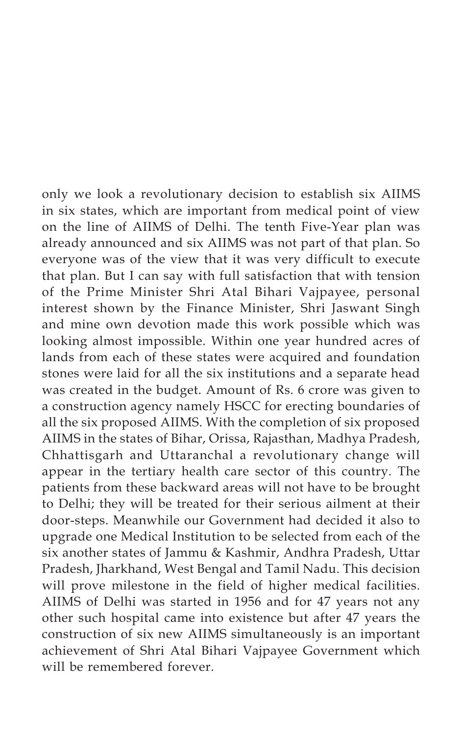only we look a revolutionary decision to establish six AIIMS in six states, which are important from medical point of view on the line of AIIMS of Delhi. The tenth Five-Year plan was already announced and six AIIMS was not part of that plan. So everyone was of the view that it was very difficult to execute that plan. But I can say with full satisfaction that with tension of the Prime Minister Shri Atal Bihari Vajpayee, personal interest shown by the Finance Minister, Shri Jaswant Singh and mine own devotion made this work possible which was looking almost impossible. Within one year hundred acres of lands from each of these states were acquired and foundation stones were laid for all the six institutions and a separate head was created in the budget. Amount of Rs. 6 crore was given to a construction agency namely HSCC for erecting boundaries of all the six proposed AIIMS. With the completion of six proposed AIIMS in the states of Bihar, Orissa, Rajasthan, Madhya Pradesh, Chhattisgarh and Uttaranchal a revolutionary change will appear in the tertiary health care sector of this country. The patients from these backward areas will not have to be brought to Delhi; they will be treated for their serious ailment at their door-steps. Meanwhile our Government had decided it also to upgrade one Medical Institution to be selected from each of the six another states of Jammu & Kashmir, Andhra Pradesh, Uttar Pradesh, Jharkhand, West Bengal and Tamil Nadu. This decision will prove milestone in the field of higher medical facilities. AIIMS of Delhi was started in 1956 and for 47 years not any other such hospital came into existence but after 47 years the construction of six new AIIMS simultaneously is an important achievement of Shri Atal Bihari Vajpayee Government which will be remembered forever.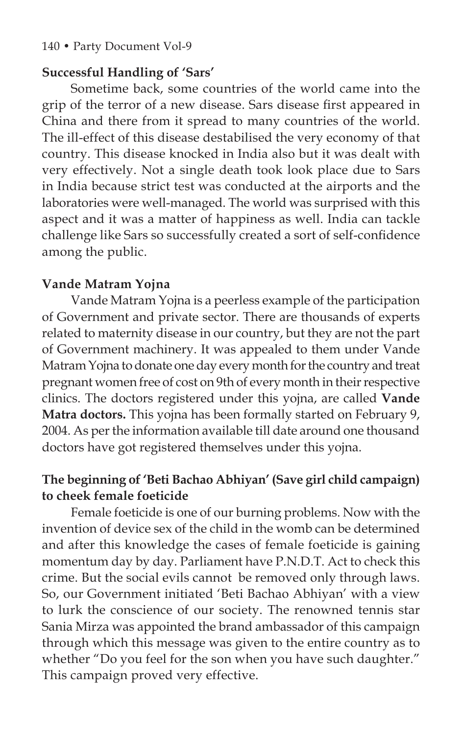#### 140 • Party Document Vol-9

#### **Successful Handling of 'Sars'**

Sometime back, some countries of the world came into the grip of the terror of a new disease. Sars disease first appeared in China and there from it spread to many countries of the world. The ill-effect of this disease destabilised the very economy of that country. This disease knocked in India also but it was dealt with very effectively. Not a single death took look place due to Sars in India because strict test was conducted at the airports and the laboratories were well-managed. The world was surprised with this aspect and it was a matter of happiness as well. India can tackle challenge like Sars so successfully created a sort of self-confidence among the public.

#### **Vande Matram Yojna**

Vande Matram Yojna is a peerless example of the participation of Government and private sector. There are thousands of experts related to maternity disease in our country, but they are not the part of Government machinery. It was appealed to them under Vande Matram Yojna to donate one day every month for the country and treat pregnant women free of cost on 9th of every month in their respective clinics. The doctors registered under this yojna, are called **Vande Matra doctors.** This yojna has been formally started on February 9, 2004. As per the information available till date around one thousand doctors have got registered themselves under this yojna.

# **The beginning of 'Beti Bachao Abhiyan' (Save girl child campaign) to cheek female foeticide**

Female foeticide is one of our burning problems. Now with the invention of device sex of the child in the womb can be determined and after this knowledge the cases of female foeticide is gaining momentum day by day. Parliament have P.N.D.T. Act to check this crime. But the social evils cannot be removed only through laws. So, our Government initiated 'Beti Bachao Abhiyan' with a view to lurk the conscience of our society. The renowned tennis star Sania Mirza was appointed the brand ambassador of this campaign through which this message was given to the entire country as to whether "Do you feel for the son when you have such daughter." This campaign proved very effective.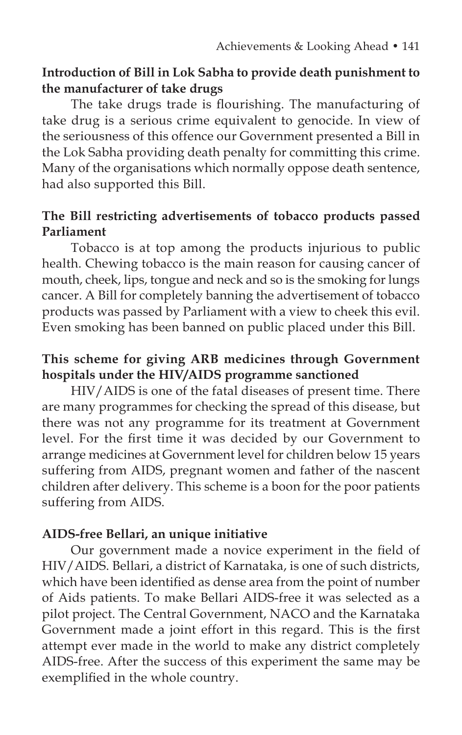## **Introduction of Bill in Lok Sabha to provide death punishment to the manufacturer of take drugs**

The take drugs trade is flourishing. The manufacturing of take drug is a serious crime equivalent to genocide. In view of the seriousness of this offence our Government presented a Bill in the Lok Sabha providing death penalty for committing this crime. Many of the organisations which normally oppose death sentence, had also supported this Bill.

## **The Bill restricting advertisements of tobacco products passed Parliament**

Tobacco is at top among the products injurious to public health. Chewing tobacco is the main reason for causing cancer of mouth, cheek, lips, tongue and neck and so is the smoking for lungs cancer. A Bill for completely banning the advertisement of tobacco products was passed by Parliament with a view to cheek this evil. Even smoking has been banned on public placed under this Bill.

## **This scheme for giving ARB medicines through Government hospitals under the HIV/AIDS programme sanctioned**

HIV/AIDS is one of the fatal diseases of present time. There are many programmes for checking the spread of this disease, but there was not any programme for its treatment at Government level. For the first time it was decided by our Government to arrange medicines at Government level for children below 15 years suffering from AIDS, pregnant women and father of the nascent children after delivery. This scheme is a boon for the poor patients suffering from AIDS.

## **AIDS-free Bellari, an unique initiative**

Our government made a novice experiment in the field of HIV/AIDS. Bellari, a district of Karnataka, is one of such districts, which have been identified as dense area from the point of number of Aids patients. To make Bellari AIDS-free it was selected as a pilot project. The Central Government, NACO and the Karnataka Government made a joint effort in this regard. This is the first attempt ever made in the world to make any district completely AIDS-free. After the success of this experiment the same may be exemplified in the whole country.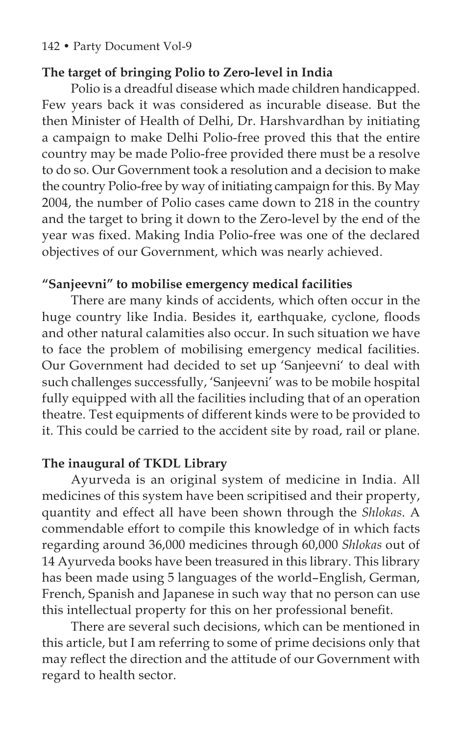#### 142 • Party Document Vol-9

#### **The target of bringing Polio to Zero-level in India**

Polio is a dreadful disease which made children handicapped. Few years back it was considered as incurable disease. But the then Minister of Health of Delhi, Dr. Harshvardhan by initiating a campaign to make Delhi Polio-free proved this that the entire country may be made Polio-free provided there must be a resolve to do so. Our Government took a resolution and a decision to make the country Polio-free by way of initiating campaign for this. By May 2004, the number of Polio cases came down to 218 in the country and the target to bring it down to the Zero-level by the end of the year was fixed. Making India Polio-free was one of the declared objectives of our Government, which was nearly achieved.

## **"Sanjeevni" to mobilise emergency medical facilities**

There are many kinds of accidents, which often occur in the huge country like India. Besides it, earthquake, cyclone, floods and other natural calamities also occur. In such situation we have to face the problem of mobilising emergency medical facilities. Our Government had decided to set up 'Sanjeevni' to deal with such challenges successfully, 'Sanjeevni' was to be mobile hospital fully equipped with all the facilities including that of an operation theatre. Test equipments of different kinds were to be provided to it. This could be carried to the accident site by road, rail or plane.

#### **The inaugural of TKDL Library**

Ayurveda is an original system of medicine in India. All medicines of this system have been scripitised and their property, quantity and effect all have been shown through the *Shlokas*. A commendable effort to compile this knowledge of in which facts regarding around 36,000 medicines through 60,000 *Shlokas* out of 14 Ayurveda books have been treasured in this library. This library has been made using 5 languages of the world–English, German, French, Spanish and Japanese in such way that no person can use this intellectual property for this on her professional benefit.

There are several such decisions, which can be mentioned in this article, but I am referring to some of prime decisions only that may reflect the direction and the attitude of our Government with regard to health sector.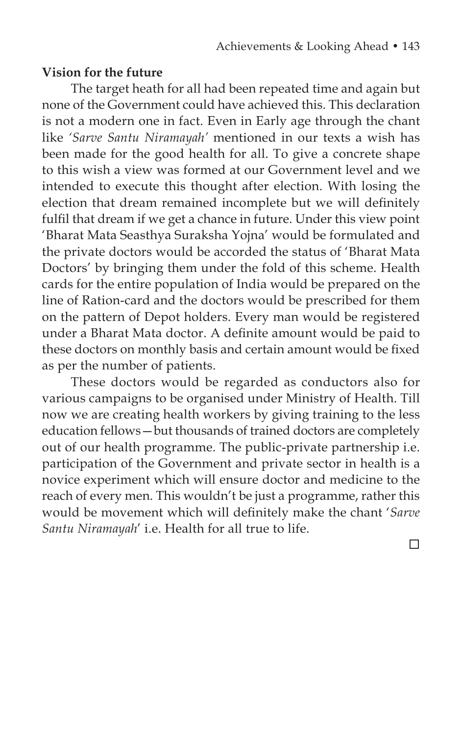#### **Vision for the future**

The target heath for all had been repeated time and again but none of the Government could have achieved this. This declaration is not a modern one in fact. Even in Early age through the chant like *'Sarve Santu Niramayah'* mentioned in our texts a wish has been made for the good health for all. To give a concrete shape to this wish a view was formed at our Government level and we intended to execute this thought after election. With losing the election that dream remained incomplete but we will definitely fulfil that dream if we get a chance in future. Under this view point 'Bharat Mata Seasthya Suraksha Yojna' would be formulated and the private doctors would be accorded the status of 'Bharat Mata Doctors' by bringing them under the fold of this scheme. Health cards for the entire population of India would be prepared on the line of Ration-card and the doctors would be prescribed for them on the pattern of Depot holders. Every man would be registered under a Bharat Mata doctor. A definite amount would be paid to these doctors on monthly basis and certain amount would be fixed as per the number of patients.

These doctors would be regarded as conductors also for various campaigns to be organised under Ministry of Health. Till now we are creating health workers by giving training to the less education fellows—but thousands of trained doctors are completely out of our health programme. The public-private partnership i.e. participation of the Government and private sector in health is a novice experiment which will ensure doctor and medicine to the reach of every men. This wouldn't be just a programme, rather this would be movement which will definitely make the chant '*Sarve Santu Niramayah*' i.e. Health for all true to life.

 $\Box$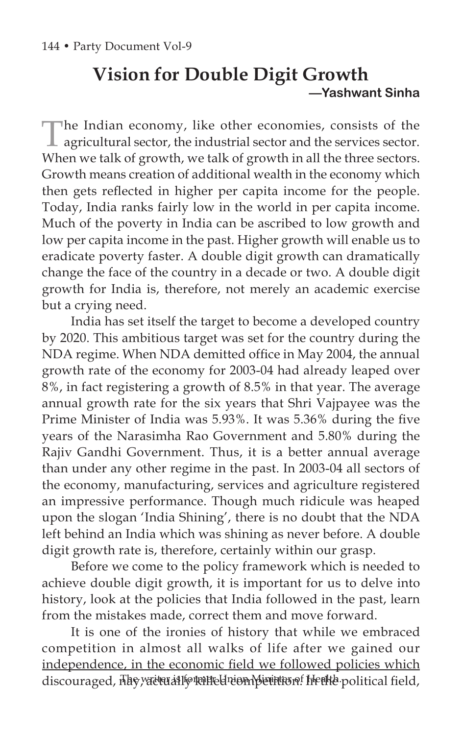# **Vision for Double Digit Growth —Yashwant Sinha**

The Indian economy, like other economies, consists of the  $\perp$  agricultural sector, the industrial sector and the services sector. When we talk of growth, we talk of growth in all the three sectors. Growth means creation of additional wealth in the economy which then gets reflected in higher per capita income for the people. Today, India ranks fairly low in the world in per capita income. Much of the poverty in India can be ascribed to low growth and low per capita income in the past. Higher growth will enable us to eradicate poverty faster. A double digit growth can dramatically change the face of the country in a decade or two. A double digit growth for India is, therefore, not merely an academic exercise but a crying need.

India has set itself the target to become a developed country by 2020. This ambitious target was set for the country during the NDA regime. When NDA demitted office in May 2004, the annual growth rate of the economy for 2003-04 had already leaped over 8%, in fact registering a growth of 8.5% in that year. The average annual growth rate for the six years that Shri Vajpayee was the Prime Minister of India was 5.93%. It was 5.36% during the five years of the Narasimha Rao Government and 5.80% during the Rajiv Gandhi Government. Thus, it is a better annual average than under any other regime in the past. In 2003-04 all sectors of the economy, manufacturing, services and agriculture registered an impressive performance. Though much ridicule was heaped upon the slogan 'India Shining', there is no doubt that the NDA left behind an India which was shining as never before. A double digit growth rate is, therefore, certainly within our grasp.

Before we come to the policy framework which is needed to achieve double digit growth, it is important for us to delve into history, look at the policies that India followed in the past, learn from the mistakes made, correct them and move forward.

It is one of the ironies of history that while we embraced competition in almost all walks of life after we gained our independence, in the economic field we followed policies which discouraged, nay vactually talled competition! Health political field,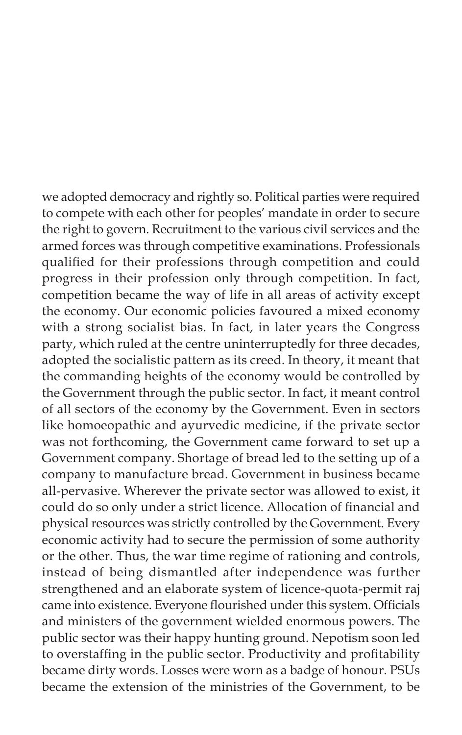we adopted democracy and rightly so. Political parties were required to compete with each other for peoples' mandate in order to secure the right to govern. Recruitment to the various civil services and the armed forces was through competitive examinations. Professionals qualified for their professions through competition and could progress in their profession only through competition. In fact, competition became the way of life in all areas of activity except the economy. Our economic policies favoured a mixed economy with a strong socialist bias. In fact, in later years the Congress party, which ruled at the centre uninterruptedly for three decades, adopted the socialistic pattern as its creed. In theory, it meant that the commanding heights of the economy would be controlled by the Government through the public sector. In fact, it meant control of all sectors of the economy by the Government. Even in sectors like homoeopathic and ayurvedic medicine, if the private sector was not forthcoming, the Government came forward to set up a Government company. Shortage of bread led to the setting up of a company to manufacture bread. Government in business became all-pervasive. Wherever the private sector was allowed to exist, it could do so only under a strict licence. Allocation of financial and physical resources was strictly controlled by the Government. Every economic activity had to secure the permission of some authority or the other. Thus, the war time regime of rationing and controls, instead of being dismantled after independence was further strengthened and an elaborate system of licence-quota-permit raj came into existence. Everyone flourished under this system. Officials and ministers of the government wielded enormous powers. The public sector was their happy hunting ground. Nepotism soon led to overstaffing in the public sector. Productivity and profitability became dirty words. Losses were worn as a badge of honour. PSUs became the extension of the ministries of the Government, to be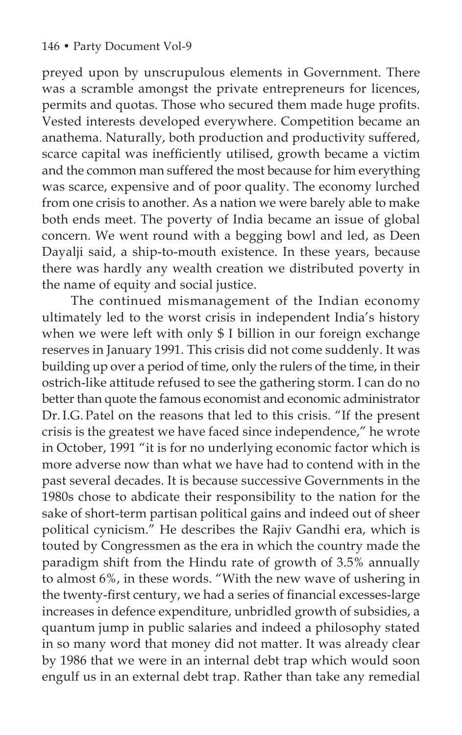preyed upon by unscrupulous elements in Government. There was a scramble amongst the private entrepreneurs for licences, permits and quotas. Those who secured them made huge profits. Vested interests developed everywhere. Competition became an anathema. Naturally, both production and productivity suffered, scarce capital was inefficiently utilised, growth became a victim and the common man suffered the most because for him everything was scarce, expensive and of poor quality. The economy lurched from one crisis to another. As a nation we were barely able to make both ends meet. The poverty of India became an issue of global concern. We went round with a begging bowl and led, as Deen Dayalji said, a ship-to-mouth existence. In these years, because there was hardly any wealth creation we distributed poverty in the name of equity and social justice.

The continued mismanagement of the Indian economy ultimately led to the worst crisis in independent India's history when we were left with only \$ I billion in our foreign exchange reserves in January 1991. This crisis did not come suddenly. It was building up over a period of time, only the rulers of the time, in their ostrich-like attitude refused to see the gathering storm. I can do no better than quote the famous economist and economic administrator Dr.I.G.Patel on the reasons that led to this crisis. "If the present crisis is the greatest we have faced since independence," he wrote in October, 1991 "it is for no underlying economic factor which is more adverse now than what we have had to contend with in the past several decades. It is because successive Governments in the 1980s chose to abdicate their responsibility to the nation for the sake of short-term partisan political gains and indeed out of sheer political cynicism." He describes the Rajiv Gandhi era, which is touted by Congressmen as the era in which the country made the paradigm shift from the Hindu rate of growth of 3.5% annually to almost 6%, in these words. "With the new wave of ushering in the twenty-first century, we had a series of financial excesses-large increases in defence expenditure, unbridled growth of subsidies, a quantum jump in public salaries and indeed a philosophy stated in so many word that money did not matter. It was already clear by 1986 that we were in an internal debt trap which would soon engulf us in an external debt trap. Rather than take any remedial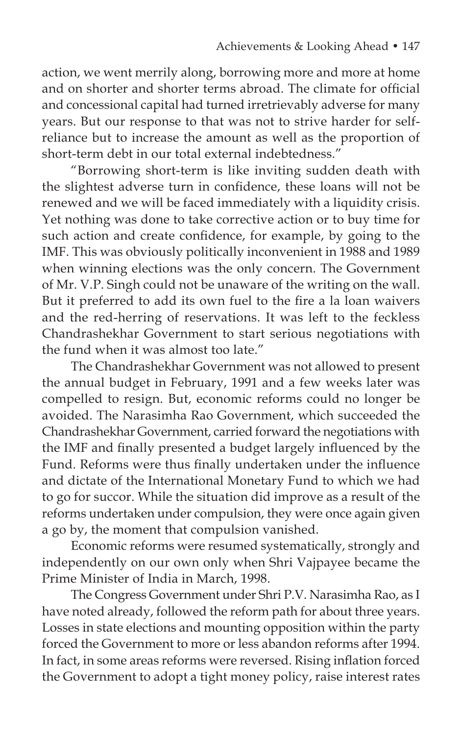action, we went merrily along, borrowing more and more at home and on shorter and shorter terms abroad. The climate for official and concessional capital had turned irretrievably adverse for many years. But our response to that was not to strive harder for selfreliance but to increase the amount as well as the proportion of short-term debt in our total external indebtedness."

"Borrowing short-term is like inviting sudden death with the slightest adverse turn in confidence, these loans will not be renewed and we will be faced immediately with a liquidity crisis. Yet nothing was done to take corrective action or to buy time for such action and create confidence, for example, by going to the IMF. This was obviously politically inconvenient in 1988 and 1989 when winning elections was the only concern. The Government of Mr. V.P. Singh could not be unaware of the writing on the wall. But it preferred to add its own fuel to the fire a la loan waivers and the red-herring of reservations. It was left to the feckless Chandrashekhar Government to start serious negotiations with the fund when it was almost too late."

The Chandrashekhar Government was not allowed to present the annual budget in February, 1991 and a few weeks later was compelled to resign. But, economic reforms could no longer be avoided. The Narasimha Rao Government, which succeeded the Chandrashekhar Government, carried forward the negotiations with the IMF and finally presented a budget largely influenced by the Fund. Reforms were thus finally undertaken under the influence and dictate of the International Monetary Fund to which we had to go for succor. While the situation did improve as a result of the reforms undertaken under compulsion, they were once again given a go by, the moment that compulsion vanished.

Economic reforms were resumed systematically, strongly and independently on our own only when Shri Vajpayee became the Prime Minister of India in March, 1998.

The Congress Government under Shri P.V. Narasimha Rao, as I have noted already, followed the reform path for about three years. Losses in state elections and mounting opposition within the party forced the Government to more or less abandon reforms after 1994. In fact, in some areas reforms were reversed. Rising inflation forced the Government to adopt a tight money policy, raise interest rates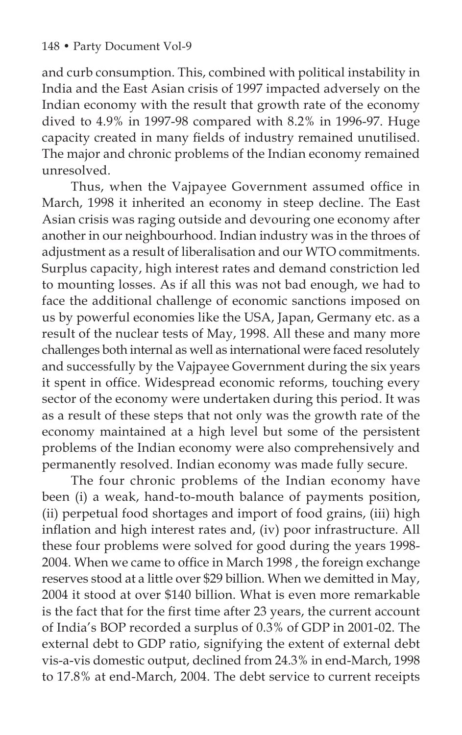and curb consumption. This, combined with political instability in India and the East Asian crisis of 1997 impacted adversely on the Indian economy with the result that growth rate of the economy dived to 4.9% in 1997-98 compared with 8.2% in 1996-97. Huge capacity created in many fields of industry remained unutilised. The major and chronic problems of the Indian economy remained unresolved.

Thus, when the Vajpayee Government assumed office in March, 1998 it inherited an economy in steep decline. The East Asian crisis was raging outside and devouring one economy after another in our neighbourhood. Indian industry was in the throes of adjustment as a result of liberalisation and our WTO commitments. Surplus capacity, high interest rates and demand constriction led to mounting losses. As if all this was not bad enough, we had to face the additional challenge of economic sanctions imposed on us by powerful economies like the USA, Japan, Germany etc. as a result of the nuclear tests of May, 1998. All these and many more challenges both internal as well as international were faced resolutely and successfully by the Vajpayee Government during the six years it spent in office. Widespread economic reforms, touching every sector of the economy were undertaken during this period. It was as a result of these steps that not only was the growth rate of the economy maintained at a high level but some of the persistent problems of the Indian economy were also comprehensively and permanently resolved. Indian economy was made fully secure.

The four chronic problems of the Indian economy have been (i) a weak, hand-to-mouth balance of payments position, (ii) perpetual food shortages and import of food grains, (iii) high inflation and high interest rates and, (iv) poor infrastructure. All these four problems were solved for good during the years 1998- 2004. When we came to office in March 1998 , the foreign exchange reserves stood at a little over \$29 billion. When we demitted in May, 2004 it stood at over \$140 billion. What is even more remarkable is the fact that for the first time after 23 years, the current account of India's BOP recorded a surplus of 0.3% of GDP in 2001-02. The external debt to GDP ratio, signifying the extent of external debt vis-a-vis domestic output, declined from 24.3% in end-March, 1998 to 17.8% at end-March, 2004. The debt service to current receipts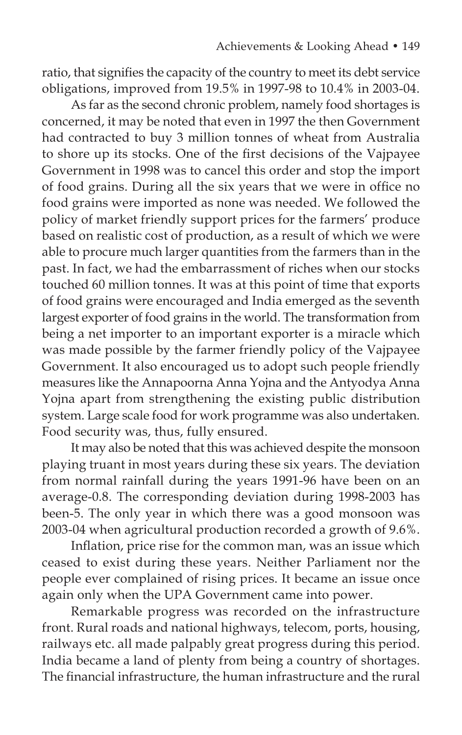ratio, that signifies the capacity of the country to meet its debt service obligations, improved from 19.5% in 1997-98 to 10.4% in 2003-04.

As far as the second chronic problem, namely food shortages is concerned, it may be noted that even in 1997 the then Government had contracted to buy 3 million tonnes of wheat from Australia to shore up its stocks. One of the first decisions of the Vajpayee Government in 1998 was to cancel this order and stop the import of food grains. During all the six years that we were in office no food grains were imported as none was needed. We followed the policy of market friendly support prices for the farmers' produce based on realistic cost of production, as a result of which we were able to procure much larger quantities from the farmers than in the past. In fact, we had the embarrassment of riches when our stocks touched 60 million tonnes. It was at this point of time that exports of food grains were encouraged and India emerged as the seventh largest exporter of food grains in the world. The transformation from being a net importer to an important exporter is a miracle which was made possible by the farmer friendly policy of the Vajpayee Government. It also encouraged us to adopt such people friendly measures like the Annapoorna Anna Yojna and the Antyodya Anna Yojna apart from strengthening the existing public distribution system. Large scale food for work programme was also undertaken. Food security was, thus, fully ensured.

It may also be noted that this was achieved despite the monsoon playing truant in most years during these six years. The deviation from normal rainfall during the years 1991-96 have been on an average-0.8. The corresponding deviation during 1998-2003 has been-5. The only year in which there was a good monsoon was 2003-04 when agricultural production recorded a growth of 9.6%.

Inflation, price rise for the common man, was an issue which ceased to exist during these years. Neither Parliament nor the people ever complained of rising prices. It became an issue once again only when the UPA Government came into power.

Remarkable progress was recorded on the infrastructure front. Rural roads and national highways, telecom, ports, housing, railways etc. all made palpably great progress during this period. India became a land of plenty from being a country of shortages. The financial infrastructure, the human infrastructure and the rural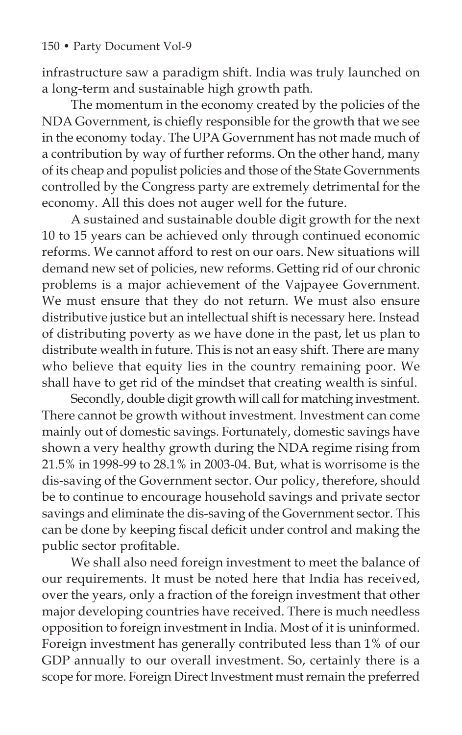infrastructure saw a paradigm shift. India was truly launched on a long-term and sustainable high growth path.

The momentum in the economy created by the policies of the NDA Government, is chiefly responsible for the growth that we see in the economy today. The UPA Government has not made much of a contribution by way of further reforms. On the other hand, many of its cheap and populist policies and those of the State Governments controlled by the Congress party are extremely detrimental for the economy. All this does not auger well for the future.

A sustained and sustainable double digit growth for the next 10 to 15 years can be achieved only through continued economic reforms. We cannot afford to rest on our oars. New situations will demand new set of policies, new reforms. Getting rid of our chronic problems is a major achievement of the Vajpayee Government. We must ensure that they do not return. We must also ensure distributive justice but an intellectual shift is necessary here. Instead of distributing poverty as we have done in the past, let us plan to distribute wealth in future. This is not an easy shift. There are many who believe that equity lies in the country remaining poor. We shall have to get rid of the mindset that creating wealth is sinful.

Secondly, double digit growth will call for matching investment. There cannot be growth without investment. Investment can come mainly out of domestic savings. Fortunately, domestic savings have shown a very healthy growth during the NDA regime rising from 21.5% in 1998-99 to 28.1% in 2003-04. But, what is worrisome is the dis-saving of the Government sector. Our policy, therefore, should be to continue to encourage household savings and private sector savings and eliminate the dis-saving of the Government sector. This can be done by keeping fiscal deficit under control and making the public sector profitable.

We shall also need foreign investment to meet the balance of our requirements. It must be noted here that India has received, over the years, only a fraction of the foreign investment that other major developing countries have received. There is much needless opposition to foreign investment in India. Most of it is uninformed. Foreign investment has generally contributed less than 1% of our GDP annually to our overall investment. So, certainly there is a scope for more. Foreign Direct Investment must remain the preferred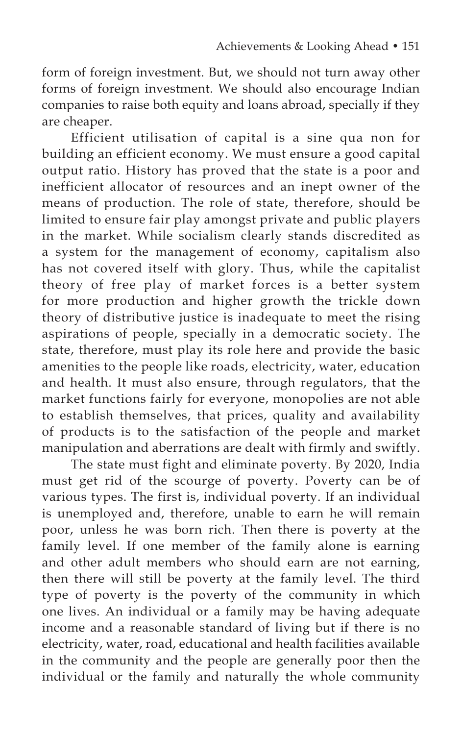form of foreign investment. But, we should not turn away other forms of foreign investment. We should also encourage Indian companies to raise both equity and loans abroad, specially if they are cheaper.

Efficient utilisation of capital is a sine qua non for building an efficient economy. We must ensure a good capital output ratio. History has proved that the state is a poor and inefficient allocator of resources and an inept owner of the means of production. The role of state, therefore, should be limited to ensure fair play amongst private and public players in the market. While socialism clearly stands discredited as a system for the management of economy, capitalism also has not covered itself with glory. Thus, while the capitalist theory of free play of market forces is a better system for more production and higher growth the trickle down theory of distributive justice is inadequate to meet the rising aspirations of people, specially in a democratic society. The state, therefore, must play its role here and provide the basic amenities to the people like roads, electricity, water, education and health. It must also ensure, through regulators, that the market functions fairly for everyone, monopolies are not able to establish themselves, that prices, quality and availability of products is to the satisfaction of the people and market manipulation and aberrations are dealt with firmly and swiftly.

The state must fight and eliminate poverty. By 2020, India must get rid of the scourge of poverty. Poverty can be of various types. The first is, individual poverty. If an individual is unemployed and, therefore, unable to earn he will remain poor, unless he was born rich. Then there is poverty at the family level. If one member of the family alone is earning and other adult members who should earn are not earning, then there will still be poverty at the family level. The third type of poverty is the poverty of the community in which one lives. An individual or a family may be having adequate income and a reasonable standard of living but if there is no electricity, water, road, educational and health facilities available in the community and the people are generally poor then the individual or the family and naturally the whole community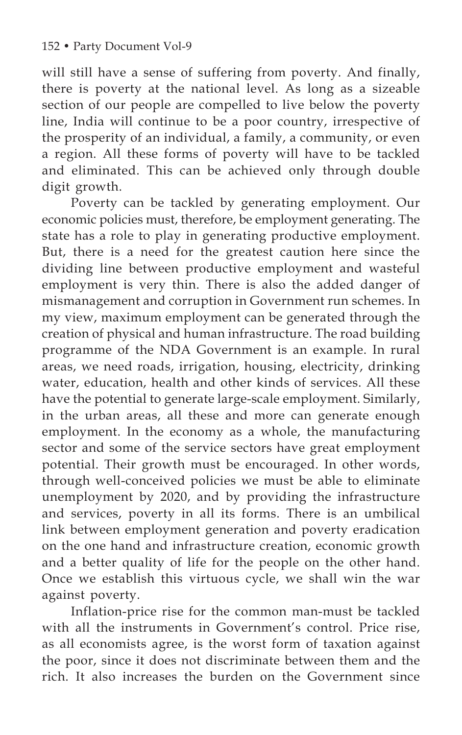will still have a sense of suffering from poverty. And finally, there is poverty at the national level. As long as a sizeable section of our people are compelled to live below the poverty line, India will continue to be a poor country, irrespective of the prosperity of an individual, a family, a community, or even a region. All these forms of poverty will have to be tackled and eliminated. This can be achieved only through double digit growth.

Poverty can be tackled by generating employment. Our economic policies must, therefore, be employment generating. The state has a role to play in generating productive employment. But, there is a need for the greatest caution here since the dividing line between productive employment and wasteful employment is very thin. There is also the added danger of mismanagement and corruption in Government run schemes. In my view, maximum employment can be generated through the creation of physical and human infrastructure. The road building programme of the NDA Government is an example. In rural areas, we need roads, irrigation, housing, electricity, drinking water, education, health and other kinds of services. All these have the potential to generate large-scale employment. Similarly, in the urban areas, all these and more can generate enough employment. In the economy as a whole, the manufacturing sector and some of the service sectors have great employment potential. Their growth must be encouraged. In other words, through well-conceived policies we must be able to eliminate unemployment by 2020, and by providing the infrastructure and services, poverty in all its forms. There is an umbilical link between employment generation and poverty eradication on the one hand and infrastructure creation, economic growth and a better quality of life for the people on the other hand. Once we establish this virtuous cycle, we shall win the war against poverty.

Inflation-price rise for the common man-must be tackled with all the instruments in Government's control. Price rise, as all economists agree, is the worst form of taxation against the poor, since it does not discriminate between them and the rich. It also increases the burden on the Government since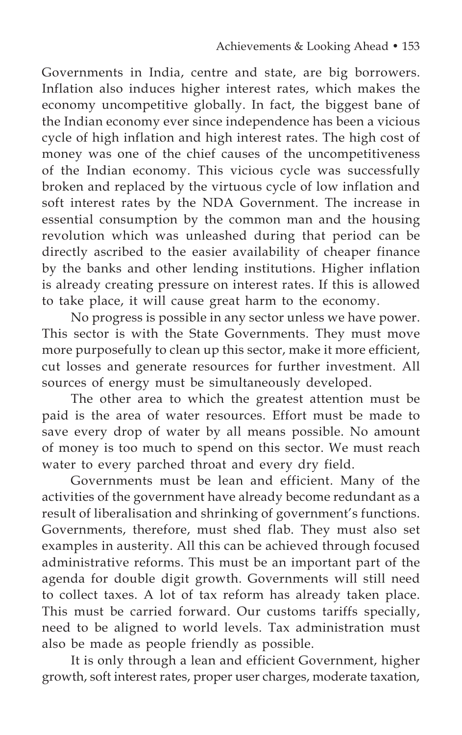Governments in India, centre and state, are big borrowers. Inflation also induces higher interest rates, which makes the economy uncompetitive globally. In fact, the biggest bane of the Indian economy ever since independence has been a vicious cycle of high inflation and high interest rates. The high cost of money was one of the chief causes of the uncompetitiveness of the Indian economy. This vicious cycle was successfully broken and replaced by the virtuous cycle of low inflation and soft interest rates by the NDA Government. The increase in essential consumption by the common man and the housing revolution which was unleashed during that period can be directly ascribed to the easier availability of cheaper finance by the banks and other lending institutions. Higher inflation is already creating pressure on interest rates. If this is allowed to take place, it will cause great harm to the economy.

No progress is possible in any sector unless we have power. This sector is with the State Governments. They must move more purposefully to clean up this sector, make it more efficient, cut losses and generate resources for further investment. All sources of energy must be simultaneously developed.

The other area to which the greatest attention must be paid is the area of water resources. Effort must be made to save every drop of water by all means possible. No amount of money is too much to spend on this sector. We must reach water to every parched throat and every dry field.

Governments must be lean and efficient. Many of the activities of the government have already become redundant as a result of liberalisation and shrinking of government's functions. Governments, therefore, must shed flab. They must also set examples in austerity. All this can be achieved through focused administrative reforms. This must be an important part of the agenda for double digit growth. Governments will still need to collect taxes. A lot of tax reform has already taken place. This must be carried forward. Our customs tariffs specially, need to be aligned to world levels. Tax administration must also be made as people friendly as possible.

It is only through a lean and efficient Government, higher growth, soft interest rates, proper user charges, moderate taxation,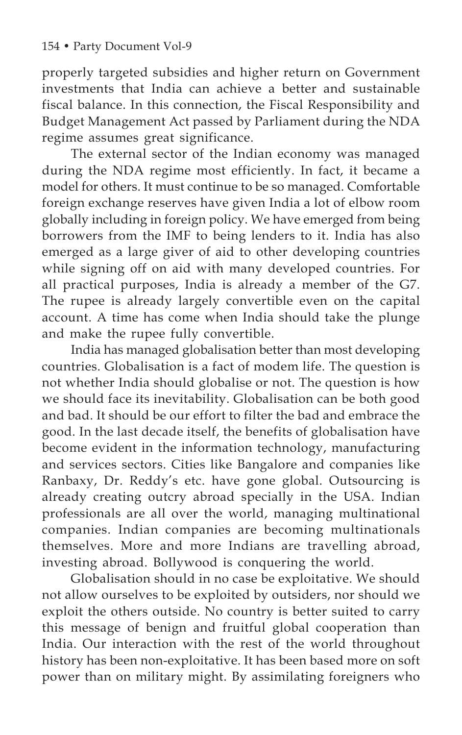properly targeted subsidies and higher return on Government investments that India can achieve a better and sustainable fiscal balance. In this connection, the Fiscal Responsibility and Budget Management Act passed by Parliament during the NDA regime assumes great significance.

The external sector of the Indian economy was managed during the NDA regime most efficiently. In fact, it became a model for others. It must continue to be so managed. Comfortable foreign exchange reserves have given India a lot of elbow room globally including in foreign policy. We have emerged from being borrowers from the IMF to being lenders to it. India has also emerged as a large giver of aid to other developing countries while signing off on aid with many developed countries. For all practical purposes, India is already a member of the G7. The rupee is already largely convertible even on the capital account. A time has come when India should take the plunge and make the rupee fully convertible.

India has managed globalisation better than most developing countries. Globalisation is a fact of modem life. The question is not whether India should globalise or not. The question is how we should face its inevitability. Globalisation can be both good and bad. It should be our effort to filter the bad and embrace the good. In the last decade itself, the benefits of globalisation have become evident in the information technology, manufacturing and services sectors. Cities like Bangalore and companies like Ranbaxy, Dr. Reddy's etc. have gone global. Outsourcing is already creating outcry abroad specially in the USA. Indian professionals are all over the world, managing multinational companies. Indian companies are becoming multinationals themselves. More and more Indians are travelling abroad, investing abroad. Bollywood is conquering the world.

Globalisation should in no case be exploitative. We should not allow ourselves to be exploited by outsiders, nor should we exploit the others outside. No country is better suited to carry this message of benign and fruitful global cooperation than India. Our interaction with the rest of the world throughout history has been non-exploitative. It has been based more on soft power than on military might. By assimilating foreigners who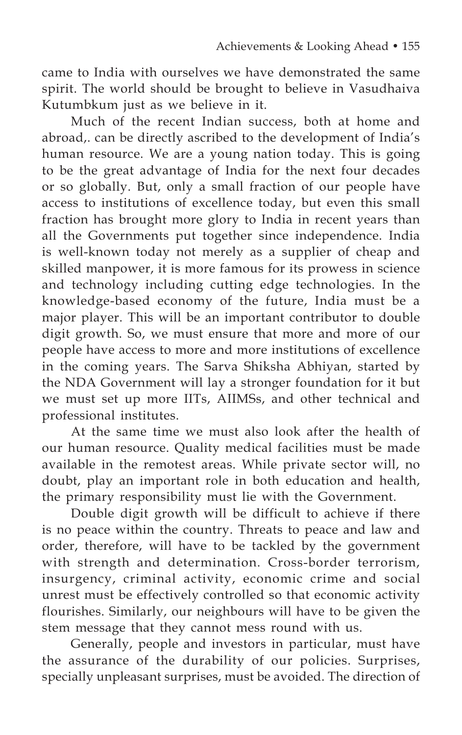came to India with ourselves we have demonstrated the same spirit. The world should be brought to believe in Vasudhaiva Kutumbkum just as we believe in it.

Much of the recent Indian success, both at home and abroad,. can be directly ascribed to the development of India's human resource. We are a young nation today. This is going to be the great advantage of India for the next four decades or so globally. But, only a small fraction of our people have access to institutions of excellence today, but even this small fraction has brought more glory to India in recent years than all the Governments put together since independence. India is well-known today not merely as a supplier of cheap and skilled manpower, it is more famous for its prowess in science and technology including cutting edge technologies. In the knowledge-based economy of the future, India must be a major player. This will be an important contributor to double digit growth. So, we must ensure that more and more of our people have access to more and more institutions of excellence in the coming years. The Sarva Shiksha Abhiyan, started by the NDA Government will lay a stronger foundation for it but we must set up more IITs, AIIMSs, and other technical and professional institutes.

At the same time we must also look after the health of our human resource. Quality medical facilities must be made available in the remotest areas. While private sector will, no doubt, play an important role in both education and health, the primary responsibility must lie with the Government.

Double digit growth will be difficult to achieve if there is no peace within the country. Threats to peace and law and order, therefore, will have to be tackled by the government with strength and determination. Cross-border terrorism, insurgency, criminal activity, economic crime and social unrest must be effectively controlled so that economic activity flourishes. Similarly, our neighbours will have to be given the stem message that they cannot mess round with us.

Generally, people and investors in particular, must have the assurance of the durability of our policies. Surprises, specially unpleasant surprises, must be avoided. The direction of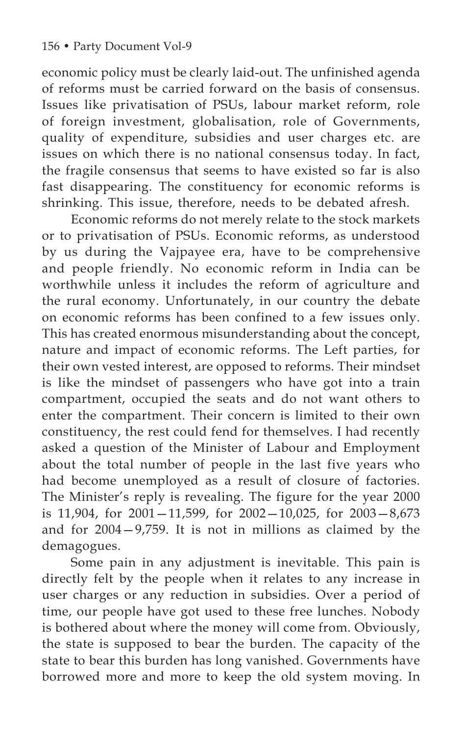economic policy must be clearly laid-out. The unfinished agenda of reforms must be carried forward on the basis of consensus. Issues like privatisation of PSUs, labour market reform, role of foreign investment, globalisation, role of Governments, quality of expenditure, subsidies and user charges etc. are issues on which there is no national consensus today. In fact, the fragile consensus that seems to have existed so far is also fast disappearing. The constituency for economic reforms is shrinking. This issue, therefore, needs to be debated afresh.

Economic reforms do not merely relate to the stock markets or to privatisation of PSUs. Economic reforms, as understood by us during the Vajpayee era, have to be comprehensive and people friendly. No economic reform in India can be worthwhile unless it includes the reform of agriculture and the rural economy. Unfortunately, in our country the debate on economic reforms has been confined to a few issues only. This has created enormous misunderstanding about the concept, nature and impact of economic reforms. The Left parties, for their own vested interest, are opposed to reforms. Their mindset is like the mindset of passengers who have got into a train compartment, occupied the seats and do not want others to enter the compartment. Their concern is limited to their own constituency, the rest could fend for themselves. I had recently asked a question of the Minister of Labour and Employment about the total number of people in the last five years who had become unemployed as a result of closure of factories. The Minister's reply is revealing. The figure for the year 2000 is 11,904, for  $2001 - 11,599$ , for  $2002 - 10,025$ , for  $2003 - 8,673$ and for 2004—9,759. It is not in millions as claimed by the demagogues.

Some pain in any adjustment is inevitable. This pain is directly felt by the people when it relates to any increase in user charges or any reduction in subsidies. Over a period of time, our people have got used to these free lunches. Nobody is bothered about where the money will come from. Obviously, the state is supposed to bear the burden. The capacity of the state to bear this burden has long vanished. Governments have borrowed more and more to keep the old system moving. In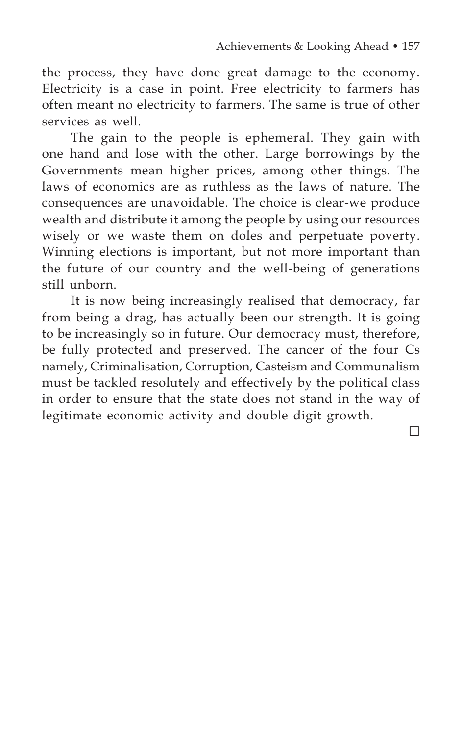the process, they have done great damage to the economy. Electricity is a case in point. Free electricity to farmers has often meant no electricity to farmers. The same is true of other services as well

The gain to the people is ephemeral. They gain with one hand and lose with the other. Large borrowings by the Governments mean higher prices, among other things. The laws of economics are as ruthless as the laws of nature. The consequences are unavoidable. The choice is clear-we produce wealth and distribute it among the people by using our resources wisely or we waste them on doles and perpetuate poverty. Winning elections is important, but not more important than the future of our country and the well-being of generations still unborn.

It is now being increasingly realised that democracy, far from being a drag, has actually been our strength. It is going to be increasingly so in future. Our democracy must, therefore, be fully protected and preserved. The cancer of the four Cs namely, Criminalisation, Corruption, Casteism and Communalism must be tackled resolutely and effectively by the political class in order to ensure that the state does not stand in the way of legitimate economic activity and double digit growth.

 $\Box$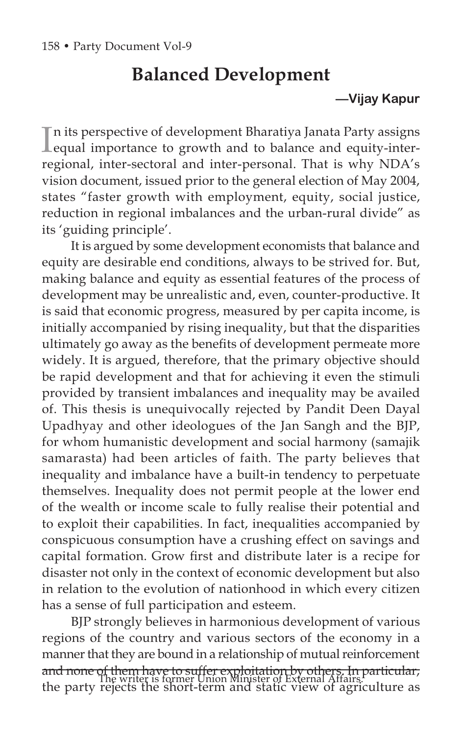# **Balanced Development**

# **—Vijay Kapur**

In its perspective of development Bharatiya Janata Party assigns<br>Lequal importance to growth and to balance and equity-intern its perspective of development Bharatiya Janata Party assigns regional, inter-sectoral and inter-personal. That is why NDA's vision document, issued prior to the general election of May 2004, states "faster growth with employment, equity, social justice, reduction in regional imbalances and the urban-rural divide" as its 'guiding principle'.

It is argued by some development economists that balance and equity are desirable end conditions, always to be strived for. But, making balance and equity as essential features of the process of development may be unrealistic and, even, counter-productive. It is said that economic progress, measured by per capita income, is initially accompanied by rising inequality, but that the disparities ultimately go away as the benefits of development permeate more widely. It is argued, therefore, that the primary objective should be rapid development and that for achieving it even the stimuli provided by transient imbalances and inequality may be availed of. This thesis is unequivocally rejected by Pandit Deen Dayal Upadhyay and other ideologues of the Jan Sangh and the BJP, for whom humanistic development and social harmony (samajik samarasta) had been articles of faith. The party believes that inequality and imbalance have a built-in tendency to perpetuate themselves. Inequality does not permit people at the lower end of the wealth or income scale to fully realise their potential and to exploit their capabilities. In fact, inequalities accompanied by conspicuous consumption have a crushing effect on savings and capital formation. Grow first and distribute later is a recipe for disaster not only in the context of economic development but also in relation to the evolution of nationhood in which every citizen has a sense of full participation and esteem.

BJP strongly believes in harmonious development of various regions of the country and various sectors of the economy in a manner that they are bound in a relationship of mutual reinforcement and none of them have to suffer exploitation by others. In particular, The writer is former Union Minister of External Affairs.<sup>Process</sup> the party rejects the short-term and static view of agriculture as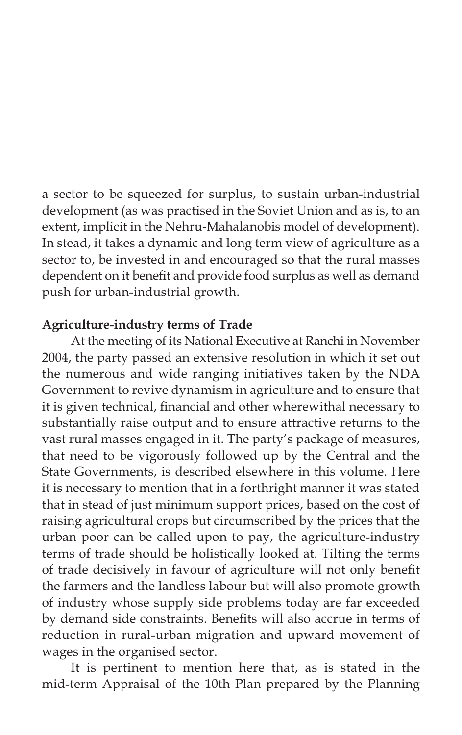a sector to be squeezed for surplus, to sustain urban-industrial development (as was practised in the Soviet Union and as is, to an extent, implicit in the Nehru-Mahalanobis model of development). In stead, it takes a dynamic and long term view of agriculture as a sector to, be invested in and encouraged so that the rural masses dependent on it benefit and provide food surplus as well as demand push for urban-industrial growth.

# **Agriculture-industry terms of Trade**

At the meeting of its National Executive at Ranchi in November 2004, the party passed an extensive resolution in which it set out the numerous and wide ranging initiatives taken by the NDA Government to revive dynamism in agriculture and to ensure that it is given technical, financial and other wherewithal necessary to substantially raise output and to ensure attractive returns to the vast rural masses engaged in it. The party's package of measures, that need to be vigorously followed up by the Central and the State Governments, is described elsewhere in this volume. Here it is necessary to mention that in a forthright manner it was stated that in stead of just minimum support prices, based on the cost of raising agricultural crops but circumscribed by the prices that the urban poor can be called upon to pay, the agriculture-industry terms of trade should be holistically looked at. Tilting the terms of trade decisively in favour of agriculture will not only benefit the farmers and the landless labour but will also promote growth of industry whose supply side problems today are far exceeded by demand side constraints. Benefits will also accrue in terms of reduction in rural-urban migration and upward movement of wages in the organised sector.

It is pertinent to mention here that, as is stated in the mid-term Appraisal of the 10th Plan prepared by the Planning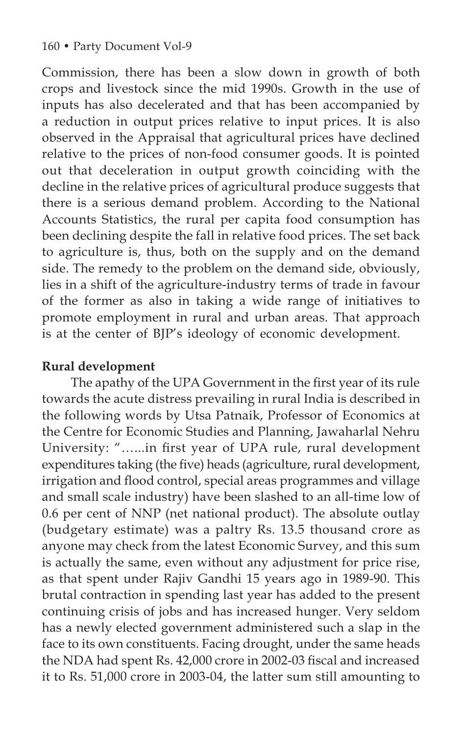### 160 • Party Document Vol-9

Commission, there has been a slow down in growth of both crops and livestock since the mid 1990s. Growth in the use of inputs has also decelerated and that has been accompanied by a reduction in output prices relative to input prices. It is also observed in the Appraisal that agricultural prices have declined relative to the prices of non-food consumer goods. It is pointed out that deceleration in output growth coinciding with the decline in the relative prices of agricultural produce suggests that there is a serious demand problem. According to the National Accounts Statistics, the rural per capita food consumption has been declining despite the fall in relative food prices. The set back to agriculture is, thus, both on the supply and on the demand side. The remedy to the problem on the demand side, obviously, lies in a shift of the agriculture-industry terms of trade in favour of the former as also in taking a wide range of initiatives to promote employment in rural and urban areas. That approach is at the center of BJP's ideology of economic development.

# **Rural development**

The apathy of the UPA Government in the first year of its rule towards the acute distress prevailing in rural India is described in the following words by Utsa Patnaik, Professor of Economics at the Centre for Economic Studies and Planning, Jawaharlal Nehru University: "…...in first year of UPA rule, rural development expenditures taking (the five) heads (agriculture, rural development, irrigation and flood control, special areas programmes and village and small scale industry) have been slashed to an all-time low of 0.6 per cent of NNP (net national product). The absolute outlay (budgetary estimate) was a paltry Rs. 13.5 thousand crore as anyone may check from the latest Economic Survey, and this sum is actually the same, even without any adjustment for price rise, as that spent under Rajiv Gandhi 15 years ago in 1989-90. This brutal contraction in spending last year has added to the present continuing crisis of jobs and has increased hunger. Very seldom has a newly elected government administered such a slap in the face to its own constituents. Facing drought, under the same heads the NDA had spent Rs. 42,000 crore in 2002-03 fiscal and increased it to Rs. 51,000 crore in 2003-04, the latter sum still amounting to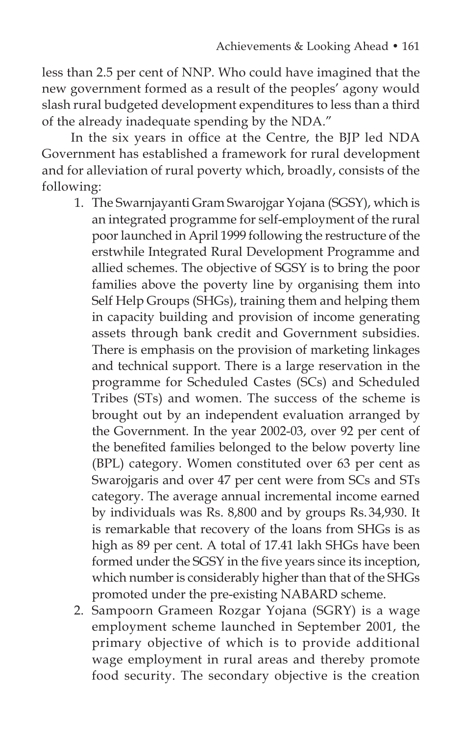less than 2.5 per cent of NNP. Who could have imagined that the new government formed as a result of the peoples' agony would slash rural budgeted development expenditures to less than a third of the already inadequate spending by the NDA."

In the six years in office at the Centre, the BJP led NDA Government has established a framework for rural development and for alleviation of rural poverty which, broadly, consists of the following:

- 1. The Swarnjayanti Gram Swarojgar Yojana (SGSY), which is an integrated programme for self-employment of the rural poor launched in April 1999 following the restructure of the erstwhile Integrated Rural Development Programme and allied schemes. The objective of SGSY is to bring the poor families above the poverty line by organising them into Self Help Groups (SHGs), training them and helping them in capacity building and provision of income generating assets through bank credit and Government subsidies. There is emphasis on the provision of marketing linkages and technical support. There is a large reservation in the programme for Scheduled Castes (SCs) and Scheduled Tribes (STs) and women. The success of the scheme is brought out by an independent evaluation arranged by the Government. In the year 2002-03, over 92 per cent of the benefited families belonged to the below poverty line (BPL) category. Women constituted over 63 per cent as Swarojgaris and over 47 per cent were from SCs and STs category. The average annual incremental income earned by individuals was Rs. 8,800 and by groups Rs.34,930. It is remarkable that recovery of the loans from SHGs is as high as 89 per cent. A total of 17.41 lakh SHGs have been formed under the SGSY in the five years since its inception, which number is considerably higher than that of the SHGs promoted under the pre-existing NABARD scheme.
- 2. Sampoorn Grameen Rozgar Yojana (SGRY) is a wage employment scheme launched in September 2001, the primary objective of which is to provide additional wage employment in rural areas and thereby promote food security. The secondary objective is the creation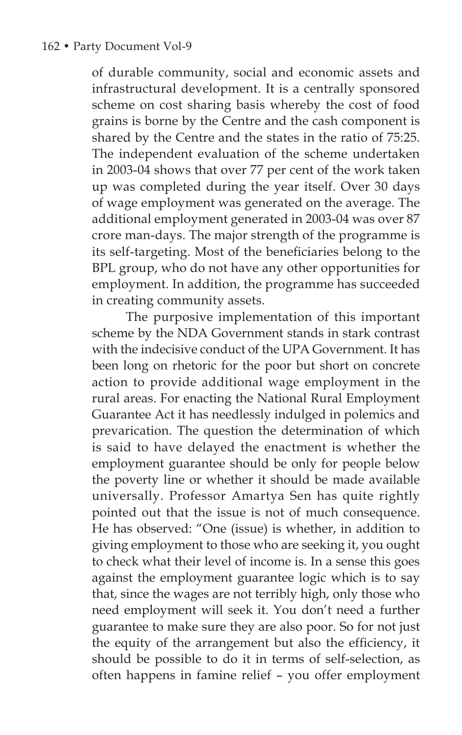of durable community, social and economic assets and infrastructural development. It is a centrally sponsored scheme on cost sharing basis whereby the cost of food grains is borne by the Centre and the cash component is shared by the Centre and the states in the ratio of 75:25. The independent evaluation of the scheme undertaken in 2003-04 shows that over 77 per cent of the work taken up was completed during the year itself. Over 30 days of wage employment was generated on the average. The additional employment generated in 2003-04 was over 87 crore man-days. The major strength of the programme is its self-targeting. Most of the beneficiaries belong to the BPL group, who do not have any other opportunities for employment. In addition, the programme has succeeded in creating community assets.

 The purposive implementation of this important scheme by the NDA Government stands in stark contrast with the indecisive conduct of the UPA Government. It has been long on rhetoric for the poor but short on concrete action to provide additional wage employment in the rural areas. For enacting the National Rural Employment Guarantee Act it has needlessly indulged in polemics and prevarication. The question the determination of which is said to have delayed the enactment is whether the employment guarantee should be only for people below the poverty line or whether it should be made available universally. Professor Amartya Sen has quite rightly pointed out that the issue is not of much consequence. He has observed: "One (issue) is whether, in addition to giving employment to those who are seeking it, you ought to check what their level of income is. In a sense this goes against the employment guarantee logic which is to say that, since the wages are not terribly high, only those who need employment will seek it. You don't need a further guarantee to make sure they are also poor. So for not just the equity of the arrangement but also the efficiency, it should be possible to do it in terms of self-selection, as often happens in famine relief – you offer employment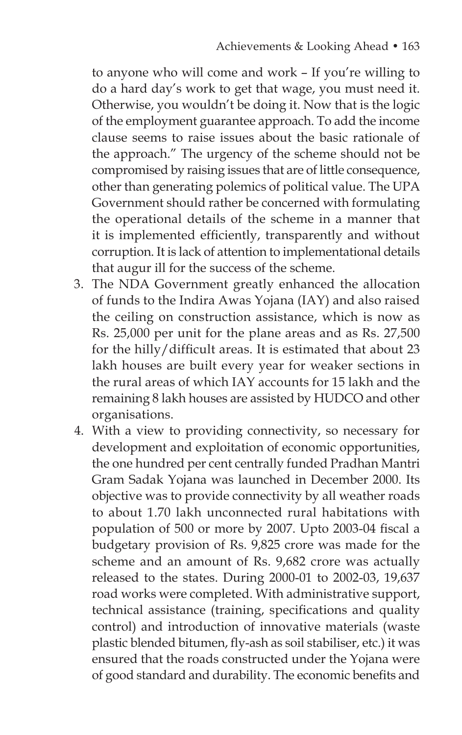to anyone who will come and work – If you're willing to do a hard day's work to get that wage, you must need it. Otherwise, you wouldn't be doing it. Now that is the logic of the employment guarantee approach. To add the income clause seems to raise issues about the basic rationale of the approach." The urgency of the scheme should not be compromised by raising issues that are of little consequence, other than generating polemics of political value. The UPA Government should rather be concerned with formulating the operational details of the scheme in a manner that it is implemented efficiently, transparently and without corruption. It is lack of attention to implementational details that augur ill for the success of the scheme.

- 3. The NDA Government greatly enhanced the allocation of funds to the Indira Awas Yojana (IAY) and also raised the ceiling on construction assistance, which is now as Rs. 25,000 per unit for the plane areas and as Rs. 27,500 for the hilly/difficult areas. It is estimated that about 23 lakh houses are built every year for weaker sections in the rural areas of which IAY accounts for 15 lakh and the remaining 8 lakh houses are assisted by HUDCO and other organisations.
- 4. With a view to providing connectivity, so necessary for development and exploitation of economic opportunities, the one hundred per cent centrally funded Pradhan Mantri Gram Sadak Yojana was launched in December 2000. Its objective was to provide connectivity by all weather roads to about 1.70 lakh unconnected rural habitations with population of 500 or more by 2007. Upto 2003-04 fiscal a budgetary provision of Rs. 9,825 crore was made for the scheme and an amount of Rs. 9,682 crore was actually released to the states. During 2000-01 to 2002-03, 19,637 road works were completed. With administrative support, technical assistance (training, specifications and quality control) and introduction of innovative materials (waste plastic blended bitumen, fly-ash as soil stabiliser, etc.) it was ensured that the roads constructed under the Yojana were of good standard and durability. The economic benefits and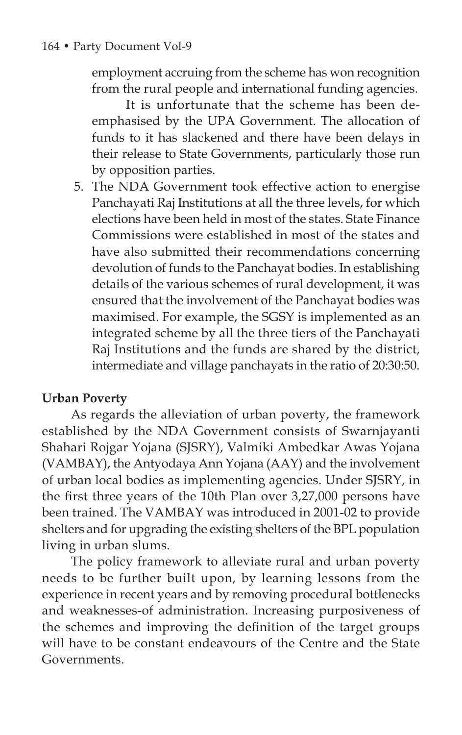employment accruing from the scheme has won recognition from the rural people and international funding agencies.

 It is unfortunate that the scheme has been deemphasised by the UPA Government. The allocation of funds to it has slackened and there have been delays in their release to State Governments, particularly those run by opposition parties.

5. The NDA Government took effective action to energise Panchayati Raj Institutions at all the three levels, for which elections have been held in most of the states. State Finance Commissions were established in most of the states and have also submitted their recommendations concerning devolution of funds to the Panchayat bodies. In establishing details of the various schemes of rural development, it was ensured that the involvement of the Panchayat bodies was maximised. For example, the SGSY is implemented as an integrated scheme by all the three tiers of the Panchayati Raj Institutions and the funds are shared by the district, intermediate and village panchayats in the ratio of 20:30:50.

# **Urban Poverty**

As regards the alleviation of urban poverty, the framework established by the NDA Government consists of Swarnjayanti Shahari Rojgar Yojana (SJSRY), Valmiki Ambedkar Awas Yojana (VAMBAY), the Antyodaya Ann Yojana (AAY) and the involvement of urban local bodies as implementing agencies. Under SJSRY, in the first three years of the 10th Plan over 3,27,000 persons have been trained. The VAMBAY was introduced in 2001-02 to provide shelters and for upgrading the existing shelters of the BPL population living in urban slums.

The policy framework to alleviate rural and urban poverty needs to be further built upon, by learning lessons from the experience in recent years and by removing procedural bottlenecks and weaknesses-of administration. Increasing purposiveness of the schemes and improving the definition of the target groups will have to be constant endeavours of the Centre and the State Governments.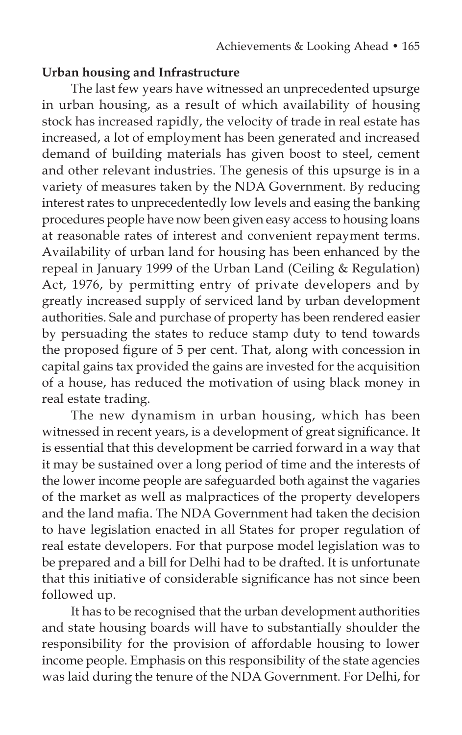### **Urban housing and Infrastructure**

The last few years have witnessed an unprecedented upsurge in urban housing, as a result of which availability of housing stock has increased rapidly, the velocity of trade in real estate has increased, a lot of employment has been generated and increased demand of building materials has given boost to steel, cement and other relevant industries. The genesis of this upsurge is in a variety of measures taken by the NDA Government. By reducing interest rates to unprecedentedly low levels and easing the banking procedures people have now been given easy access to housing loans at reasonable rates of interest and convenient repayment terms. Availability of urban land for housing has been enhanced by the repeal in January 1999 of the Urban Land (Ceiling & Regulation) Act, 1976, by permitting entry of private developers and by greatly increased supply of serviced land by urban development authorities. Sale and purchase of property has been rendered easier by persuading the states to reduce stamp duty to tend towards the proposed figure of 5 per cent. That, along with concession in capital gains tax provided the gains are invested for the acquisition of a house, has reduced the motivation of using black money in real estate trading.

The new dynamism in urban housing, which has been witnessed in recent years, is a development of great significance. It is essential that this development be carried forward in a way that it may be sustained over a long period of time and the interests of the lower income people are safeguarded both against the vagaries of the market as well as malpractices of the property developers and the land mafia. The NDA Government had taken the decision to have legislation enacted in all States for proper regulation of real estate developers. For that purpose model legislation was to be prepared and a bill for Delhi had to be drafted. It is unfortunate that this initiative of considerable significance has not since been followed up.

It has to be recognised that the urban development authorities and state housing boards will have to substantially shoulder the responsibility for the provision of affordable housing to lower income people. Emphasis on this responsibility of the state agencies was laid during the tenure of the NDA Government. For Delhi, for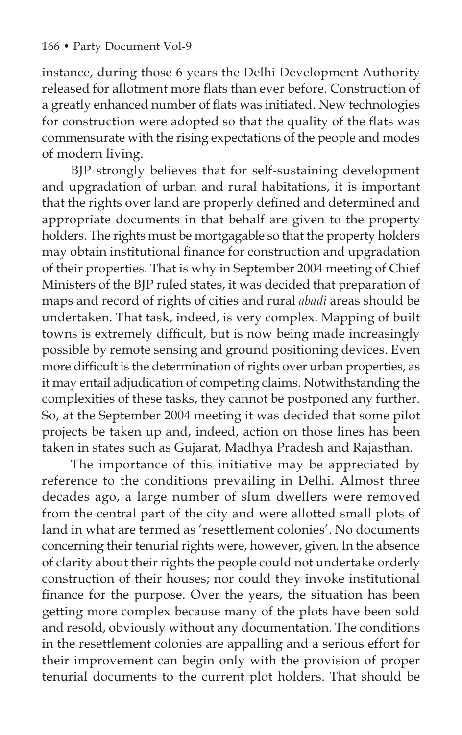instance, during those 6 years the Delhi Development Authority released for allotment more flats than ever before. Construction of a greatly enhanced number of flats was initiated. New technologies for construction were adopted so that the quality of the flats was commensurate with the rising expectations of the people and modes of modern living.

BJP strongly believes that for self-sustaining development and upgradation of urban and rural habitations, it is important that the rights over land are properly defined and determined and appropriate documents in that behalf are given to the property holders. The rights must be mortgagable so that the property holders may obtain institutional finance for construction and upgradation of their properties. That is why in September 2004 meeting of Chief Ministers of the BJP ruled states, it was decided that preparation of maps and record of rights of cities and rural *abadi* areas should be undertaken. That task, indeed, is very complex. Mapping of built towns is extremely difficult, but is now being made increasingly possible by remote sensing and ground positioning devices. Even more difficult is the determination of rights over urban properties, as it may entail adjudication of competing claims. Notwithstanding the complexities of these tasks, they cannot be postponed any further. So, at the September 2004 meeting it was decided that some pilot projects be taken up and, indeed, action on those lines has been taken in states such as Gujarat, Madhya Pradesh and Rajasthan.

The importance of this initiative may be appreciated by reference to the conditions prevailing in Delhi. Almost three decades ago, a large number of slum dwellers were removed from the central part of the city and were allotted small plots of land in what are termed as 'resettlement colonies'. No documents concerning their tenurial rights were, however, given. In the absence of clarity about their rights the people could not undertake orderly construction of their houses; nor could they invoke institutional finance for the purpose. Over the years, the situation has been getting more complex because many of the plots have been sold and resold, obviously without any documentation. The conditions in the resettlement colonies are appalling and a serious effort for their improvement can begin only with the provision of proper tenurial documents to the current plot holders. That should be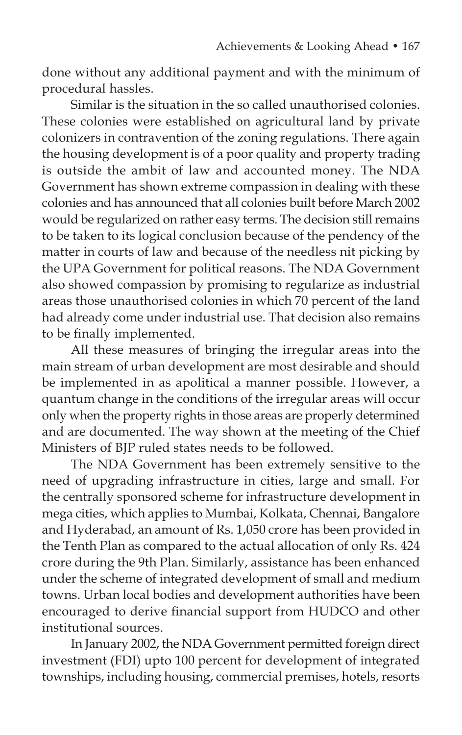done without any additional payment and with the minimum of procedural hassles.

Similar is the situation in the so called unauthorised colonies. These colonies were established on agricultural land by private colonizers in contravention of the zoning regulations. There again the housing development is of a poor quality and property trading is outside the ambit of law and accounted money. The NDA Government has shown extreme compassion in dealing with these colonies and has announced that all colonies built before March 2002 would be regularized on rather easy terms. The decision still remains to be taken to its logical conclusion because of the pendency of the matter in courts of law and because of the needless nit picking by the UPA Government for political reasons. The NDA Government also showed compassion by promising to regularize as industrial areas those unauthorised colonies in which 70 percent of the land had already come under industrial use. That decision also remains to be finally implemented.

All these measures of bringing the irregular areas into the main stream of urban development are most desirable and should be implemented in as apolitical a manner possible. However, a quantum change in the conditions of the irregular areas will occur only when the property rights in those areas are properly determined and are documented. The way shown at the meeting of the Chief Ministers of BJP ruled states needs to be followed.

The NDA Government has been extremely sensitive to the need of upgrading infrastructure in cities, large and small. For the centrally sponsored scheme for infrastructure development in mega cities, which applies to Mumbai, Kolkata, Chennai, Bangalore and Hyderabad, an amount of Rs. 1,050 crore has been provided in the Tenth Plan as compared to the actual allocation of only Rs. 424 crore during the 9th Plan. Similarly, assistance has been enhanced under the scheme of integrated development of small and medium towns. Urban local bodies and development authorities have been encouraged to derive financial support from HUDCO and other institutional sources.

In January 2002, the NDA Government permitted foreign direct investment (FDI) upto 100 percent for development of integrated townships, including housing, commercial premises, hotels, resorts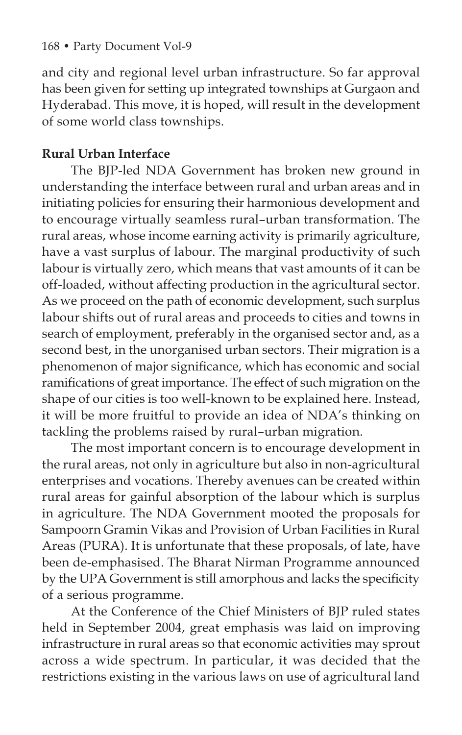and city and regional level urban infrastructure. So far approval has been given for setting up integrated townships at Gurgaon and Hyderabad. This move, it is hoped, will result in the development of some world class townships.

# **Rural Urban Interface**

The BJP-led NDA Government has broken new ground in understanding the interface between rural and urban areas and in initiating policies for ensuring their harmonious development and to encourage virtually seamless rural–urban transformation. The rural areas, whose income earning activity is primarily agriculture, have a vast surplus of labour. The marginal productivity of such labour is virtually zero, which means that vast amounts of it can be off-loaded, without affecting production in the agricultural sector. As we proceed on the path of economic development, such surplus labour shifts out of rural areas and proceeds to cities and towns in search of employment, preferably in the organised sector and, as a second best, in the unorganised urban sectors. Their migration is a phenomenon of major significance, which has economic and social ramifications of great importance. The effect of such migration on the shape of our cities is too well-known to be explained here. Instead, it will be more fruitful to provide an idea of NDA's thinking on tackling the problems raised by rural–urban migration.

The most important concern is to encourage development in the rural areas, not only in agriculture but also in non-agricultural enterprises and vocations. Thereby avenues can be created within rural areas for gainful absorption of the labour which is surplus in agriculture. The NDA Government mooted the proposals for Sampoorn Gramin Vikas and Provision of Urban Facilities in Rural Areas (PURA). It is unfortunate that these proposals, of late, have been de-emphasised. The Bharat Nirman Programme announced by the UPA Government is still amorphous and lacks the specificity of a serious programme.

At the Conference of the Chief Ministers of BJP ruled states held in September 2004, great emphasis was laid on improving infrastructure in rural areas so that economic activities may sprout across a wide spectrum. In particular, it was decided that the restrictions existing in the various laws on use of agricultural land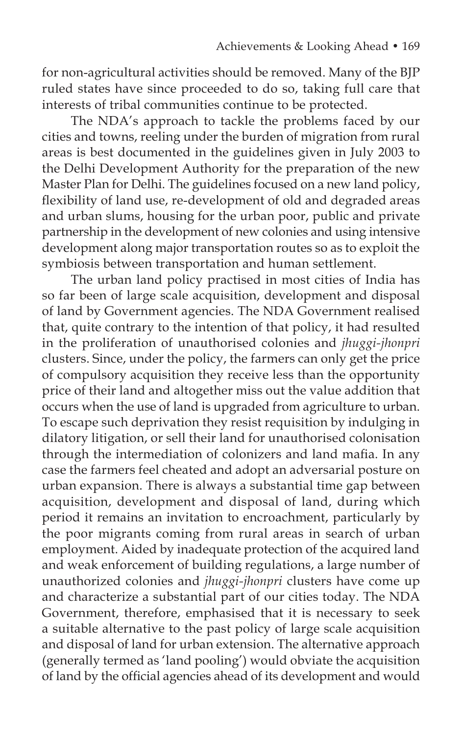for non-agricultural activities should be removed. Many of the BJP ruled states have since proceeded to do so, taking full care that interests of tribal communities continue to be protected.

The NDA's approach to tackle the problems faced by our cities and towns, reeling under the burden of migration from rural areas is best documented in the guidelines given in July 2003 to the Delhi Development Authority for the preparation of the new Master Plan for Delhi. The guidelines focused on a new land policy, flexibility of land use, re-development of old and degraded areas and urban slums, housing for the urban poor, public and private partnership in the development of new colonies and using intensive development along major transportation routes so as to exploit the symbiosis between transportation and human settlement.

The urban land policy practised in most cities of India has so far been of large scale acquisition, development and disposal of land by Government agencies. The NDA Government realised that, quite contrary to the intention of that policy, it had resulted in the proliferation of unauthorised colonies and *jhuggi-jhonpri*  clusters. Since, under the policy, the farmers can only get the price of compulsory acquisition they receive less than the opportunity price of their land and altogether miss out the value addition that occurs when the use of land is upgraded from agriculture to urban. To escape such deprivation they resist requisition by indulging in dilatory litigation, or sell their land for unauthorised colonisation through the intermediation of colonizers and land mafia. In any case the farmers feel cheated and adopt an adversarial posture on urban expansion. There is always a substantial time gap between acquisition, development and disposal of land, during which period it remains an invitation to encroachment, particularly by the poor migrants coming from rural areas in search of urban employment. Aided by inadequate protection of the acquired land and weak enforcement of building regulations, a large number of unauthorized colonies and *jhuggi-jhonpri* clusters have come up and characterize a substantial part of our cities today. The NDA Government, therefore, emphasised that it is necessary to seek a suitable alternative to the past policy of large scale acquisition and disposal of land for urban extension. The alternative approach (generally termed as 'land pooling') would obviate the acquisition of land by the official agencies ahead of its development and would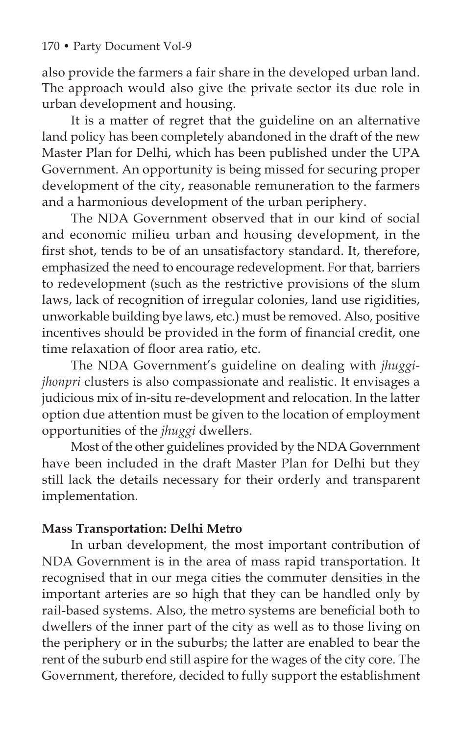also provide the farmers a fair share in the developed urban land. The approach would also give the private sector its due role in urban development and housing.

It is a matter of regret that the guideline on an alternative land policy has been completely abandoned in the draft of the new Master Plan for Delhi, which has been published under the UPA Government. An opportunity is being missed for securing proper development of the city, reasonable remuneration to the farmers and a harmonious development of the urban periphery.

The NDA Government observed that in our kind of social and economic milieu urban and housing development, in the first shot, tends to be of an unsatisfactory standard. It, therefore, emphasized the need to encourage redevelopment. For that, barriers to redevelopment (such as the restrictive provisions of the slum laws, lack of recognition of irregular colonies, land use rigidities, unworkable building bye laws, etc.) must be removed. Also, positive incentives should be provided in the form of financial credit, one time relaxation of floor area ratio, etc.

The NDA Government's guideline on dealing with *jhuggijhonpri* clusters is also compassionate and realistic. It envisages a judicious mix of in-situ re-development and relocation. In the latter option due attention must be given to the location of employment opportunities of the *jhuggi* dwellers.

Most of the other guidelines provided by the NDA Government have been included in the draft Master Plan for Delhi but they still lack the details necessary for their orderly and transparent implementation.

# **Mass Transportation: Delhi Metro**

In urban development, the most important contribution of NDA Government is in the area of mass rapid transportation. It recognised that in our mega cities the commuter densities in the important arteries are so high that they can be handled only by rail-based systems. Also, the metro systems are beneficial both to dwellers of the inner part of the city as well as to those living on the periphery or in the suburbs; the latter are enabled to bear the rent of the suburb end still aspire for the wages of the city core. The Government, therefore, decided to fully support the establishment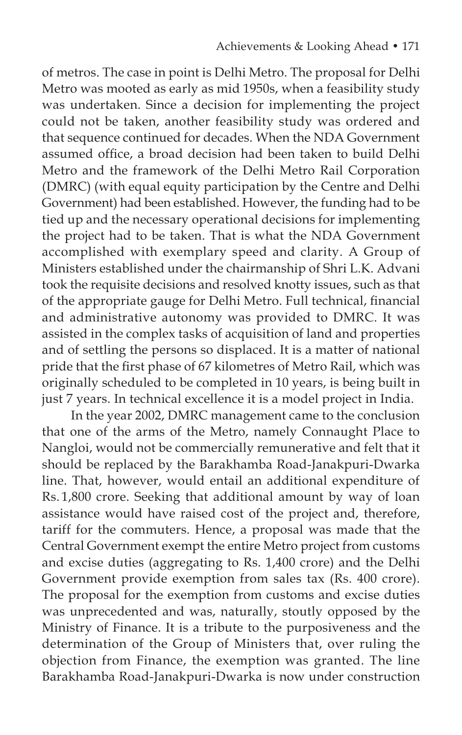of metros. The case in point is Delhi Metro. The proposal for Delhi Metro was mooted as early as mid 1950s, when a feasibility study was undertaken. Since a decision for implementing the project could not be taken, another feasibility study was ordered and that sequence continued for decades. When the NDA Government assumed office, a broad decision had been taken to build Delhi Metro and the framework of the Delhi Metro Rail Corporation (DMRC) (with equal equity participation by the Centre and Delhi Government) had been established. However, the funding had to be tied up and the necessary operational decisions for implementing the project had to be taken. That is what the NDA Government accomplished with exemplary speed and clarity. A Group of Ministers established under the chairmanship of Shri L.K. Advani took the requisite decisions and resolved knotty issues, such as that of the appropriate gauge for Delhi Metro. Full technical, financial and administrative autonomy was provided to DMRC. It was assisted in the complex tasks of acquisition of land and properties and of settling the persons so displaced. It is a matter of national pride that the first phase of 67 kilometres of Metro Rail, which was originally scheduled to be completed in 10 years, is being built in just 7 years. In technical excellence it is a model project in India.

In the year 2002, DMRC management came to the conclusion that one of the arms of the Metro, namely Connaught Place to Nangloi, would not be commercially remunerative and felt that it should be replaced by the Barakhamba Road-Janakpuri-Dwarka line. That, however, would entail an additional expenditure of Rs. 1,800 crore. Seeking that additional amount by way of loan assistance would have raised cost of the project and, therefore, tariff for the commuters. Hence, a proposal was made that the Central Government exempt the entire Metro project from customs and excise duties (aggregating to Rs. 1,400 crore) and the Delhi Government provide exemption from sales tax (Rs. 400 crore). The proposal for the exemption from customs and excise duties was unprecedented and was, naturally, stoutly opposed by the Ministry of Finance. It is a tribute to the purposiveness and the determination of the Group of Ministers that, over ruling the objection from Finance, the exemption was granted. The line Barakhamba Road-Janakpuri-Dwarka is now under construction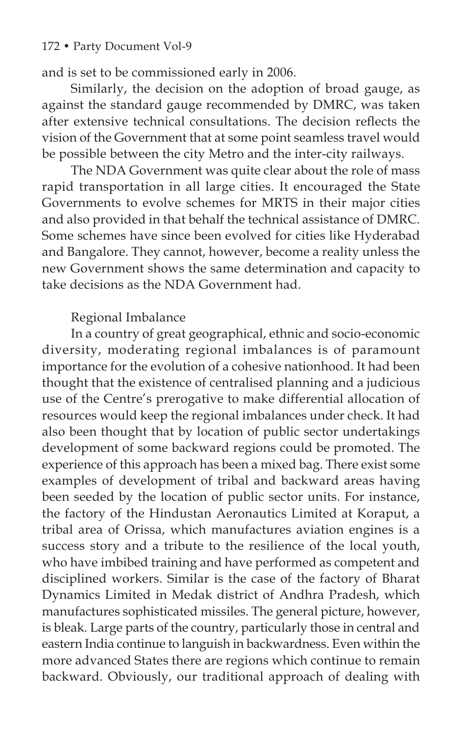#### 172 • Party Document Vol-9

and is set to be commissioned early in 2006.

Similarly, the decision on the adoption of broad gauge, as against the standard gauge recommended by DMRC, was taken after extensive technical consultations. The decision reflects the vision of the Government that at some point seamless travel would be possible between the city Metro and the inter-city railways.

The NDA Government was quite clear about the role of mass rapid transportation in all large cities. It encouraged the State Governments to evolve schemes for MRTS in their major cities and also provided in that behalf the technical assistance of DMRC. Some schemes have since been evolved for cities like Hyderabad and Bangalore. They cannot, however, become a reality unless the new Government shows the same determination and capacity to take decisions as the NDA Government had.

### Regional Imbalance

In a country of great geographical, ethnic and socio-economic diversity, moderating regional imbalances is of paramount importance for the evolution of a cohesive nationhood. It had been thought that the existence of centralised planning and a judicious use of the Centre's prerogative to make differential allocation of resources would keep the regional imbalances under check. It had also been thought that by location of public sector undertakings development of some backward regions could be promoted. The experience of this approach has been a mixed bag. There exist some examples of development of tribal and backward areas having been seeded by the location of public sector units. For instance, the factory of the Hindustan Aeronautics Limited at Koraput, a tribal area of Orissa, which manufactures aviation engines is a success story and a tribute to the resilience of the local youth, who have imbibed training and have performed as competent and disciplined workers. Similar is the case of the factory of Bharat Dynamics Limited in Medak district of Andhra Pradesh, which manufactures sophisticated missiles. The general picture, however, is bleak. Large parts of the country, particularly those in central and eastern India continue to languish in backwardness. Even within the more advanced States there are regions which continue to remain backward. Obviously, our traditional approach of dealing with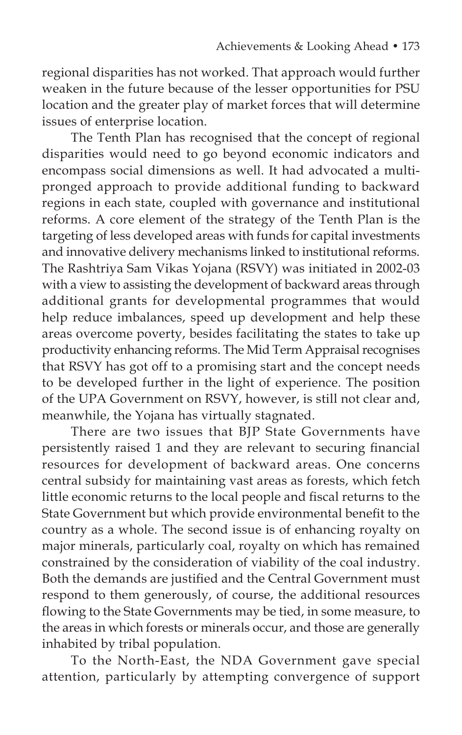regional disparities has not worked. That approach would further weaken in the future because of the lesser opportunities for PSU location and the greater play of market forces that will determine issues of enterprise location.

The Tenth Plan has recognised that the concept of regional disparities would need to go beyond economic indicators and encompass social dimensions as well. It had advocated a multipronged approach to provide additional funding to backward regions in each state, coupled with governance and institutional reforms. A core element of the strategy of the Tenth Plan is the targeting of less developed areas with funds for capital investments and innovative delivery mechanisms linked to institutional reforms. The Rashtriya Sam Vikas Yojana (RSVY) was initiated in 2002-03 with a view to assisting the development of backward areas through additional grants for developmental programmes that would help reduce imbalances, speed up development and help these areas overcome poverty, besides facilitating the states to take up productivity enhancing reforms. The Mid Term Appraisal recognises that RSVY has got off to a promising start and the concept needs to be developed further in the light of experience. The position of the UPA Government on RSVY, however, is still not clear and, meanwhile, the Yojana has virtually stagnated.

There are two issues that BJP State Governments have persistently raised 1 and they are relevant to securing financial resources for development of backward areas. One concerns central subsidy for maintaining vast areas as forests, which fetch little economic returns to the local people and fiscal returns to the State Government but which provide environmental benefit to the country as a whole. The second issue is of enhancing royalty on major minerals, particularly coal, royalty on which has remained constrained by the consideration of viability of the coal industry. Both the demands are justified and the Central Government must respond to them generously, of course, the additional resources flowing to the State Governments may be tied, in some measure, to the areas in which forests or minerals occur, and those are generally inhabited by tribal population.

To the North-East, the NDA Government gave special attention, particularly by attempting convergence of support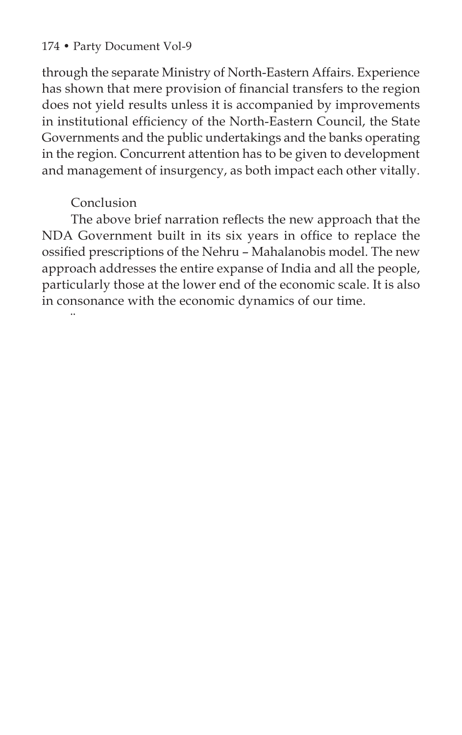### 174 • Party Document Vol-9

through the separate Ministry of North-Eastern Affairs. Experience has shown that mere provision of financial transfers to the region does not yield results unless it is accompanied by improvements in institutional efficiency of the North-Eastern Council, the State Governments and the public undertakings and the banks operating in the region. Concurrent attention has to be given to development and management of insurgency, as both impact each other vitally.

# Conclusion

¨

The above brief narration reflects the new approach that the NDA Government built in its six years in office to replace the ossified prescriptions of the Nehru – Mahalanobis model. The new approach addresses the entire expanse of India and all the people, particularly those at the lower end of the economic scale. It is also in consonance with the economic dynamics of our time.